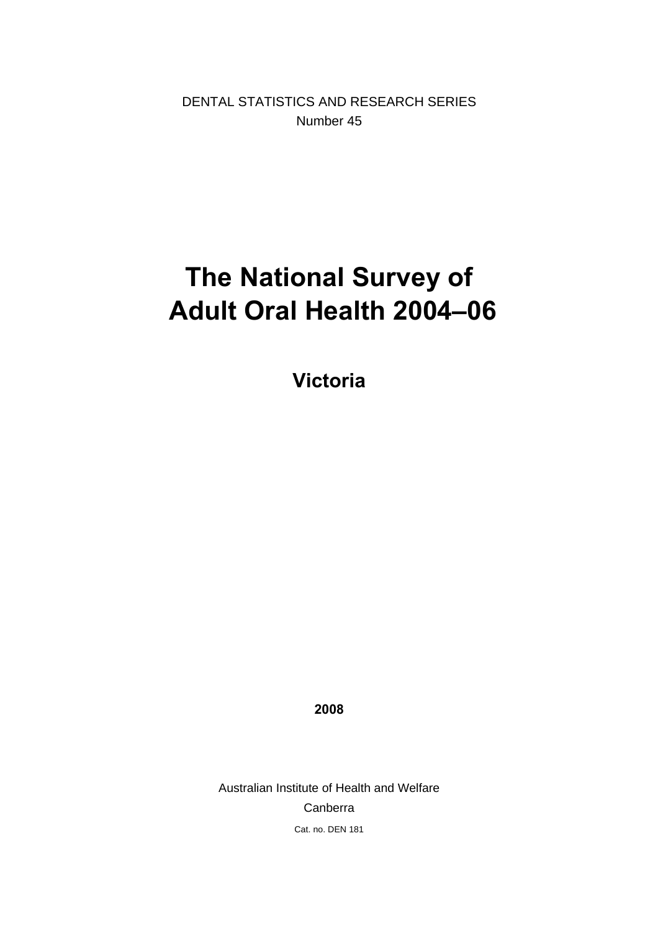DENTAL STATISTICS AND RESEARCH SERIES Number 45

# **The National Survey of Adult Oral Health 2004–06**

**Victoria** 

**2008** 

Australian Institute of Health and Welfare Canberra Cat. no. DEN 181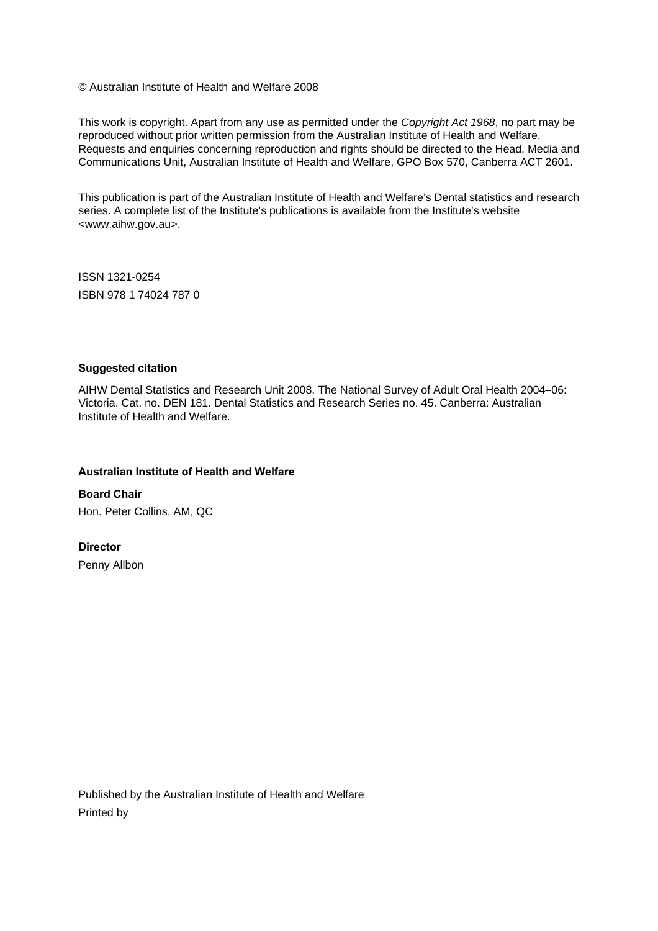© Australian Institute of Health and Welfare 2008

This work is copyright. Apart from any use as permitted under the *Copyright Act 1968*, no part may be reproduced without prior written permission from the Australian Institute of Health and Welfare. Requests and enquiries concerning reproduction and rights should be directed to the Head, Media and Communications Unit, Australian Institute of Health and Welfare, GPO Box 570, Canberra ACT 2601.

This publication is part of the Australian Institute of Health and Welfare's Dental statistics and research series. A complete list of the Institute's publications is available from the Institute's website <www.aihw.gov.au>.

ISSN 1321-0254 ISBN 978 1 74024 787 0

#### **Suggested citation**

AIHW Dental Statistics and Research Unit 2008. The National Survey of Adult Oral Health 2004–06: Victoria. Cat. no. DEN 181. Dental Statistics and Research Series no. 45. Canberra: Australian Institute of Health and Welfare.

#### **Australian Institute of Health and Welfare**

**Board Chair**  Hon. Peter Collins, AM, QC

**Director** 

Penny Allbon

Published by the Australian Institute of Health and Welfare Printed by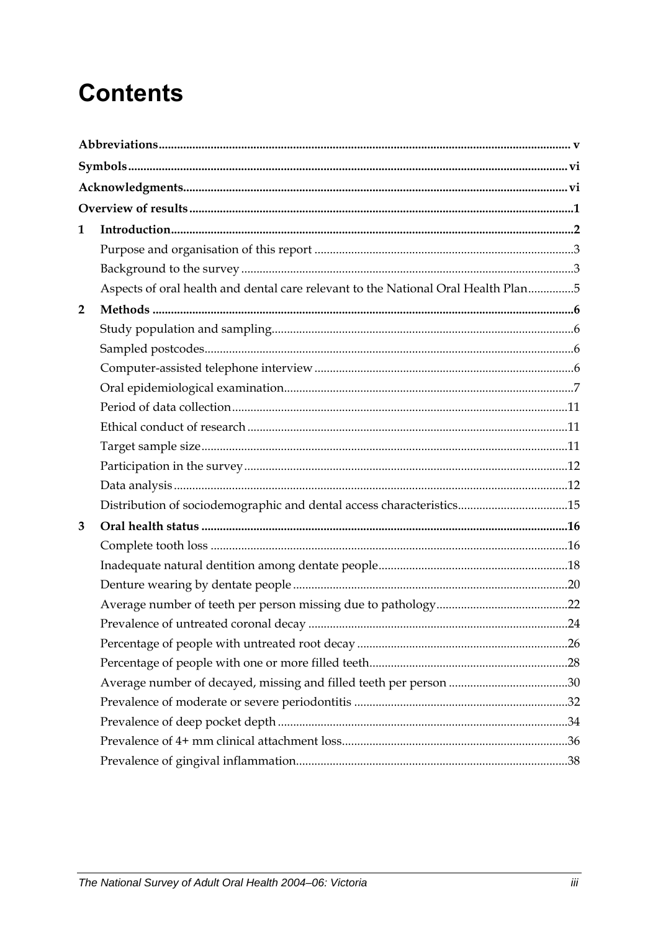# **Contents**

| 1              |                                                                                   |  |
|----------------|-----------------------------------------------------------------------------------|--|
|                |                                                                                   |  |
|                |                                                                                   |  |
|                | Aspects of oral health and dental care relevant to the National Oral Health Plan5 |  |
| $\overline{2}$ |                                                                                   |  |
|                |                                                                                   |  |
|                |                                                                                   |  |
|                |                                                                                   |  |
|                |                                                                                   |  |
|                |                                                                                   |  |
|                |                                                                                   |  |
|                |                                                                                   |  |
|                |                                                                                   |  |
|                |                                                                                   |  |
|                | Distribution of sociodemographic and dental access characteristics15              |  |
| 3              |                                                                                   |  |
|                |                                                                                   |  |
|                |                                                                                   |  |
|                |                                                                                   |  |
|                |                                                                                   |  |
|                |                                                                                   |  |
|                |                                                                                   |  |
|                |                                                                                   |  |
|                |                                                                                   |  |
|                |                                                                                   |  |
|                |                                                                                   |  |
|                |                                                                                   |  |
|                |                                                                                   |  |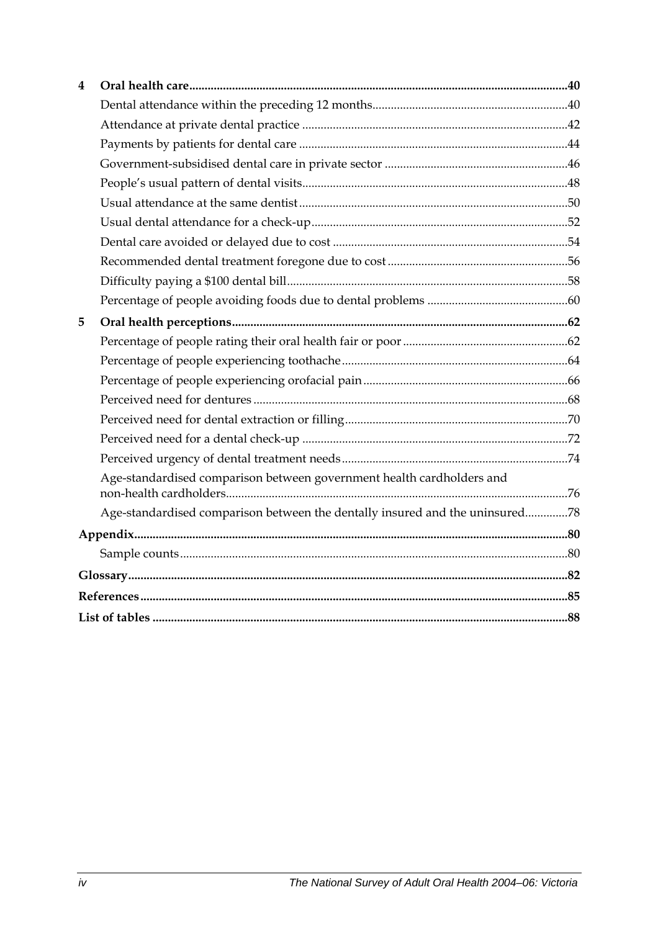| 4 |                                                                              |  |
|---|------------------------------------------------------------------------------|--|
|   |                                                                              |  |
|   |                                                                              |  |
|   |                                                                              |  |
|   |                                                                              |  |
|   |                                                                              |  |
|   |                                                                              |  |
|   |                                                                              |  |
|   |                                                                              |  |
|   |                                                                              |  |
|   |                                                                              |  |
|   |                                                                              |  |
| 5 |                                                                              |  |
|   |                                                                              |  |
|   |                                                                              |  |
|   |                                                                              |  |
|   |                                                                              |  |
|   |                                                                              |  |
|   |                                                                              |  |
|   |                                                                              |  |
|   | Age-standardised comparison between government health cardholders and        |  |
|   | Age-standardised comparison between the dentally insured and the uninsured78 |  |
|   |                                                                              |  |
|   |                                                                              |  |
|   |                                                                              |  |
|   |                                                                              |  |
|   |                                                                              |  |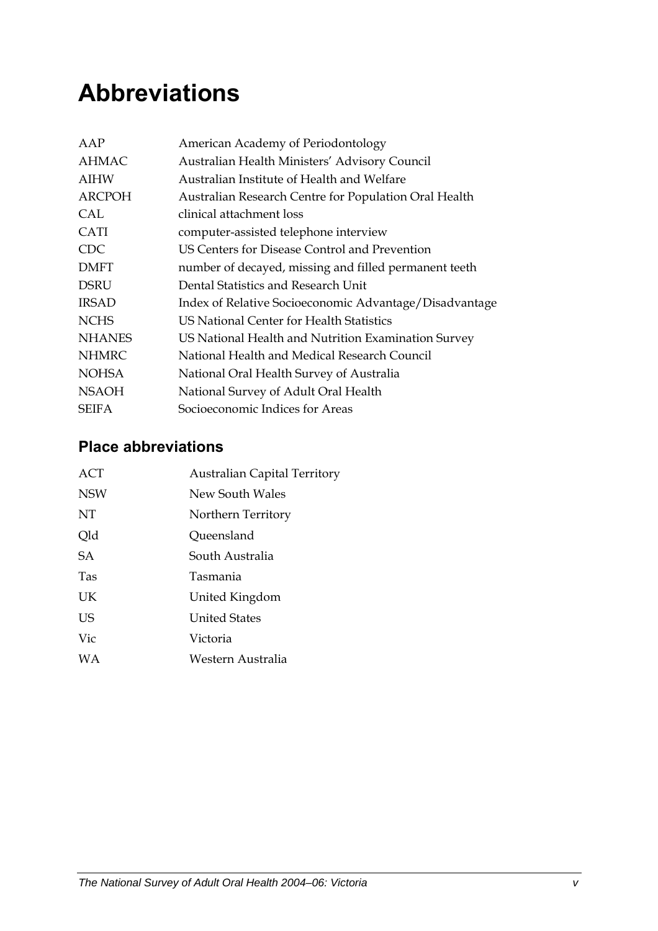# <span id="page-4-0"></span>**Abbreviations**

| American Academy of Periodontology                     |
|--------------------------------------------------------|
| Australian Health Ministers' Advisory Council          |
| Australian Institute of Health and Welfare             |
| Australian Research Centre for Population Oral Health  |
| clinical attachment loss                               |
| computer-assisted telephone interview                  |
| US Centers for Disease Control and Prevention          |
| number of decayed, missing and filled permanent teeth  |
| Dental Statistics and Research Unit                    |
| Index of Relative Socioeconomic Advantage/Disadvantage |
| US National Center for Health Statistics               |
| US National Health and Nutrition Examination Survey    |
| National Health and Medical Research Council           |
| National Oral Health Survey of Australia               |
| National Survey of Adult Oral Health                   |
| Socioeconomic Indices for Areas                        |
|                                                        |

## **Place abbreviations**

| ACT        | <b>Australian Capital Territory</b> |
|------------|-------------------------------------|
| <b>NSW</b> | New South Wales                     |
| NT         | Northern Territory                  |
| Qld        | Queensland                          |
| SA         | South Australia                     |
| <b>Tas</b> | Tasmania                            |
| UK         | United Kingdom                      |
| US         | <b>United States</b>                |
| Vic        | Victoria                            |
| <b>WA</b>  | Western Australia                   |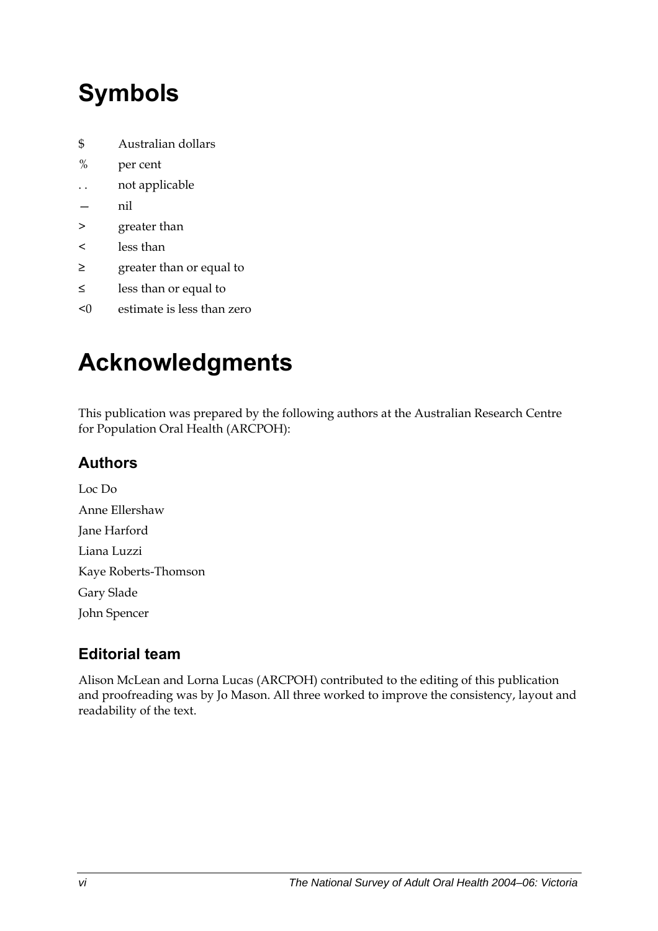# <span id="page-5-0"></span>**Symbols**

- \$ Australian dollars
- % per cent
- . . not applicable
- nil
- > greater than
- < less than
- ≥ greater than or equal to
- ≤ less than or equal to
- <0 estimate is less than zero

# **Acknowledgments**

This publication was prepared by the following authors at the Australian Research Centre for Population Oral Health (ARCPOH):

## **Authors**

Loc Do Anne Ellershaw Jane Harford Liana Luzzi Kaye Roberts-Thomson Gary Slade John Spencer

## **Editorial team**

Alison McLean and Lorna Lucas (ARCPOH) contributed to the editing of this publication and proofreading was by Jo Mason. All three worked to improve the consistency, layout and readability of the text.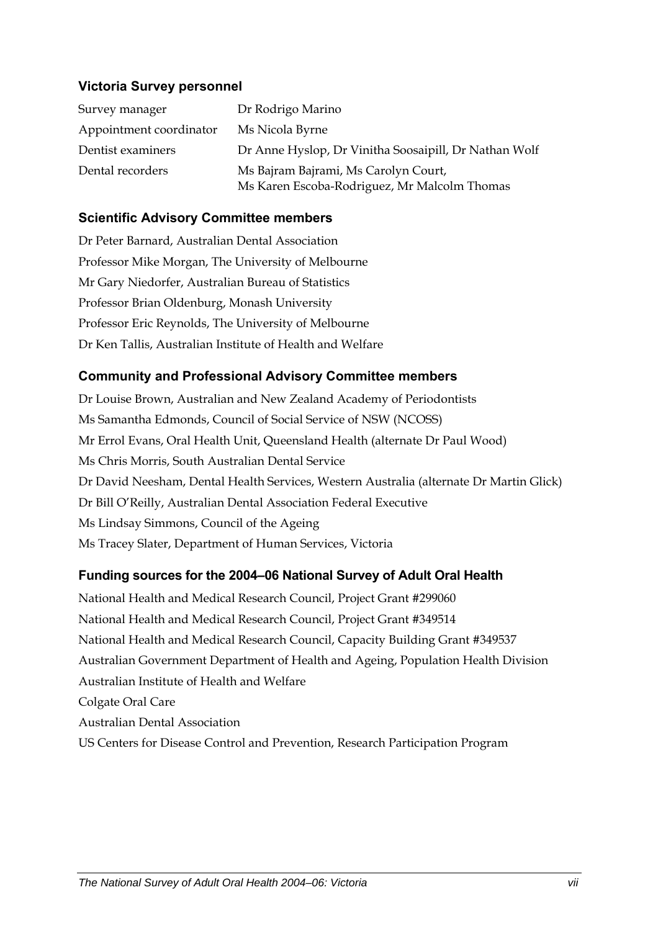#### **Victoria Survey personnel**

| Survey manager          | Dr Rodrigo Marino                                                                    |
|-------------------------|--------------------------------------------------------------------------------------|
| Appointment coordinator | Ms Nicola Byrne                                                                      |
| Dentist examiners       | Dr Anne Hyslop, Dr Vinitha Soosaipill, Dr Nathan Wolf                                |
| Dental recorders        | Ms Bajram Bajrami, Ms Carolyn Court,<br>Ms Karen Escoba-Rodriguez, Mr Malcolm Thomas |

#### **Scientific Advisory Committee members**

Dr Peter Barnard, Australian Dental Association Professor Mike Morgan, The University of Melbourne Mr Gary Niedorfer, Australian Bureau of Statistics Professor Brian Oldenburg, Monash University Professor Eric Reynolds, The University of Melbourne Dr Ken Tallis, Australian Institute of Health and Welfare

### **Community and Professional Advisory Committee members**

Dr Louise Brown, Australian and New Zealand Academy of Periodontists Ms Samantha Edmonds, Council of Social Service of NSW (NCOSS) Mr Errol Evans, Oral Health Unit, Queensland Health (alternate Dr Paul Wood) Ms Chris Morris, South Australian Dental Service Dr David Neesham, Dental Health Services, Western Australia (alternate Dr Martin Glick) Dr Bill O'Reilly, Australian Dental Association Federal Executive Ms Lindsay Simmons, Council of the Ageing Ms Tracey Slater, Department of Human Services, Victoria

### **Funding sources for the 2004–06 National Survey of Adult Oral Health**

National Health and Medical Research Council, Project Grant #299060 National Health and Medical Research Council, Project Grant #349514 National Health and Medical Research Council, Capacity Building Grant #349537 Australian Government Department of Health and Ageing, Population Health Division Australian Institute of Health and Welfare Colgate Oral Care Australian Dental Association US Centers for Disease Control and Prevention, Research Participation Program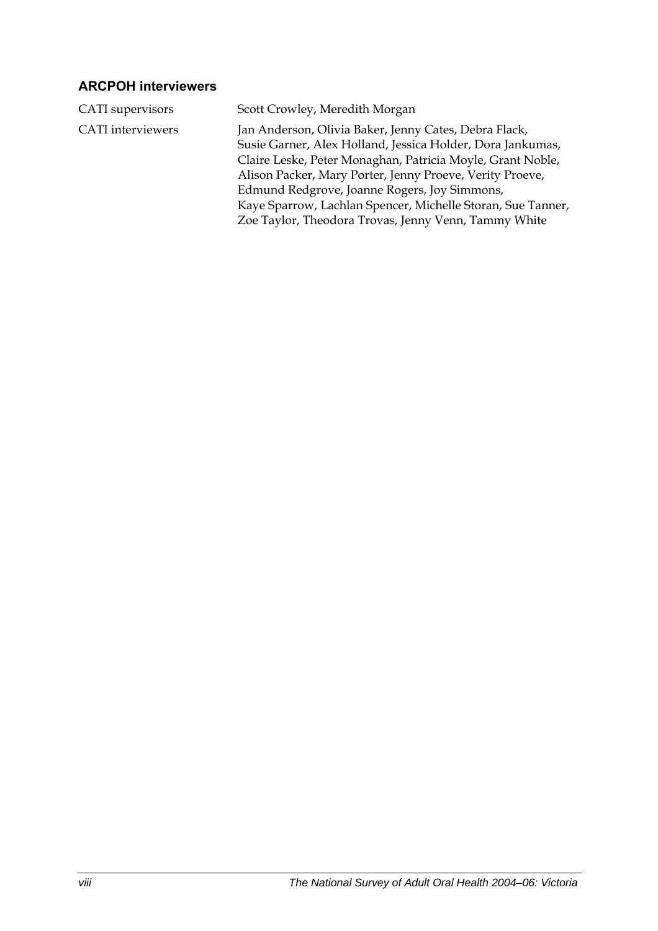### **ARCPOH interviewers**

| CATI supervisors         | Scott Crowley, Meredith Morgan                                                                                                                                                                                                                                                                                                                                                                                       |
|--------------------------|----------------------------------------------------------------------------------------------------------------------------------------------------------------------------------------------------------------------------------------------------------------------------------------------------------------------------------------------------------------------------------------------------------------------|
| <b>CATI</b> interviewers | Jan Anderson, Olivia Baker, Jenny Cates, Debra Flack,<br>Susie Garner, Alex Holland, Jessica Holder, Dora Jankumas,<br>Claire Leske, Peter Monaghan, Patricia Moyle, Grant Noble,<br>Alison Packer, Mary Porter, Jenny Proeve, Verity Proeve,<br>Edmund Redgrove, Joanne Rogers, Joy Simmons,<br>Kaye Sparrow, Lachlan Spencer, Michelle Storan, Sue Tanner,<br>Zoe Taylor, Theodora Trovas, Jenny Venn, Tammy White |
|                          |                                                                                                                                                                                                                                                                                                                                                                                                                      |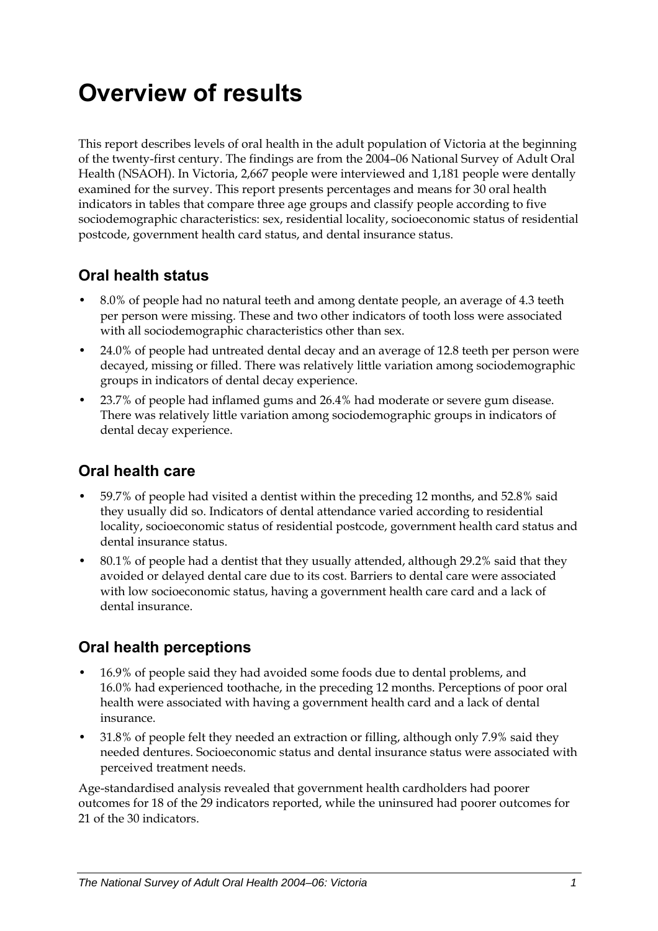# <span id="page-8-0"></span>**Overview of results**

This report describes levels of oral health in the adult population of Victoria at the beginning of the twenty-first century. The findings are from the 2004–06 National Survey of Adult Oral Health (NSAOH). In Victoria, 2,667 people were interviewed and 1,181 people were dentally examined for the survey. This report presents percentages and means for 30 oral health indicators in tables that compare three age groups and classify people according to five sociodemographic characteristics: sex, residential locality, socioeconomic status of residential postcode, government health card status, and dental insurance status.

## **Oral health status**

- 8.0% of people had no natural teeth and among dentate people, an average of 4.3 teeth per person were missing. These and two other indicators of tooth loss were associated with all sociodemographic characteristics other than sex.
- 24.0% of people had untreated dental decay and an average of 12.8 teeth per person were decayed, missing or filled. There was relatively little variation among sociodemographic groups in indicators of dental decay experience.
- 23.7% of people had inflamed gums and 26.4% had moderate or severe gum disease. There was relatively little variation among sociodemographic groups in indicators of dental decay experience.

### **Oral health care**

- 59.7% of people had visited a dentist within the preceding 12 months, and 52.8% said they usually did so. Indicators of dental attendance varied according to residential locality, socioeconomic status of residential postcode, government health card status and dental insurance status.
- 80.1% of people had a dentist that they usually attended, although 29.2% said that they avoided or delayed dental care due to its cost. Barriers to dental care were associated with low socioeconomic status, having a government health care card and a lack of dental insurance.

### **Oral health perceptions**

- 16.9% of people said they had avoided some foods due to dental problems, and 16.0% had experienced toothache, in the preceding 12 months. Perceptions of poor oral health were associated with having a government health card and a lack of dental insurance.
- 31.8% of people felt they needed an extraction or filling, although only 7.9% said they needed dentures. Socioeconomic status and dental insurance status were associated with perceived treatment needs.

Age-standardised analysis revealed that government health cardholders had poorer outcomes for 18 of the 29 indicators reported, while the uninsured had poorer outcomes for 21 of the 30 indicators.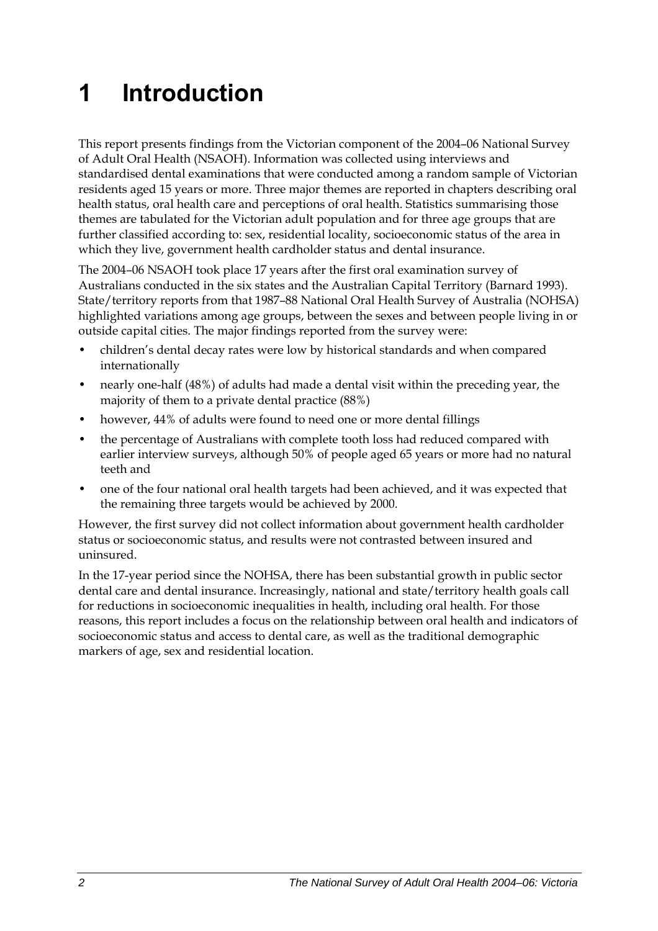# <span id="page-9-0"></span>**1 Introduction**

This report presents findings from the Victorian component of the 2004–06 National Survey of Adult Oral Health (NSAOH). Information was collected using interviews and standardised dental examinations that were conducted among a random sample of Victorian residents aged 15 years or more. Three major themes are reported in chapters describing oral health status, oral health care and perceptions of oral health. Statistics summarising those themes are tabulated for the Victorian adult population and for three age groups that are further classified according to: sex, residential locality, socioeconomic status of the area in which they live, government health cardholder status and dental insurance.

The 2004–06 NSAOH took place 17 years after the first oral examination survey of Australians conducted in the six states and the Australian Capital Territory (Barnard 1993). State/territory reports from that 1987–88 National Oral Health Survey of Australia (NOHSA) highlighted variations among age groups, between the sexes and between people living in or outside capital cities. The major findings reported from the survey were:

- children's dental decay rates were low by historical standards and when compared internationally
- nearly one-half (48%) of adults had made a dental visit within the preceding year, the majority of them to a private dental practice (88%)
- however, 44% of adults were found to need one or more dental fillings
- the percentage of Australians with complete tooth loss had reduced compared with earlier interview surveys, although 50% of people aged 65 years or more had no natural teeth and
- one of the four national oral health targets had been achieved, and it was expected that the remaining three targets would be achieved by 2000.

However, the first survey did not collect information about government health cardholder status or socioeconomic status, and results were not contrasted between insured and uninsured.

In the 17-year period since the NOHSA, there has been substantial growth in public sector dental care and dental insurance. Increasingly, national and state/territory health goals call for reductions in socioeconomic inequalities in health, including oral health. For those reasons, this report includes a focus on the relationship between oral health and indicators of socioeconomic status and access to dental care, as well as the traditional demographic markers of age, sex and residential location.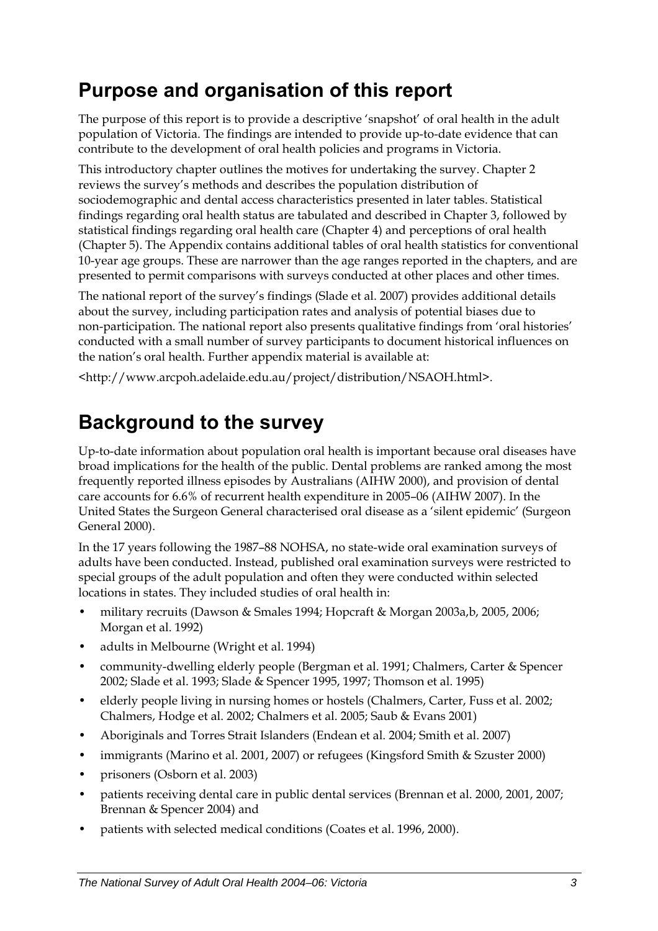# <span id="page-10-0"></span>**Purpose and organisation of this report**

The purpose of this report is to provide a descriptive 'snapshot' of oral health in the adult population of Victoria. The findings are intended to provide up-to-date evidence that can contribute to the development of oral health policies and programs in Victoria.

This introductory chapter outlines the motives for undertaking the survey. Chapter 2 reviews the survey's methods and describes the population distribution of sociodemographic and dental access characteristics presented in later tables. Statistical findings regarding oral health status are tabulated and described in Chapter 3, followed by statistical findings regarding oral health care (Chapter 4) and perceptions of oral health (Chapter 5). The Appendix contains additional tables of oral health statistics for conventional 10-year age groups. These are narrower than the age ranges reported in the chapters, and are presented to permit comparisons with surveys conducted at other places and other times.

The national report of the survey's findings (Slade et al. 2007) provides additional details about the survey, including participation rates and analysis of potential biases due to non-participation. The national report also presents qualitative findings from 'oral histories' conducted with a small number of survey participants to document historical influences on the nation's oral health. Further appendix material is available at:

<http://www.arcpoh.adelaide.edu.au/project/distribution/NSAOH.html>.

# **Background to the survey**

Up-to-date information about population oral health is important because oral diseases have broad implications for the health of the public. Dental problems are ranked among the most frequently reported illness episodes by Australians (AIHW 2000), and provision of dental care accounts for 6.6% of recurrent health expenditure in 2005–06 (AIHW 2007). In the United States the Surgeon General characterised oral disease as a 'silent epidemic' (Surgeon General 2000).

In the 17 years following the 1987–88 NOHSA, no state-wide oral examination surveys of adults have been conducted. Instead, published oral examination surveys were restricted to special groups of the adult population and often they were conducted within selected locations in states. They included studies of oral health in:

- military recruits (Dawson & Smales 1994; Hopcraft & Morgan 2003a,b, 2005, 2006; Morgan et al. 1992)
- adults in Melbourne (Wright et al. 1994)
- community-dwelling elderly people (Bergman et al. 1991; Chalmers, Carter & Spencer 2002; Slade et al. 1993; Slade & Spencer 1995, 1997; Thomson et al. 1995)
- elderly people living in nursing homes or hostels (Chalmers, Carter, Fuss et al. 2002; Chalmers, Hodge et al. 2002; Chalmers et al. 2005; Saub & Evans 2001)
- Aboriginals and Torres Strait Islanders (Endean et al. 2004; Smith et al. 2007)
- immigrants (Marino et al. 2001, 2007) or refugees (Kingsford Smith & Szuster 2000)
- prisoners (Osborn et al. 2003)
- patients receiving dental care in public dental services (Brennan et al. 2000, 2001, 2007; Brennan & Spencer 2004) and
- patients with selected medical conditions (Coates et al. 1996, 2000).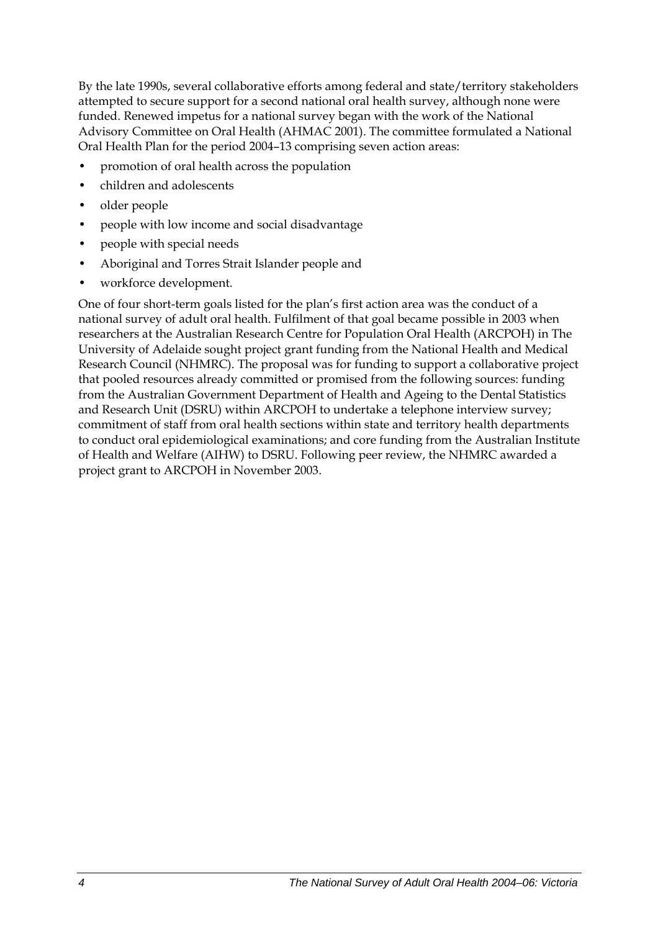By the late 1990s, several collaborative efforts among federal and state/territory stakeholders attempted to secure support for a second national oral health survey, although none were funded. Renewed impetus for a national survey began with the work of the National Advisory Committee on Oral Health (AHMAC 2001). The committee formulated a National Oral Health Plan for the period 2004–13 comprising seven action areas:

- promotion of oral health across the population
- children and adolescents
- older people
- people with low income and social disadvantage
- people with special needs
- Aboriginal and Torres Strait Islander people and
- workforce development.

One of four short-term goals listed for the plan's first action area was the conduct of a national survey of adult oral health. Fulfilment of that goal became possible in 2003 when researchers at the Australian Research Centre for Population Oral Health (ARCPOH) in The University of Adelaide sought project grant funding from the National Health and Medical Research Council (NHMRC). The proposal was for funding to support a collaborative project that pooled resources already committed or promised from the following sources: funding from the Australian Government Department of Health and Ageing to the Dental Statistics and Research Unit (DSRU) within ARCPOH to undertake a telephone interview survey; commitment of staff from oral health sections within state and territory health departments to conduct oral epidemiological examinations; and core funding from the Australian Institute of Health and Welfare (AIHW) to DSRU. Following peer review, the NHMRC awarded a project grant to ARCPOH in November 2003.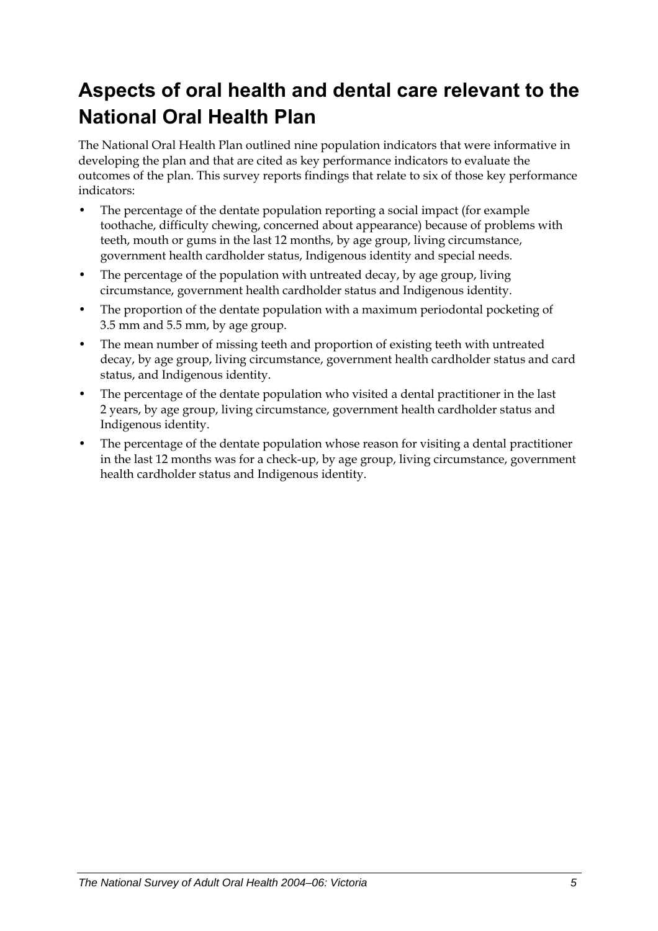# <span id="page-12-0"></span>**Aspects of oral health and dental care relevant to the National Oral Health Plan**

The National Oral Health Plan outlined nine population indicators that were informative in developing the plan and that are cited as key performance indicators to evaluate the outcomes of the plan. This survey reports findings that relate to six of those key performance indicators:

- The percentage of the dentate population reporting a social impact (for example toothache, difficulty chewing, concerned about appearance) because of problems with teeth, mouth or gums in the last 12 months, by age group, living circumstance, government health cardholder status, Indigenous identity and special needs.
- The percentage of the population with untreated decay, by age group, living circumstance, government health cardholder status and Indigenous identity.
- The proportion of the dentate population with a maximum periodontal pocketing of 3.5 mm and 5.5 mm, by age group.
- The mean number of missing teeth and proportion of existing teeth with untreated decay, by age group, living circumstance, government health cardholder status and card status, and Indigenous identity.
- The percentage of the dentate population who visited a dental practitioner in the last 2 years, by age group, living circumstance, government health cardholder status and Indigenous identity.
- The percentage of the dentate population whose reason for visiting a dental practitioner in the last 12 months was for a check-up, by age group, living circumstance, government health cardholder status and Indigenous identity.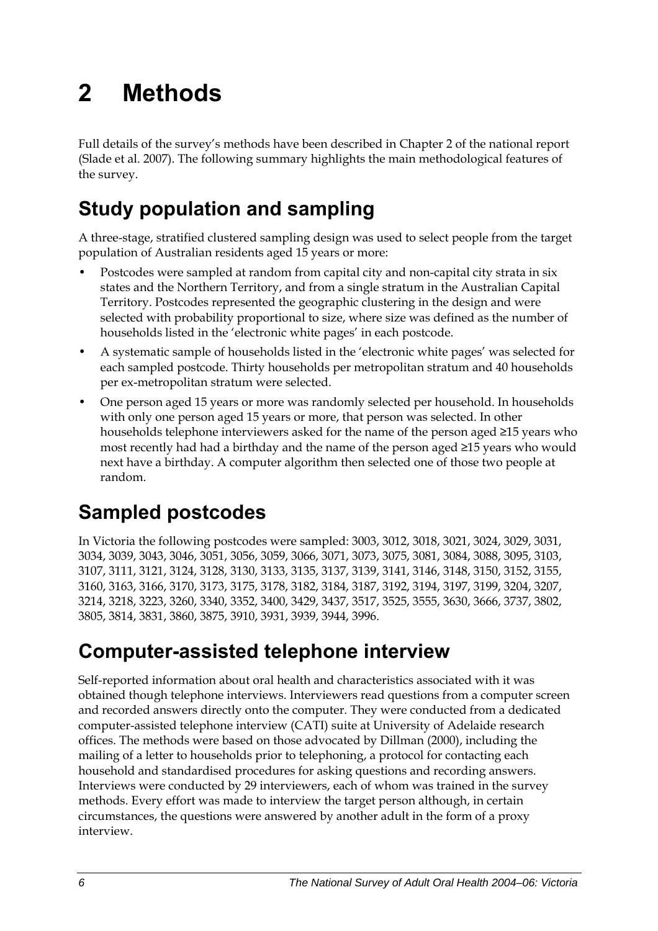# <span id="page-13-0"></span>**2 Methods**

Full details of the survey's methods have been described in Chapter 2 of the national report (Slade et al. 2007). The following summary highlights the main methodological features of the survey.

# **Study population and sampling**

A three-stage, stratified clustered sampling design was used to select people from the target population of Australian residents aged 15 years or more:

- Postcodes were sampled at random from capital city and non-capital city strata in six states and the Northern Territory, and from a single stratum in the Australian Capital Territory. Postcodes represented the geographic clustering in the design and were selected with probability proportional to size, where size was defined as the number of households listed in the 'electronic white pages' in each postcode.
- A systematic sample of households listed in the 'electronic white pages' was selected for each sampled postcode. Thirty households per metropolitan stratum and 40 households per ex-metropolitan stratum were selected.
- One person aged 15 years or more was randomly selected per household. In households with only one person aged 15 years or more, that person was selected. In other households telephone interviewers asked for the name of the person aged ≥15 years who most recently had had a birthday and the name of the person aged ≥15 years who would next have a birthday. A computer algorithm then selected one of those two people at random.

# **Sampled postcodes**

In Victoria the following postcodes were sampled: 3003, 3012, 3018, 3021, 3024, 3029, 3031, 3034, 3039, 3043, 3046, 3051, 3056, 3059, 3066, 3071, 3073, 3075, 3081, 3084, 3088, 3095, 3103, 3107, 3111, 3121, 3124, 3128, 3130, 3133, 3135, 3137, 3139, 3141, 3146, 3148, 3150, 3152, 3155, 3160, 3163, 3166, 3170, 3173, 3175, 3178, 3182, 3184, 3187, 3192, 3194, 3197, 3199, 3204, 3207, 3214, 3218, 3223, 3260, 3340, 3352, 3400, 3429, 3437, 3517, 3525, 3555, 3630, 3666, 3737, 3802, 3805, 3814, 3831, 3860, 3875, 3910, 3931, 3939, 3944, 3996.

# **Computer-assisted telephone interview**

Self-reported information about oral health and characteristics associated with it was obtained though telephone interviews. Interviewers read questions from a computer screen and recorded answers directly onto the computer. They were conducted from a dedicated computer-assisted telephone interview (CATI) suite at University of Adelaide research offices. The methods were based on those advocated by Dillman (2000), including the mailing of a letter to households prior to telephoning, a protocol for contacting each household and standardised procedures for asking questions and recording answers. Interviews were conducted by 29 interviewers, each of whom was trained in the survey methods. Every effort was made to interview the target person although, in certain circumstances, the questions were answered by another adult in the form of a proxy interview.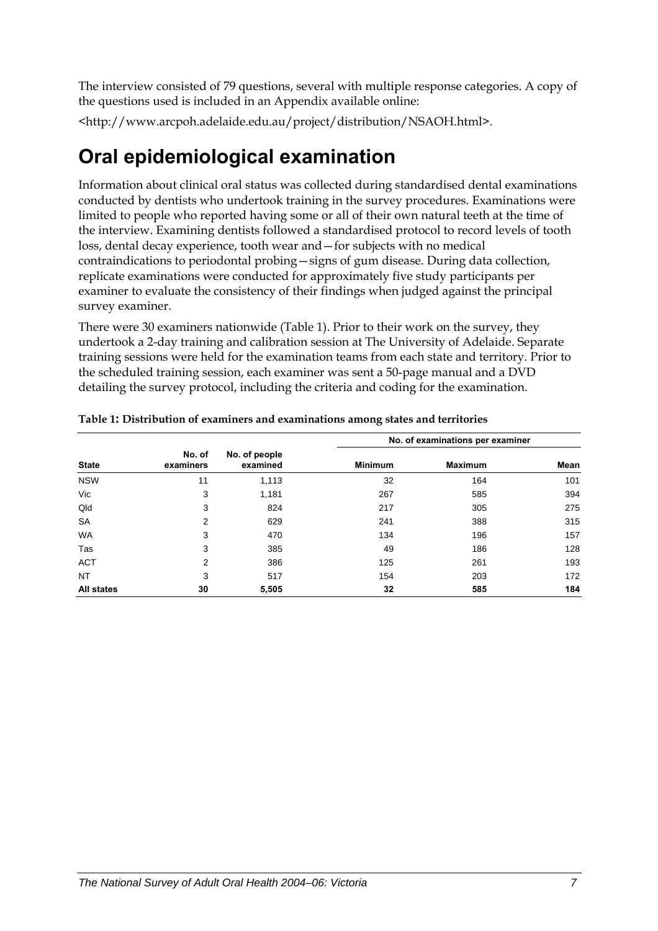<span id="page-14-0"></span>The interview consisted of 79 questions, several with multiple response categories. A copy of the questions used is included in an Appendix available online:

<http://www.arcpoh.adelaide.edu.au/project/distribution/NSAOH.html>.

# **Oral epidemiological examination**

Information about clinical oral status was collected during standardised dental examinations conducted by dentists who undertook training in the survey procedures. Examinations were limited to people who reported having some or all of their own natural teeth at the time of the interview. Examining dentists followed a standardised protocol to record levels of tooth loss, dental decay experience, tooth wear and—for subjects with no medical contraindications to periodontal probing—signs of gum disease. During data collection, replicate examinations were conducted for approximately five study participants per examiner to evaluate the consistency of their findings when judged against the principal survey examiner.

There were 30 examiners nationwide ([Table 1\)](#page-14-1). Prior to their work on the survey, they undertook a 2-day training and calibration session at The University of Adelaide. Separate training sessions were held for the examination teams from each state and territory. Prior to the scheduled training session, each examiner was sent a 50-page manual and a DVD detailing the survey protocol, including the criteria and coding for the examination.

|                   |                     |                           | No. of examinations per examiner |                |      |  |
|-------------------|---------------------|---------------------------|----------------------------------|----------------|------|--|
| <b>State</b>      | No. of<br>examiners | No. of people<br>examined | <b>Minimum</b>                   | <b>Maximum</b> | Mean |  |
| <b>NSW</b>        | 11                  | 1,113                     | 32                               | 164            | 101  |  |
| Vic               | 3                   | 1,181                     | 267                              | 585            | 394  |  |
| Qld               | 3                   | 824                       | 217                              | 305            | 275  |  |
| <b>SA</b>         | 2                   | 629                       | 241                              | 388            | 315  |  |
| <b>WA</b>         | 3                   | 470                       | 134                              | 196            | 157  |  |
| Tas               | 3                   | 385                       | 49                               | 186            | 128  |  |
| <b>ACT</b>        | 2                   | 386                       | 125                              | 261            | 193  |  |
| <b>NT</b>         | 3                   | 517                       | 154                              | 203            | 172  |  |
| <b>All states</b> | 30                  | 5,505                     | 32                               | 585            | 184  |  |

<span id="page-14-1"></span>**Table 1: Distribution of examiners and examinations among states and territories**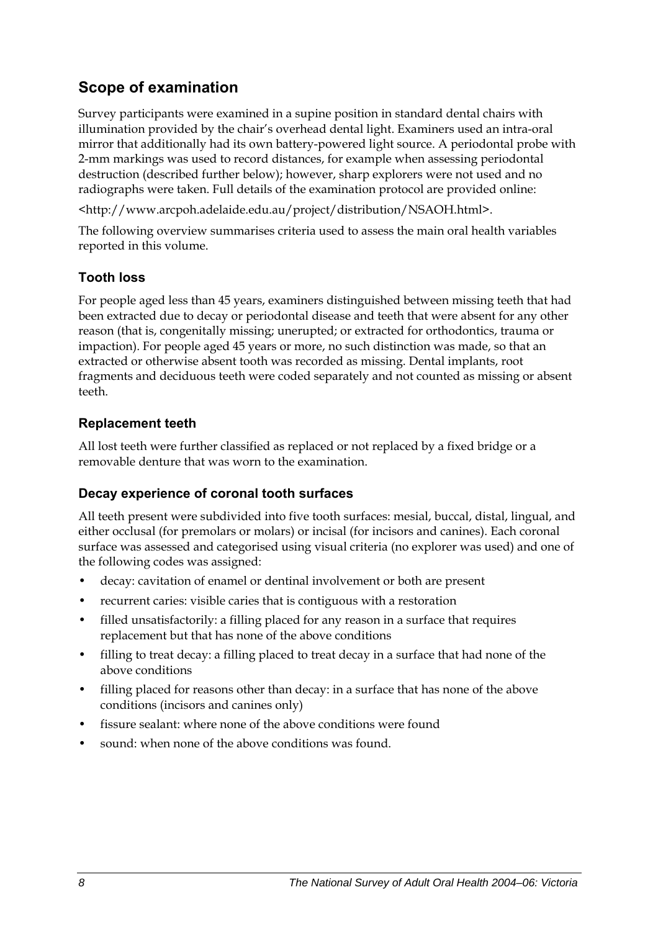## **Scope of examination**

Survey participants were examined in a supine position in standard dental chairs with illumination provided by the chair's overhead dental light. Examiners used an intra-oral mirror that additionally had its own battery-powered light source. A periodontal probe with 2-mm markings was used to record distances, for example when assessing periodontal destruction (described further below); however, sharp explorers were not used and no radiographs were taken. Full details of the examination protocol are provided online:

<http://www.arcpoh.adelaide.edu.au/project/distribution/NSAOH.html>.

The following overview summarises criteria used to assess the main oral health variables reported in this volume.

### **Tooth loss**

For people aged less than 45 years, examiners distinguished between missing teeth that had been extracted due to decay or periodontal disease and teeth that were absent for any other reason (that is, congenitally missing; unerupted; or extracted for orthodontics, trauma or impaction). For people aged 45 years or more, no such distinction was made, so that an extracted or otherwise absent tooth was recorded as missing. Dental implants, root fragments and deciduous teeth were coded separately and not counted as missing or absent teeth.

### **Replacement teeth**

All lost teeth were further classified as replaced or not replaced by a fixed bridge or a removable denture that was worn to the examination.

### **Decay experience of coronal tooth surfaces**

All teeth present were subdivided into five tooth surfaces: mesial, buccal, distal, lingual, and either occlusal (for premolars or molars) or incisal (for incisors and canines). Each coronal surface was assessed and categorised using visual criteria (no explorer was used) and one of the following codes was assigned:

- decay: cavitation of enamel or dentinal involvement or both are present
- recurrent caries: visible caries that is contiguous with a restoration
- filled unsatisfactorily: a filling placed for any reason in a surface that requires replacement but that has none of the above conditions
- filling to treat decay: a filling placed to treat decay in a surface that had none of the above conditions
- filling placed for reasons other than decay: in a surface that has none of the above conditions (incisors and canines only)
- fissure sealant: where none of the above conditions were found
- sound: when none of the above conditions was found.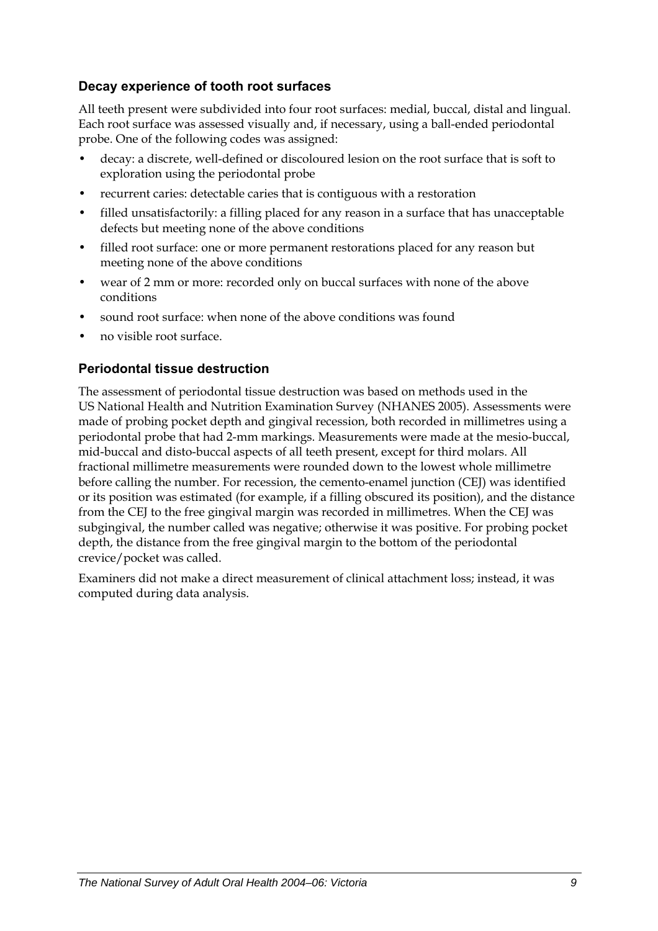### **Decay experience of tooth root surfaces**

All teeth present were subdivided into four root surfaces: medial, buccal, distal and lingual. Each root surface was assessed visually and, if necessary, using a ball-ended periodontal probe. One of the following codes was assigned:

- decay: a discrete, well-defined or discoloured lesion on the root surface that is soft to exploration using the periodontal probe
- recurrent caries: detectable caries that is contiguous with a restoration
- filled unsatisfactorily: a filling placed for any reason in a surface that has unacceptable defects but meeting none of the above conditions
- filled root surface: one or more permanent restorations placed for any reason but meeting none of the above conditions
- wear of 2 mm or more: recorded only on buccal surfaces with none of the above conditions
- sound root surface: when none of the above conditions was found
- no visible root surface.

### **Periodontal tissue destruction**

The assessment of periodontal tissue destruction was based on methods used in the US National Health and Nutrition Examination Survey (NHANES 2005). Assessments were made of probing pocket depth and gingival recession, both recorded in millimetres using a periodontal probe that had 2-mm markings. Measurements were made at the mesio-buccal, mid-buccal and disto-buccal aspects of all teeth present, except for third molars. All fractional millimetre measurements were rounded down to the lowest whole millimetre before calling the number. For recession, the cemento-enamel junction (CEJ) was identified or its position was estimated (for example, if a filling obscured its position), and the distance from the CEJ to the free gingival margin was recorded in millimetres. When the CEJ was subgingival, the number called was negative; otherwise it was positive. For probing pocket depth, the distance from the free gingival margin to the bottom of the periodontal crevice/pocket was called.

Examiners did not make a direct measurement of clinical attachment loss; instead, it was computed during data analysis.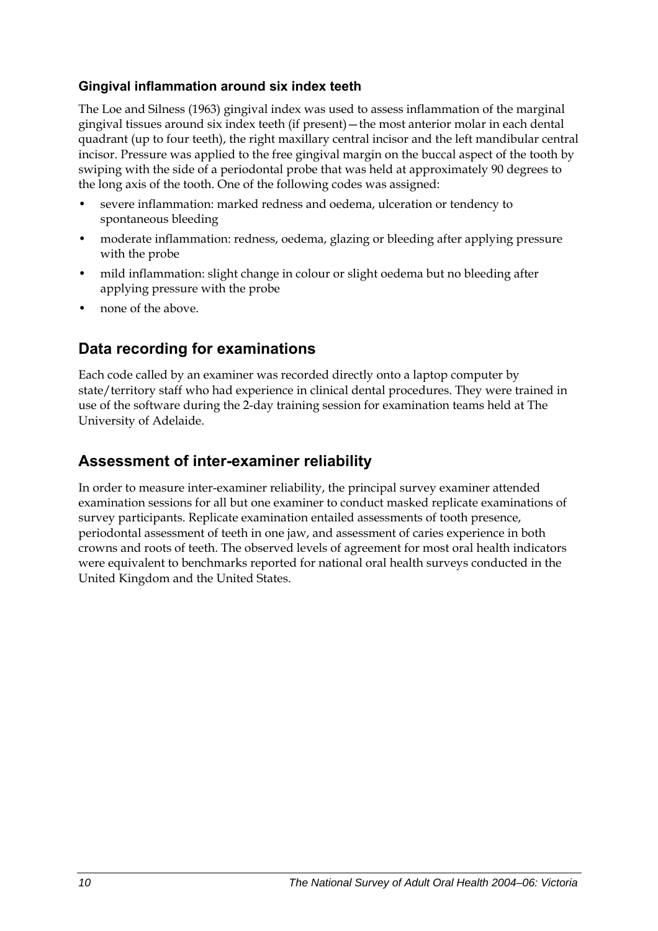### **Gingival inflammation around six index teeth**

The Loe and Silness (1963) gingival index was used to assess inflammation of the marginal gingival tissues around six index teeth (if present)—the most anterior molar in each dental quadrant (up to four teeth), the right maxillary central incisor and the left mandibular central incisor. Pressure was applied to the free gingival margin on the buccal aspect of the tooth by swiping with the side of a periodontal probe that was held at approximately 90 degrees to the long axis of the tooth. One of the following codes was assigned:

- severe inflammation: marked redness and oedema, ulceration or tendency to spontaneous bleeding
- moderate inflammation: redness, oedema, glazing or bleeding after applying pressure with the probe
- mild inflammation: slight change in colour or slight oedema but no bleeding after applying pressure with the probe
- none of the above.

### **Data recording for examinations**

Each code called by an examiner was recorded directly onto a laptop computer by state/territory staff who had experience in clinical dental procedures. They were trained in use of the software during the 2-day training session for examination teams held at The University of Adelaide.

### **Assessment of inter-examiner reliability**

In order to measure inter-examiner reliability, the principal survey examiner attended examination sessions for all but one examiner to conduct masked replicate examinations of survey participants. Replicate examination entailed assessments of tooth presence, periodontal assessment of teeth in one jaw, and assessment of caries experience in both crowns and roots of teeth. The observed levels of agreement for most oral health indicators were equivalent to benchmarks reported for national oral health surveys conducted in the United Kingdom and the United States.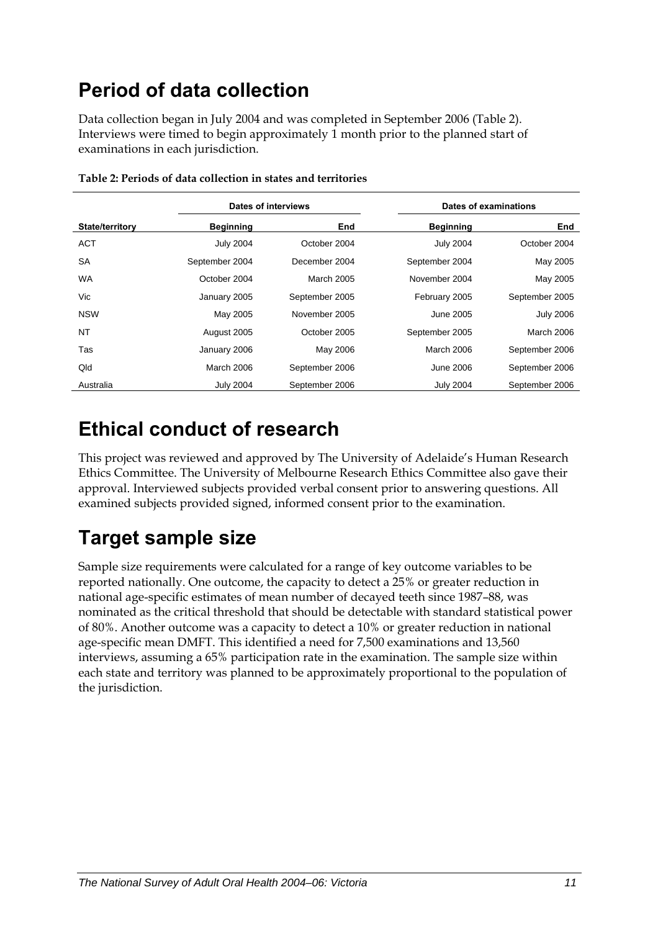# <span id="page-18-0"></span>**Period of data collection**

Data collection began in July 2004 and was completed in September 2006 ([Table 2\)](#page-18-1). Interviews were timed to begin approximately 1 month prior to the planned start of examinations in each jurisdiction.

<span id="page-18-1"></span>

|                        | Dates of interviews |                |                  |                   |  | Dates of examinations |
|------------------------|---------------------|----------------|------------------|-------------------|--|-----------------------|
| <b>State/territory</b> | <b>Beginning</b>    | End            | <b>Beginning</b> | End               |  |                       |
| <b>ACT</b>             | <b>July 2004</b>    | October 2004   | <b>July 2004</b> | October 2004      |  |                       |
| <b>SA</b>              | September 2004      | December 2004  | September 2004   | May 2005          |  |                       |
| <b>WA</b>              | October 2004        | March 2005     | November 2004    | May 2005          |  |                       |
| Vic                    | January 2005        | September 2005 | February 2005    | September 2005    |  |                       |
| <b>NSW</b>             | May 2005            | November 2005  | June 2005        | <b>July 2006</b>  |  |                       |
| NT                     | August 2005         | October 2005   | September 2005   | <b>March 2006</b> |  |                       |
| Tas                    | January 2006        | May 2006       | March 2006       | September 2006    |  |                       |
| Qld                    | March 2006          | September 2006 | June 2006        | September 2006    |  |                       |
| Australia              | <b>July 2004</b>    | September 2006 | <b>July 2004</b> | September 2006    |  |                       |

| Table 2: Periods of data collection in states and territories |
|---------------------------------------------------------------|
|---------------------------------------------------------------|

## **Ethical conduct of research**

This project was reviewed and approved by The University of Adelaide's Human Research Ethics Committee. The University of Melbourne Research Ethics Committee also gave their approval. Interviewed subjects provided verbal consent prior to answering questions. All examined subjects provided signed, informed consent prior to the examination.

# **Target sample size**

Sample size requirements were calculated for a range of key outcome variables to be reported nationally. One outcome, the capacity to detect a 25% or greater reduction in national age-specific estimates of mean number of decayed teeth since 1987–88, was nominated as the critical threshold that should be detectable with standard statistical power of 80%. Another outcome was a capacity to detect a 10% or greater reduction in national age-specific mean DMFT. This identified a need for 7,500 examinations and 13,560 interviews, assuming a 65% participation rate in the examination. The sample size within each state and territory was planned to be approximately proportional to the population of the jurisdiction.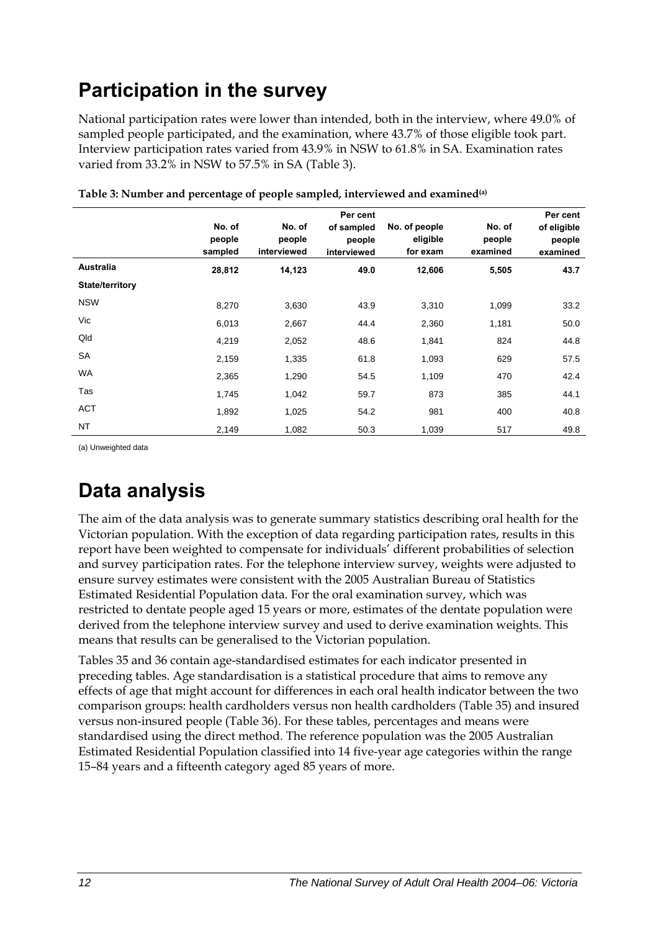# <span id="page-19-0"></span>**Participation in the survey**

National participation rates were lower than intended, both in the interview, where 49.0% of sampled people participated, and the examination, where 43.7% of those eligible took part. Interview participation rates varied from 43.9% in NSW to 61.8% in SA. Examination rates varied from 33.2% in NSW to 57.5% in SA (Table 3).

|                        | No. of<br>people<br>sampled | No. of<br>people<br>interviewed | Per cent<br>of sampled<br>people<br>interviewed | No. of people<br>eligible<br>for exam | No. of<br>people<br>examined | Per cent<br>of eligible<br>people<br>examined |
|------------------------|-----------------------------|---------------------------------|-------------------------------------------------|---------------------------------------|------------------------------|-----------------------------------------------|
| Australia              | 28,812                      | 14,123                          | 49.0                                            | 12,606                                | 5,505                        | 43.7                                          |
| <b>State/territory</b> |                             |                                 |                                                 |                                       |                              |                                               |
| <b>NSW</b>             | 8,270                       | 3,630                           | 43.9                                            | 3,310                                 | 1,099                        | 33.2                                          |
| Vic                    | 6,013                       | 2,667                           | 44.4                                            | 2,360                                 | 1,181                        | 50.0                                          |
| Qld                    | 4,219                       | 2,052                           | 48.6                                            | 1,841                                 | 824                          | 44.8                                          |
| <b>SA</b>              | 2,159                       | 1,335                           | 61.8                                            | 1,093                                 | 629                          | 57.5                                          |
| <b>WA</b>              | 2,365                       | 1,290                           | 54.5                                            | 1,109                                 | 470                          | 42.4                                          |
| Tas                    | 1,745                       | 1,042                           | 59.7                                            | 873                                   | 385                          | 44.1                                          |
| <b>ACT</b>             | 1,892                       | 1,025                           | 54.2                                            | 981                                   | 400                          | 40.8                                          |
| <b>NT</b>              | 2,149                       | 1,082                           | 50.3                                            | 1,039                                 | 517                          | 49.8                                          |

**Table 3: Number and percentage of people sampled, interviewed and examined(a)** 

(a) Unweighted data

# **Data analysis**

The aim of the data analysis was to generate summary statistics describing oral health for the Victorian population. With the exception of data regarding participation rates, results in this report have been weighted to compensate for individuals' different probabilities of selection and survey participation rates. For the telephone interview survey, weights were adjusted to ensure survey estimates were consistent with the 2005 Australian Bureau of Statistics Estimated Residential Population data. For the oral examination survey, which was restricted to dentate people aged 15 years or more, estimates of the dentate population were derived from the telephone interview survey and used to derive examination weights. This means that results can be generalised to the Victorian population.

Tables 35 and 36 contain age-standardised estimates for each indicator presented in preceding tables. Age standardisation is a statistical procedure that aims to remove any effects of age that might account for differences in each oral health indicator between the two comparison groups: health cardholders versus non health cardholders (Table 35) and insured versus non-insured people (Table 36). For these tables, percentages and means were standardised using the direct method. The reference population was the 2005 Australian Estimated Residential Population classified into 14 five-year age categories within the range 15–84 years and a fifteenth category aged 85 years of more.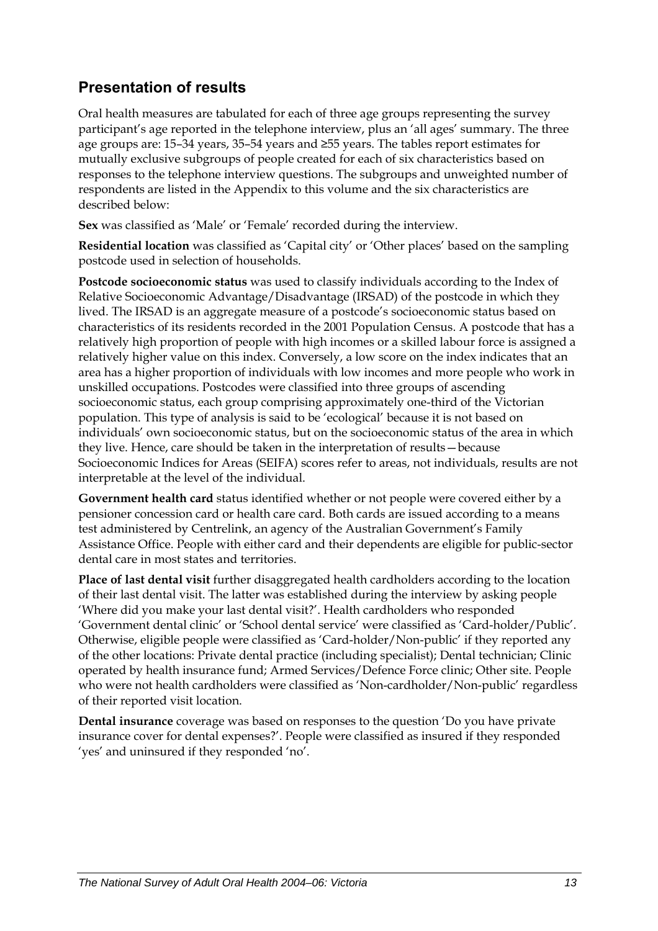## **Presentation of results**

Oral health measures are tabulated for each of three age groups representing the survey participant's age reported in the telephone interview, plus an 'all ages' summary. The three age groups are: 15–34 years, 35–54 years and ≥55 years. The tables report estimates for mutually exclusive subgroups of people created for each of six characteristics based on responses to the telephone interview questions. The subgroups and unweighted number of respondents are listed in the Appendix to this volume and the six characteristics are described below:

**Sex** was classified as 'Male' or 'Female' recorded during the interview.

**Residential location** was classified as 'Capital city' or 'Other places' based on the sampling postcode used in selection of households.

**Postcode socioeconomic status** was used to classify individuals according to the Index of Relative Socioeconomic Advantage/Disadvantage (IRSAD) of the postcode in which they lived. The IRSAD is an aggregate measure of a postcode's socioeconomic status based on characteristics of its residents recorded in the 2001 Population Census. A postcode that has a relatively high proportion of people with high incomes or a skilled labour force is assigned a relatively higher value on this index. Conversely, a low score on the index indicates that an area has a higher proportion of individuals with low incomes and more people who work in unskilled occupations. Postcodes were classified into three groups of ascending socioeconomic status, each group comprising approximately one-third of the Victorian population. This type of analysis is said to be 'ecological' because it is not based on individuals' own socioeconomic status, but on the socioeconomic status of the area in which they live. Hence, care should be taken in the interpretation of results—because Socioeconomic Indices for Areas (SEIFA) scores refer to areas, not individuals, results are not interpretable at the level of the individual.

**Government health card** status identified whether or not people were covered either by a pensioner concession card or health care card. Both cards are issued according to a means test administered by Centrelink, an agency of the Australian Government's Family Assistance Office. People with either card and their dependents are eligible for public-sector dental care in most states and territories.

**Place of last dental visit** further disaggregated health cardholders according to the location of their last dental visit. The latter was established during the interview by asking people 'Where did you make your last dental visit?'. Health cardholders who responded 'Government dental clinic' or 'School dental service' were classified as 'Card-holder/Public'. Otherwise, eligible people were classified as 'Card-holder/Non-public' if they reported any of the other locations: Private dental practice (including specialist); Dental technician; Clinic operated by health insurance fund; Armed Services/Defence Force clinic; Other site. People who were not health cardholders were classified as 'Non-cardholder/Non-public' regardless of their reported visit location.

**Dental insurance** coverage was based on responses to the question 'Do you have private insurance cover for dental expenses?'. People were classified as insured if they responded 'yes' and uninsured if they responded 'no'.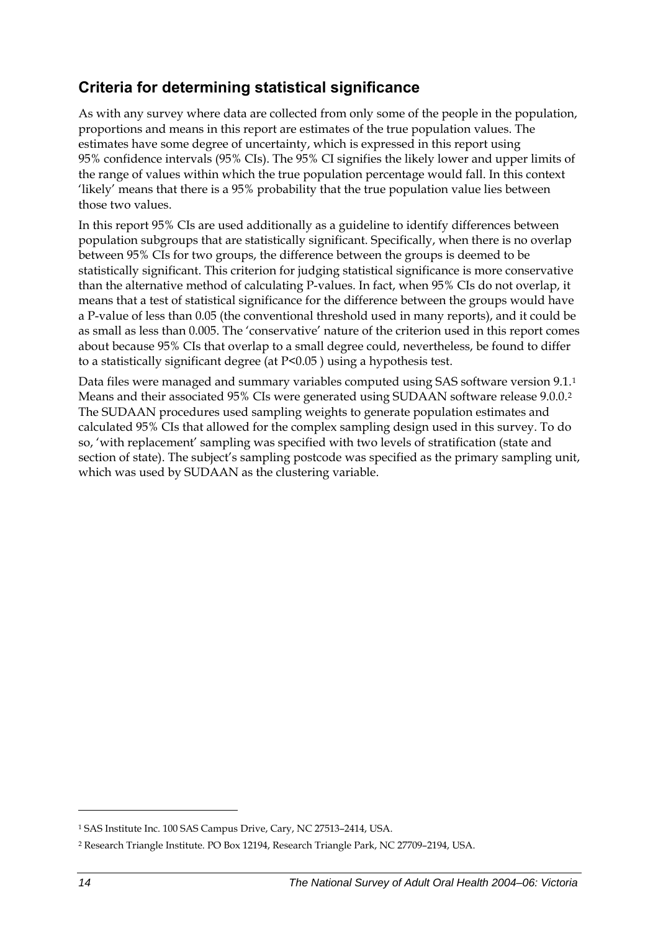## <span id="page-21-0"></span>**Criteria for determining statistical significance**

As with any survey where data are collected from only some of the people in the population, proportions and means in this report are estimates of the true population values. The estimates have some degree of uncertainty, which is expressed in this report using 95% confidence intervals (95% CIs). The 95% CI signifies the likely lower and upper limits of the range of values within which the true population percentage would fall. In this context 'likely' means that there is a 95% probability that the true population value lies between those two values.

In this report 95% CIs are used additionally as a guideline to identify differences between population subgroups that are statistically significant. Specifically, when there is no overlap between 95% CIs for two groups, the difference between the groups is deemed to be statistically significant. This criterion for judging statistical significance is more conservative than the alternative method of calculating P-values. In fact, when 95% CIs do not overlap, it means that a test of statistical significance for the difference between the groups would have a P-value of less than 0.05 (the conventional threshold used in many reports), and it could be as small as less than 0.005. The 'conservative' nature of the criterion used in this report comes about because 95% CIs that overlap to a small degree could, nevertheless, be found to differ to a statistically significant degree (at P<0.05 ) using a hypothesis test.

Data files were managed and summary variables computed using SAS software version 9[.1](#page-21-0).<sup>1</sup> Means and their associated 95% CIs were generated using SUDAAN software release 9.0.0.[2](#page-21-0) The SUDAAN procedures used sampling weights to generate population estimates and calculated 95% CIs that allowed for the complex sampling design used in this survey. To do so, 'with replacement' sampling was specified with two levels of stratification (state and section of state). The subject's sampling postcode was specified as the primary sampling unit, which was used by SUDAAN as the clustering variable.

 $\ddot{\phantom{a}}$ 

<sup>1</sup> SAS Institute Inc. 100 SAS Campus Drive, Cary, NC 27513–2414, USA.

<sup>2</sup> Research Triangle Institute. PO Box 12194, Research Triangle Park, NC 27709–2194, USA.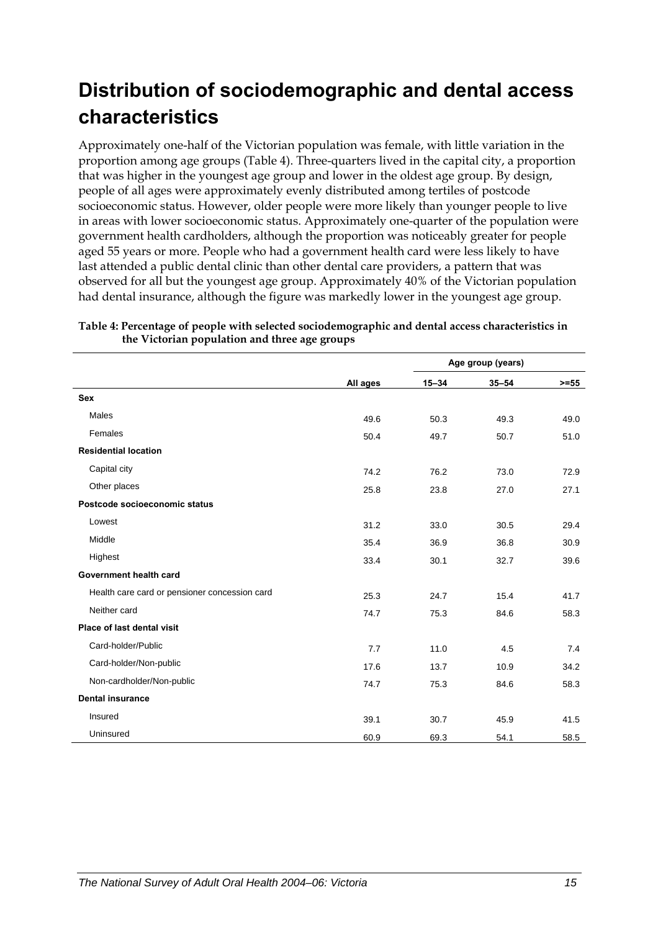# <span id="page-22-0"></span>**Distribution of sociodemographic and dental access characteristics**

Approximately one-half of the Victorian population was female, with little variation in the proportion among age groups ([Table 4\)](#page-22-1). Three-quarters lived in the capital city, a proportion that was higher in the youngest age group and lower in the oldest age group. By design, people of all ages were approximately evenly distributed among tertiles of postcode socioeconomic status. However, older people were more likely than younger people to live in areas with lower socioeconomic status. Approximately one-quarter of the population were government health cardholders, although the proportion was noticeably greater for people aged 55 years or more. People who had a government health card were less likely to have last attended a public dental clinic than other dental care providers, a pattern that was observed for all but the youngest age group. Approximately 40% of the Victorian population had dental insurance, although the figure was markedly lower in the youngest age group.

|                                               |          | Age group (years) |           |         |
|-----------------------------------------------|----------|-------------------|-----------|---------|
|                                               | All ages | $15 - 34$         | $35 - 54$ | $>= 55$ |
| <b>Sex</b>                                    |          |                   |           |         |
| Males                                         | 49.6     | 50.3              | 49.3      | 49.0    |
| Females                                       | 50.4     | 49.7              | 50.7      | 51.0    |
| <b>Residential location</b>                   |          |                   |           |         |
| Capital city                                  | 74.2     | 76.2              | 73.0      | 72.9    |
| Other places                                  | 25.8     | 23.8              | 27.0      | 27.1    |
| Postcode socioeconomic status                 |          |                   |           |         |
| Lowest                                        | 31.2     | 33.0              | 30.5      | 29.4    |
| Middle                                        | 35.4     | 36.9              | 36.8      | 30.9    |
| Highest                                       | 33.4     | 30.1              | 32.7      | 39.6    |
| Government health card                        |          |                   |           |         |
| Health care card or pensioner concession card | 25.3     | 24.7              | 15.4      | 41.7    |
| Neither card                                  | 74.7     | 75.3              | 84.6      | 58.3    |
| Place of last dental visit                    |          |                   |           |         |
| Card-holder/Public                            | 7.7      | 11.0              | 4.5       | 7.4     |
| Card-holder/Non-public                        | 17.6     | 13.7              | 10.9      | 34.2    |
| Non-cardholder/Non-public                     | 74.7     | 75.3              | 84.6      | 58.3    |
| <b>Dental insurance</b>                       |          |                   |           |         |
| Insured                                       | 39.1     | 30.7              | 45.9      | 41.5    |
| Uninsured                                     | 60.9     | 69.3              | 54.1      | 58.5    |

<span id="page-22-1"></span>**Table 4: Percentage of people with selected sociodemographic and dental access characteristics in the Victorian population and three age groups**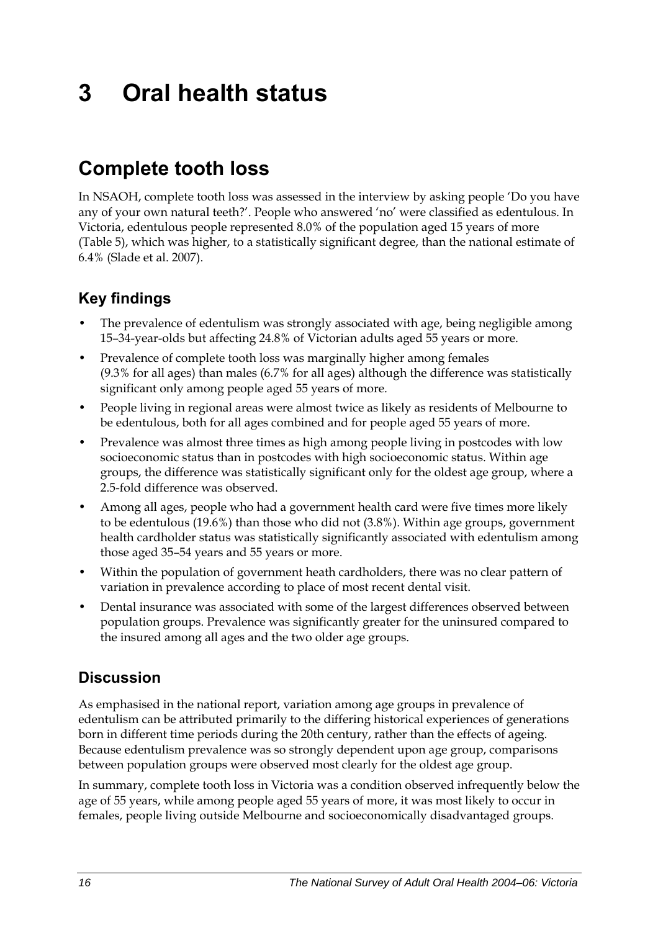# <span id="page-23-0"></span>**3 Oral health status**

## **Complete tooth loss**

In NSAOH, complete tooth loss was assessed in the interview by asking people 'Do you have any of your own natural teeth?'. People who answered 'no' were classified as edentulous. In Victoria, edentulous people represented 8.0% of the population aged 15 years of more ([Table 5\)](#page-24-0), which was higher, to a statistically significant degree, than the national estimate of 6.4% (Slade et al. 2007).

## **Key findings**

- The prevalence of edentulism was strongly associated with age, being negligible among 15–34-year-olds but affecting 24.8% of Victorian adults aged 55 years or more.
- Prevalence of complete tooth loss was marginally higher among females (9.3% for all ages) than males (6.7% for all ages) although the difference was statistically significant only among people aged 55 years of more.
- People living in regional areas were almost twice as likely as residents of Melbourne to be edentulous, both for all ages combined and for people aged 55 years of more.
- Prevalence was almost three times as high among people living in postcodes with low socioeconomic status than in postcodes with high socioeconomic status. Within age groups, the difference was statistically significant only for the oldest age group, where a 2.5-fold difference was observed.
- Among all ages, people who had a government health card were five times more likely to be edentulous (19.6%) than those who did not (3.8%). Within age groups, government health cardholder status was statistically significantly associated with edentulism among those aged 35–54 years and 55 years or more.
- Within the population of government heath cardholders, there was no clear pattern of variation in prevalence according to place of most recent dental visit.
- Dental insurance was associated with some of the largest differences observed between population groups. Prevalence was significantly greater for the uninsured compared to the insured among all ages and the two older age groups.

## **Discussion**

As emphasised in the national report, variation among age groups in prevalence of edentulism can be attributed primarily to the differing historical experiences of generations born in different time periods during the 20th century, rather than the effects of ageing. Because edentulism prevalence was so strongly dependent upon age group, comparisons between population groups were observed most clearly for the oldest age group.

In summary, complete tooth loss in Victoria was a condition observed infrequently below the age of 55 years, while among people aged 55 years of more, it was most likely to occur in females, people living outside Melbourne and socioeconomically disadvantaged groups.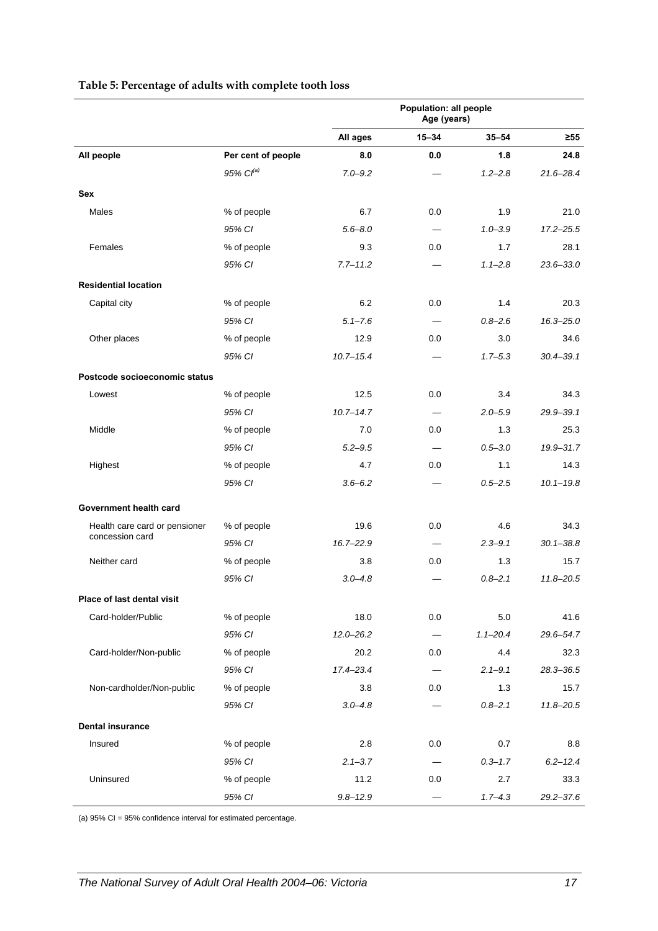<span id="page-24-0"></span>

|                                                  |                       |               | Population: all people<br>Age (years) |              |               |
|--------------------------------------------------|-----------------------|---------------|---------------------------------------|--------------|---------------|
|                                                  |                       | All ages      | $15 - 34$                             | $35 - 54$    | $\geq 55$     |
| All people                                       | Per cent of people    | 8.0           | 0.0                                   | 1.8          | 24.8          |
|                                                  | 95% Cl <sup>(a)</sup> | $7.0 - 9.2$   |                                       | $1.2 - 2.8$  | $21.6 - 28.4$ |
| <b>Sex</b>                                       |                       |               |                                       |              |               |
| Males                                            | % of people           | 6.7           | 0.0                                   | 1.9          | 21.0          |
|                                                  | 95% CI                | $5.6 - 8.0$   | $\qquad \qquad$                       | $1.0 - 3.9$  | $17.2 - 25.5$ |
| Females                                          | % of people           | 9.3           | 0.0                                   | 1.7          | 28.1          |
|                                                  | 95% CI                | $7.7 - 11.2$  |                                       | $1.1 - 2.8$  | $23.6 - 33.0$ |
| <b>Residential location</b>                      |                       |               |                                       |              |               |
| Capital city                                     | % of people           | 6.2           | 0.0                                   | 1.4          | 20.3          |
|                                                  | 95% CI                | $5.1 - 7.6$   | $\qquad \qquad$                       | $0.8 - 2.6$  | $16.3 - 25.0$ |
| Other places                                     | % of people           | 12.9          | 0.0                                   | 3.0          | 34.6          |
|                                                  | 95% CI                | $10.7 - 15.4$ |                                       | $1.7 - 5.3$  | $30.4 - 39.1$ |
| Postcode socioeconomic status                    |                       |               |                                       |              |               |
| Lowest                                           | % of people           | 12.5          | 0.0                                   | 3.4          | 34.3          |
|                                                  | 95% CI                | $10.7 - 14.7$ | $\overline{\phantom{0}}$              | $2.0 - 5.9$  | $29.9 - 39.1$ |
| Middle                                           | % of people           | 7.0           | 0.0                                   | 1.3          | 25.3          |
|                                                  | 95% CI                | $5.2 - 9.5$   |                                       | $0.5 - 3.0$  | 19.9-31.7     |
| Highest                                          | % of people           | 4.7           | 0.0                                   | 1.1          | 14.3          |
|                                                  | 95% CI                | $3.6 - 6.2$   |                                       | $0.5 - 2.5$  | $10.1 - 19.8$ |
|                                                  |                       |               |                                       |              |               |
| Government health card                           |                       |               |                                       |              |               |
| Health care card or pensioner<br>concession card | % of people           | 19.6          | 0.0                                   | 4.6          | 34.3          |
|                                                  | 95% CI                | $16.7 - 22.9$ |                                       | $2.3 - 9.1$  | $30.1 - 38.8$ |
| Neither card                                     | % of people           | 3.8           | 0.0                                   | 1.3          | 15.7          |
|                                                  | 95% CI                | $3.0 - 4.8$   |                                       | $0.8 - 2.1$  | $11.8 - 20.5$ |
| Place of last dental visit                       |                       |               |                                       |              |               |
| Card-holder/Public                               | % of people           | 18.0          | 0.0                                   | 5.0          | 41.6          |
|                                                  | 95% CI                | $12.0 - 26.2$ | $\qquad \qquad \qquad$                | $1.1 - 20.4$ | 29.6-54.7     |
| Card-holder/Non-public                           | % of people           | 20.2          | 0.0                                   | 4.4          | 32.3          |
|                                                  | 95% CI                | $17.4 - 23.4$ | $\equiv$                              | $2.1 - 9.1$  | 28.3-36.5     |
| Non-cardholder/Non-public                        | % of people           | 3.8           | 0.0                                   | 1.3          | 15.7          |
|                                                  | 95% CI                | $3.0 - 4.8$   |                                       | $0.8 - 2.1$  | $11.8 - 20.5$ |
| <b>Dental insurance</b>                          |                       |               |                                       |              |               |
| Insured                                          | % of people           | 2.8           | 0.0                                   | 0.7          | 8.8           |
|                                                  | 95% CI                | $2.1 - 3.7$   |                                       | $0.3 - 1.7$  | $6.2 - 12.4$  |
| Uninsured                                        | % of people           | 11.2          | 0.0                                   | 2.7          | 33.3          |
|                                                  | 95% CI                | $9.8 - 12.9$  |                                       | $1.7 - 4.3$  | 29.2-37.6     |

#### **Table 5: Percentage of adults with complete tooth loss**

(a) 95% CI = 95% confidence interval for estimated percentage.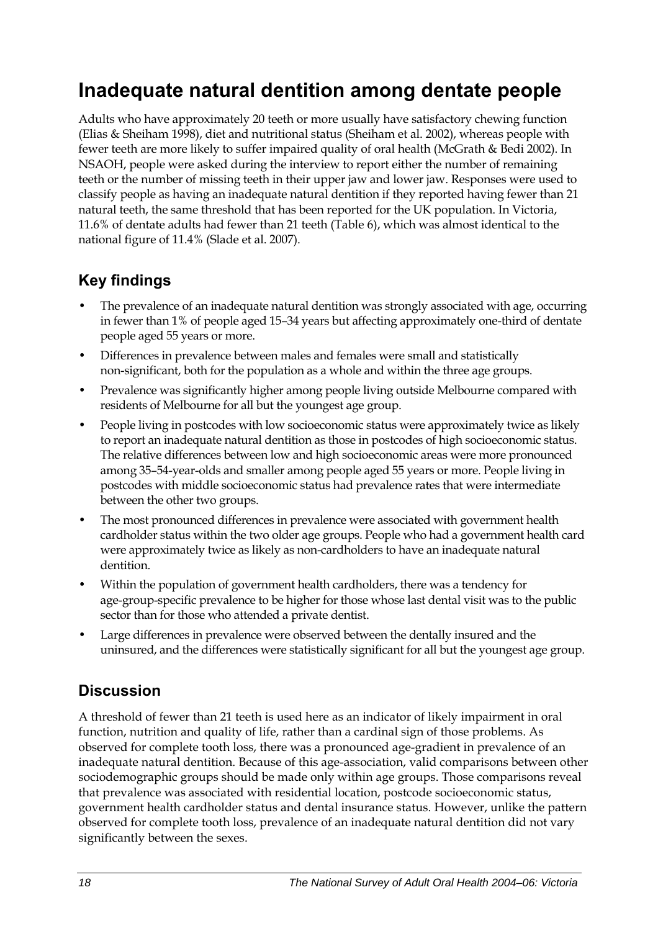## <span id="page-25-0"></span>**Inadequate natural dentition among dentate people**

Adults who have approximately 20 teeth or more usually have satisfactory chewing function (Elias & Sheiham 1998), diet and nutritional status (Sheiham et al. 2002), whereas people with fewer teeth are more likely to suffer impaired quality of oral health (McGrath & Bedi 2002). In NSAOH, people were asked during the interview to report either the number of remaining teeth or the number of missing teeth in their upper jaw and lower jaw. Responses were used to classify people as having an inadequate natural dentition if they reported having fewer than 21 natural teeth, the same threshold that has been reported for the UK population. In Victoria, 11.6% of dentate adults had fewer than 21 teeth ([Table 6\)](#page-26-0), which was almost identical to the national figure of 11.4% (Slade et al. 2007).

## **Key findings**

- The prevalence of an inadequate natural dentition was strongly associated with age, occurring in fewer than 1% of people aged 15–34 years but affecting approximately one-third of dentate people aged 55 years or more.
- Differences in prevalence between males and females were small and statistically non-significant, both for the population as a whole and within the three age groups.
- Prevalence was significantly higher among people living outside Melbourne compared with residents of Melbourne for all but the youngest age group.
- People living in postcodes with low socioeconomic status were approximately twice as likely to report an inadequate natural dentition as those in postcodes of high socioeconomic status. The relative differences between low and high socioeconomic areas were more pronounced among 35–54-year-olds and smaller among people aged 55 years or more. People living in postcodes with middle socioeconomic status had prevalence rates that were intermediate between the other two groups.
- The most pronounced differences in prevalence were associated with government health cardholder status within the two older age groups. People who had a government health card were approximately twice as likely as non-cardholders to have an inadequate natural dentition.
- Within the population of government health cardholders, there was a tendency for age-group-specific prevalence to be higher for those whose last dental visit was to the public sector than for those who attended a private dentist.
- Large differences in prevalence were observed between the dentally insured and the uninsured, and the differences were statistically significant for all but the youngest age group.

## **Discussion**

A threshold of fewer than 21 teeth is used here as an indicator of likely impairment in oral function, nutrition and quality of life, rather than a cardinal sign of those problems. As observed for complete tooth loss, there was a pronounced age-gradient in prevalence of an inadequate natural dentition. Because of this age-association, valid comparisons between other sociodemographic groups should be made only within age groups. Those comparisons reveal that prevalence was associated with residential location, postcode socioeconomic status, government health cardholder status and dental insurance status. However, unlike the pattern observed for complete tooth loss, prevalence of an inadequate natural dentition did not vary significantly between the sexes.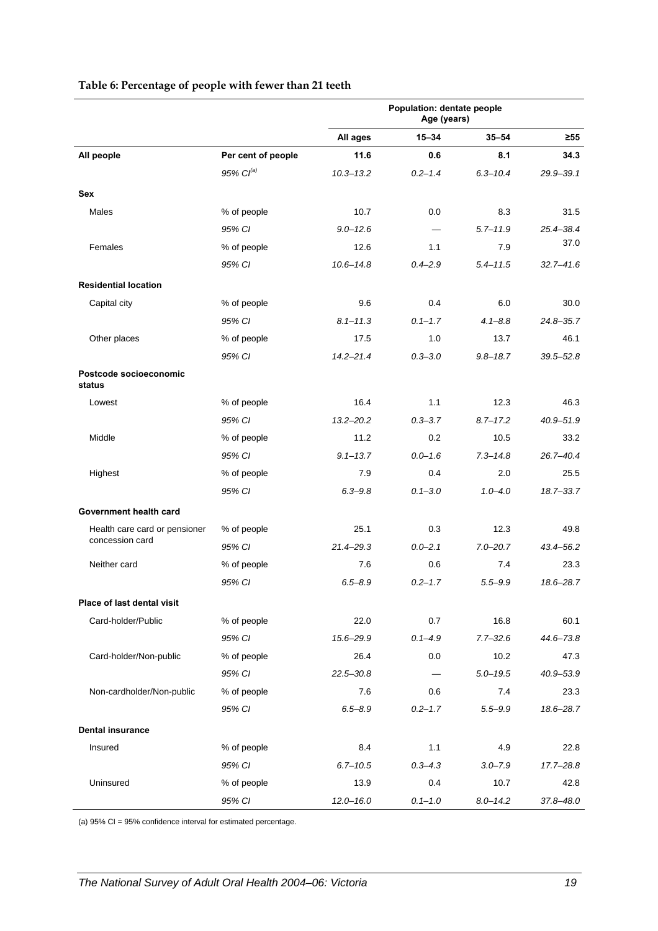<span id="page-26-0"></span>

|                                  |                       | <b>Population: dentate people</b><br>Age (years) |             |              |               |
|----------------------------------|-----------------------|--------------------------------------------------|-------------|--------------|---------------|
|                                  |                       | All ages                                         | $15 - 34$   | $35 - 54$    | $\geq 55$     |
| All people                       | Per cent of people    | 11.6                                             | 0.6         | 8.1          | 34.3          |
|                                  | 95% Cl <sup>(a)</sup> | $10.3 - 13.2$                                    | $0.2 - 1.4$ | $6.3 - 10.4$ | 29.9-39.1     |
| <b>Sex</b>                       |                       |                                                  |             |              |               |
| Males                            | % of people           | 10.7                                             | 0.0         | 8.3          | 31.5          |
|                                  | 95% CI                | $9.0 - 12.6$                                     |             | $5.7 - 11.9$ | $25.4 - 38.4$ |
| Females                          | % of people           | 12.6                                             | 1.1         | 7.9          | 37.0          |
|                                  | 95% CI                | $10.6 - 14.8$                                    | $0.4 - 2.9$ | $5.4 - 11.5$ | $32.7 - 41.6$ |
| <b>Residential location</b>      |                       |                                                  |             |              |               |
| Capital city                     | % of people           | 9.6                                              | 0.4         | 6.0          | 30.0          |
|                                  | 95% CI                | $8.1 - 11.3$                                     | $0.1 - 1.7$ | $4.1 - 8.8$  | $24.8 - 35.7$ |
| Other places                     | % of people           | 17.5                                             | 1.0         | 13.7         | 46.1          |
|                                  | 95% CI                | $14.2 - 21.4$                                    | $0.3 - 3.0$ | $9.8 - 18.7$ | $39.5 - 52.8$ |
| Postcode socioeconomic<br>status |                       |                                                  |             |              |               |
| Lowest                           | % of people           | 16.4                                             | 1.1         | 12.3         | 46.3          |
|                                  | 95% CI                | $13.2 - 20.2$                                    | $0.3 - 3.7$ | $8.7 - 17.2$ | $40.9 - 51.9$ |
| Middle                           | % of people           | 11.2                                             | 0.2         | 10.5         | 33.2          |
|                                  | 95% CI                | $9.1 - 13.7$                                     | $0.0 - 1.6$ | $7.3 - 14.8$ | $26.7 - 40.4$ |
| Highest                          | % of people           | 7.9                                              | 0.4         | 2.0          | 25.5          |
|                                  | 95% CI                | $6.3 - 9.8$                                      | $0.1 - 3.0$ | $1.0 - 4.0$  | $18.7 - 33.7$ |
| Government health card           |                       |                                                  |             |              |               |
| Health care card or pensioner    | % of people           | 25.1                                             | 0.3         | 12.3         | 49.8          |
| concession card                  | 95% CI                | $21.4 - 29.3$                                    | $0.0 - 2.1$ | $7.0 - 20.7$ | $43.4 - 56.2$ |
| Neither card                     | % of people           | 7.6                                              | 0.6         | 7.4          | 23.3          |
|                                  | 95% CI                | $6.5 - 8.9$                                      | $0.2 - 1.7$ | $5.5 - 9.9$  | 18.6-28.7     |
| Place of last dental visit       |                       |                                                  |             |              |               |
| Card-holder/Public               | % of people           | 22.0                                             | 0.7         | 16.8         | 60.1          |
|                                  | 95% CI                | 15.6-29.9                                        | $0.1 - 4.9$ | $7.7 - 32.6$ | 44.6-73.8     |
| Card-holder/Non-public           | % of people           | 26.4                                             | 0.0         | 10.2         | 47.3          |
|                                  | 95% CI                | $22.5 - 30.8$                                    |             | $5.0 - 19.5$ | 40.9-53.9     |
| Non-cardholder/Non-public        | % of people           | 7.6                                              | 0.6         | 7.4          | 23.3          |
|                                  | 95% CI                | $6.5 - 8.9$                                      | $0.2 - 1.7$ | $5.5 - 9.9$  | 18.6-28.7     |
| <b>Dental insurance</b>          |                       |                                                  |             |              |               |
| Insured                          | % of people           | 8.4                                              | 1.1         | 4.9          | 22.8          |
|                                  | 95% CI                | $6.7 - 10.5$                                     | $0.3 - 4.3$ | $3.0 - 7.9$  | $17.7 - 28.8$ |
| Uninsured                        | % of people           | 13.9                                             | 0.4         | 10.7         | 42.8          |
|                                  | 95% CI                | $12.0 - 16.0$                                    | $0.1 - 1.0$ | $8.0 - 14.2$ | $37.8 - 48.0$ |

#### **Table 6: Percentage of people with fewer than 21 teeth**

(a) 95% CI = 95% confidence interval for estimated percentage.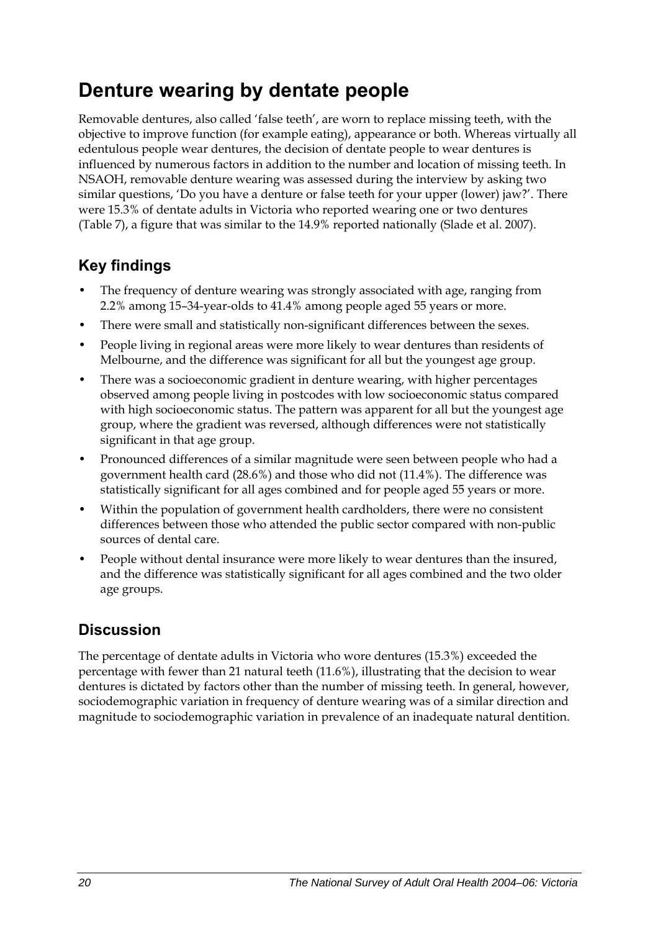# <span id="page-27-0"></span>**Denture wearing by dentate people**

Removable dentures, also called 'false teeth', are worn to replace missing teeth, with the objective to improve function (for example eating), appearance or both. Whereas virtually all edentulous people wear dentures, the decision of dentate people to wear dentures is influenced by numerous factors in addition to the number and location of missing teeth. In NSAOH, removable denture wearing was assessed during the interview by asking two similar questions, 'Do you have a denture or false teeth for your upper (lower) jaw?'. There were 15.3% of dentate adults in Victoria who reported wearing one or two dentures ([Table 7\)](#page-28-0), a figure that was similar to the 14.9% reported nationally (Slade et al. 2007).

## **Key findings**

- The frequency of denture wearing was strongly associated with age, ranging from 2.2% among 15–34-year-olds to 41.4% among people aged 55 years or more.
- There were small and statistically non-significant differences between the sexes.
- People living in regional areas were more likely to wear dentures than residents of Melbourne, and the difference was significant for all but the youngest age group.
- There was a socioeconomic gradient in denture wearing, with higher percentages observed among people living in postcodes with low socioeconomic status compared with high socioeconomic status. The pattern was apparent for all but the youngest age group, where the gradient was reversed, although differences were not statistically significant in that age group.
- Pronounced differences of a similar magnitude were seen between people who had a government health card (28.6%) and those who did not (11.4%). The difference was statistically significant for all ages combined and for people aged 55 years or more.
- Within the population of government health cardholders, there were no consistent differences between those who attended the public sector compared with non-public sources of dental care.
- People without dental insurance were more likely to wear dentures than the insured, and the difference was statistically significant for all ages combined and the two older age groups.

## **Discussion**

The percentage of dentate adults in Victoria who wore dentures (15.3%) exceeded the percentage with fewer than 21 natural teeth (11.6%), illustrating that the decision to wear dentures is dictated by factors other than the number of missing teeth. In general, however, sociodemographic variation in frequency of denture wearing was of a similar direction and magnitude to sociodemographic variation in prevalence of an inadequate natural dentition.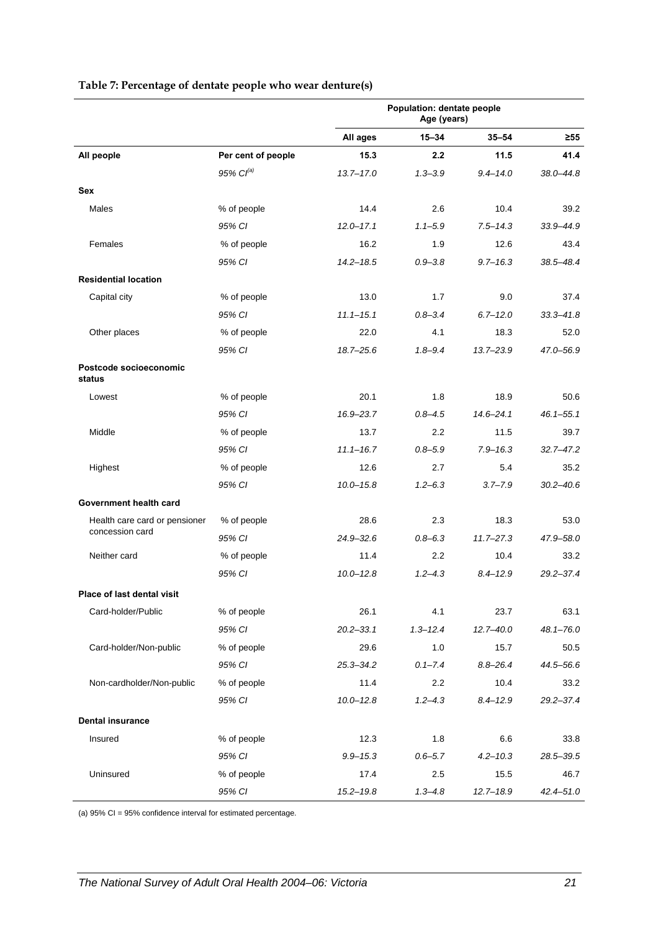|                                  |                       | Population: dentate people<br>Age (years) |              |               |               |
|----------------------------------|-----------------------|-------------------------------------------|--------------|---------------|---------------|
|                                  |                       | All ages                                  | $15 - 34$    | $35 - 54$     | $\geq 55$     |
| All people                       | Per cent of people    | 15.3                                      | 2.2          | 11.5          | 41.4          |
|                                  | 95% Cl <sup>(a)</sup> | $13.7 - 17.0$                             | $1.3 - 3.9$  | $9.4 - 14.0$  | $38.0 - 44.8$ |
| <b>Sex</b>                       |                       |                                           |              |               |               |
| Males                            | % of people           | 14.4                                      | 2.6          | 10.4          | 39.2          |
|                                  | 95% CI                | $12.0 - 17.1$                             | $1.1 - 5.9$  | $7.5 - 14.3$  | 33.9-44.9     |
| Females                          | % of people           | 16.2                                      | 1.9          | 12.6          | 43.4          |
|                                  | 95% CI                | $14.2 - 18.5$                             | $0.9 - 3.8$  | $9.7 - 16.3$  | 38.5-48.4     |
| <b>Residential location</b>      |                       |                                           |              |               |               |
| Capital city                     | % of people           | 13.0                                      | 1.7          | 9.0           | 37.4          |
|                                  | 95% CI                | $11.1 - 15.1$                             | $0.8 - 3.4$  | $6.7 - 12.0$  | $33.3 - 41.8$ |
| Other places                     | % of people           | 22.0                                      | 4.1          | 18.3          | 52.0          |
|                                  | 95% CI                | $18.7 - 25.6$                             | $1.8 - 9.4$  | $13.7 - 23.9$ | 47.0-56.9     |
| Postcode socioeconomic<br>status |                       |                                           |              |               |               |
| Lowest                           | % of people           | 20.1                                      | 1.8          | 18.9          | 50.6          |
|                                  | 95% CI                | 16.9-23.7                                 | $0.8 - 4.5$  | $14.6 - 24.1$ | $46.1 - 55.1$ |
| Middle                           | % of people           | 13.7                                      | 2.2          | 11.5          | 39.7          |
|                                  | 95% CI                | $11.1 - 16.7$                             | $0.8 - 5.9$  | $7.9 - 16.3$  | $32.7 - 47.2$ |
| Highest                          | % of people           | 12.6                                      | 2.7          | 5.4           | 35.2          |
|                                  | 95% CI                | $10.0 - 15.8$                             | $1.2 - 6.3$  | $3.7 - 7.9$   | $30.2 - 40.6$ |
| Government health card           |                       |                                           |              |               |               |
| Health care card or pensioner    | % of people           | 28.6                                      | 2.3          | 18.3          | 53.0          |
| concession card                  | 95% CI                | $24.9 - 32.6$                             | $0.8 - 6.3$  | $11.7 - 27.3$ | 47.9-58.0     |
| Neither card                     | % of people           | 11.4                                      | $2.2\,$      | 10.4          | 33.2          |
|                                  | 95% CI                | $10.0 - 12.8$                             | $1.2 - 4.3$  | $8.4 - 12.9$  | $29.2 - 37.4$ |
| Place of last dental visit       |                       |                                           |              |               |               |
| Card-holder/Public               | % of people           | 26.1                                      | 4.1          | 23.7          | 63.1          |
|                                  | 95% CI                | $20.2 - 33.1$                             | $1.3 - 12.4$ | $12.7 - 40.0$ | $48.1 - 76.0$ |
| Card-holder/Non-public           | % of people           | 29.6                                      | 1.0          | 15.7          | 50.5          |
|                                  | 95% CI                | $25.3 - 34.2$                             | $0.1 - 7.4$  | $8.8 - 26.4$  | 44.5-56.6     |
| Non-cardholder/Non-public        | % of people           | 11.4                                      | 2.2          | 10.4          | 33.2          |
|                                  | 95% CI                | $10.0 - 12.8$                             | $1.2 - 4.3$  | $8.4 - 12.9$  | $29.2 - 37.4$ |
| <b>Dental insurance</b>          |                       |                                           |              |               |               |
| Insured                          | % of people           | 12.3                                      | 1.8          | 6.6           | 33.8          |
|                                  | 95% CI                | $9.9 - 15.3$                              | $0.6 - 5.7$  | $4.2 - 10.3$  | 28.5-39.5     |
| Uninsured                        | % of people           | 17.4                                      | 2.5          | 15.5          | 46.7          |
|                                  | 95% CI                | $15.2 - 19.8$                             | $1.3 - 4.8$  | $12.7 - 18.9$ | $42.4 - 51.0$ |

#### <span id="page-28-0"></span>**Table 7: Percentage of dentate people who wear denture(s)**

(a) 95% CI = 95% confidence interval for estimated percentage.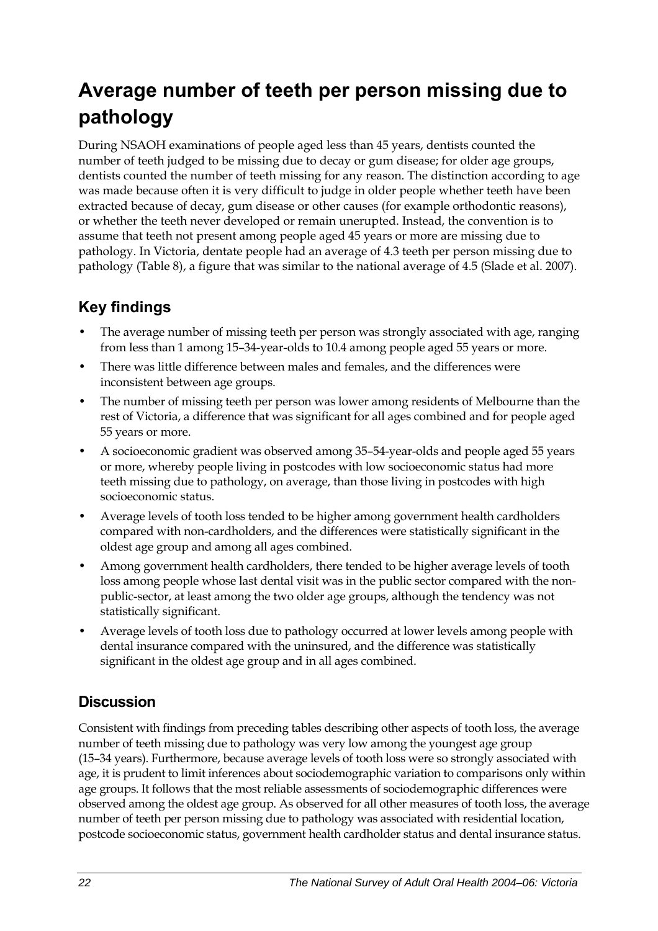# <span id="page-29-0"></span>**Average number of teeth per person missing due to pathology**

During NSAOH examinations of people aged less than 45 years, dentists counted the number of teeth judged to be missing due to decay or gum disease; for older age groups, dentists counted the number of teeth missing for any reason. The distinction according to age was made because often it is very difficult to judge in older people whether teeth have been extracted because of decay, gum disease or other causes (for example orthodontic reasons), or whether the teeth never developed or remain unerupted. Instead, the convention is to assume that teeth not present among people aged 45 years or more are missing due to pathology. In Victoria, dentate people had an average of 4.3 teeth per person missing due to pathology ([Table 8\)](#page-30-0), a figure that was similar to the national average of 4.5 (Slade et al. 2007).

## **Key findings**

- The average number of missing teeth per person was strongly associated with age, ranging from less than 1 among 15–34-year-olds to 10.4 among people aged 55 years or more.
- There was little difference between males and females, and the differences were inconsistent between age groups.
- The number of missing teeth per person was lower among residents of Melbourne than the rest of Victoria, a difference that was significant for all ages combined and for people aged 55 years or more.
- A socioeconomic gradient was observed among 35–54-year-olds and people aged 55 years or more, whereby people living in postcodes with low socioeconomic status had more teeth missing due to pathology, on average, than those living in postcodes with high socioeconomic status.
- Average levels of tooth loss tended to be higher among government health cardholders compared with non-cardholders, and the differences were statistically significant in the oldest age group and among all ages combined.
- Among government health cardholders, there tended to be higher average levels of tooth loss among people whose last dental visit was in the public sector compared with the nonpublic-sector, at least among the two older age groups, although the tendency was not statistically significant.
- Average levels of tooth loss due to pathology occurred at lower levels among people with dental insurance compared with the uninsured, and the difference was statistically significant in the oldest age group and in all ages combined.

### **Discussion**

Consistent with findings from preceding tables describing other aspects of tooth loss, the average number of teeth missing due to pathology was very low among the youngest age group (15–34 years). Furthermore, because average levels of tooth loss were so strongly associated with age, it is prudent to limit inferences about sociodemographic variation to comparisons only within age groups. It follows that the most reliable assessments of sociodemographic differences were observed among the oldest age group. As observed for all other measures of tooth loss, the average number of teeth per person missing due to pathology was associated with residential location, postcode socioeconomic status, government health cardholder status and dental insurance status.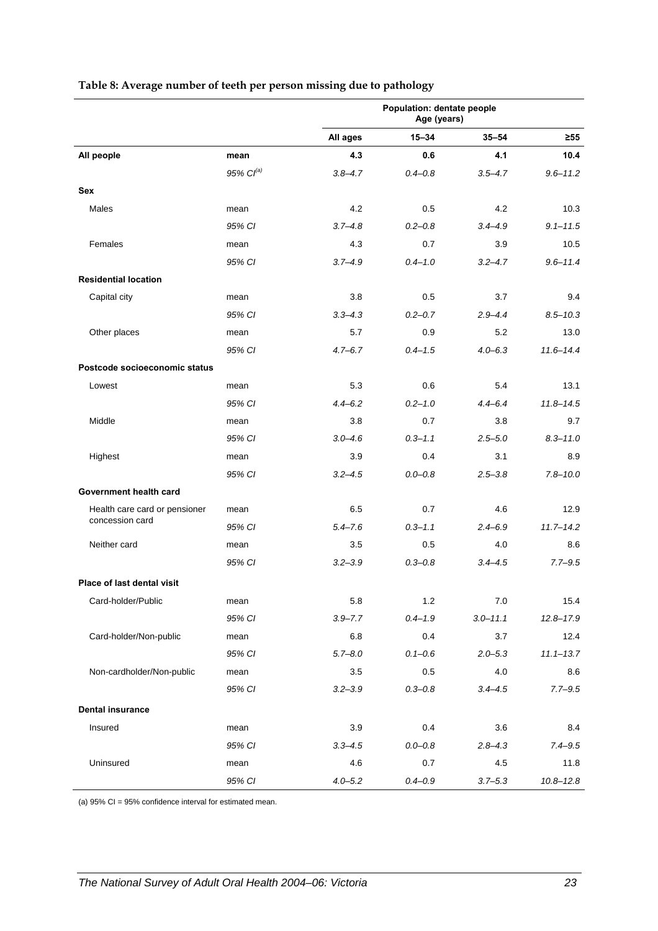|                                   |                | Population: dentate people<br>Age (years) |             |              |               |
|-----------------------------------|----------------|-------------------------------------------|-------------|--------------|---------------|
|                                   |                | All ages                                  | $15 - 34$   | $35 - 54$    | $\geq 55$     |
| All people                        | mean           | 4.3                                       | 0.6         | 4.1          | 10.4          |
|                                   | 95% $CI^{(a)}$ | $3.8 - 4.7$                               | $0.4 - 0.8$ | $3.5 - 4.7$  | $9.6 - 11.2$  |
| Sex                               |                |                                           |             |              |               |
| Males                             | mean           | 4.2                                       | 0.5         | 4.2          | 10.3          |
|                                   | 95% CI         | $3.7 - 4.8$                               | $0.2 - 0.8$ | $3.4 - 4.9$  | $9.1 - 11.5$  |
| Females                           | mean           | 4.3                                       | 0.7         | 3.9          | 10.5          |
|                                   | 95% CI         | $3.7 - 4.9$                               | $0.4 - 1.0$ | $3.2 - 4.7$  | $9.6 - 11.4$  |
| <b>Residential location</b>       |                |                                           |             |              |               |
| Capital city                      | mean           | 3.8                                       | 0.5         | 3.7          | 9.4           |
|                                   | 95% CI         | $3.3 - 4.3$                               | $0.2 - 0.7$ | $2.9 - 4.4$  | $8.5 - 10.3$  |
| Other places                      | mean           | 5.7                                       | 0.9         | 5.2          | 13.0          |
|                                   | 95% CI         | $4.7 - 6.7$                               | $0.4 - 1.5$ | $4.0 - 6.3$  | $11.6 - 14.4$ |
| Postcode socioeconomic status     |                |                                           |             |              |               |
| Lowest                            | mean           | 5.3                                       | 0.6         | 5.4          | 13.1          |
|                                   | 95% CI         | $4.4 - 6.2$                               | $0.2 - 1.0$ | $4.4 - 6.4$  | $11.8 - 14.5$ |
| Middle                            | mean           | 3.8                                       | 0.7         | 3.8          | 9.7           |
|                                   | 95% CI         | $3.0 - 4.6$                               | $0.3 - 1.1$ | $2.5 - 5.0$  | $8.3 - 11.0$  |
| Highest                           | mean           | 3.9                                       | 0.4         | 3.1          | 8.9           |
|                                   | 95% CI         | $3.2 - 4.5$                               | $0.0 - 0.8$ | $2.5 - 3.8$  | $7.8 - 10.0$  |
| Government health card            |                |                                           |             |              |               |
| Health care card or pensioner     | mean           | 6.5                                       | 0.7         | 4.6          | 12.9          |
| concession card                   | 95% CI         | $5.4 - 7.6$                               | $0.3 - 1.1$ | $2.4 - 6.9$  | $11.7 - 14.2$ |
| Neither card                      | mean           | 3.5                                       | 0.5         | 4.0          | 8.6           |
|                                   | 95% CI         | $3.2 - 3.9$                               | $0.3 - 0.8$ | $3.4 - 4.5$  | $7.7 - 9.5$   |
| <b>Place of last dental visit</b> |                |                                           |             |              |               |
| Card-holder/Public                | mean           | 5.8                                       | 1.2         | 7.0          | 15.4          |
|                                   | 95% CI         | $3.9 - 7.7$                               | $0.4 - 1.9$ | $3.0 - 11.1$ | $12.8 - 17.9$ |
| Card-holder/Non-public            | mean           | 6.8                                       | 0.4         | 3.7          | 12.4          |
|                                   | 95% CI         | $5.7 - 8.0$                               | $0.1 - 0.6$ | $2.0 - 5.3$  | $11.1 - 13.7$ |
| Non-cardholder/Non-public         | mean           | 3.5                                       | 0.5         | 4.0          | 8.6           |
|                                   | 95% CI         | $3.2 - 3.9$                               | $0.3 - 0.8$ | $3.4 - 4.5$  | $7.7 - 9.5$   |
| <b>Dental insurance</b>           |                |                                           |             |              |               |
| Insured                           | mean           | 3.9                                       | 0.4         | 3.6          | 8.4           |
|                                   | 95% CI         | $3.3 - 4.5$                               | $0.0 - 0.8$ | $2.8 - 4.3$  | $7.4 - 9.5$   |
| Uninsured                         | mean           | 4.6                                       | 0.7         | 4.5          | 11.8          |
|                                   | 95% CI         | $4.0 - 5.2$                               | $0.4 - 0.9$ | $3.7 - 5.3$  | $10.8 - 12.8$ |

#### <span id="page-30-0"></span>**Table 8: Average number of teeth per person missing due to pathology**

(a) 95% CI = 95% confidence interval for estimated mean.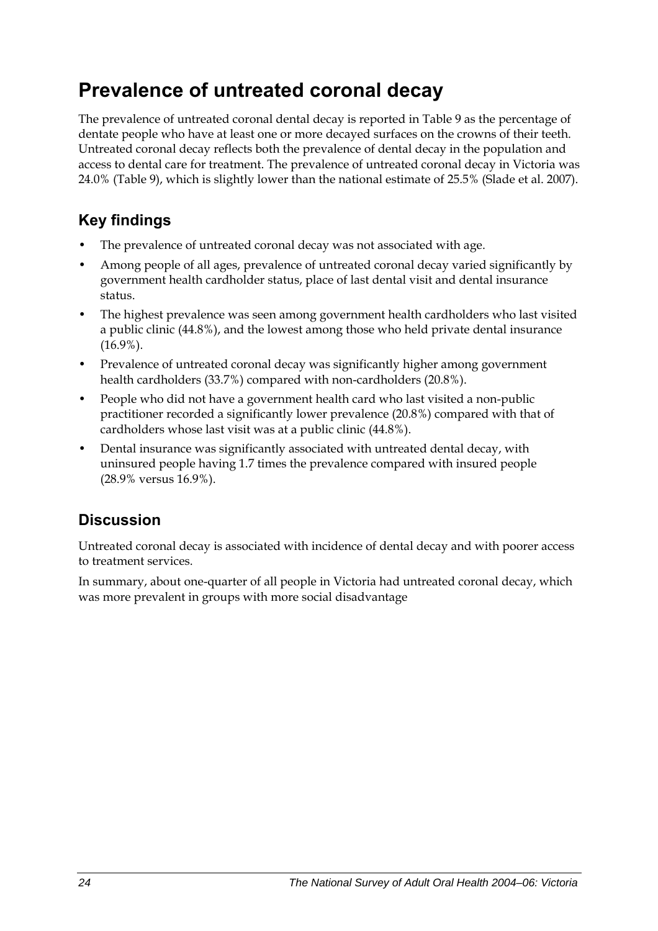# <span id="page-31-0"></span>**Prevalence of untreated coronal decay**

The prevalence of untreated coronal dental decay is reported in Table 9 as the percentage of dentate people who have at least one or more decayed surfaces on the crowns of their teeth. Untreated coronal decay reflects both the prevalence of dental decay in the population and access to dental care for treatment. The prevalence of untreated coronal decay in Victoria was 24.0% ([Table 9\)](#page-32-0), which is slightly lower than the national estimate of 25.5% (Slade et al. 2007).

## **Key findings**

- The prevalence of untreated coronal decay was not associated with age.
- Among people of all ages, prevalence of untreated coronal decay varied significantly by government health cardholder status, place of last dental visit and dental insurance status.
- The highest prevalence was seen among government health cardholders who last visited a public clinic (44.8%), and the lowest among those who held private dental insurance (16.9%).
- Prevalence of untreated coronal decay was significantly higher among government health cardholders (33.7%) compared with non-cardholders (20.8%).
- People who did not have a government health card who last visited a non-public practitioner recorded a significantly lower prevalence (20.8%) compared with that of cardholders whose last visit was at a public clinic (44.8%).
- Dental insurance was significantly associated with untreated dental decay, with uninsured people having 1.7 times the prevalence compared with insured people (28.9% versus 16.9%).

## **Discussion**

Untreated coronal decay is associated with incidence of dental decay and with poorer access to treatment services.

In summary, about one-quarter of all people in Victoria had untreated coronal decay, which was more prevalent in groups with more social disadvantage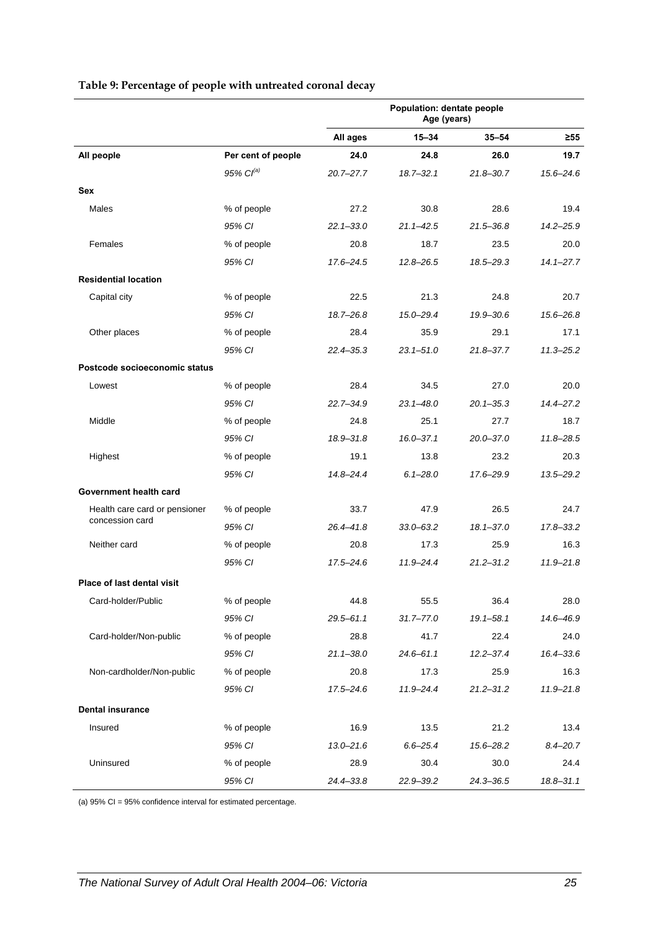| Table 9: Percentage of people with untreated coronal decay |  |
|------------------------------------------------------------|--|
|------------------------------------------------------------|--|

<span id="page-32-0"></span>

|                                   |                    | Population: dentate people<br>Age (years) |               |               |               |
|-----------------------------------|--------------------|-------------------------------------------|---------------|---------------|---------------|
|                                   |                    | All ages                                  | $15 - 34$     | $35 - 54$     | $\geq 55$     |
| All people                        | Per cent of people | 24.0                                      | 24.8          | 26.0          | 19.7          |
|                                   | 95% $Cl^{(a)}$     | $20.7 - 27.7$                             | $18.7 - 32.1$ | $21.8 - 30.7$ | $15.6 - 24.6$ |
| <b>Sex</b>                        |                    |                                           |               |               |               |
| Males                             | % of people        | 27.2                                      | 30.8          | 28.6          | 19.4          |
|                                   | 95% CI             | $22.1 - 33.0$                             | $21.1 - 42.5$ | $21.5 - 36.8$ | $14.2 - 25.9$ |
| Females                           | % of people        | 20.8                                      | 18.7          | 23.5          | 20.0          |
|                                   | 95% CI             | 17.6-24.5                                 | $12.8 - 26.5$ | 18.5-29.3     | $14.1 - 27.7$ |
| <b>Residential location</b>       |                    |                                           |               |               |               |
| Capital city                      | % of people        | 22.5                                      | 21.3          | 24.8          | 20.7          |
|                                   | 95% CI             | $18.7 - 26.8$                             | 15.0–29.4     | $19.9 - 30.6$ | 15.6-26.8     |
| Other places                      | % of people        | 28.4                                      | 35.9          | 29.1          | 17.1          |
|                                   | 95% CI             | $22.4 - 35.3$                             | $23.1 - 51.0$ | $21.8 - 37.7$ | $11.3 - 25.2$ |
| Postcode socioeconomic status     |                    |                                           |               |               |               |
| Lowest                            | % of people        | 28.4                                      | 34.5          | 27.0          | 20.0          |
|                                   | 95% CI             | $22.7 - 34.9$                             | $23.1 - 48.0$ | $20.1 - 35.3$ | $14.4 - 27.2$ |
| Middle                            | % of people        | 24.8                                      | 25.1          | 27.7          | 18.7          |
|                                   | 95% CI             | $18.9 - 31.8$                             | $16.0 - 37.1$ | $20.0 - 37.0$ | $11.8 - 28.5$ |
| Highest                           | % of people        | 19.1                                      | 13.8          | 23.2          | 20.3          |
|                                   | 95% CI             | $14.8 - 24.4$                             | $6.1 - 28.0$  | 17.6–29.9     | 13.5-29.2     |
| Government health card            |                    |                                           |               |               |               |
| Health care card or pensioner     | % of people        | 33.7                                      | 47.9          | 26.5          | 24.7          |
| concession card                   | 95% CI             | $26.4 - 41.8$                             | $33.0 - 63.2$ | $18.1 - 37.0$ | $17.8 - 33.2$ |
| Neither card                      | % of people        | 20.8                                      | 17.3          | 25.9          | 16.3          |
|                                   | 95% CI             | $17.5 - 24.6$                             | $11.9 - 24.4$ | $21.2 - 31.2$ | $11.9 - 21.8$ |
| <b>Place of last dental visit</b> |                    |                                           |               |               |               |
| Card-holder/Public                | % of people        | 44.8                                      | 55.5          | 36.4          | 28.0          |
|                                   | 95% CI             | $29.5 - 61.1$                             | $31.7 - 77.0$ | $19.1 - 58.1$ | 14.6-46.9     |
| Card-holder/Non-public            | % of people        | 28.8                                      | 41.7          | 22.4          | 24.0          |
|                                   | 95% CI             | $21.1 - 38.0$                             | $24.6 - 61.1$ | $12.2 - 37.4$ | 16.4-33.6     |
| Non-cardholder/Non-public         | % of people        | 20.8                                      | 17.3          | 25.9          | 16.3          |
|                                   | 95% CI             | $17.5 - 24.6$                             | $11.9 - 24.4$ | $21.2 - 31.2$ | $11.9 - 21.8$ |
| <b>Dental insurance</b>           |                    |                                           |               |               |               |
| Insured                           | % of people        | 16.9                                      | 13.5          | 21.2          | 13.4          |
|                                   | 95% CI             | $13.0 - 21.6$                             | $6.6 - 25.4$  | 15.6-28.2     | $8.4 - 20.7$  |
| Uninsured                         | % of people        | 28.9                                      | 30.4          | 30.0          | 24.4          |
|                                   | 95% CI             | 24.4-33.8                                 | 22.9-39.2     | $24.3 - 36.5$ | 18.8-31.1     |

(a) 95% CI = 95% confidence interval for estimated percentage.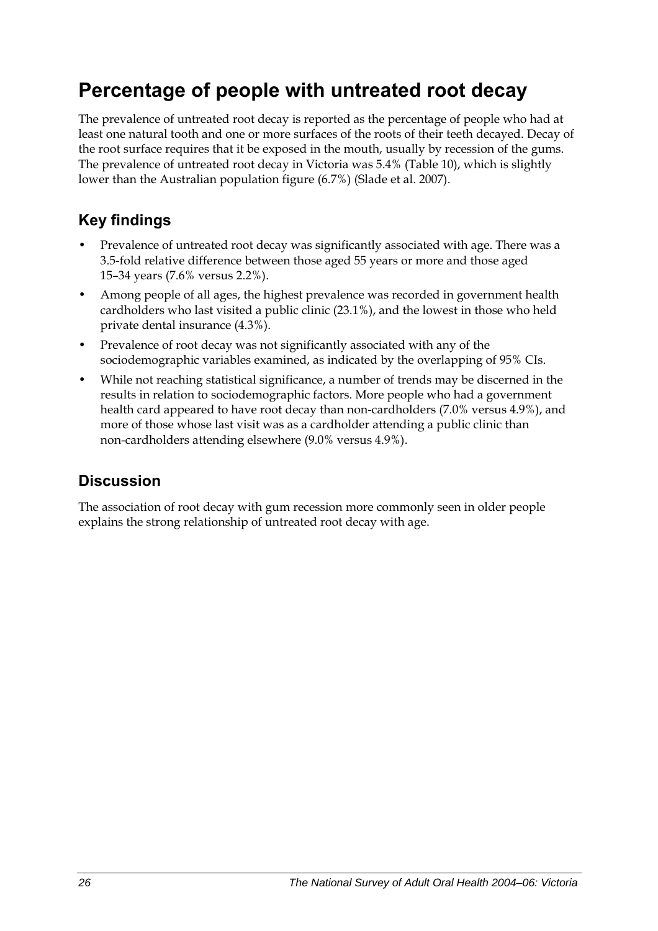# <span id="page-33-0"></span>**Percentage of people with untreated root decay**

The prevalence of untreated root decay is reported as the percentage of people who had at least one natural tooth and one or more surfaces of the roots of their teeth decayed. Decay of the root surface requires that it be exposed in the mouth, usually by recession of the gums. The prevalence of untreated root decay in Victoria was 5.4% [\(Table 10](#page-34-0)), which is slightly lower than the Australian population figure (6.7%) (Slade et al. 2007).

## **Key findings**

- Prevalence of untreated root decay was significantly associated with age. There was a 3.5-fold relative difference between those aged 55 years or more and those aged 15–34 years (7.6% versus 2.2%).
- Among people of all ages, the highest prevalence was recorded in government health cardholders who last visited a public clinic (23.1%), and the lowest in those who held private dental insurance (4.3%).
- Prevalence of root decay was not significantly associated with any of the sociodemographic variables examined, as indicated by the overlapping of 95% CIs.
- While not reaching statistical significance, a number of trends may be discerned in the results in relation to sociodemographic factors. More people who had a government health card appeared to have root decay than non-cardholders (7.0% versus 4.9%), and more of those whose last visit was as a cardholder attending a public clinic than non-cardholders attending elsewhere (9.0% versus 4.9%).

### **Discussion**

The association of root decay with gum recession more commonly seen in older people explains the strong relationship of untreated root decay with age.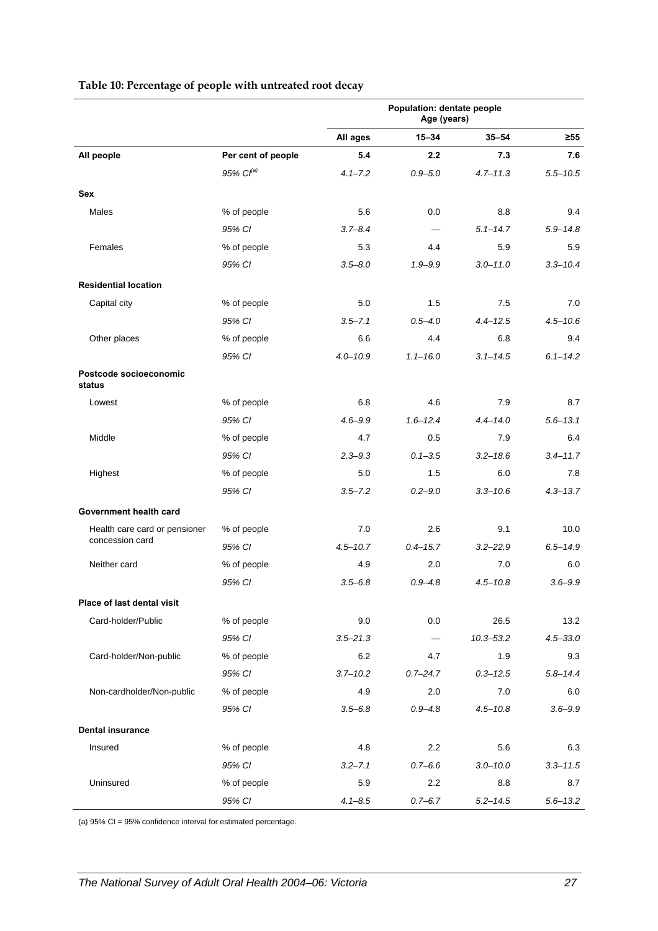<span id="page-34-0"></span>

|                                  |                       | Population: dentate people<br>Age (years) |              |               |              |
|----------------------------------|-----------------------|-------------------------------------------|--------------|---------------|--------------|
|                                  |                       | All ages                                  | $15 - 34$    | $35 - 54$     | ≥55          |
| All people                       | Per cent of people    | 5.4                                       | 2.2          | 7.3           | 7.6          |
|                                  | 95% Cl <sup>(a)</sup> | $4.1 - 7.2$                               | $0.9 - 5.0$  | $4.7 - 11.3$  | $5.5 - 10.5$ |
| <b>Sex</b>                       |                       |                                           |              |               |              |
| Males                            | % of people           | 5.6                                       | 0.0          | 8.8           | 9.4          |
|                                  | 95% CI                | $3.7 - 8.4$                               |              | $5.1 - 14.7$  | $5.9 - 14.8$ |
| Females                          | % of people           | 5.3                                       | 4.4          | 5.9           | 5.9          |
|                                  | 95% CI                | $3.5 - 8.0$                               | $1.9 - 9.9$  | $3.0 - 11.0$  | $3.3 - 10.4$ |
| <b>Residential location</b>      |                       |                                           |              |               |              |
| Capital city                     | % of people           | 5.0                                       | 1.5          | 7.5           | 7.0          |
|                                  | 95% CI                | $3.5 - 7.1$                               | $0.5 - 4.0$  | $4.4 - 12.5$  | $4.5 - 10.6$ |
| Other places                     | % of people           | 6.6                                       | 4.4          | 6.8           | 9.4          |
|                                  | 95% CI                | $4.0 - 10.9$                              | $1.1 - 16.0$ | $3.1 - 14.5$  | $6.1 - 14.2$ |
| Postcode socioeconomic<br>status |                       |                                           |              |               |              |
| Lowest                           | % of people           | 6.8                                       | 4.6          | 7.9           | 8.7          |
|                                  | 95% CI                | $4.6 - 9.9$                               | $1.6 - 12.4$ | $4.4 - 14.0$  | $5.6 - 13.1$ |
| Middle                           | % of people           | 4.7                                       | 0.5          | 7.9           | 6.4          |
|                                  | 95% CI                | $2.3 - 9.3$                               | $0.1 - 3.5$  | $3.2 - 18.6$  | $3.4 - 11.7$ |
| Highest                          | % of people           | 5.0                                       | 1.5          | 6.0           | 7.8          |
|                                  | 95% CI                | $3.5 - 7.2$                               | $0.2 - 9.0$  | $3.3 - 10.6$  | $4.3 - 13.7$ |
| Government health card           |                       |                                           |              |               |              |
| Health care card or pensioner    | % of people           | 7.0                                       | 2.6          | 9.1           | 10.0         |
| concession card                  | 95% CI                | $4.5 - 10.7$                              | $0.4 - 15.7$ | $3.2 - 22.9$  | $6.5 - 14.9$ |
| Neither card                     | % of people           | 4.9                                       | 2.0          | 7.0           | 6.0          |
|                                  | 95% CI                | $3.5 - 6.8$                               | $0.9 - 4.8$  | $4.5 - 10.8$  | $3.6 - 9.9$  |
| Place of last dental visit       |                       |                                           |              |               |              |
| Card-holder/Public               | % of people           | 9.0                                       | 0.0          | 26.5          | 13.2         |
|                                  | 95% CI                | $3.5 - 21.3$                              |              | $10.3 - 53.2$ | $4.5 - 33.0$ |
| Card-holder/Non-public           | % of people           | 6.2                                       | 4.7          | 1.9           | 9.3          |
|                                  | 95% CI                | $3.7 - 10.2$                              | $0.7 - 24.7$ | $0.3 - 12.5$  | $5.8 - 14.4$ |
| Non-cardholder/Non-public        | % of people           | 4.9                                       | 2.0          | 7.0           | 6.0          |
|                                  | 95% CI                | $3.5 - 6.8$                               | $0.9 - 4.8$  | $4.5 - 10.8$  | $3.6 - 9.9$  |
| <b>Dental insurance</b>          |                       |                                           |              |               |              |
| Insured                          | % of people           | 4.8                                       | 2.2          | 5.6           | 6.3          |
|                                  | 95% CI                | $3.2 - 7.1$                               | $0.7 - 6.6$  | $3.0 - 10.0$  | $3.3 - 11.5$ |
| Uninsured                        | % of people           | 5.9                                       | 2.2          | 8.8           | 8.7          |
|                                  | 95% CI                | $4.1 - 8.5$                               | $0.7 - 6.7$  | $5.2 - 14.5$  | $5.6 - 13.2$ |

#### **Table 10: Percentage of people with untreated root decay**

(a) 95% CI = 95% confidence interval for estimated percentage.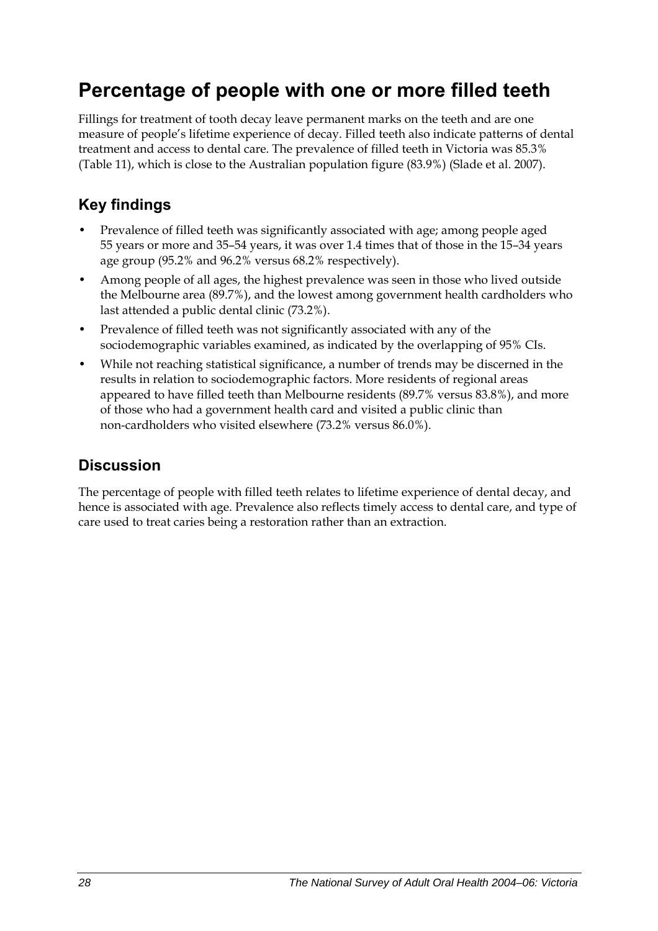## <span id="page-35-0"></span>**Percentage of people with one or more filled teeth**

Fillings for treatment of tooth decay leave permanent marks on the teeth and are one measure of people's lifetime experience of decay. Filled teeth also indicate patterns of dental treatment and access to dental care. The prevalence of filled teeth in Victoria was 85.3% ([Table 11](#page-36-0)), which is close to the Australian population figure (83.9%) (Slade et al. 2007).

## **Key findings**

- Prevalence of filled teeth was significantly associated with age; among people aged 55 years or more and 35–54 years, it was over 1.4 times that of those in the 15–34 years age group (95.2% and 96.2% versus 68.2% respectively).
- Among people of all ages, the highest prevalence was seen in those who lived outside the Melbourne area (89.7%), and the lowest among government health cardholders who last attended a public dental clinic (73.2%).
- Prevalence of filled teeth was not significantly associated with any of the sociodemographic variables examined, as indicated by the overlapping of 95% CIs.
- While not reaching statistical significance, a number of trends may be discerned in the results in relation to sociodemographic factors. More residents of regional areas appeared to have filled teeth than Melbourne residents (89.7% versus 83.8%), and more of those who had a government health card and visited a public clinic than non-cardholders who visited elsewhere (73.2% versus 86.0%).

### **Discussion**

The percentage of people with filled teeth relates to lifetime experience of dental decay, and hence is associated with age. Prevalence also reflects timely access to dental care, and type of care used to treat caries being a restoration rather than an extraction.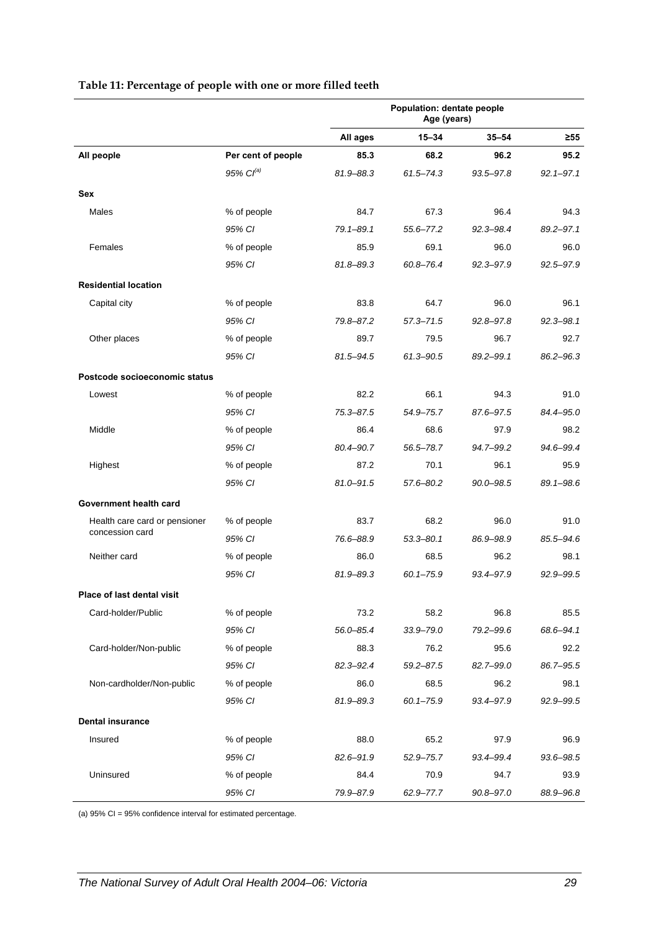|                               |                       | Population: dentate people<br>Age (years) |               |               |               |
|-------------------------------|-----------------------|-------------------------------------------|---------------|---------------|---------------|
|                               |                       | All ages                                  | $15 - 34$     | 35–54         | $\geq 55$     |
| All people                    | Per cent of people    | 85.3                                      | 68.2          | 96.2          | 95.2          |
|                               | 95% Cl <sup>(a)</sup> | 81.9-88.3                                 | $61.5 - 74.3$ | $93.5 - 97.8$ | $92.1 - 97.1$ |
| <b>Sex</b>                    |                       |                                           |               |               |               |
| Males                         | % of people           | 84.7                                      | 67.3          | 96.4          | 94.3          |
|                               | 95% CI                | 79.1-89.1                                 | 55.6-77.2     | $92.3 - 98.4$ | 89.2-97.1     |
| Females                       | % of people           | 85.9                                      | 69.1          | 96.0          | 96.0          |
|                               | 95% CI                | 81.8-89.3                                 | $60.8 - 76.4$ | $92.3 - 97.9$ | 92.5-97.9     |
| <b>Residential location</b>   |                       |                                           |               |               |               |
| Capital city                  | % of people           | 83.8                                      | 64.7          | 96.0          | 96.1          |
|                               | 95% CI                | 79.8-87.2                                 | $57.3 - 71.5$ | $92.8 - 97.8$ | $92.3 - 98.1$ |
| Other places                  | % of people           | 89.7                                      | 79.5          | 96.7          | 92.7          |
|                               | 95% CI                | 81.5-94.5                                 | 61.3-90.5     | $89.2 - 99.1$ | $86.2 - 96.3$ |
| Postcode socioeconomic status |                       |                                           |               |               |               |
| Lowest                        | % of people           | 82.2                                      | 66.1          | 94.3          | 91.0          |
|                               | 95% CI                | 75.3-87.5                                 | 54.9-75.7     | 87.6-97.5     | 84.4-95.0     |
| Middle                        | % of people           | 86.4                                      | 68.6          | 97.9          | 98.2          |
|                               | 95% CI                | 80.4-90.7                                 | 56.5-78.7     | 94.7-99.2     | 94.6-99.4     |
| Highest                       | % of people           | 87.2                                      | 70.1          | 96.1          | 95.9          |
|                               | 95% CI                | $81.0 - 91.5$                             | 57.6-80.2     | $90.0 - 98.5$ | 89.1-98.6     |
| Government health card        |                       |                                           |               |               |               |
| Health care card or pensioner | % of people           | 83.7                                      | 68.2          | 96.0          | 91.0          |
| concession card               | 95% CI                | 76.6-88.9                                 | $53.3 - 80.1$ | 86.9-98.9     | 85.5-94.6     |
| Neither card                  | % of people           | 86.0                                      | 68.5          | 96.2          | 98.1          |
|                               | 95% CI                | 81.9-89.3                                 | $60.1 - 75.9$ | 93.4-97.9     | $92.9 - 99.5$ |
| Place of last dental visit    |                       |                                           |               |               |               |
| Card-holder/Public            | % of people           | 73.2                                      | 58.2          | 96.8          | 85.5          |
|                               | 95% CI                | 56.0-85.4                                 | $33.9 - 79.0$ | 79.2-99.6     | 68.6-94.1     |
| Card-holder/Non-public        | % of people           | 88.3                                      | 76.2          | 95.6          | 92.2          |
|                               | 95% CI                | 82.3-92.4                                 | $59.2 - 87.5$ | 82.7-99.0     | 86.7-95.5     |
| Non-cardholder/Non-public     | % of people           | 86.0                                      | 68.5          | 96.2          | 98.1          |
|                               | 95% CI                | 81.9-89.3                                 | $60.1 - 75.9$ | 93.4-97.9     | $92.9 - 99.5$ |
| <b>Dental insurance</b>       |                       |                                           |               |               |               |
| Insured                       | % of people           | 88.0                                      | 65.2          | 97.9          | 96.9          |
|                               | 95% CI                | 82.6-91.9                                 | $52.9 - 75.7$ | 93.4-99.4     | 93.6-98.5     |
| Uninsured                     | % of people           | 84.4                                      | 70.9          | 94.7          | 93.9          |
|                               | 95% CI                | 79.9-87.9                                 | 62.9-77.7     | $90.8 - 97.0$ | 88.9-96.8     |

#### **Table 11: Percentage of people with one or more filled teeth**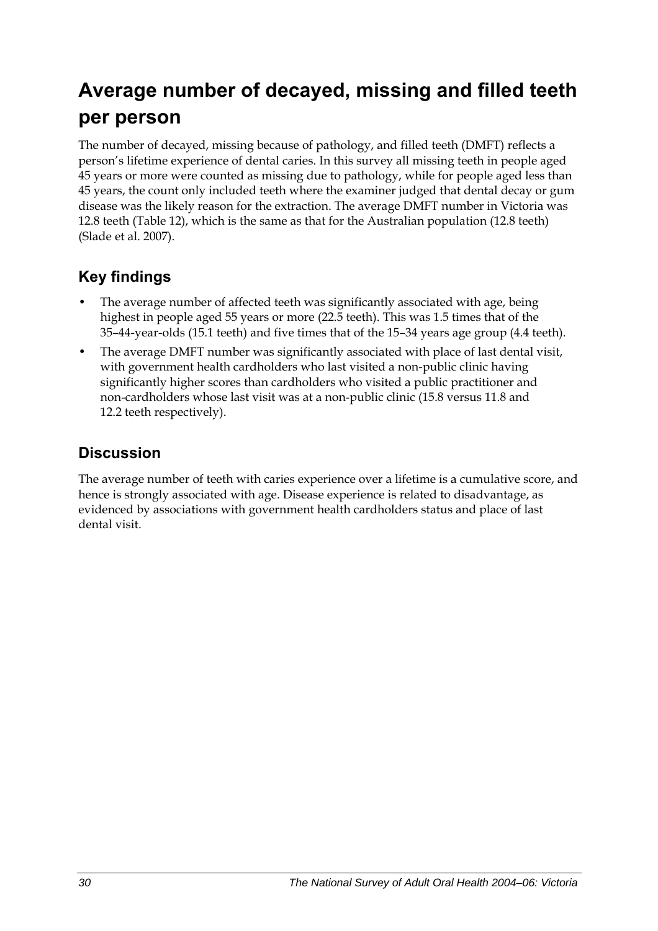## **Average number of decayed, missing and filled teeth per person**

The number of decayed, missing because of pathology, and filled teeth (DMFT) reflects a person's lifetime experience of dental caries. In this survey all missing teeth in people aged 45 years or more were counted as missing due to pathology, while for people aged less than 45 years, the count only included teeth where the examiner judged that dental decay or gum disease was the likely reason for the extraction. The average DMFT number in Victoria was 12.8 teeth [\(Table 12\)](#page-38-0), which is the same as that for the Australian population (12.8 teeth) (Slade et al. 2007).

### **Key findings**

- The average number of affected teeth was significantly associated with age, being highest in people aged 55 years or more (22.5 teeth). This was 1.5 times that of the 35–44-year-olds (15.1 teeth) and five times that of the 15–34 years age group (4.4 teeth).
- The average DMFT number was significantly associated with place of last dental visit, with government health cardholders who last visited a non-public clinic having significantly higher scores than cardholders who visited a public practitioner and non-cardholders whose last visit was at a non-public clinic (15.8 versus 11.8 and 12.2 teeth respectively).

### **Discussion**

The average number of teeth with caries experience over a lifetime is a cumulative score, and hence is strongly associated with age. Disease experience is related to disadvantage, as evidenced by associations with government health cardholders status and place of last dental visit.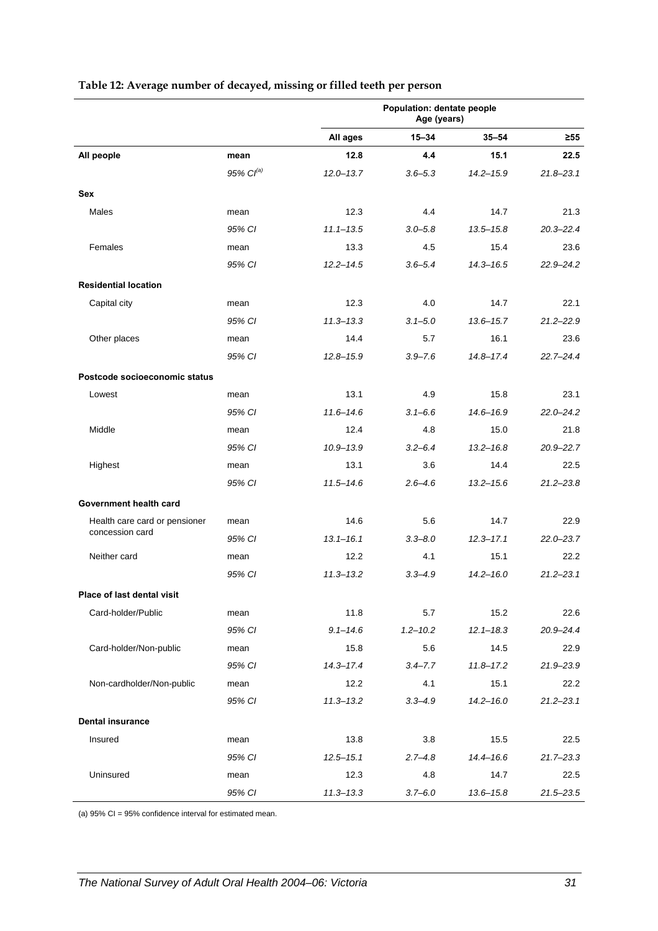<span id="page-38-0"></span>

|                               |                | Population: dentate people<br>Age (years) |              |               |               |
|-------------------------------|----------------|-------------------------------------------|--------------|---------------|---------------|
|                               |                | All ages                                  | $15 - 34$    | $35 - 54$     | $\geq 55$     |
| All people                    | mean           | 12.8                                      | 4.4          | 15.1          | 22.5          |
|                               | 95% $Cl^{(a)}$ | $12.0 - 13.7$                             | $3.6 - 5.3$  | $14.2 - 15.9$ | $21.8 - 23.1$ |
| Sex                           |                |                                           |              |               |               |
| Males                         | mean           | 12.3                                      | 4.4          | 14.7          | 21.3          |
|                               | 95% CI         | $11.1 - 13.5$                             | $3.0 - 5.8$  | $13.5 - 15.8$ | $20.3 - 22.4$ |
| Females                       | mean           | 13.3                                      | 4.5          | 15.4          | 23.6          |
|                               | 95% CI         | $12.2 - 14.5$                             | $3.6 - 5.4$  | $14.3 - 16.5$ | $22.9 - 24.2$ |
| <b>Residential location</b>   |                |                                           |              |               |               |
| Capital city                  | mean           | 12.3                                      | 4.0          | 14.7          | 22.1          |
|                               | 95% CI         | $11.3 - 13.3$                             | $3.1 - 5.0$  | $13.6 - 15.7$ | $21.2 - 22.9$ |
| Other places                  | mean           | 14.4                                      | 5.7          | 16.1          | 23.6          |
|                               | 95% CI         | $12.8 - 15.9$                             | $3.9 - 7.6$  | $14.8 - 17.4$ | $22.7 - 24.4$ |
| Postcode socioeconomic status |                |                                           |              |               |               |
| Lowest                        | mean           | 13.1                                      | 4.9          | 15.8          | 23.1          |
|                               | 95% CI         | $11.6 - 14.6$                             | $3.1 - 6.6$  | $14.6 - 16.9$ | $22.0 - 24.2$ |
| Middle                        | mean           | 12.4                                      | 4.8          | 15.0          | 21.8          |
|                               | 95% CI         | $10.9 - 13.9$                             | $3.2 - 6.4$  | $13.2 - 16.8$ | $20.9 - 22.7$ |
| Highest                       | mean           | 13.1                                      | 3.6          | 14.4          | 22.5          |
|                               | 95% CI         | $11.5 - 14.6$                             | $2.6 - 4.6$  | $13.2 - 15.6$ | $21.2 - 23.8$ |
| Government health card        |                |                                           |              |               |               |
| Health care card or pensioner | mean           | 14.6                                      | 5.6          | 14.7          | 22.9          |
| concession card               | 95% CI         | $13.1 - 16.1$                             | $3.3 - 8.0$  | $12.3 - 17.1$ | $22.0 - 23.7$ |
| Neither card                  | mean           | 12.2                                      | 4.1          | 15.1          | 22.2          |
|                               | 95% CI         | $11.3 - 13.2$                             | $3.3 - 4.9$  | $14.2 - 16.0$ | $21.2 - 23.1$ |
| Place of last dental visit    |                |                                           |              |               |               |
| Card-holder/Public            | mean           | 11.8                                      | 5.7          | 15.2          | 22.6          |
|                               | 95% CI         | $9.1 - 14.6$                              | $1.2 - 10.2$ | $12.1 - 18.3$ | 20.9-24.4     |
| Card-holder/Non-public        | mean           | 15.8                                      | 5.6          | 14.5          | 22.9          |
|                               | 95% CI         | $14.3 - 17.4$                             | $3.4 - 7.7$  | $11.8 - 17.2$ | 21.9-23.9     |
| Non-cardholder/Non-public     | mean           | 12.2                                      | 4.1          | 15.1          | 22.2          |
|                               | 95% CI         | $11.3 - 13.2$                             | $3.3 - 4.9$  | $14.2 - 16.0$ | $21.2 - 23.1$ |
| <b>Dental insurance</b>       |                |                                           |              |               |               |
| Insured                       | mean           | 13.8                                      | 3.8          | 15.5          | 22.5          |
|                               | 95% CI         | $12.5 - 15.1$                             | $2.7 - 4.8$  | $14.4 - 16.6$ | $21.7 - 23.3$ |
| Uninsured                     | mean           | 12.3                                      | 4.8          | 14.7          | 22.5          |
|                               | 95% CI         | $11.3 - 13.3$                             | $3.7 - 6.0$  | $13.6 - 15.8$ | $21.5 - 23.5$ |

#### **Table 12: Average number of decayed, missing or filled teeth per person**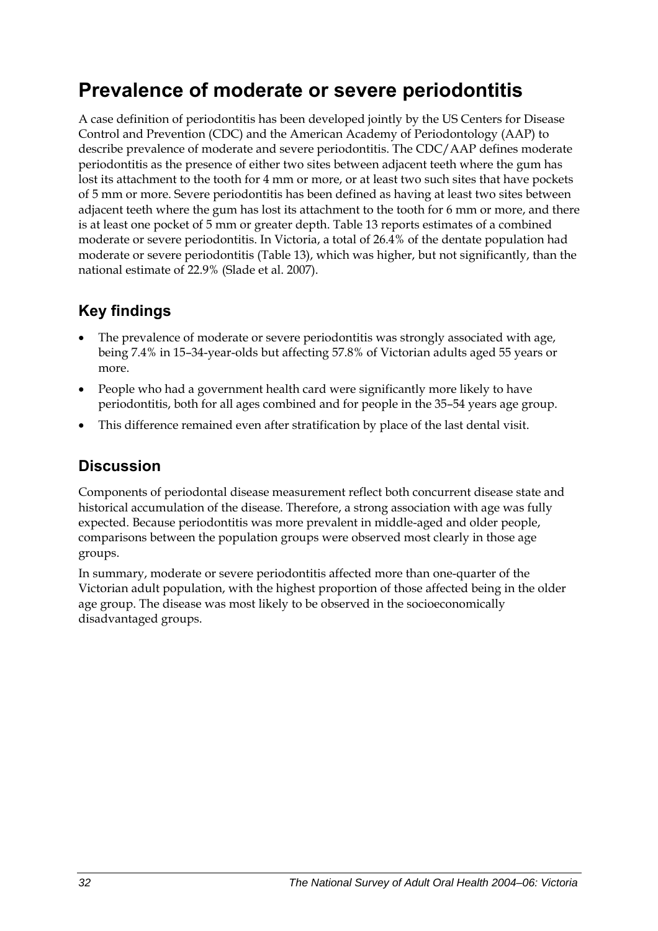## **Prevalence of moderate or severe periodontitis**

A case definition of periodontitis has been developed jointly by the US Centers for Disease Control and Prevention (CDC) and the American Academy of Periodontology (AAP) to describe prevalence of moderate and severe periodontitis. The CDC/AAP defines moderate periodontitis as the presence of either two sites between adjacent teeth where the gum has lost its attachment to the tooth for 4 mm or more, or at least two such sites that have pockets of 5 mm or more. Severe periodontitis has been defined as having at least two sites between adjacent teeth where the gum has lost its attachment to the tooth for 6 mm or more, and there is at least one pocket of 5 mm or greater depth. Table 13 reports estimates of a combined moderate or severe periodontitis. In Victoria, a total of 26.4% of the dentate population had moderate or severe periodontitis [\(Table 13\)](#page-40-0), which was higher, but not significantly, than the national estimate of 22.9% (Slade et al. 2007).

### **Key findings**

- The prevalence of moderate or severe periodontitis was strongly associated with age, being 7.4% in 15–34-year-olds but affecting 57.8% of Victorian adults aged 55 years or more.
- People who had a government health card were significantly more likely to have periodontitis, both for all ages combined and for people in the 35–54 years age group.
- This difference remained even after stratification by place of the last dental visit.

### **Discussion**

Components of periodontal disease measurement reflect both concurrent disease state and historical accumulation of the disease. Therefore, a strong association with age was fully expected. Because periodontitis was more prevalent in middle-aged and older people, comparisons between the population groups were observed most clearly in those age groups.

In summary, moderate or severe periodontitis affected more than one-quarter of the Victorian adult population, with the highest proportion of those affected being in the older age group. The disease was most likely to be observed in the socioeconomically disadvantaged groups.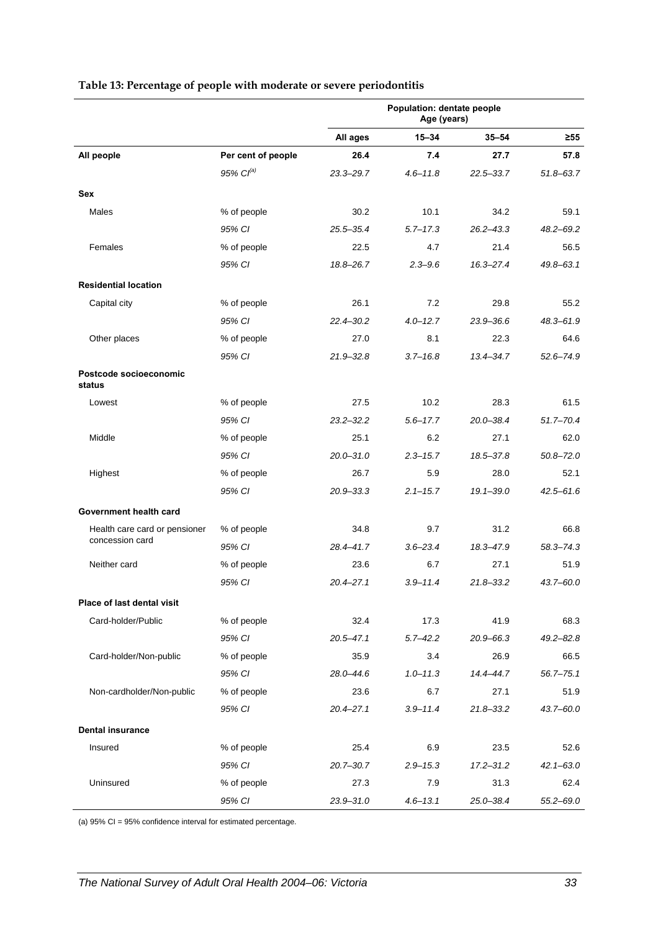|                                  |                       | Population: dentate people<br>Age (years) |              |               |               |
|----------------------------------|-----------------------|-------------------------------------------|--------------|---------------|---------------|
|                                  |                       | All ages                                  | $15 - 34$    | $35 - 54$     | $\geq 55$     |
| All people                       | Per cent of people    | 26.4                                      | 7.4          | 27.7          | 57.8          |
|                                  | 95% Cl <sup>(a)</sup> | 23.3-29.7                                 | $4.6 - 11.8$ | 22.5-33.7     | $51.8 - 63.7$ |
| Sex                              |                       |                                           |              |               |               |
| Males                            | % of people           | 30.2                                      | 10.1         | 34.2          | 59.1          |
|                                  | 95% CI                | $25.5 - 35.4$                             | $5.7 - 17.3$ | $26.2 - 43.3$ | $48.2 - 69.2$ |
| Females                          | % of people           | 22.5                                      | 4.7          | 21.4          | 56.5          |
|                                  | 95% CI                | 18.8-26.7                                 | $2.3 - 9.6$  | $16.3 - 27.4$ | $49.8 - 63.1$ |
| <b>Residential location</b>      |                       |                                           |              |               |               |
| Capital city                     | % of people           | 26.1                                      | 7.2          | 29.8          | 55.2          |
|                                  | 95% CI                | 22.4-30.2                                 | $4.0 - 12.7$ | 23.9-36.6     | $48.3 - 61.9$ |
| Other places                     | % of people           | 27.0                                      | 8.1          | 22.3          | 64.6          |
|                                  | 95% CI                | 21.9-32.8                                 | $3.7 - 16.8$ | 13.4-34.7     | $52.6 - 74.9$ |
| Postcode socioeconomic<br>status |                       |                                           |              |               |               |
| Lowest                           | % of people           | 27.5                                      | 10.2         | 28.3          | 61.5          |
|                                  | 95% CI                | $23.2 - 32.2$                             | $5.6 - 17.7$ | $20.0 - 38.4$ | $51.7 - 70.4$ |
| Middle                           | % of people           | 25.1                                      | 6.2          | 27.1          | 62.0          |
|                                  | 95% CI                | $20.0 - 31.0$                             | $2.3 - 15.7$ | 18.5-37.8     | $50.8 - 72.0$ |
| Highest                          | % of people           | 26.7                                      | 5.9          | 28.0          | 52.1          |
|                                  | 95% CI                | 20.9-33.3                                 | $2.1 - 15.7$ | $19.1 - 39.0$ | $42.5 - 61.6$ |
| Government health card           |                       |                                           |              |               |               |
| Health care card or pensioner    | % of people           | 34.8                                      | 9.7          | 31.2          | 66.8          |
| concession card                  | 95% CI                | 28.4-41.7                                 | $3.6 - 23.4$ | 18.3-47.9     | 58.3-74.3     |
| Neither card                     | % of people           | 23.6                                      | 6.7          | 27.1          | 51.9          |
|                                  | 95% CI                | $20.4 - 27.1$                             | $3.9 - 11.4$ | $21.8 - 33.2$ | 43.7-60.0     |
| Place of last dental visit       |                       |                                           |              |               |               |
| Card-holder/Public               | % of people           | 32.4                                      | 17.3         | 41.9          | 68.3          |
|                                  | 95% CI                | 20.5-47.1                                 | $5.7 - 42.2$ | $20.9 - 66.3$ | $49.2 - 82.8$ |
| Card-holder/Non-public           | % of people           | 35.9                                      | 3.4          | 26.9          | 66.5          |
|                                  | 95% CI                | 28.0-44.6                                 | $1.0 - 11.3$ | 14.4-44.7     | $56.7 - 75.1$ |
| Non-cardholder/Non-public        | % of people           | 23.6                                      | 6.7          | 27.1          | 51.9          |
|                                  | 95% CI                | 20.4-27.1                                 | $3.9 - 11.4$ | $21.8 - 33.2$ | $43.7 - 60.0$ |
| <b>Dental insurance</b>          |                       |                                           |              |               |               |
| Insured                          | % of people           | 25.4                                      | 6.9          | 23.5          | 52.6          |
|                                  | 95% CI                | $20.7 - 30.7$                             | $2.9 - 15.3$ | $17.2 - 31.2$ | $42.1 - 63.0$ |
| Uninsured                        | % of people           | 27.3                                      | 7.9          | 31.3          | 62.4          |
|                                  | 95% CI                | 23.9-31.0                                 | $4.6 - 13.1$ | 25.0-38.4     | $55.2 - 69.0$ |

#### <span id="page-40-0"></span>**Table 13: Percentage of people with moderate or severe periodontitis**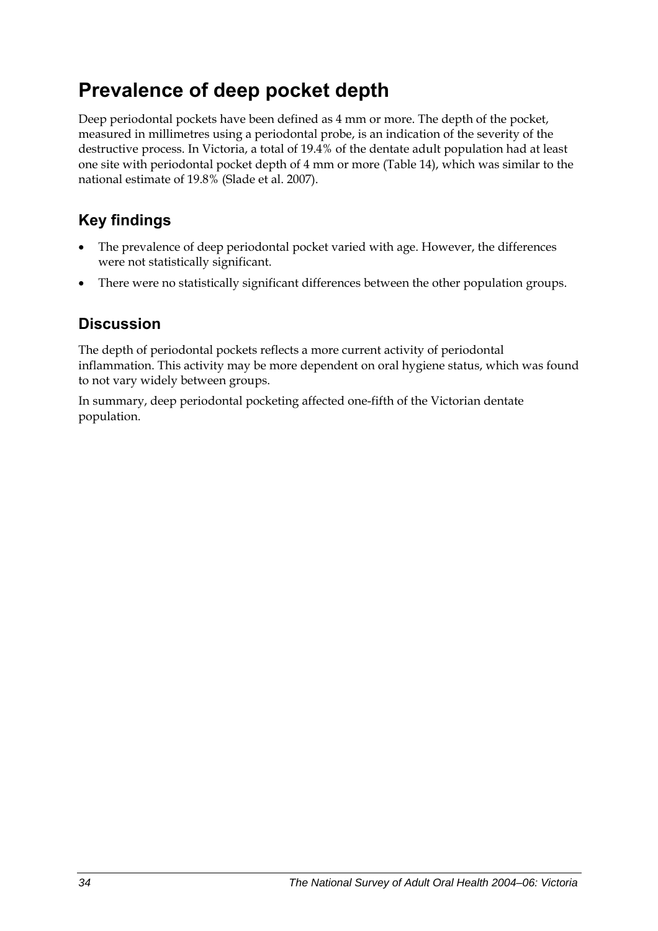## **Prevalence of deep pocket depth**

Deep periodontal pockets have been defined as 4 mm or more. The depth of the pocket, measured in millimetres using a periodontal probe, is an indication of the severity of the destructive process. In Victoria, a total of 19.4% of the dentate adult population had at least one site with periodontal pocket depth of 4 mm or more ([Table 14](#page-42-0)), which was similar to the national estimate of 19.8% (Slade et al. 2007).

### **Key findings**

- The prevalence of deep periodontal pocket varied with age. However, the differences were not statistically significant.
- There were no statistically significant differences between the other population groups.

### **Discussion**

The depth of periodontal pockets reflects a more current activity of periodontal inflammation. This activity may be more dependent on oral hygiene status, which was found to not vary widely between groups.

In summary, deep periodontal pocketing affected one-fifth of the Victorian dentate population.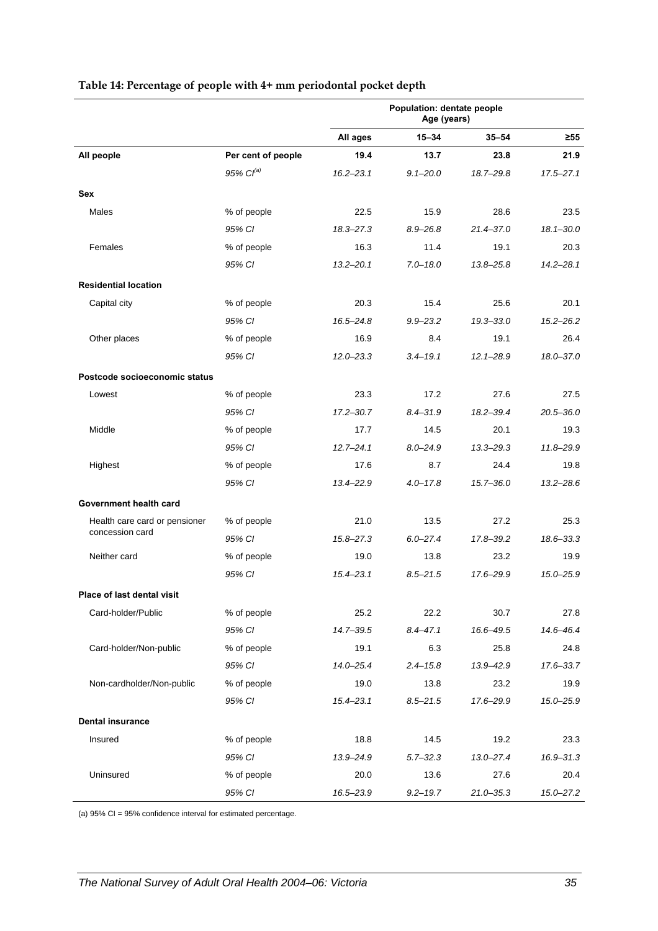|                               |                       | Population: dentate people<br>Age (years) |              |               |               |
|-------------------------------|-----------------------|-------------------------------------------|--------------|---------------|---------------|
|                               |                       | All ages                                  | $15 - 34$    | $35 - 54$     | $\geq 55$     |
| All people                    | Per cent of people    | 19.4                                      | 13.7         | 23.8          | 21.9          |
|                               | 95% Cl <sup>(a)</sup> | $16.2 - 23.1$                             | $9.1 - 20.0$ | 18.7-29.8     | $17.5 - 27.1$ |
| Sex                           |                       |                                           |              |               |               |
| Males                         | % of people           | 22.5                                      | 15.9         | 28.6          | 23.5          |
|                               | 95% CI                | $18.3 - 27.3$                             | $8.9 - 26.8$ | $21.4 - 37.0$ | $18.1 - 30.0$ |
| Females                       | % of people           | 16.3                                      | 11.4         | 19.1          | 20.3          |
|                               | 95% CI                | $13.2 - 20.1$                             | $7.0 - 18.0$ | $13.8 - 25.8$ | $14.2 - 28.1$ |
| <b>Residential location</b>   |                       |                                           |              |               |               |
| Capital city                  | % of people           | 20.3                                      | 15.4         | 25.6          | 20.1          |
|                               | 95% CI                | $16.5 - 24.8$                             | $9.9 - 23.2$ | $19.3 - 33.0$ | $15.2 - 26.2$ |
| Other places                  | % of people           | 16.9                                      | 8.4          | 19.1          | 26.4          |
|                               | 95% CI                | $12.0 - 23.3$                             | $3.4 - 19.1$ | $12.1 - 28.9$ | 18.0-37.0     |
| Postcode socioeconomic status |                       |                                           |              |               |               |
| Lowest                        | % of people           | 23.3                                      | 17.2         | 27.6          | 27.5          |
|                               | 95% CI                | $17.2 - 30.7$                             | $8.4 - 31.9$ | $18.2 - 39.4$ | $20.5 - 36.0$ |
| Middle                        | % of people           | 17.7                                      | 14.5         | 20.1          | 19.3          |
|                               | 95% CI                | $12.7 - 24.1$                             | $8.0 - 24.9$ | $13.3 - 29.3$ | 11.8-29.9     |
| Highest                       | % of people           | 17.6                                      | 8.7          | 24.4          | 19.8          |
|                               | 95% CI                | $13.4 - 22.9$                             | $4.0 - 17.8$ | $15.7 - 36.0$ | $13.2 - 28.6$ |
| Government health card        |                       |                                           |              |               |               |
| Health care card or pensioner | % of people           | 21.0                                      | 13.5         | 27.2          | 25.3          |
| concession card               | 95% CI                | $15.8 - 27.3$                             | $6.0 - 27.4$ | 17.8-39.2     | $18.6 - 33.3$ |
| Neither card                  | % of people           | 19.0                                      | 13.8         | 23.2          | 19.9          |
|                               | 95% CI                | $15.4 - 23.1$                             | $8.5 - 21.5$ | 17.6-29.9     | 15.0-25.9     |
| Place of last dental visit    |                       |                                           |              |               |               |
| Card-holder/Public            | % of people           | 25.2                                      | 22.2         | 30.7          | 27.8          |
|                               | 95% CI                | 14.7-39.5                                 | $8.4 - 47.1$ | 16.6-49.5     | 14.6-46.4     |
| Card-holder/Non-public        | % of people           | 19.1                                      | 6.3          | 25.8          | 24.8          |
|                               | 95% CI                | $14.0 - 25.4$                             | $2.4 - 15.8$ | 13.9-42.9     | $17.6 - 33.7$ |
| Non-cardholder/Non-public     | % of people           | 19.0                                      | 13.8         | 23.2          | 19.9          |
|                               | 95% CI                | $15.4 - 23.1$                             | $8.5 - 21.5$ | 17.6-29.9     | 15.0-25.9     |
| <b>Dental insurance</b>       |                       |                                           |              |               |               |
| Insured                       | % of people           | 18.8                                      | 14.5         | 19.2          | 23.3          |
|                               | 95% CI                | 13.9-24.9                                 | $5.7 - 32.3$ | $13.0 - 27.4$ | $16.9 - 31.3$ |
| Uninsured                     | % of people           | 20.0                                      | 13.6         | 27.6          | 20.4          |
|                               | 95% CI                | 16.5-23.9                                 | $9.2 - 19.7$ | $21.0 - 35.3$ | 15.0-27.2     |

#### <span id="page-42-0"></span>**Table 14: Percentage of people with 4+ mm periodontal pocket depth**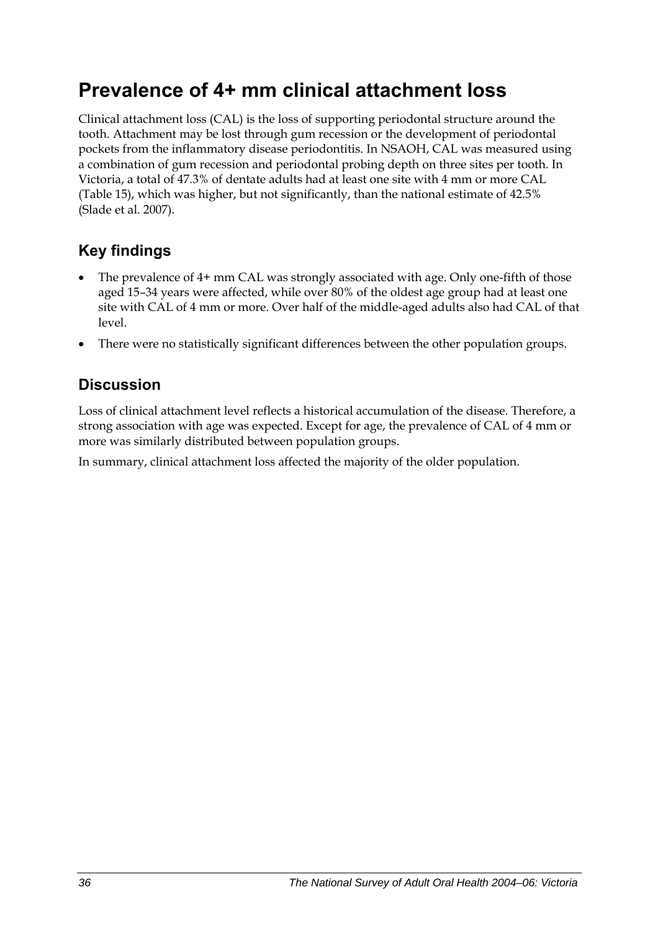## **Prevalence of 4+ mm clinical attachment loss**

Clinical attachment loss (CAL) is the loss of supporting periodontal structure around the tooth. Attachment may be lost through gum recession or the development of periodontal pockets from the inflammatory disease periodontitis. In NSAOH, CAL was measured using a combination of gum recession and periodontal probing depth on three sites per tooth. In Victoria, a total of 47.3% of dentate adults had at least one site with 4 mm or more CAL ([Table 15](#page-44-0)), which was higher, but not significantly, than the national estimate of 42.5% (Slade et al. 2007).

### **Key findings**

- The prevalence of 4+ mm CAL was strongly associated with age. Only one-fifth of those aged 15–34 years were affected, while over 80% of the oldest age group had at least one site with CAL of 4 mm or more. Over half of the middle-aged adults also had CAL of that level.
- There were no statistically significant differences between the other population groups.

### **Discussion**

Loss of clinical attachment level reflects a historical accumulation of the disease. Therefore, a strong association with age was expected. Except for age, the prevalence of CAL of 4 mm or more was similarly distributed between population groups.

In summary, clinical attachment loss affected the majority of the older population.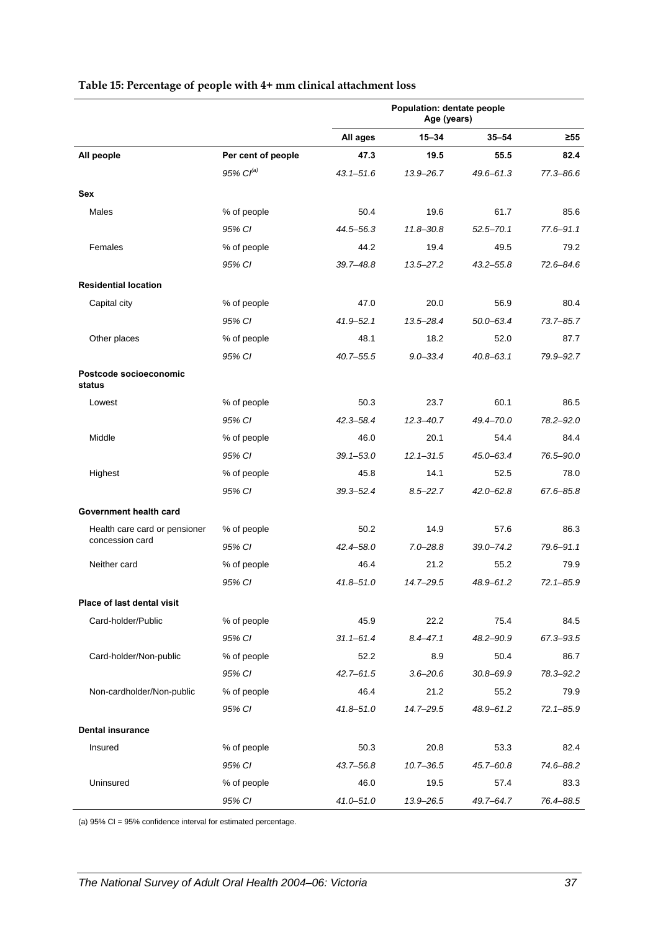<span id="page-44-0"></span>

|                                  |                       | Population: dentate people<br>Age (years) |               |               |               |
|----------------------------------|-----------------------|-------------------------------------------|---------------|---------------|---------------|
|                                  |                       | All ages                                  | $15 - 34$     | $35 - 54$     | $\geq 55$     |
| All people                       | Per cent of people    | 47.3                                      | 19.5          | 55.5          | 82.4          |
|                                  | 95% Cl <sup>(a)</sup> | $43.1 - 51.6$                             | $13.9 - 26.7$ | $49.6 - 61.3$ | 77.3-86.6     |
| <b>Sex</b>                       |                       |                                           |               |               |               |
| <b>Males</b>                     | % of people           | 50.4                                      | 19.6          | 61.7          | 85.6          |
|                                  | 95% CI                | 44.5-56.3                                 | $11.8 - 30.8$ | $52.5 - 70.1$ | $77.6 - 91.1$ |
| Females                          | % of people           | 44.2                                      | 19.4          | 49.5          | 79.2          |
|                                  | 95% CI                | 39.7-48.8                                 | $13.5 - 27.2$ | $43.2 - 55.8$ | 72.6-84.6     |
| <b>Residential location</b>      |                       |                                           |               |               |               |
| Capital city                     | % of people           | 47.0                                      | 20.0          | 56.9          | 80.4          |
|                                  | 95% CI                | $41.9 - 52.1$                             | $13.5 - 28.4$ | 50.0-63.4     | $73.7 - 85.7$ |
| Other places                     | % of people           | 48.1                                      | 18.2          | 52.0          | 87.7          |
|                                  | 95% CI                | $40.7 - 55.5$                             | $9.0 - 33.4$  | $40.8 - 63.1$ | 79.9-92.7     |
| Postcode socioeconomic<br>status |                       |                                           |               |               |               |
| Lowest                           | % of people           | 50.3                                      | 23.7          | 60.1          | 86.5          |
|                                  | 95% CI                | 42.3-58.4                                 | $12.3 - 40.7$ | 49.4-70.0     | 78.2-92.0     |
| Middle                           | % of people           | 46.0                                      | 20.1          | 54.4          | 84.4          |
|                                  | 95% CI                | $39.1 - 53.0$                             | $12.1 - 31.5$ | 45.0-63.4     | 76.5-90.0     |
| Highest                          | % of people           | 45.8                                      | 14.1          | 52.5          | 78.0          |
|                                  | 95% CI                | $39.3 - 52.4$                             | $8.5 - 22.7$  | $42.0 - 62.8$ | 67.6-85.8     |
| Government health card           |                       |                                           |               |               |               |
| Health care card or pensioner    | % of people           | 50.2                                      | 14.9          | 57.6          | 86.3          |
| concession card                  | 95% CI                | 42.4-58.0                                 | $7.0 - 28.8$  | $39.0 - 74.2$ | 79.6-91.1     |
| Neither card                     | % of people           | 46.4                                      | 21.2          | 55.2          | 79.9          |
|                                  | 95% CI                | 41.8-51.0                                 | 14.7-29.5     | 48.9-61.2     | 72.1-85.9     |
| Place of last dental visit       |                       |                                           |               |               |               |
| Card-holder/Public               | % of people           | 45.9                                      | 22.2          | 75.4          | 84.5          |
|                                  | 95% CI                | $31.1 - 61.4$                             | $8.4 - 47.1$  | 48.2-90.9     | 67.3-93.5     |
| Card-holder/Non-public           | % of people           | 52.2                                      | 8.9           | 50.4          | 86.7          |
|                                  | 95% CI                | 42.7-61.5                                 | $3.6 - 20.6$  | $30.8 - 69.9$ | 78.3-92.2     |
| Non-cardholder/Non-public        | % of people           | 46.4                                      | 21.2          | 55.2          | 79.9          |
|                                  | 95% CI                | 41.8-51.0                                 | 14.7-29.5     | 48.9-61.2     | $72.1 - 85.9$ |
| <b>Dental insurance</b>          |                       |                                           |               |               |               |
| Insured                          | % of people           | 50.3                                      | 20.8          | 53.3          | 82.4          |
|                                  | 95% CI                | 43.7-56.8                                 | $10.7 - 36.5$ | 45.7-60.8     | 74.6-88.2     |
| Uninsured                        | % of people           | 46.0                                      | 19.5          | 57.4          | 83.3          |
|                                  | 95% CI                | $41.0 - 51.0$                             | 13.9-26.5     | 49.7-64.7     | 76.4-88.5     |

#### **Table 15: Percentage of people with 4+ mm clinical attachment loss**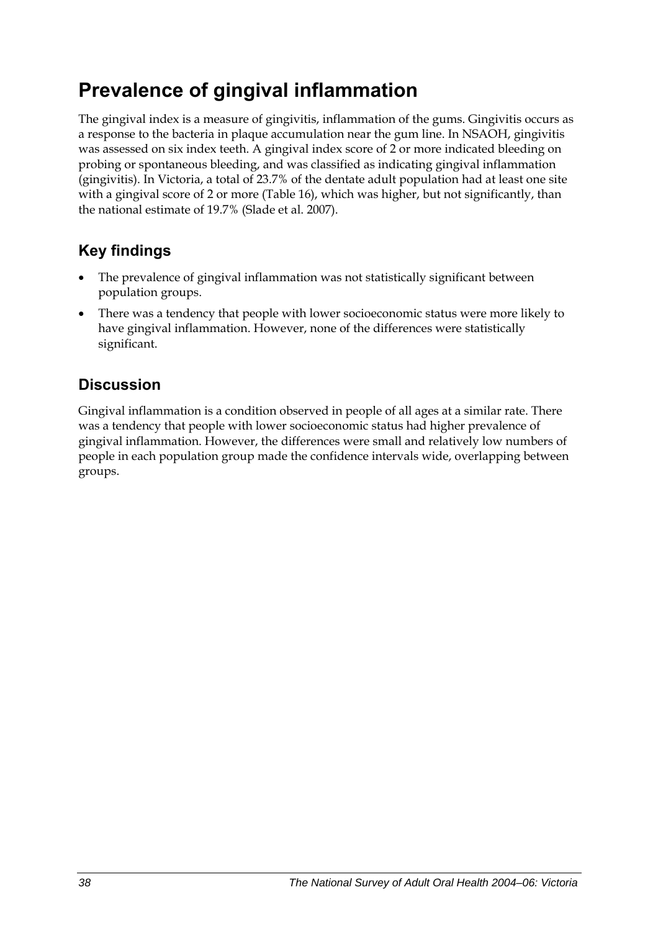## **Prevalence of gingival inflammation**

The gingival index is a measure of gingivitis, inflammation of the gums. Gingivitis occurs as a response to the bacteria in plaque accumulation near the gum line. In NSAOH, gingivitis was assessed on six index teeth. A gingival index score of 2 or more indicated bleeding on probing or spontaneous bleeding, and was classified as indicating gingival inflammation (gingivitis). In Victoria, a total of 23.7% of the dentate adult population had at least one site with a gingival score of 2 or more [\(Table 16\)](#page-46-0), which was higher, but not significantly, than the national estimate of 19.7% (Slade et al. 2007).

### **Key findings**

- The prevalence of gingival inflammation was not statistically significant between population groups.
- There was a tendency that people with lower socioeconomic status were more likely to have gingival inflammation. However, none of the differences were statistically significant.

### **Discussion**

Gingival inflammation is a condition observed in people of all ages at a similar rate. There was a tendency that people with lower socioeconomic status had higher prevalence of gingival inflammation. However, the differences were small and relatively low numbers of people in each population group made the confidence intervals wide, overlapping between groups.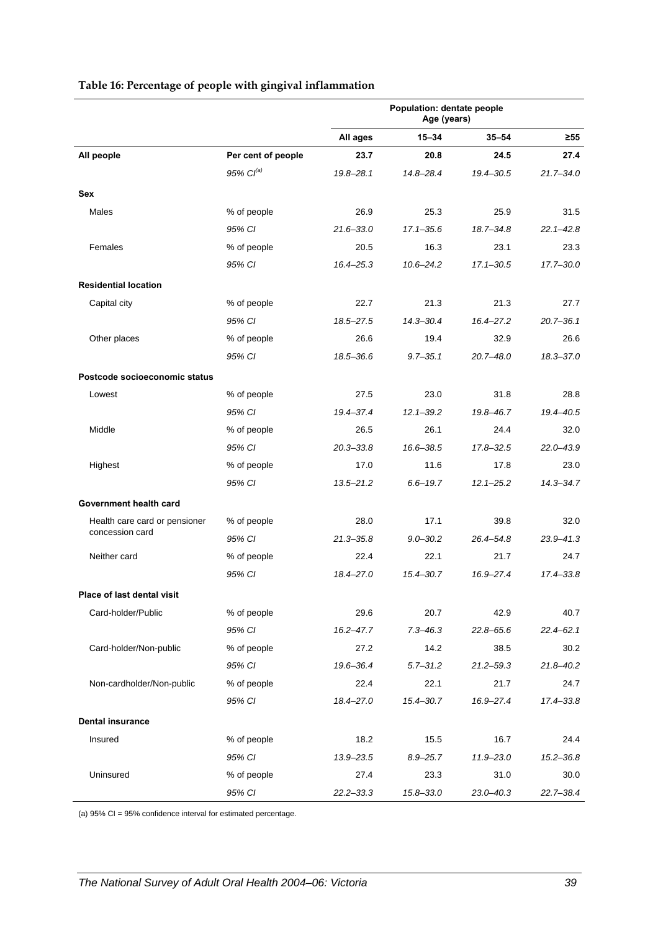<span id="page-46-0"></span>

|                               |                       | Population: dentate people<br>Age (years) |               |               |               |
|-------------------------------|-----------------------|-------------------------------------------|---------------|---------------|---------------|
|                               |                       | All ages                                  | 15-34         | $35 - 54$     | ≥55           |
| All people                    | Per cent of people    | 23.7                                      | 20.8          | 24.5          | 27.4          |
|                               | 95% Cl <sup>(a)</sup> | $19.8 - 28.1$                             | 14.8-28.4     | 19.4-30.5     | $21.7 - 34.0$ |
| <b>Sex</b>                    |                       |                                           |               |               |               |
| Males                         | % of people           | 26.9                                      | 25.3          | 25.9          | 31.5          |
|                               | 95% CI                | $21.6 - 33.0$                             | $17.1 - 35.6$ | $18.7 - 34.8$ | $22.1 - 42.8$ |
| Females                       | % of people           | 20.5                                      | 16.3          | 23.1          | 23.3          |
|                               | 95% CI                | $16.4 - 25.3$                             | $10.6 - 24.2$ | $17.1 - 30.5$ | $17.7 - 30.0$ |
| <b>Residential location</b>   |                       |                                           |               |               |               |
| Capital city                  | % of people           | 22.7                                      | 21.3          | 21.3          | 27.7          |
|                               | 95% CI                | 18.5-27.5                                 | $14.3 - 30.4$ | 16.4-27.2     | $20.7 - 36.1$ |
| Other places                  | % of people           | 26.6                                      | 19.4          | 32.9          | 26.6          |
|                               | 95% CI                | 18.5-36.6                                 | $9.7 - 35.1$  | $20.7 - 48.0$ | $18.3 - 37.0$ |
| Postcode socioeconomic status |                       |                                           |               |               |               |
| Lowest                        | % of people           | 27.5                                      | 23.0          | 31.8          | 28.8          |
|                               | 95% CI                | 19.4-37.4                                 | $12.1 - 39.2$ | 19.8-46.7     | 19.4-40.5     |
| Middle                        | % of people           | 26.5                                      | 26.1          | 24.4          | 32.0          |
|                               | 95% CI                | $20.3 - 33.8$                             | 16.6-38.5     | $17.8 - 32.5$ | 22.0-43.9     |
| Highest                       | % of people           | 17.0                                      | 11.6          | 17.8          | 23.0          |
|                               | 95% CI                | $13.5 - 21.2$                             | $6.6 - 19.7$  | $12.1 - 25.2$ | $14.3 - 34.7$ |
| Government health card        |                       |                                           |               |               |               |
| Health care card or pensioner | % of people           | 28.0                                      | 17.1          | 39.8          | 32.0          |
| concession card               | 95% CI                | $21.3 - 35.8$                             | $9.0 - 30.2$  | $26.4 - 54.8$ | $23.9 - 41.3$ |
| Neither card                  | % of people           | 22.4                                      | 22.1          | 21.7          | 24.7          |
|                               | 95% CI                | 18.4-27.0                                 | $15.4 - 30.7$ | 16.9-27.4     | 17.4-33.8     |
| Place of last dental visit    |                       |                                           |               |               |               |
| Card-holder/Public            | % of people           | 29.6                                      | 20.7          | 42.9          | 40.7          |
|                               | 95% CI                | $16.2 - 47.7$                             | $7.3 - 46.3$  | $22.8 - 65.6$ | $22.4 - 62.1$ |
| Card-holder/Non-public        | % of people           | 27.2                                      | 14.2          | 38.5          | 30.2          |
|                               | 95% CI                | 19.6-36.4                                 | $5.7 - 31.2$  | $21.2 - 59.3$ | $21.8 - 40.2$ |
| Non-cardholder/Non-public     | % of people           | 22.4                                      | 22.1          | 21.7          | 24.7          |
|                               | 95% CI                | 18.4-27.0                                 | $15.4 - 30.7$ | 16.9-27.4     | 17.4-33.8     |
| <b>Dental insurance</b>       |                       |                                           |               |               |               |
| Insured                       | % of people           | 18.2                                      | 15.5          | 16.7          | 24.4          |
|                               | 95% CI                | 13.9-23.5                                 | $8.9 - 25.7$  | 11.9-23.0     | $15.2 - 36.8$ |
| Uninsured                     | % of people           | 27.4                                      | 23.3          | 31.0          | 30.0          |
|                               | 95% CI                | $22.2 - 33.3$                             | $15.8 - 33.0$ | $23.0 - 40.3$ | 22.7-38.4     |

#### **Table 16: Percentage of people with gingival inflammation**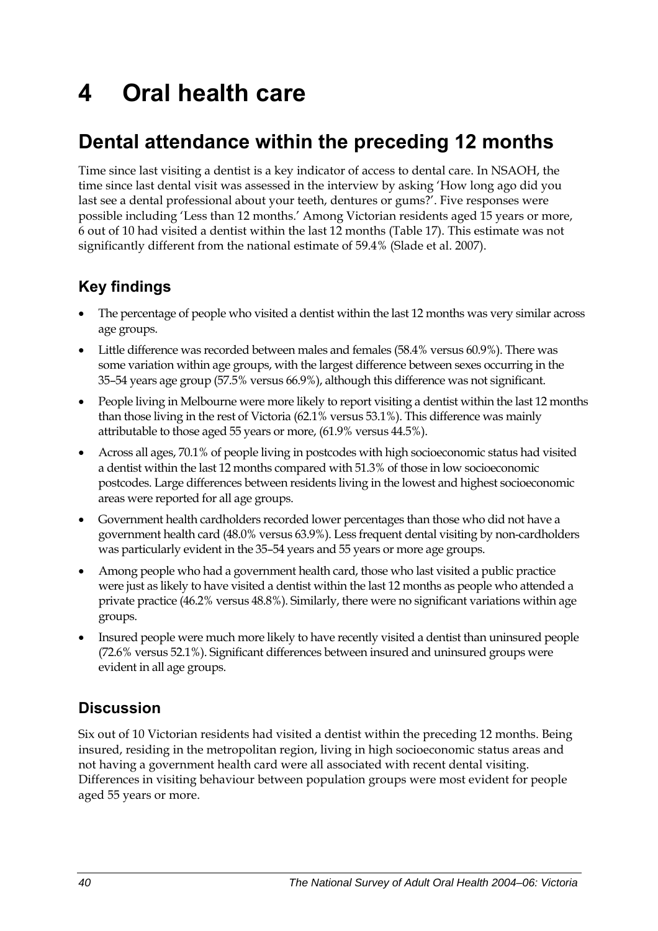# **4 Oral health care**

## **Dental attendance within the preceding 12 months**

Time since last visiting a dentist is a key indicator of access to dental care. In NSAOH, the time since last dental visit was assessed in the interview by asking 'How long ago did you last see a dental professional about your teeth, dentures or gums?'. Five responses were possible including 'Less than 12 months.' Among Victorian residents aged 15 years or more, 6 out of 10 had visited a dentist within the last 12 months [\(Table 17\)](#page-48-0). This estimate was not significantly different from the national estimate of 59.4% (Slade et al. 2007).

### **Key findings**

- The percentage of people who visited a dentist within the last 12 months was very similar across age groups.
- Little difference was recorded between males and females (58.4% versus 60.9%). There was some variation within age groups, with the largest difference between sexes occurring in the 35–54 years age group (57.5% versus 66.9%), although this difference was not significant.
- People living in Melbourne were more likely to report visiting a dentist within the last 12 months than those living in the rest of Victoria (62.1% versus 53.1%). This difference was mainly attributable to those aged 55 years or more, (61.9% versus 44.5%).
- Across all ages, 70.1% of people living in postcodes with high socioeconomic status had visited a dentist within the last 12 months compared with 51.3% of those in low socioeconomic postcodes. Large differences between residents living in the lowest and highest socioeconomic areas were reported for all age groups.
- Government health cardholders recorded lower percentages than those who did not have a government health card (48.0% versus 63.9%). Less frequent dental visiting by non-cardholders was particularly evident in the 35–54 years and 55 years or more age groups.
- Among people who had a government health card, those who last visited a public practice were just as likely to have visited a dentist within the last 12 months as people who attended a private practice (46.2% versus 48.8%). Similarly, there were no significant variations within age groups.
- Insured people were much more likely to have recently visited a dentist than uninsured people (72.6% versus 52.1%). Significant differences between insured and uninsured groups were evident in all age groups.

### **Discussion**

Six out of 10 Victorian residents had visited a dentist within the preceding 12 months. Being insured, residing in the metropolitan region, living in high socioeconomic status areas and not having a government health card were all associated with recent dental visiting. Differences in visiting behaviour between population groups were most evident for people aged 55 years or more.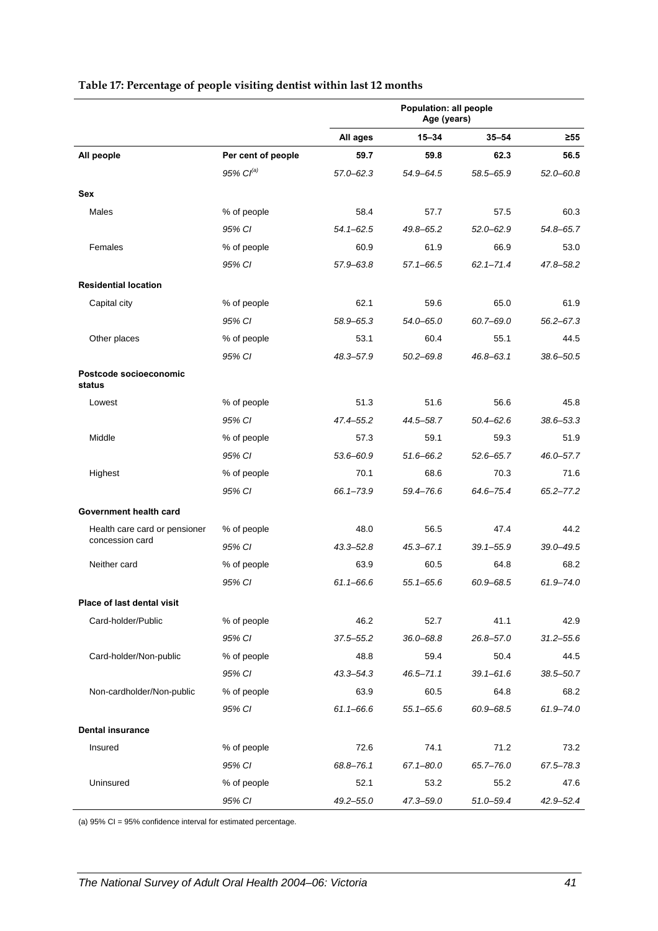<span id="page-48-0"></span>

|                                  |                       | Population: all people<br>Age (years) |               |               |               |
|----------------------------------|-----------------------|---------------------------------------|---------------|---------------|---------------|
|                                  |                       | All ages                              | $15 - 34$     | $35 - 54$     | $\geq 55$     |
| All people                       | Per cent of people    | 59.7                                  | 59.8          | 62.3          | 56.5          |
|                                  | 95% Cl <sup>(a)</sup> | $57.0 - 62.3$                         | 54.9-64.5     | 58.5-65.9     | 52.0-60.8     |
| Sex                              |                       |                                       |               |               |               |
| Males                            | % of people           | 58.4                                  | 57.7          | 57.5          | 60.3          |
|                                  | 95% CI                | $54.1 - 62.5$                         | 49.8-65.2     | $52.0 - 62.9$ | $54.8 - 65.7$ |
| Females                          | % of people           | 60.9                                  | 61.9          | 66.9          | 53.0          |
|                                  | 95% CI                | $57.9 - 63.8$                         | 57.1-66.5     | $62.1 - 71.4$ | 47.8-58.2     |
| <b>Residential location</b>      |                       |                                       |               |               |               |
| Capital city                     | % of people           | 62.1                                  | 59.6          | 65.0          | 61.9          |
|                                  | 95% CI                | 58.9-65.3                             | $54.0 - 65.0$ | $60.7 - 69.0$ | $56.2 - 67.3$ |
| Other places                     | % of people           | 53.1                                  | 60.4          | 55.1          | 44.5          |
|                                  | 95% CI                | 48.3-57.9                             | $50.2 - 69.8$ | $46.8 - 63.1$ | 38.6-50.5     |
| Postcode socioeconomic<br>status |                       |                                       |               |               |               |
| Lowest                           | % of people           | 51.3                                  | 51.6          | 56.6          | 45.8          |
|                                  | 95% CI                | 47.4-55.2                             | 44.5-58.7     | $50.4 - 62.6$ | 38.6-53.3     |
| Middle                           | % of people           | 57.3                                  | 59.1          | 59.3          | 51.9          |
|                                  | 95% CI                | 53.6-60.9                             | 51.6-66.2     | $52.6 - 65.7$ | 46.0-57.7     |
| Highest                          | % of people           | 70.1                                  | 68.6          | 70.3          | 71.6          |
|                                  | 95% CI                | $66.1 - 73.9$                         | 59.4-76.6     | 64.6-75.4     | $65.2 - 77.2$ |
| Government health card           |                       |                                       |               |               |               |
| Health care card or pensioner    | % of people           | 48.0                                  | 56.5          | 47.4          | 44.2          |
| concession card                  | 95% CI                | $43.3 - 52.8$                         | $45.3 - 67.1$ | $39.1 - 55.9$ | 39.0-49.5     |
| Neither card                     | % of people           | 63.9                                  | 60.5          | 64.8          | 68.2          |
|                                  | 95% CI                | $61.1 - 66.6$                         | 55.1–65.6     | 60.9-68.5     | 61.9-74.0     |
| Place of last dental visit       |                       |                                       |               |               |               |
| Card-holder/Public               | % of people           | 46.2                                  | 52.7          | 41.1          | 42.9          |
|                                  | 95% CI                | $37.5 - 55.2$                         | $36.0 - 68.8$ | $26.8 - 57.0$ | $31.2 - 55.6$ |
| Card-holder/Non-public           | % of people           | 48.8                                  | 59.4          | 50.4          | 44.5          |
|                                  | 95% CI                | $43.3 - 54.3$                         | 46.5-71.1     | $39.1 - 61.6$ | $38.5 - 50.7$ |
| Non-cardholder/Non-public        | % of people           | 63.9                                  | 60.5          | 64.8          | 68.2          |
|                                  | 95% CI                | $61.1 - 66.6$                         | $55.1 - 65.6$ | 60.9-68.5     | 61.9-74.0     |
| <b>Dental insurance</b>          |                       |                                       |               |               |               |
| Insured                          | % of people           | 72.6                                  | 74.1          | 71.2          | 73.2          |
|                                  | 95% CI                | 68.8-76.1                             | $67.1 - 80.0$ | 65.7-76.0     | 67.5-78.3     |
| Uninsured                        | % of people           | 52.1                                  | 53.2          | 55.2          | 47.6          |
|                                  | 95% CI                | $49.2 - 55.0$                         | 47.3-59.0     | $51.0 - 59.4$ | 42.9-52.4     |

#### **Table 17: Percentage of people visiting dentist within last 12 months**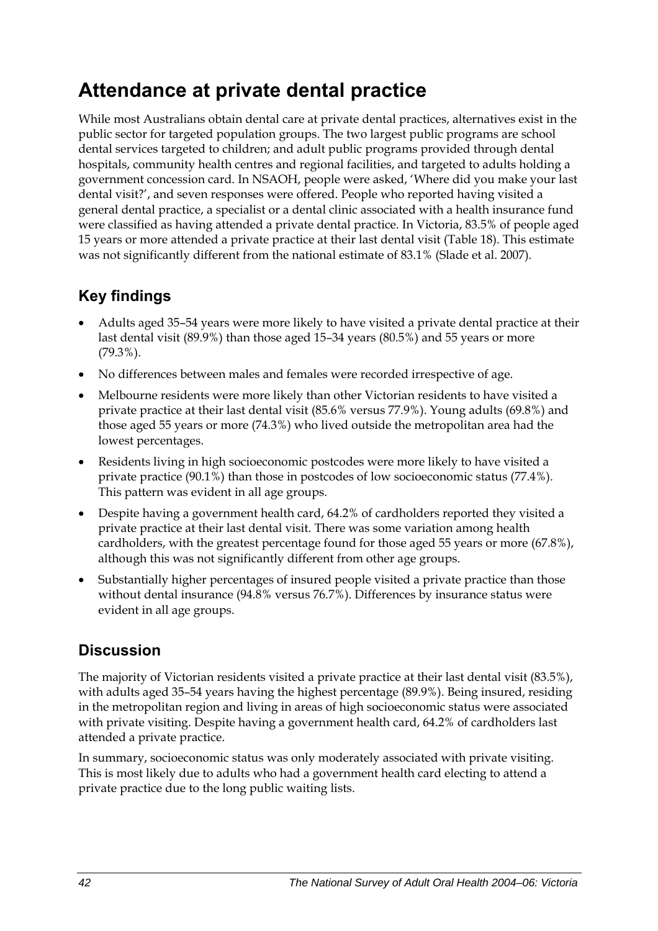## **Attendance at private dental practice**

While most Australians obtain dental care at private dental practices, alternatives exist in the public sector for targeted population groups. The two largest public programs are school dental services targeted to children; and adult public programs provided through dental hospitals, community health centres and regional facilities, and targeted to adults holding a government concession card. In NSAOH, people were asked, 'Where did you make your last dental visit?', and seven responses were offered. People who reported having visited a general dental practice, a specialist or a dental clinic associated with a health insurance fund were classified as having attended a private dental practice. In Victoria, 83.5% of people aged 15 years or more attended a private practice at their last dental visit ([Table 18](#page-50-0)). This estimate was not significantly different from the national estimate of 83.1% (Slade et al. 2007).

### **Key findings**

- Adults aged 35–54 years were more likely to have visited a private dental practice at their last dental visit (89.9%) than those aged 15–34 years (80.5%) and 55 years or more (79.3%).
- No differences between males and females were recorded irrespective of age.
- Melbourne residents were more likely than other Victorian residents to have visited a private practice at their last dental visit (85.6% versus 77.9%). Young adults (69.8%) and those aged 55 years or more (74.3%) who lived outside the metropolitan area had the lowest percentages.
- Residents living in high socioeconomic postcodes were more likely to have visited a private practice (90.1%) than those in postcodes of low socioeconomic status (77.4%). This pattern was evident in all age groups.
- Despite having a government health card, 64.2% of cardholders reported they visited a private practice at their last dental visit. There was some variation among health cardholders, with the greatest percentage found for those aged 55 years or more (67.8%), although this was not significantly different from other age groups.
- Substantially higher percentages of insured people visited a private practice than those without dental insurance (94.8% versus 76.7%). Differences by insurance status were evident in all age groups.

### **Discussion**

The majority of Victorian residents visited a private practice at their last dental visit (83.5%), with adults aged 35–54 years having the highest percentage (89.9%). Being insured, residing in the metropolitan region and living in areas of high socioeconomic status were associated with private visiting. Despite having a government health card, 64.2% of cardholders last attended a private practice.

In summary, socioeconomic status was only moderately associated with private visiting. This is most likely due to adults who had a government health card electing to attend a private practice due to the long public waiting lists.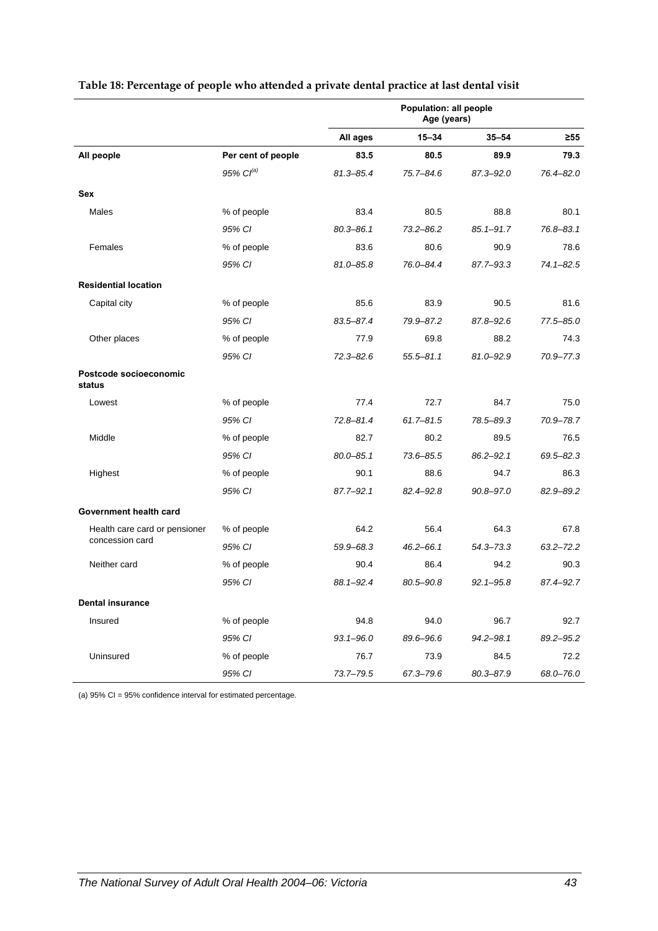|                                  |                    | <b>Population: all people</b><br>Age (years) |               |               |               |
|----------------------------------|--------------------|----------------------------------------------|---------------|---------------|---------------|
|                                  |                    | All ages                                     | $15 - 34$     | $35 - 54$     | $\geq 55$     |
| All people                       | Per cent of people | 83.5                                         | 80.5          | 89.9          | 79.3          |
|                                  | 95% $Cl^{(a)}$     | 81.3-85.4                                    | 75.7-84.6     | $87.3 - 92.0$ | 76.4-82.0     |
| <b>Sex</b>                       |                    |                                              |               |               |               |
| Males                            | % of people        | 83.4                                         | 80.5          | 88.8          | 80.1          |
|                                  | 95% CI             | $80.3 - 86.1$                                | $73.2 - 86.2$ | $85.1 - 91.7$ | 76.8-83.1     |
| Females                          | % of people        | 83.6                                         | 80.6          | 90.9          | 78.6          |
|                                  | 95% CI             | $81.0 - 85.8$                                | 76.0-84.4     | 87.7-93.3     | $74.1 - 82.5$ |
| <b>Residential location</b>      |                    |                                              |               |               |               |
| Capital city                     | % of people        | 85.6                                         | 83.9          | 90.5          | 81.6          |
|                                  | 95% CI             | 83.5-87.4                                    | 79.9-87.2     | 87.8-92.6     | 77.5-85.0     |
| Other places                     | % of people        | 77.9                                         | 69.8          | 88.2          | 74.3          |
|                                  | 95% CI             | $72.3 - 82.6$                                | $55.5 - 81.1$ | $81.0 - 92.9$ | 70.9-77.3     |
| Postcode socioeconomic<br>status |                    |                                              |               |               |               |
| Lowest                           | % of people        | 77.4                                         | 72.7          | 84.7          | 75.0          |
|                                  | 95% CI             | $72.8 - 81.4$                                | $61.7 - 81.5$ | 78.5-89.3     | 70.9-78.7     |
| Middle                           | % of people        | 82.7                                         | 80.2          | 89.5          | 76.5          |
|                                  | 95% CI             | $80.0 - 85.1$                                | $73.6 - 85.5$ | $86.2 - 92.1$ | $69.5 - 82.3$ |
| Highest                          | % of people        | 90.1                                         | 88.6          | 94.7          | 86.3          |
|                                  | 95% CI             | 87.7-92.1                                    | 82.4-92.8     | 90.8-97.0     | 82.9-89.2     |
| Government health card           |                    |                                              |               |               |               |
| Health care card or pensioner    | % of people        | 64.2                                         | 56.4          | 64.3          | 67.8          |
| concession card                  | 95% CI             | 59.9-68.3                                    | $46.2 - 66.1$ | 54.3-73.3     | $63.2 - 72.2$ |
| Neither card                     | % of people        | 90.4                                         | 86.4          | 94.2          | 90.3          |
|                                  | 95% CI             | 88.1-92.4                                    | $80.5 - 90.8$ | $92.1 - 95.8$ | 87.4-92.7     |
| <b>Dental insurance</b>          |                    |                                              |               |               |               |
| Insured                          | % of people        | 94.8                                         | 94.0          | 96.7          | 92.7          |
|                                  | 95% CI             | $93.1 - 96.0$                                | 89.6-96.6     | $94.2 - 98.1$ | 89.2-95.2     |
| Uninsured                        | % of people        | 76.7                                         | 73.9          | 84.5          | 72.2          |
|                                  | 95% CI             | $73.7 - 79.5$                                | 67.3-79.6     | 80.3-87.9     | 68.0-76.0     |

#### <span id="page-50-0"></span>**Table 18: Percentage of people who attended a private dental practice at last dental visit**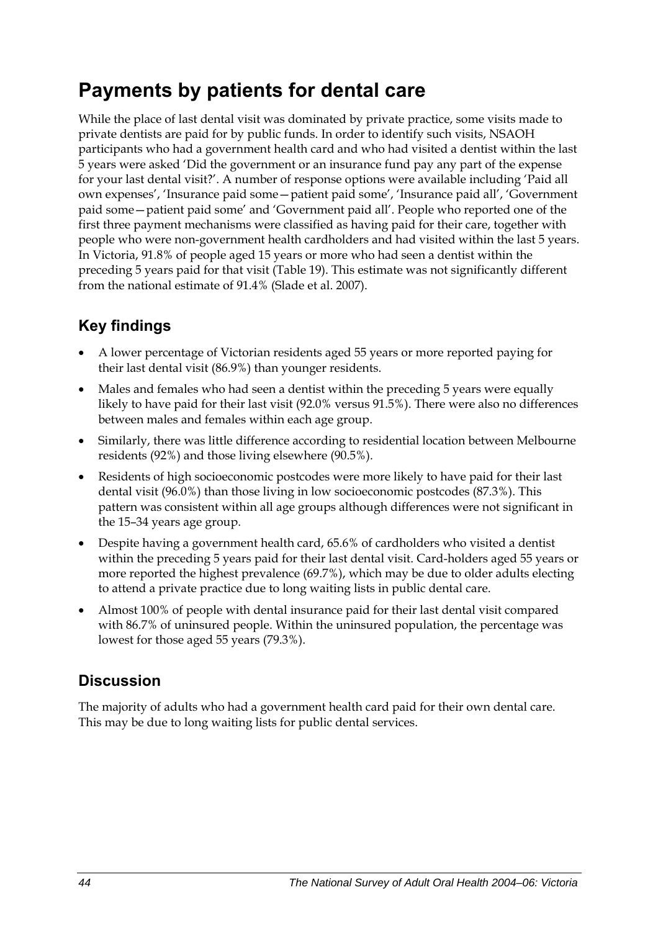## **Payments by patients for dental care**

While the place of last dental visit was dominated by private practice, some visits made to private dentists are paid for by public funds. In order to identify such visits, NSAOH participants who had a government health card and who had visited a dentist within the last 5 years were asked 'Did the government or an insurance fund pay any part of the expense for your last dental visit?'. A number of response options were available including 'Paid all own expenses', 'Insurance paid some—patient paid some', 'Insurance paid all', 'Government paid some—patient paid some' and 'Government paid all'. People who reported one of the first three payment mechanisms were classified as having paid for their care, together with people who were non-government health cardholders and had visited within the last 5 years. In Victoria, 91.8% of people aged 15 years or more who had seen a dentist within the preceding 5 years paid for that visit [\(Table 19\)](#page-52-0). This estimate was not significantly different from the national estimate of 91.4% (Slade et al. 2007).

### **Key findings**

- A lower percentage of Victorian residents aged 55 years or more reported paying for their last dental visit (86.9%) than younger residents.
- Males and females who had seen a dentist within the preceding 5 years were equally likely to have paid for their last visit (92.0% versus 91.5%). There were also no differences between males and females within each age group.
- Similarly, there was little difference according to residential location between Melbourne residents (92%) and those living elsewhere (90.5%).
- Residents of high socioeconomic postcodes were more likely to have paid for their last dental visit (96.0%) than those living in low socioeconomic postcodes (87.3%). This pattern was consistent within all age groups although differences were not significant in the 15–34 years age group.
- Despite having a government health card, 65.6% of cardholders who visited a dentist within the preceding 5 years paid for their last dental visit. Card-holders aged 55 years or more reported the highest prevalence (69.7%), which may be due to older adults electing to attend a private practice due to long waiting lists in public dental care.
- Almost 100% of people with dental insurance paid for their last dental visit compared with 86.7% of uninsured people. Within the uninsured population, the percentage was lowest for those aged 55 years (79.3%).

### **Discussion**

The majority of adults who had a government health card paid for their own dental care. This may be due to long waiting lists for public dental services.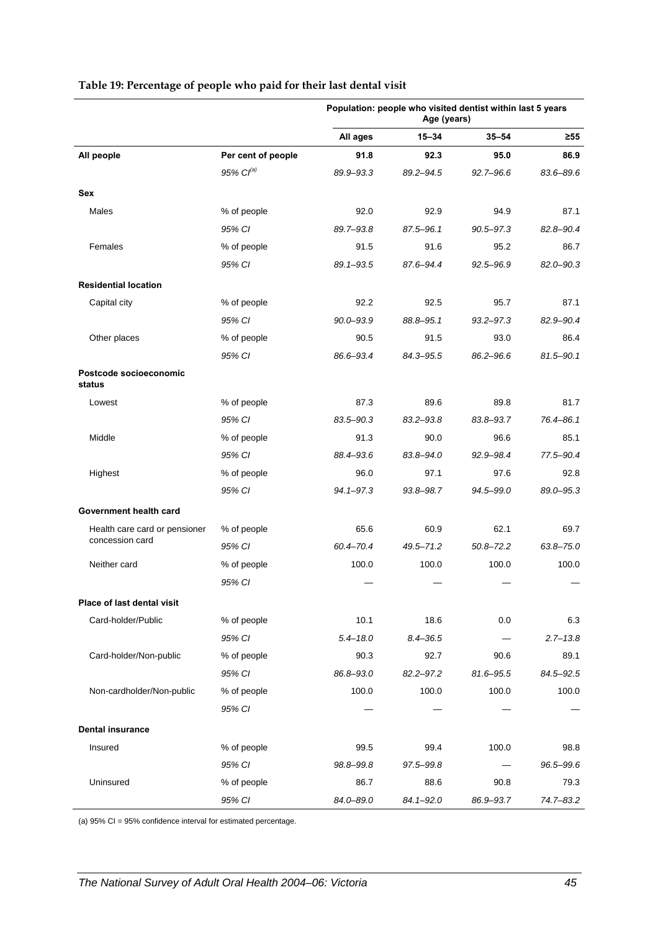|                                  |                    | Population: people who visited dentist within last 5 years<br>Age (years) |               |               |               |
|----------------------------------|--------------------|---------------------------------------------------------------------------|---------------|---------------|---------------|
|                                  |                    | All ages                                                                  | $15 - 34$     | $35 - 54$     | ≥55           |
| All people                       | Per cent of people | 91.8                                                                      | 92.3          | 95.0          | 86.9          |
|                                  | 95% $Cl^{(a)}$     | 89.9-93.3                                                                 | 89.2-94.5     | $92.7 - 96.6$ | 83.6-89.6     |
| Sex                              |                    |                                                                           |               |               |               |
| Males                            | % of people        | 92.0                                                                      | 92.9          | 94.9          | 87.1          |
|                                  | 95% CI             | 89.7-93.8                                                                 | 87.5-96.1     | $90.5 - 97.3$ | 82.8-90.4     |
| Females                          | % of people        | 91.5                                                                      | 91.6          | 95.2          | 86.7          |
|                                  | 95% CI             | $89.1 - 93.5$                                                             | 87.6-94.4     | $92.5 - 96.9$ | $82.0 - 90.3$ |
| <b>Residential location</b>      |                    |                                                                           |               |               |               |
| Capital city                     | % of people        | 92.2                                                                      | 92.5          | 95.7          | 87.1          |
|                                  | 95% CI             | $90.0 - 93.9$                                                             | 88.8-95.1     | $93.2 - 97.3$ | 82.9-90.4     |
| Other places                     | % of people        | 90.5                                                                      | 91.5          | 93.0          | 86.4          |
|                                  | 95% CI             | 86.6-93.4                                                                 | 84.3-95.5     | 86.2-96.6     | $81.5 - 90.1$ |
| Postcode socioeconomic<br>status |                    |                                                                           |               |               |               |
| Lowest                           | % of people        | 87.3                                                                      | 89.6          | 89.8          | 81.7          |
|                                  | 95% CI             | 83.5-90.3                                                                 | 83.2-93.8     | 83.8-93.7     | 76.4-86.1     |
| Middle                           | % of people        | 91.3                                                                      | 90.0          | 96.6          | 85.1          |
|                                  | 95% CI             | 88.4-93.6                                                                 | 83.8-94.0     | 92.9-98.4     | 77.5-90.4     |
| Highest                          | % of people        | 96.0                                                                      | 97.1          | 97.6          | 92.8          |
|                                  | 95% CI             | $94.1 - 97.3$                                                             | 93.8-98.7     | 94.5-99.0     | 89.0-95.3     |
| Government health card           |                    |                                                                           |               |               |               |
| Health care card or pensioner    | % of people        | 65.6                                                                      | 60.9          | 62.1          | 69.7          |
| concession card                  | 95% CI             | 60.4-70.4                                                                 | 49.5-71.2     | $50.8 - 72.2$ | $63.8 - 75.0$ |
| Neither card                     | % of people        | 100.0                                                                     | 100.0         | 100.0         | 100.0         |
|                                  | 95% CI             |                                                                           |               |               |               |
| Place of last dental visit       |                    |                                                                           |               |               |               |
| Card-holder/Public               | % of people        | 10.1                                                                      | 18.6          | 0.0           | 6.3           |
|                                  | 95% CI             | $5.4 - 18.0$                                                              | $8.4 - 36.5$  |               | $2.7 - 13.8$  |
| Card-holder/Non-public           | % of people        | 90.3                                                                      | 92.7          | 90.6          | 89.1          |
|                                  | 95% CI             | 86.8-93.0                                                                 | $82.2 - 97.2$ | 81.6-95.5     | 84.5-92.5     |
| Non-cardholder/Non-public        | % of people        | 100.0                                                                     | 100.0         | 100.0         | 100.0         |
|                                  | 95% CI             |                                                                           |               |               |               |
| <b>Dental insurance</b>          |                    |                                                                           |               |               |               |
| Insured                          | % of people        | 99.5                                                                      | 99.4          | 100.0         | 98.8          |
|                                  | 95% CI             | 98.8-99.8                                                                 | 97.5-99.8     |               | 96.5-99.6     |
| Uninsured                        | % of people        | 86.7                                                                      | 88.6          | 90.8          | 79.3          |
|                                  | 95% CI             | 84.0-89.0                                                                 | $84.1 - 92.0$ | 86.9-93.7     | 74.7-83.2     |

#### <span id="page-52-0"></span>**Table 19: Percentage of people who paid for their last dental visit**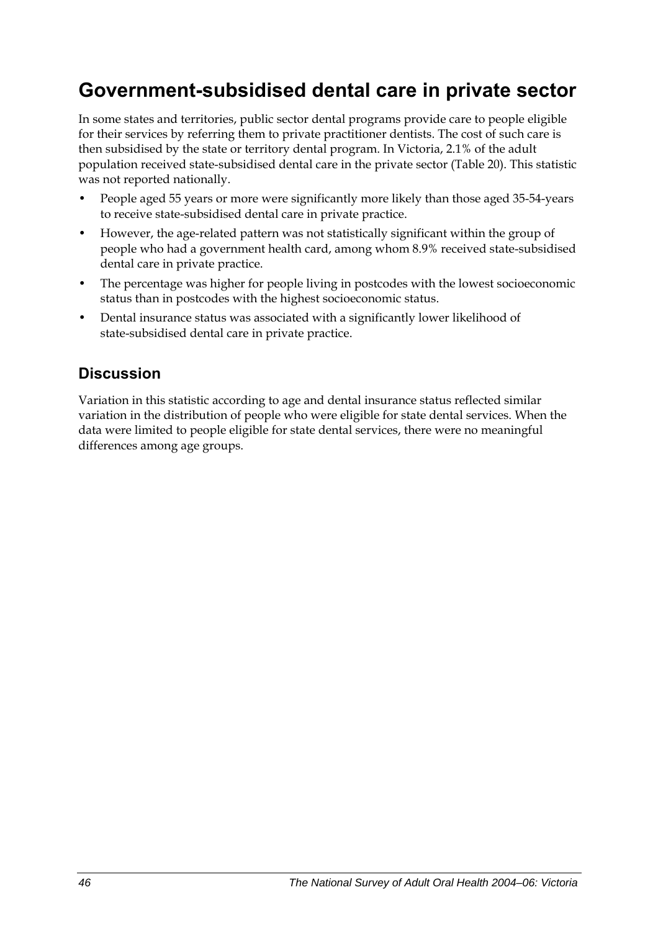## **Government-subsidised dental care in private sector**

In some states and territories, public sector dental programs provide care to people eligible for their services by referring them to private practitioner dentists. The cost of such care is then subsidised by the state or territory dental program. In Victoria, 2.1% of the adult population received state-subsidised dental care in the private sector [\(Table 20\)](#page-54-0). This statistic was not reported nationally.

- People aged 55 years or more were significantly more likely than those aged 35-54-years to receive state-subsidised dental care in private practice.
- However, the age-related pattern was not statistically significant within the group of people who had a government health card, among whom 8.9% received state-subsidised dental care in private practice.
- The percentage was higher for people living in postcodes with the lowest socioeconomic status than in postcodes with the highest socioeconomic status.
- Dental insurance status was associated with a significantly lower likelihood of state-subsidised dental care in private practice.

### **Discussion**

Variation in this statistic according to age and dental insurance status reflected similar variation in the distribution of people who were eligible for state dental services. When the data were limited to people eligible for state dental services, there were no meaningful differences among age groups.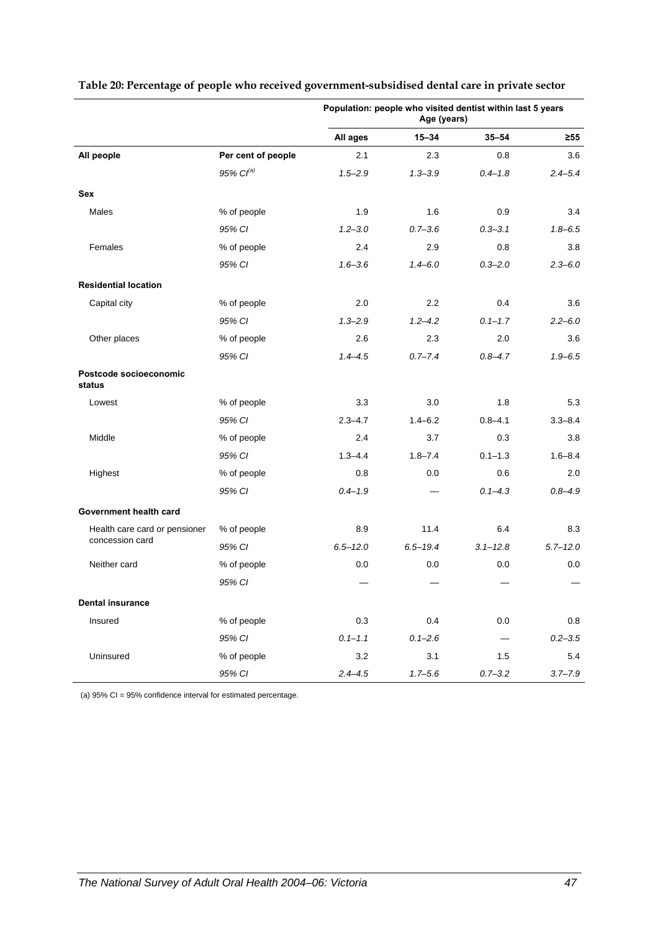|                                  |                       | Population: people who visited dentist within last 5 years<br>Age (years) |              |              |              |
|----------------------------------|-----------------------|---------------------------------------------------------------------------|--------------|--------------|--------------|
|                                  |                       | All ages                                                                  | $15 - 34$    | $35 - 54$    | $\geq 55$    |
| All people                       | Per cent of people    | 2.1                                                                       | 2.3          | 0.8          | 3.6          |
|                                  | 95% Cl <sup>(a)</sup> | $1.5 - 2.9$                                                               | $1.3 - 3.9$  | $0.4 - 1.8$  | $2.4 - 5.4$  |
| Sex                              |                       |                                                                           |              |              |              |
| Males                            | % of people           | 1.9                                                                       | 1.6          | 0.9          | 3.4          |
|                                  | 95% CI                | $1.2 - 3.0$                                                               | $0.7 - 3.6$  | $0.3 - 3.1$  | $1.8 - 6.5$  |
| Females                          | % of people           | 2.4                                                                       | 2.9          | 0.8          | 3.8          |
|                                  | 95% CI                | $1.6 - 3.6$                                                               | $1.4 - 6.0$  | $0.3 - 2.0$  | $2.3 - 6.0$  |
| <b>Residential location</b>      |                       |                                                                           |              |              |              |
| Capital city                     | % of people           | 2.0                                                                       | 2.2          | 0.4          | 3.6          |
|                                  | 95% CI                | $1.3 - 2.9$                                                               | $1.2 - 4.2$  | $0.1 - 1.7$  | $2.2 - 6.0$  |
| Other places                     | % of people           | 2.6                                                                       | 2.3          | 2.0          | 3.6          |
|                                  | 95% CI                | $1.4 - 4.5$                                                               | $0.7 - 7.4$  | $0.8 - 4.7$  | $1.9 - 6.5$  |
| Postcode socioeconomic<br>status |                       |                                                                           |              |              |              |
| Lowest                           | % of people           | 3.3                                                                       | 3.0          | 1.8          | 5.3          |
|                                  | 95% CI                | $2.3 - 4.7$                                                               | $1.4 - 6.2$  | $0.8 - 4.1$  | $3.3 - 8.4$  |
| Middle                           | % of people           | 2.4                                                                       | 3.7          | 0.3          | 3.8          |
|                                  | 95% CI                | $1.3 - 4.4$                                                               | $1.8 - 7.4$  | $0.1 - 1.3$  | $1.6 - 8.4$  |
| Highest                          | % of people           | 0.8                                                                       | 0.0          | 0.6          | 2.0          |
|                                  | 95% CI                | $0.4 - 1.9$                                                               |              | $0.1 - 4.3$  | $0.8 - 4.9$  |
| Government health card           |                       |                                                                           |              |              |              |
| Health care card or pensioner    | % of people           | 8.9                                                                       | 11.4         | 6.4          | 8.3          |
| concession card                  | 95% CI                | $6.5 - 12.0$                                                              | $6.5 - 19.4$ | $3.1 - 12.8$ | $5.7 - 12.0$ |
| Neither card                     | % of people           | 0.0                                                                       | 0.0          | $0.0\,$      | 0.0          |
|                                  | 95% CI                |                                                                           |              |              |              |
| <b>Dental insurance</b>          |                       |                                                                           |              |              |              |
| Insured                          | % of people           | 0.3                                                                       | 0.4          | $0.0\,$      | 0.8          |
|                                  | 95% CI                | $0.1 - 1.1$                                                               | $0.1 - 2.6$  |              | $0.2 - 3.5$  |
| Uninsured                        | % of people           | 3.2                                                                       | 3.1          | 1.5          | 5.4          |
|                                  | 95% CI                | $2.4 - 4.5$                                                               | $1.7 - 5.6$  | $0.7 - 3.2$  | $3.7 - 7.9$  |

#### <span id="page-54-0"></span>**Table 20: Percentage of people who received government-subsidised dental care in private sector**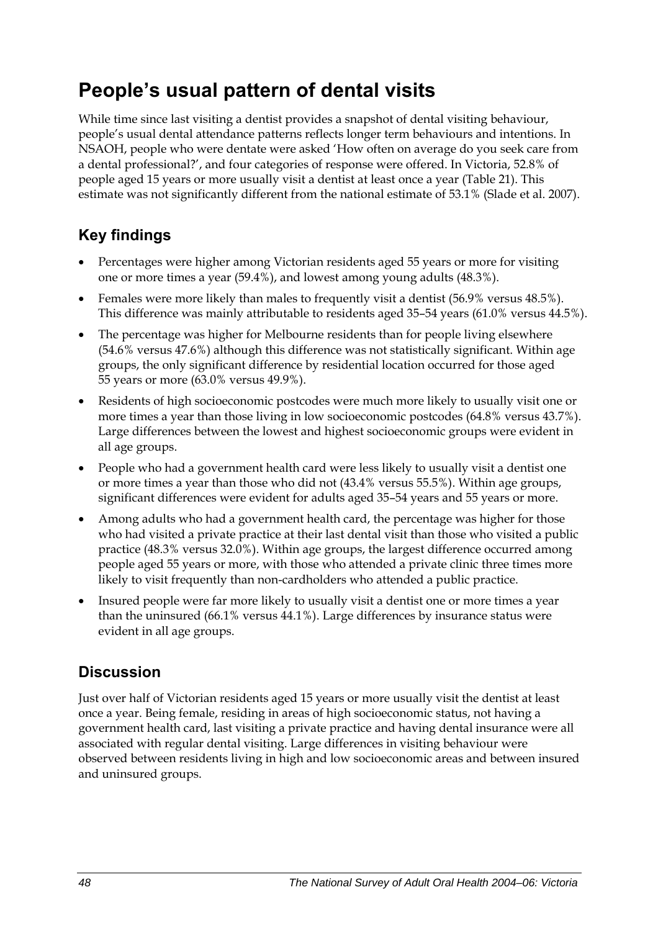## **People's usual pattern of dental visits**

While time since last visiting a dentist provides a snapshot of dental visiting behaviour, people's usual dental attendance patterns reflects longer term behaviours and intentions. In NSAOH, people who were dentate were asked 'How often on average do you seek care from a dental professional?', and four categories of response were offered. In Victoria, 52.8% of people aged 15 years or more usually visit a dentist at least once a year [\(Table 21\)](#page-56-0). This estimate was not significantly different from the national estimate of 53.1% (Slade et al. 2007).

### **Key findings**

- Percentages were higher among Victorian residents aged 55 years or more for visiting one or more times a year (59.4%), and lowest among young adults (48.3%).
- Females were more likely than males to frequently visit a dentist (56.9% versus 48.5%). This difference was mainly attributable to residents aged 35–54 years (61.0% versus 44.5%).
- The percentage was higher for Melbourne residents than for people living elsewhere (54.6% versus 47.6%) although this difference was not statistically significant. Within age groups, the only significant difference by residential location occurred for those aged 55 years or more (63.0% versus 49.9%).
- Residents of high socioeconomic postcodes were much more likely to usually visit one or more times a year than those living in low socioeconomic postcodes (64.8% versus 43.7%). Large differences between the lowest and highest socioeconomic groups were evident in all age groups.
- People who had a government health card were less likely to usually visit a dentist one or more times a year than those who did not (43.4% versus 55.5%). Within age groups, significant differences were evident for adults aged 35–54 years and 55 years or more.
- Among adults who had a government health card, the percentage was higher for those who had visited a private practice at their last dental visit than those who visited a public practice (48.3% versus 32.0%). Within age groups, the largest difference occurred among people aged 55 years or more, with those who attended a private clinic three times more likely to visit frequently than non-cardholders who attended a public practice.
- Insured people were far more likely to usually visit a dentist one or more times a year than the uninsured (66.1% versus 44.1%). Large differences by insurance status were evident in all age groups.

### **Discussion**

Just over half of Victorian residents aged 15 years or more usually visit the dentist at least once a year. Being female, residing in areas of high socioeconomic status, not having a government health card, last visiting a private practice and having dental insurance were all associated with regular dental visiting. Large differences in visiting behaviour were observed between residents living in high and low socioeconomic areas and between insured and uninsured groups.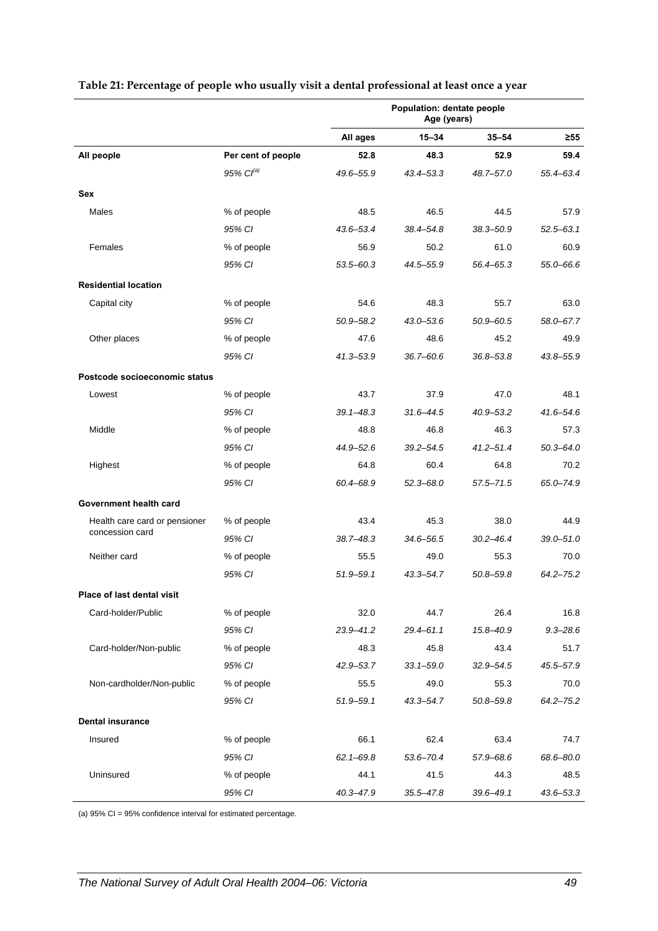|                               |                    | Population: dentate people<br>Age (years) |               |               |               |
|-------------------------------|--------------------|-------------------------------------------|---------------|---------------|---------------|
|                               |                    | All ages                                  | $15 - 34$     | $35 - 54$     | $\geq 55$     |
| All people                    | Per cent of people | 52.8                                      | 48.3          | 52.9          | 59.4          |
|                               | 95% $Cl^{(a)}$     | 49.6-55.9                                 | 43.4-53.3     | 48.7-57.0     | 55.4-63.4     |
| Sex                           |                    |                                           |               |               |               |
| Males                         | % of people        | 48.5                                      | 46.5          | 44.5          | 57.9          |
|                               | 95% CI             | 43.6-53.4                                 | 38.4-54.8     | $38.3 - 50.9$ | 52.5-63.1     |
| Females                       | % of people        | 56.9                                      | 50.2          | 61.0          | 60.9          |
|                               | 95% CI             | $53.5 - 60.3$                             | 44.5-55.9     | 56.4-65.3     | 55.0-66.6     |
| <b>Residential location</b>   |                    |                                           |               |               |               |
| Capital city                  | % of people        | 54.6                                      | 48.3          | 55.7          | 63.0          |
|                               | 95% CI             | $50.9 - 58.2$                             | $43.0 - 53.6$ | $50.9 - 60.5$ | 58.0-67.7     |
| Other places                  | % of people        | 47.6                                      | 48.6          | 45.2          | 49.9          |
|                               | 95% CI             | $41.3 - 53.9$                             | 36.7-60.6     | $36.8 - 53.8$ | 43.8-55.9     |
| Postcode socioeconomic status |                    |                                           |               |               |               |
| Lowest                        | % of people        | 43.7                                      | 37.9          | 47.0          | 48.1          |
|                               | 95% CI             | $39.1 - 48.3$                             | $31.6 - 44.5$ | $40.9 - 53.2$ | $41.6 - 54.6$ |
| Middle                        | % of people        | 48.8                                      | 46.8          | 46.3          | 57.3          |
|                               | 95% CI             | 44.9-52.6                                 | $39.2 - 54.5$ | $41.2 - 51.4$ | $50.3 - 64.0$ |
| Highest                       | % of people        | 64.8                                      | 60.4          | 64.8          | 70.2          |
|                               | 95% CI             | 60.4-68.9                                 | $52.3 - 68.0$ | $57.5 - 71.5$ | 65.0-74.9     |
| Government health card        |                    |                                           |               |               |               |
| Health care card or pensioner | % of people        | 43.4                                      | 45.3          | 38.0          | 44.9          |
| concession card               | 95% CI             | $38.7 - 48.3$                             | 34.6-56.5     | $30.2 - 46.4$ | $39.0 - 51.0$ |
| Neither card                  | % of people        | 55.5                                      | 49.0          | 55.3          | 70.0          |
|                               | 95% CI             | $51.9 - 59.1$                             | $43.3 - 54.7$ | 50.8-59.8     | $64.2 - 75.2$ |
| Place of last dental visit    |                    |                                           |               |               |               |
| Card-holder/Public            | % of people        | 32.0                                      | 44.7          | 26.4          | 16.8          |
|                               | 95% CI             | $23.9 - 41.2$                             | $29.4 - 61.1$ | 15.8-40.9     | $9.3 - 28.6$  |
| Card-holder/Non-public        | % of people        | 48.3                                      | 45.8          | 43.4          | 51.7          |
|                               | 95% CI             | 42.9-53.7                                 | $33.1 - 59.0$ | 32.9–54.5     | 45.5-57.9     |
| Non-cardholder/Non-public     | % of people        | 55.5                                      | 49.0          | 55.3          | 70.0          |
|                               | 95% CI             | $51.9 - 59.1$                             | 43.3–54.7     | $50.8 - 59.8$ | $64.2 - 75.2$ |
| <b>Dental insurance</b>       |                    |                                           |               |               |               |
| Insured                       | % of people        | 66.1                                      | 62.4          | 63.4          | 74.7          |
|                               | 95% CI             | $62.1 - 69.8$                             | $53.6 - 70.4$ | 57.9-68.6     | 68.6-80.0     |
| Uninsured                     | % of people        | 44.1                                      | 41.5          | 44.3          | 48.5          |
|                               | 95% CI             | $40.3 - 47.9$                             | $35.5 - 47.8$ | $39.6 - 49.1$ | 43.6-53.3     |

#### <span id="page-56-0"></span>**Table 21: Percentage of people who usually visit a dental professional at least once a year**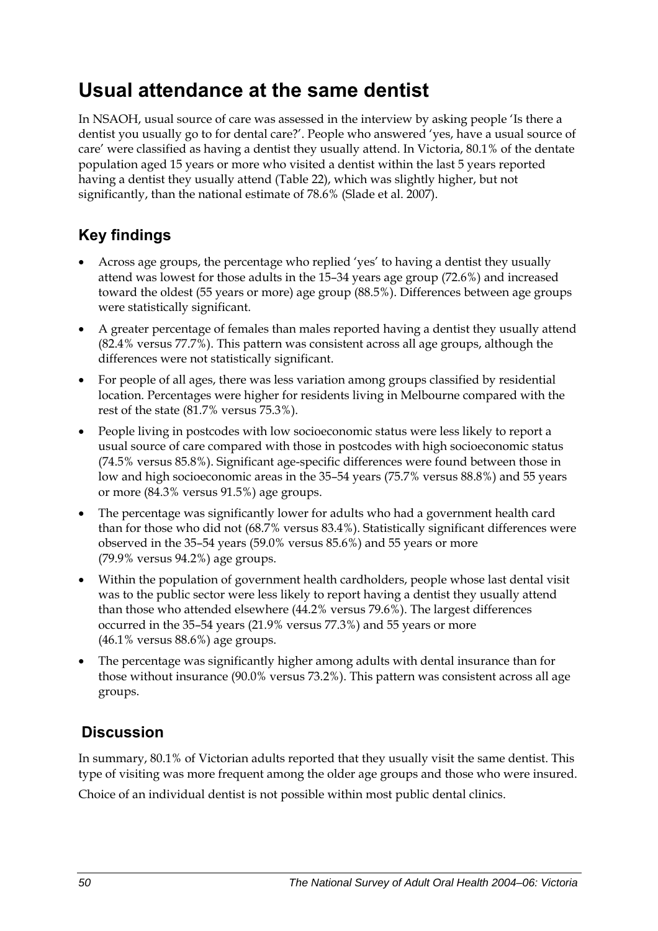## **Usual attendance at the same dentist**

In NSAOH, usual source of care was assessed in the interview by asking people 'Is there a dentist you usually go to for dental care?'. People who answered 'yes, have a usual source of care' were classified as having a dentist they usually attend. In Victoria, 80.1% of the dentate population aged 15 years or more who visited a dentist within the last 5 years reported having a dentist they usually attend [\(Table 22\)](#page-58-0), which was slightly higher, but not significantly, than the national estimate of 78.6% (Slade et al. 2007).

### **Key findings**

- Across age groups, the percentage who replied 'yes' to having a dentist they usually attend was lowest for those adults in the 15–34 years age group (72.6%) and increased toward the oldest (55 years or more) age group (88.5%). Differences between age groups were statistically significant.
- A greater percentage of females than males reported having a dentist they usually attend (82.4% versus 77.7%). This pattern was consistent across all age groups, although the differences were not statistically significant.
- For people of all ages, there was less variation among groups classified by residential location. Percentages were higher for residents living in Melbourne compared with the rest of the state (81.7% versus 75.3%).
- People living in postcodes with low socioeconomic status were less likely to report a usual source of care compared with those in postcodes with high socioeconomic status (74.5% versus 85.8%). Significant age-specific differences were found between those in low and high socioeconomic areas in the 35–54 years (75.7% versus 88.8%) and 55 years or more (84.3% versus 91.5%) age groups.
- The percentage was significantly lower for adults who had a government health card than for those who did not (68.7% versus 83.4%). Statistically significant differences were observed in the 35–54 years (59.0% versus 85.6%) and 55 years or more (79.9% versus 94.2%) age groups.
- Within the population of government health cardholders, people whose last dental visit was to the public sector were less likely to report having a dentist they usually attend than those who attended elsewhere (44.2% versus 79.6%). The largest differences occurred in the 35–54 years (21.9% versus 77.3%) and 55 years or more (46.1% versus 88.6%) age groups.
- The percentage was significantly higher among adults with dental insurance than for those without insurance (90.0% versus 73.2%). This pattern was consistent across all age groups.

### **Discussion**

In summary, 80.1% of Victorian adults reported that they usually visit the same dentist. This type of visiting was more frequent among the older age groups and those who were insured. Choice of an individual dentist is not possible within most public dental clinics.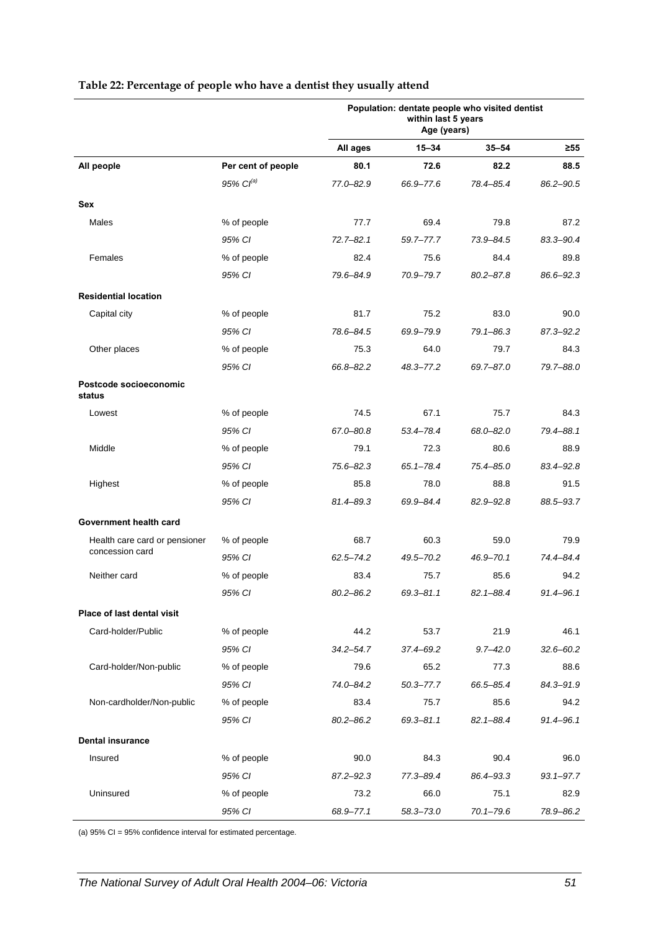|                                  |                    | Population: dentate people who visited dentist<br>within last 5 years<br>Age (years) |               |               |               |  |
|----------------------------------|--------------------|--------------------------------------------------------------------------------------|---------------|---------------|---------------|--|
|                                  |                    | All ages                                                                             | 15-34         | $35 - 54$     | ≥55           |  |
| All people                       | Per cent of people | 80.1                                                                                 | 72.6          | 82.2          | 88.5          |  |
|                                  | $95\%$ $CI^{(a)}$  | 77.0-82.9                                                                            | 66.9-77.6     | 78.4-85.4     | 86.2-90.5     |  |
| Sex                              |                    |                                                                                      |               |               |               |  |
| Males                            | % of people        | 77.7                                                                                 | 69.4          | 79.8          | 87.2          |  |
|                                  | 95% CI             | $72.7 - 82.1$                                                                        | 59.7-77.7     | 73.9-84.5     | 83.3-90.4     |  |
| Females                          | % of people        | 82.4                                                                                 | 75.6          | 84.4          | 89.8          |  |
|                                  | 95% CI             | 79.6-84.9                                                                            | 70.9-79.7     | $80.2 - 87.8$ | 86.6-92.3     |  |
| <b>Residential location</b>      |                    |                                                                                      |               |               |               |  |
| Capital city                     | % of people        | 81.7                                                                                 | 75.2          | 83.0          | 90.0          |  |
|                                  | 95% CI             | 78.6-84.5                                                                            | 69.9-79.9     | $79.1 - 86.3$ | 87.3-92.2     |  |
| Other places                     | % of people        | 75.3                                                                                 | 64.0          | 79.7          | 84.3          |  |
|                                  | 95% CI             | 66.8-82.2                                                                            | 48.3-77.2     | 69.7-87.0     | 79.7-88.0     |  |
| Postcode socioeconomic<br>status |                    |                                                                                      |               |               |               |  |
| Lowest                           | % of people        | 74.5                                                                                 | 67.1          | 75.7          | 84.3          |  |
|                                  | 95% CI             | 67.0-80.8                                                                            | 53.4-78.4     | 68.0-82.0     | 79.4-88.1     |  |
| Middle                           | % of people        | 79.1                                                                                 | 72.3          | 80.6          | 88.9          |  |
|                                  | 95% CI             | $75.6 - 82.3$                                                                        | $65.1 - 78.4$ | 75.4-85.0     | 83.4-92.8     |  |
| Highest                          | % of people        | 85.8                                                                                 | 78.0          | 88.8          | 91.5          |  |
|                                  | 95% CI             | 81.4-89.3                                                                            | 69.9-84.4     | 82.9-92.8     | 88.5-93.7     |  |
| Government health card           |                    |                                                                                      |               |               |               |  |
| Health care card or pensioner    | % of people        | 68.7                                                                                 | 60.3          | 59.0          | 79.9          |  |
| concession card                  | 95% CI             | $62.5 - 74.2$                                                                        | 49.5-70.2     | 46.9-70.1     | 74.4-84.4     |  |
| Neither card                     | % of people        | 83.4                                                                                 | 75.7          | 85.6          | 94.2          |  |
|                                  | 95% CI             | $80.2 - 86.2$                                                                        | $69.3 - 81.1$ | $82.1 - 88.4$ | $91.4 - 96.1$ |  |
| Place of last dental visit       |                    |                                                                                      |               |               |               |  |
| Card-holder/Public               | % of people        | 44.2                                                                                 | 53.7          | 21.9          | 46.1          |  |
|                                  | 95% CI             | $34.2 - 54.7$                                                                        | 37.4-69.2     | $9.7 - 42.0$  | $32.6 - 60.2$ |  |
| Card-holder/Non-public           | % of people        | 79.6                                                                                 | 65.2          | 77.3          | 88.6          |  |
|                                  | 95% CI             | 74.0-84.2                                                                            | $50.3 - 77.7$ | 66.5-85.4     | 84.3-91.9     |  |
| Non-cardholder/Non-public        | % of people        | 83.4                                                                                 | 75.7          | 85.6          | 94.2          |  |
|                                  | 95% CI             | $80.2 - 86.2$                                                                        | 69.3-81.1     | $82.1 - 88.4$ | 91.4-96.1     |  |
| <b>Dental insurance</b>          |                    |                                                                                      |               |               |               |  |
| Insured                          | % of people        | 90.0                                                                                 | 84.3          | 90.4          | 96.0          |  |
|                                  | 95% CI             | $87.2 - 92.3$                                                                        | 77.3-89.4     | 86.4-93.3     | $93.1 - 97.7$ |  |
| Uninsured                        | % of people        | 73.2                                                                                 | 66.0          | 75.1          | 82.9          |  |
|                                  | 95% CI             | 68.9-77.1                                                                            | 58.3-73.0     | $70.1 - 79.6$ | 78.9-86.2     |  |

#### <span id="page-58-0"></span>**Table 22: Percentage of people who have a dentist they usually attend**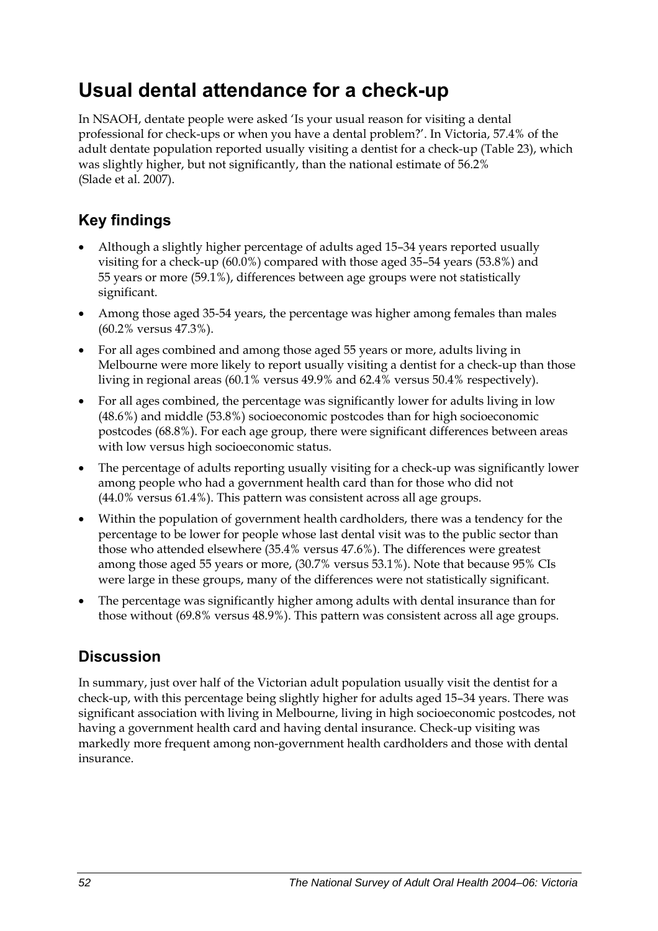## **Usual dental attendance for a check-up**

In NSAOH, dentate people were asked 'Is your usual reason for visiting a dental professional for check-ups or when you have a dental problem?'. In Victoria, 57.4% of the adult dentate population reported usually visiting a dentist for a check-up [\(Table 23\)](#page-60-0), which was slightly higher, but not significantly, than the national estimate of 56.2% (Slade et al. 2007).

### **Key findings**

- Although a slightly higher percentage of adults aged 15–34 years reported usually visiting for a check-up (60.0%) compared with those aged 35–54 years (53.8%) and 55 years or more (59.1%), differences between age groups were not statistically significant.
- Among those aged 35-54 years, the percentage was higher among females than males (60.2% versus 47.3%).
- For all ages combined and among those aged 55 years or more, adults living in Melbourne were more likely to report usually visiting a dentist for a check-up than those living in regional areas (60.1% versus 49.9% and 62.4% versus 50.4% respectively).
- For all ages combined, the percentage was significantly lower for adults living in low (48.6%) and middle (53.8%) socioeconomic postcodes than for high socioeconomic postcodes (68.8%). For each age group, there were significant differences between areas with low versus high socioeconomic status.
- The percentage of adults reporting usually visiting for a check-up was significantly lower among people who had a government health card than for those who did not (44.0% versus 61.4%). This pattern was consistent across all age groups.
- Within the population of government health cardholders, there was a tendency for the percentage to be lower for people whose last dental visit was to the public sector than those who attended elsewhere (35.4% versus 47.6%). The differences were greatest among those aged 55 years or more, (30.7% versus 53.1%). Note that because 95% CIs were large in these groups, many of the differences were not statistically significant.
- The percentage was significantly higher among adults with dental insurance than for those without (69.8% versus 48.9%). This pattern was consistent across all age groups.

### **Discussion**

In summary, just over half of the Victorian adult population usually visit the dentist for a check-up, with this percentage being slightly higher for adults aged 15–34 years. There was significant association with living in Melbourne, living in high socioeconomic postcodes, not having a government health card and having dental insurance. Check-up visiting was markedly more frequent among non-government health cardholders and those with dental insurance.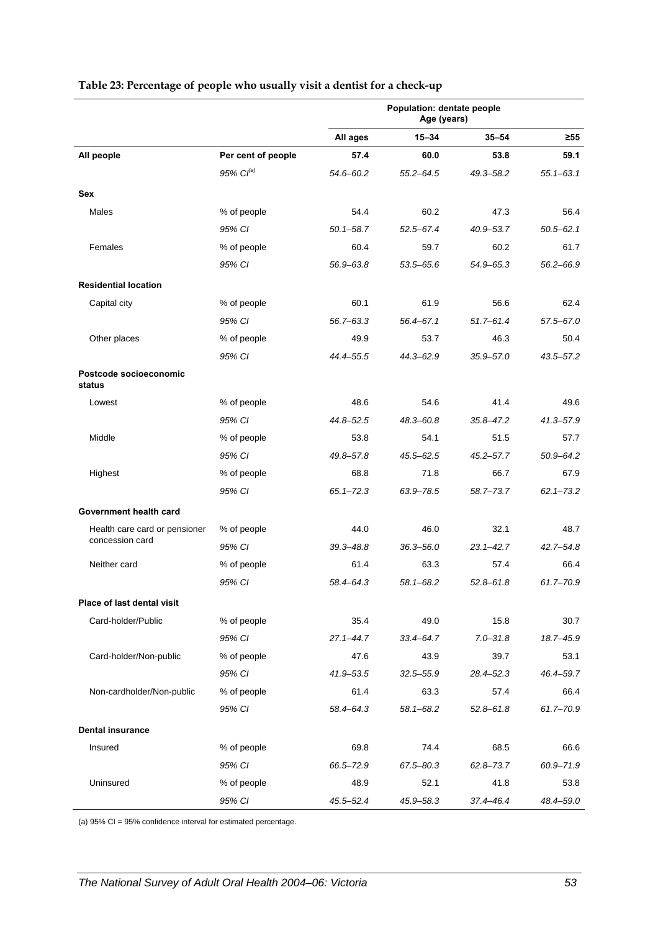|                                   |                    | Population: dentate people<br>Age (years) |               |               |               |
|-----------------------------------|--------------------|-------------------------------------------|---------------|---------------|---------------|
|                                   |                    | All ages                                  | $15 - 34$     | $35 - 54$     | ≥55           |
| All people                        | Per cent of people | 57.4                                      | 60.0          | 53.8          | 59.1          |
|                                   | 95% $Cl^{(a)}$     | 54.6-60.2                                 | $55.2 - 64.5$ | 49.3-58.2     | $55.1 - 63.1$ |
| Sex                               |                    |                                           |               |               |               |
| Males                             | % of people        | 54.4                                      | 60.2          | 47.3          | 56.4          |
|                                   | 95% CI             | $50.1 - 58.7$                             | 52.5-67.4     | $40.9 - 53.7$ | $50.5 - 62.1$ |
| Females                           | % of people        | 60.4                                      | 59.7          | 60.2          | 61.7          |
|                                   | 95% CI             | 56.9-63.8                                 | 53.5-65.6     | $54.9 - 65.3$ | 56.2-66.9     |
| <b>Residential location</b>       |                    |                                           |               |               |               |
| Capital city                      | % of people        | 60.1                                      | 61.9          | 56.6          | 62.4          |
|                                   | 95% CI             | $56.7 - 63.3$                             | 56.4-67.1     | $51.7 - 61.4$ | 57.5-67.0     |
| Other places                      | % of people        | 49.9                                      | 53.7          | 46.3          | 50.4          |
|                                   | 95% CI             | 44.4-55.5                                 | 44.3-62.9     | $35.9 - 57.0$ | 43.5-57.2     |
| Postcode socioeconomic<br>status  |                    |                                           |               |               |               |
| Lowest                            | % of people        | 48.6                                      | 54.6          | 41.4          | 49.6          |
|                                   | 95% CI             | 44.8-52.5                                 | 48.3-60.8     | $35.8 - 47.2$ | $41.3 - 57.9$ |
| Middle                            | % of people        | 53.8                                      | 54.1          | 51.5          | 57.7          |
|                                   | 95% CI             | 49.8-57.8                                 | $45.5 - 62.5$ | $45.2 - 57.7$ | $50.9 - 64.2$ |
| Highest                           | % of people        | 68.8                                      | 71.8          | 66.7          | 67.9          |
|                                   | 95% CI             | $65.1 - 72.3$                             | 63.9-78.5     | 58.7-73.7     | $62.1 - 73.2$ |
| Government health card            |                    |                                           |               |               |               |
| Health care card or pensioner     | % of people        | 44.0                                      | 46.0          | 32.1          | 48.7          |
| concession card                   | 95% CI             | $39.3 - 48.8$                             | $36.3 - 56.0$ | $23.1 - 42.7$ | $42.7 - 54.8$ |
| Neither card                      | % of people        | 61.4                                      | 63.3          | 57.4          | 66.4          |
|                                   | 95% CI             | 58.4-64.3                                 | 58.1-68.2     | $52.8 - 61.8$ | 61.7-70.9     |
| <b>Place of last dental visit</b> |                    |                                           |               |               |               |
| Card-holder/Public                | % of people        | 35.4                                      | 49.0          | 15.8          | 30.7          |
|                                   | 95% CI             | $27.1 - 44.7$                             | 33.4-64.7     | $7.0 - 31.8$  | 18.7-45.9     |
| Card-holder/Non-public            | % of people        | 47.6                                      | 43.9          | 39.7          | 53.1          |
|                                   | 95% CI             | 41.9-53.5                                 | $32.5 - 55.9$ | 28.4-52.3     | 46.4-59.7     |
| Non-cardholder/Non-public         | % of people        | 61.4                                      | 63.3          | 57.4          | 66.4          |
|                                   | 95% CI             | 58.4-64.3                                 | 58.1-68.2     | $52.8 - 61.8$ | $61.7 - 70.9$ |
| <b>Dental insurance</b>           |                    |                                           |               |               |               |
| Insured                           | % of people        | 69.8                                      | 74.4          | 68.5          | 66.6          |
|                                   | 95% CI             | 66.5-72.9                                 | 67.5-80.3     | $62.8 - 73.7$ | 60.9-71.9     |
| Uninsured                         | % of people        | 48.9                                      | 52.1          | 41.8          | 53.8          |
|                                   | 95% CI             | 45.5–52.4                                 | 45.9–58.3     | 37.4-46.4     | 48.4-59.0     |

#### <span id="page-60-0"></span>**Table 23: Percentage of people who usually visit a dentist for a check-up**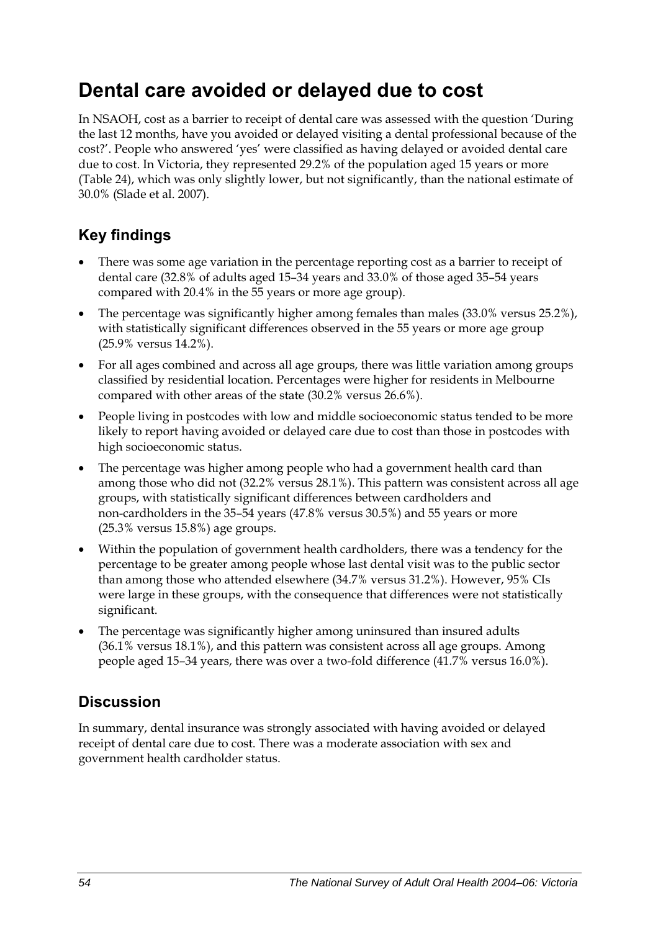## **Dental care avoided or delayed due to cost**

In NSAOH, cost as a barrier to receipt of dental care was assessed with the question 'During the last 12 months, have you avoided or delayed visiting a dental professional because of the cost?'. People who answered 'yes' were classified as having delayed or avoided dental care due to cost. In Victoria, they represented 29.2% of the population aged 15 years or more ([Table 24](#page-62-0)), which was only slightly lower, but not significantly, than the national estimate of 30.0% (Slade et al. 2007).

### **Key findings**

- There was some age variation in the percentage reporting cost as a barrier to receipt of dental care (32.8% of adults aged 15–34 years and 33.0% of those aged 35–54 years compared with 20.4% in the 55 years or more age group).
- The percentage was significantly higher among females than males (33.0% versus 25.2%), with statistically significant differences observed in the 55 years or more age group (25.9% versus 14.2%).
- For all ages combined and across all age groups, there was little variation among groups classified by residential location. Percentages were higher for residents in Melbourne compared with other areas of the state (30.2% versus 26.6%).
- People living in postcodes with low and middle socioeconomic status tended to be more likely to report having avoided or delayed care due to cost than those in postcodes with high socioeconomic status.
- The percentage was higher among people who had a government health card than among those who did not (32.2% versus 28.1%). This pattern was consistent across all age groups, with statistically significant differences between cardholders and non-cardholders in the 35–54 years (47.8% versus 30.5%) and 55 years or more (25.3% versus 15.8%) age groups.
- Within the population of government health cardholders, there was a tendency for the percentage to be greater among people whose last dental visit was to the public sector than among those who attended elsewhere (34.7% versus 31.2%). However, 95% CIs were large in these groups, with the consequence that differences were not statistically significant.
- The percentage was significantly higher among uninsured than insured adults (36.1% versus 18.1%), and this pattern was consistent across all age groups. Among people aged 15–34 years, there was over a two-fold difference (41.7% versus 16.0%).

### **Discussion**

In summary, dental insurance was strongly associated with having avoided or delayed receipt of dental care due to cost. There was a moderate association with sex and government health cardholder status.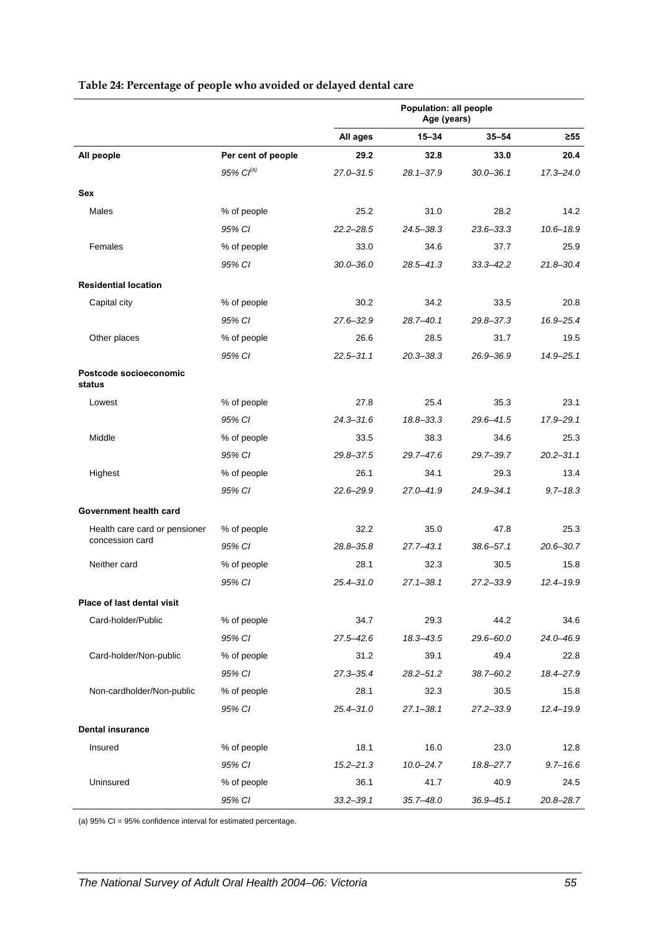<span id="page-62-0"></span>

|                                  |                       | Population: all people<br>Age (years) |               |               |               |
|----------------------------------|-----------------------|---------------------------------------|---------------|---------------|---------------|
|                                  |                       | All ages                              | $15 - 34$     | $35 - 54$     | $\geq 55$     |
| All people                       | Per cent of people    | 29.2                                  | 32.8          | 33.0          | 20.4          |
|                                  | 95% Cl <sup>(a)</sup> | $27.0 - 31.5$                         | $28.1 - 37.9$ | $30.0 - 36.1$ | $17.3 - 24.0$ |
| <b>Sex</b>                       |                       |                                       |               |               |               |
| Males                            | % of people           | 25.2                                  | 31.0          | 28.2          | 14.2          |
|                                  | 95% CI                | $22.2 - 28.5$                         | $24.5 - 38.3$ | 23.6-33.3     | $10.6 - 18.9$ |
| Females                          | % of people           | 33.0                                  | 34.6          | 37.7          | 25.9          |
|                                  | 95% CI                | $30.0 - 36.0$                         | 28.5-41.3     | $33.3 - 42.2$ | $21.8 - 30.4$ |
| <b>Residential location</b>      |                       |                                       |               |               |               |
| Capital city                     | % of people           | 30.2                                  | 34.2          | 33.5          | 20.8          |
|                                  | 95% CI                | $27.6 - 32.9$                         | $28.7 - 40.1$ | 29.8-37.3     | 16.9-25.4     |
| Other places                     | % of people           | 26.6                                  | 28.5          | 31.7          | 19.5          |
|                                  | 95% CI                | $22.5 - 31.1$                         | $20.3 - 38.3$ | $26.9 - 36.9$ | $14.9 - 25.1$ |
| Postcode socioeconomic<br>status |                       |                                       |               |               |               |
| Lowest                           | % of people           | 27.8                                  | 25.4          | 35.3          | 23.1          |
|                                  | 95% CI                | $24.3 - 31.6$                         | $18.8 - 33.3$ | 29.6-41.5     | 17.9-29.1     |
| Middle                           | % of people           | 33.5                                  | 38.3          | 34.6          | 25.3          |
|                                  | 95% CI                | 29.8-37.5                             | $29.7 - 47.6$ | 29.7-39.7     | $20.2 - 31.1$ |
| Highest                          | % of people           | 26.1                                  | 34.1          | 29.3          | 13.4          |
|                                  | 95% CI                | 22.6-29.9                             | 27.0-41.9     | 24.9-34.1     | $9.7 - 18.3$  |
| Government health card           |                       |                                       |               |               |               |
| Health care card or pensioner    | % of people           | 32.2                                  | 35.0          | 47.8          | 25.3          |
| concession card                  | 95% CI                | 28.8-35.8                             | $27.7 - 43.1$ | $38.6 - 57.1$ | $20.6 - 30.7$ |
| Neither card                     | % of people           | 28.1                                  | 32.3          | 30.5          | 15.8          |
|                                  | 95% CI                | $25.4 - 31.0$                         | $27.1 - 38.1$ | $27.2 - 33.9$ | $12.4 - 19.9$ |
| Place of last dental visit       |                       |                                       |               |               |               |
| Card-holder/Public               | % of people           | 34.7                                  | 29.3          | 44.2          | 34.6          |
|                                  | 95% CI                | $27.5 - 42.6$                         | 18.3-43.5     | $29.6 - 60.0$ | 24.0-46.9     |
| Card-holder/Non-public           | % of people           | 31.2                                  | 39.1          | 49.4          | 22.8          |
|                                  | 95% CI                | $27.3 - 35.4$                         | $28.2 - 51.2$ | $38.7 - 60.2$ | 18.4-27.9     |
| Non-cardholder/Non-public        | % of people           | 28.1                                  | 32.3          | 30.5          | 15.8          |
|                                  | 95% CI                | $25.4 - 31.0$                         | $27.1 - 38.1$ | 27.2-33.9     | $12.4 - 19.9$ |
| <b>Dental insurance</b>          |                       |                                       |               |               |               |
| Insured                          | % of people           | 18.1                                  | 16.0          | 23.0          | 12.8          |
|                                  | 95% CI                | $15.2 - 21.3$                         | $10.0 - 24.7$ | 18.8-27.7     | $9.7 - 16.6$  |
| Uninsured                        | % of people           | 36.1                                  | 41.7          | 40.9          | 24.5          |
|                                  | 95% CI                | $33.2 - 39.1$                         | $35.7 - 48.0$ | $36.9 - 45.1$ | 20.8-28.7     |

#### **Table 24: Percentage of people who avoided or delayed dental care**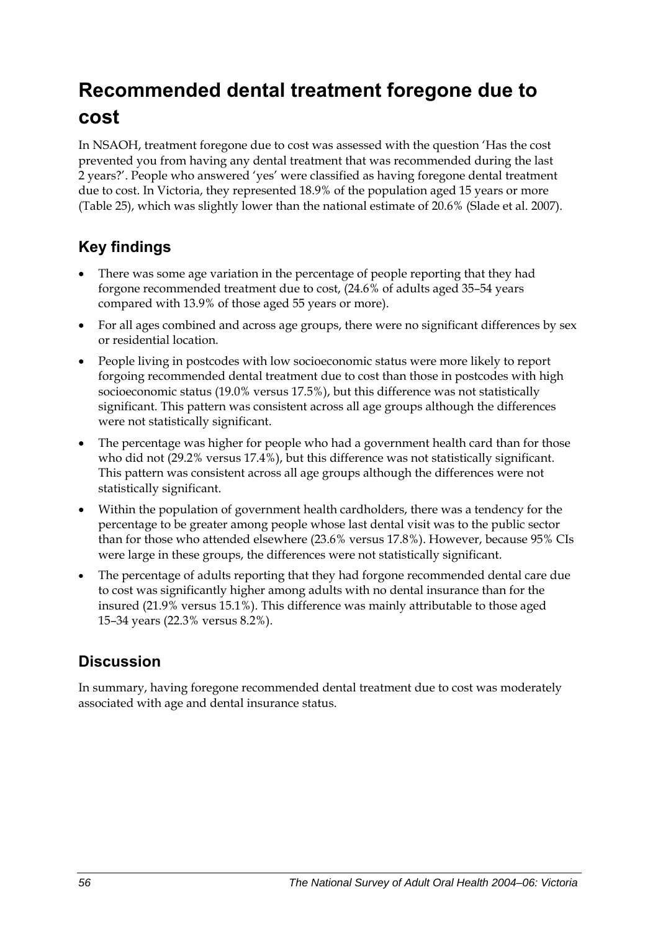## **Recommended dental treatment foregone due to cost**

In NSAOH, treatment foregone due to cost was assessed with the question 'Has the cost prevented you from having any dental treatment that was recommended during the last 2 years?'. People who answered 'yes' were classified as having foregone dental treatment due to cost. In Victoria, they represented 18.9% of the population aged 15 years or more ([Table 25](#page-64-0)), which was slightly lower than the national estimate of 20.6% (Slade et al. 2007).

### **Key findings**

- There was some age variation in the percentage of people reporting that they had forgone recommended treatment due to cost, (24.6% of adults aged 35–54 years compared with 13.9% of those aged 55 years or more).
- For all ages combined and across age groups, there were no significant differences by sex or residential location.
- People living in postcodes with low socioeconomic status were more likely to report forgoing recommended dental treatment due to cost than those in postcodes with high socioeconomic status (19.0% versus 17.5%), but this difference was not statistically significant. This pattern was consistent across all age groups although the differences were not statistically significant.
- The percentage was higher for people who had a government health card than for those who did not (29.2% versus 17.4%), but this difference was not statistically significant. This pattern was consistent across all age groups although the differences were not statistically significant.
- Within the population of government health cardholders, there was a tendency for the percentage to be greater among people whose last dental visit was to the public sector than for those who attended elsewhere (23.6% versus 17.8%). However, because 95% CIs were large in these groups, the differences were not statistically significant.
- The percentage of adults reporting that they had forgone recommended dental care due to cost was significantly higher among adults with no dental insurance than for the insured (21.9% versus 15.1%). This difference was mainly attributable to those aged 15–34 years (22.3% versus 8.2%).

### **Discussion**

In summary, having foregone recommended dental treatment due to cost was moderately associated with age and dental insurance status.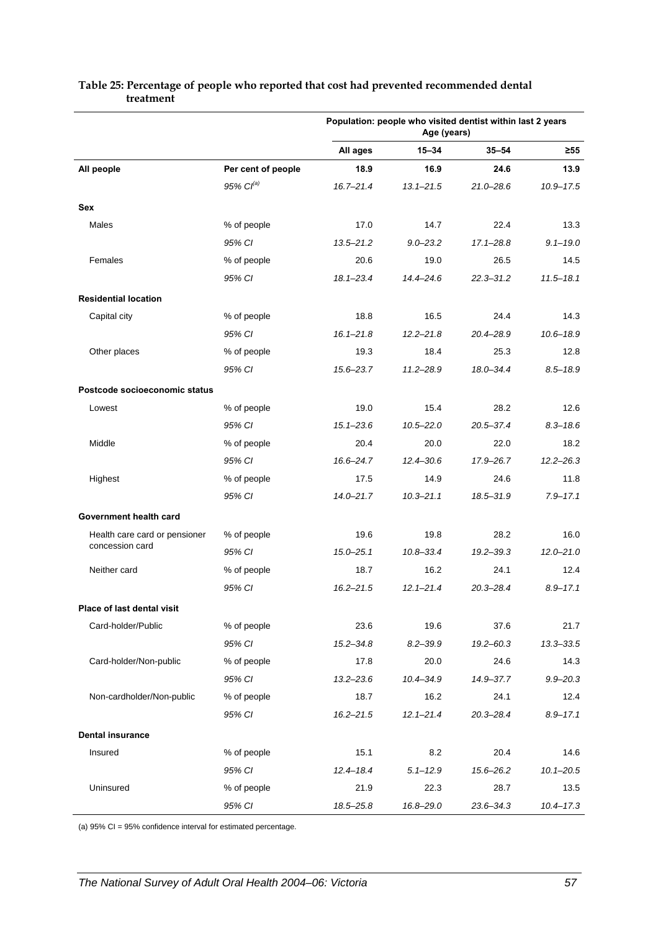|                                                  |                       | Population: people who visited dentist within last 2 years<br>Age (years) |               |               |               |
|--------------------------------------------------|-----------------------|---------------------------------------------------------------------------|---------------|---------------|---------------|
|                                                  |                       | All ages                                                                  | $15 - 34$     | $35 - 54$     | ≥55           |
| All people                                       | Per cent of people    | 18.9                                                                      | 16.9          | 24.6          | 13.9          |
|                                                  | 95% Cl <sup>(a)</sup> | $16.7 - 21.4$                                                             | $13.1 - 21.5$ | $21.0 - 28.6$ | $10.9 - 17.5$ |
| Sex                                              |                       |                                                                           |               |               |               |
| Males                                            | % of people           | 17.0                                                                      | 14.7          | 22.4          | 13.3          |
|                                                  | 95% CI                | $13.5 - 21.2$                                                             | $9.0 - 23.2$  | $17.1 - 28.8$ | $9.1 - 19.0$  |
| Females                                          | % of people           | 20.6                                                                      | 19.0          | 26.5          | 14.5          |
|                                                  | 95% CI                | $18.1 - 23.4$                                                             | $14.4 - 24.6$ | $22.3 - 31.2$ | $11.5 - 18.1$ |
| <b>Residential location</b>                      |                       |                                                                           |               |               |               |
| Capital city                                     | % of people           | 18.8                                                                      | 16.5          | 24.4          | 14.3          |
|                                                  | 95% CI                | $16.1 - 21.8$                                                             | $12.2 - 21.8$ | 20.4-28.9     | $10.6 - 18.9$ |
| Other places                                     | % of people           | 19.3                                                                      | 18.4          | 25.3          | 12.8          |
|                                                  | 95% CI                | $15.6 - 23.7$                                                             | $11.2 - 28.9$ | 18.0-34.4     | $8.5 - 18.9$  |
| Postcode socioeconomic status                    |                       |                                                                           |               |               |               |
| Lowest                                           | % of people           | 19.0                                                                      | 15.4          | 28.2          | 12.6          |
|                                                  | 95% CI                | $15.1 - 23.6$                                                             | $10.5 - 22.0$ | $20.5 - 37.4$ | $8.3 - 18.6$  |
| Middle                                           | % of people           | 20.4                                                                      | 20.0          | 22.0          | 18.2          |
|                                                  | 95% CI                | $16.6 - 24.7$                                                             | $12.4 - 30.6$ | 17.9-26.7     | $12.2 - 26.3$ |
| Highest                                          | % of people           | 17.5                                                                      | 14.9          | 24.6          | 11.8          |
|                                                  | 95% CI                | $14.0 - 21.7$                                                             | $10.3 - 21.1$ | 18.5-31.9     | $7.9 - 17.1$  |
| Government health card                           |                       |                                                                           |               |               |               |
| Health care card or pensioner<br>concession card | % of people           | 19.6                                                                      | 19.8          | 28.2          | 16.0          |
|                                                  | 95% CI                | $15.0 - 25.1$                                                             | $10.8 - 33.4$ | $19.2 - 39.3$ | $12.0 - 21.0$ |
| Neither card                                     | % of people           | 18.7                                                                      | 16.2          | 24.1          | 12.4          |
|                                                  | 95% CI                | $16.2 - 21.5$                                                             | $12.1 - 21.4$ | $20.3 - 28.4$ | $8.9 - 17.1$  |
| Place of last dental visit                       |                       |                                                                           |               |               |               |
| Card-holder/Public                               | % of people           | 23.6                                                                      | 19.6          | 37.6          | 21.7          |
|                                                  | 95% CI                | $15.2 - 34.8$                                                             | $8.2 - 39.9$  | 19.2-60.3     | $13.3 - 33.5$ |
| Card-holder/Non-public                           | % of people           | 17.8                                                                      | 20.0          | 24.6          | 14.3          |
|                                                  | 95% CI                | $13.2 - 23.6$                                                             | 10.4-34.9     | 14.9-37.7     | $9.9 - 20.3$  |
| Non-cardholder/Non-public                        | % of people           | 18.7                                                                      | 16.2          | 24.1          | 12.4          |
|                                                  | 95% CI                | $16.2 - 21.5$                                                             | $12.1 - 21.4$ | $20.3 - 28.4$ | $8.9 - 17.1$  |
| <b>Dental insurance</b>                          |                       |                                                                           |               |               |               |
| Insured                                          | % of people           | 15.1                                                                      | 8.2           | 20.4          | 14.6          |
|                                                  | 95% CI                | $12.4 - 18.4$                                                             | $5.1 - 12.9$  | 15.6-26.2     | $10.1 - 20.5$ |
| Uninsured                                        | % of people           | 21.9                                                                      | 22.3          | 28.7          | 13.5          |
|                                                  | 95% CI                | 18.5-25.8                                                                 | 16.8-29.0     | 23.6-34.3     | $10.4 - 17.3$ |

#### <span id="page-64-0"></span>**Table 25: Percentage of people who reported that cost had prevented recommended dental treatment**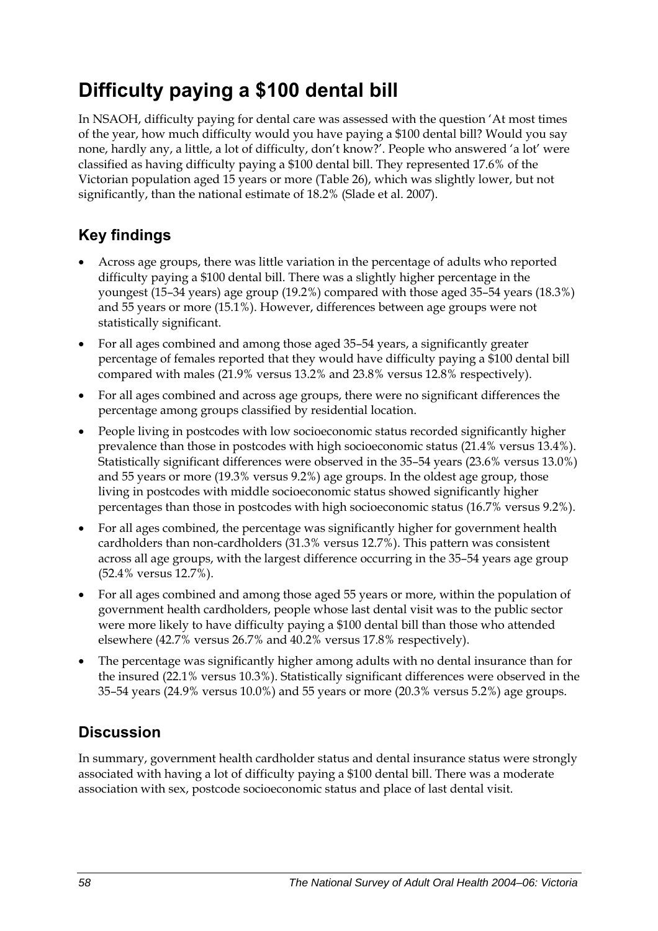## **Difficulty paying a \$100 dental bill**

In NSAOH, difficulty paying for dental care was assessed with the question 'At most times of the year, how much difficulty would you have paying a \$100 dental bill? Would you say none, hardly any, a little, a lot of difficulty, don't know?'. People who answered 'a lot' were classified as having difficulty paying a \$100 dental bill. They represented 17.6% of the Victorian population aged 15 years or more ([Table 26](#page-66-0)), which was slightly lower, but not significantly, than the national estimate of 18.2% (Slade et al. 2007).

### **Key findings**

- Across age groups, there was little variation in the percentage of adults who reported difficulty paying a \$100 dental bill. There was a slightly higher percentage in the youngest (15–34 years) age group (19.2%) compared with those aged 35–54 years (18.3%) and 55 years or more (15.1%). However, differences between age groups were not statistically significant.
- For all ages combined and among those aged 35–54 years, a significantly greater percentage of females reported that they would have difficulty paying a \$100 dental bill compared with males (21.9% versus 13.2% and 23.8% versus 12.8% respectively).
- For all ages combined and across age groups, there were no significant differences the percentage among groups classified by residential location.
- People living in postcodes with low socioeconomic status recorded significantly higher prevalence than those in postcodes with high socioeconomic status (21.4% versus 13.4%). Statistically significant differences were observed in the 35–54 years (23.6% versus 13.0%) and 55 years or more (19.3% versus 9.2%) age groups. In the oldest age group, those living in postcodes with middle socioeconomic status showed significantly higher percentages than those in postcodes with high socioeconomic status (16.7% versus 9.2%).
- For all ages combined, the percentage was significantly higher for government health cardholders than non-cardholders (31.3% versus 12.7%). This pattern was consistent across all age groups, with the largest difference occurring in the 35–54 years age group (52.4% versus 12.7%).
- For all ages combined and among those aged 55 years or more, within the population of government health cardholders, people whose last dental visit was to the public sector were more likely to have difficulty paying a \$100 dental bill than those who attended elsewhere (42.7% versus 26.7% and 40.2% versus 17.8% respectively).
- The percentage was significantly higher among adults with no dental insurance than for the insured (22.1% versus 10.3%). Statistically significant differences were observed in the 35–54 years (24.9% versus 10.0%) and 55 years or more (20.3% versus 5.2%) age groups.

### **Discussion**

In summary, government health cardholder status and dental insurance status were strongly associated with having a lot of difficulty paying a \$100 dental bill. There was a moderate association with sex, postcode socioeconomic status and place of last dental visit.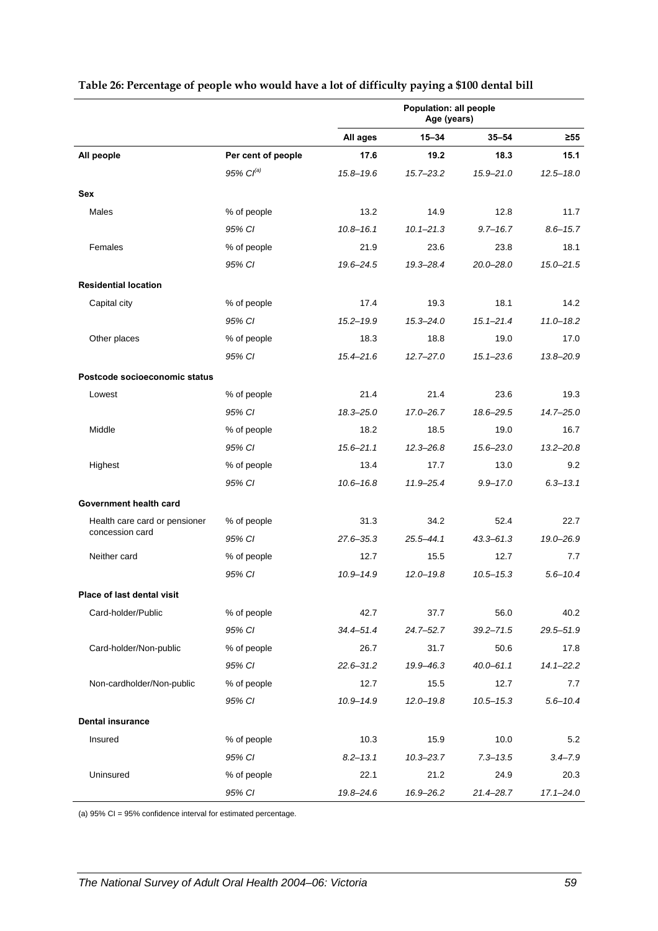|                                                  |                       | Population: all people<br>Age (years) |               |               |               |
|--------------------------------------------------|-----------------------|---------------------------------------|---------------|---------------|---------------|
|                                                  |                       | All ages                              | $15 - 34$     | $35 - 54$     | $\geq 55$     |
| All people                                       | Per cent of people    | 17.6                                  | 19.2          | 18.3          | 15.1          |
|                                                  | 95% Cl <sup>(a)</sup> | $15.8 - 19.6$                         | 15.7-23.2     | $15.9 - 21.0$ | $12.5 - 18.0$ |
| Sex                                              |                       |                                       |               |               |               |
| Males                                            | % of people           | 13.2                                  | 14.9          | 12.8          | 11.7          |
|                                                  | 95% CI                | $10.8 - 16.1$                         | $10.1 - 21.3$ | $9.7 - 16.7$  | $8.6 - 15.7$  |
| Females                                          | % of people           | 21.9                                  | 23.6          | 23.8          | 18.1          |
|                                                  | 95% CI                | 19.6-24.5                             | 19.3-28.4     | $20.0 - 28.0$ | $15.0 - 21.5$ |
| <b>Residential location</b>                      |                       |                                       |               |               |               |
| Capital city                                     | % of people           | 17.4                                  | 19.3          | 18.1          | 14.2          |
|                                                  | 95% CI                | $15.2 - 19.9$                         | $15.3 - 24.0$ | $15.1 - 21.4$ | $11.0 - 18.2$ |
| Other places                                     | % of people           | 18.3                                  | 18.8          | 19.0          | 17.0          |
|                                                  | 95% CI                | $15.4 - 21.6$                         | $12.7 - 27.0$ | $15.1 - 23.6$ | 13.8-20.9     |
| Postcode socioeconomic status                    |                       |                                       |               |               |               |
| Lowest                                           | % of people           | 21.4                                  | 21.4          | 23.6          | 19.3          |
|                                                  | 95% CI                | $18.3 - 25.0$                         | 17.0-26.7     | 18.6-29.5     | $14.7 - 25.0$ |
| Middle                                           | % of people           | 18.2                                  | 18.5          | 19.0          | 16.7          |
|                                                  | 95% CI                | $15.6 - 21.1$                         | $12.3 - 26.8$ | $15.6 - 23.0$ | $13.2 - 20.8$ |
| Highest                                          | % of people           | 13.4                                  | 17.7          | 13.0          | 9.2           |
|                                                  | 95% CI                | $10.6 - 16.8$                         | 11.9-25.4     | $9.9 - 17.0$  | $6.3 - 13.1$  |
| Government health card                           |                       |                                       |               |               |               |
| Health care card or pensioner<br>concession card | % of people           | 31.3                                  | 34.2          | 52.4          | 22.7          |
|                                                  | 95% CI                | $27.6 - 35.3$                         | 25.5-44.1     | $43.3 - 61.3$ | 19.0-26.9     |
| Neither card                                     | % of people           | 12.7                                  | 15.5          | 12.7          | 7.7           |
|                                                  | 95% CI                | $10.9 - 14.9$                         | $12.0 - 19.8$ | $10.5 - 15.3$ | $5.6 - 10.4$  |
| Place of last dental visit                       |                       |                                       |               |               |               |
| Card-holder/Public                               | % of people           | 42.7                                  | 37.7          | 56.0          | 40.2          |
|                                                  | 95% CI                | $34.4 - 51.4$                         | 24.7-52.7     | $39.2 - 71.5$ | $29.5 - 51.9$ |
| Card-holder/Non-public                           | % of people           | 26.7                                  | 31.7          | 50.6          | 17.8          |
|                                                  | 95% CI                | $22.6 - 31.2$                         | 19.9-46.3     | $40.0 - 61.1$ | $14.1 - 22.2$ |
| Non-cardholder/Non-public                        | % of people           | 12.7                                  | 15.5          | 12.7          | 7.7           |
|                                                  | 95% CI                | $10.9 - 14.9$                         | $12.0 - 19.8$ | $10.5 - 15.3$ | $5.6 - 10.4$  |
| <b>Dental insurance</b>                          |                       |                                       |               |               |               |
| Insured                                          | % of people           | 10.3                                  | 15.9          | 10.0          | 5.2           |
|                                                  | 95% CI                | $8.2 - 13.1$                          | $10.3 - 23.7$ | $7.3 - 13.5$  | $3.4 - 7.9$   |
| Uninsured                                        | % of people           | 22.1                                  | 21.2          | 24.9          | 20.3          |
|                                                  | 95% CI                | 19.8-24.6                             | 16.9-26.2     | $21.4 - 28.7$ | $17.1 - 24.0$ |

#### <span id="page-66-0"></span>**Table 26: Percentage of people who would have a lot of difficulty paying a \$100 dental bill**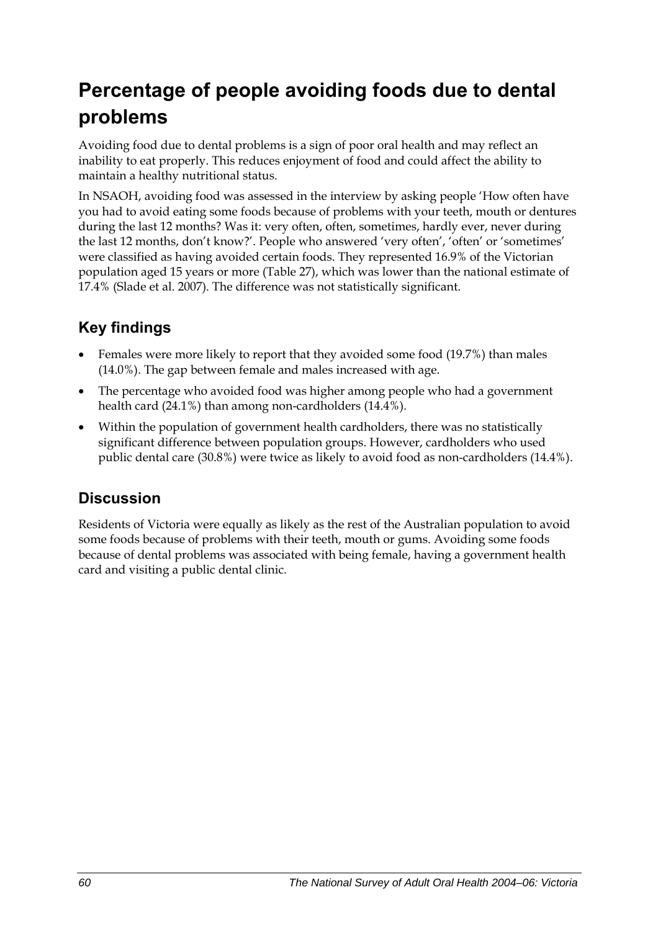## **Percentage of people avoiding foods due to dental problems**

Avoiding food due to dental problems is a sign of poor oral health and may reflect an inability to eat properly. This reduces enjoyment of food and could affect the ability to maintain a healthy nutritional status.

In NSAOH, avoiding food was assessed in the interview by asking people 'How often have you had to avoid eating some foods because of problems with your teeth, mouth or dentures during the last 12 months? Was it: very often, often, sometimes, hardly ever, never during the last 12 months, don't know?'. People who answered 'very often', 'often' or 'sometimes' were classified as having avoided certain foods. They represented 16.9% of the Victorian population aged 15 years or more [\(Table 27\)](#page-68-0), which was lower than the national estimate of 17.4% (Slade et al. 2007). The difference was not statistically significant.

### **Key findings**

- Females were more likely to report that they avoided some food (19.7%) than males (14.0%). The gap between female and males increased with age.
- The percentage who avoided food was higher among people who had a government health card (24.1%) than among non-cardholders (14.4%).
- Within the population of government health cardholders, there was no statistically significant difference between population groups. However, cardholders who used public dental care (30.8%) were twice as likely to avoid food as non-cardholders (14.4%).

### **Discussion**

Residents of Victoria were equally as likely as the rest of the Australian population to avoid some foods because of problems with their teeth, mouth or gums. Avoiding some foods because of dental problems was associated with being female, having a government health card and visiting a public dental clinic.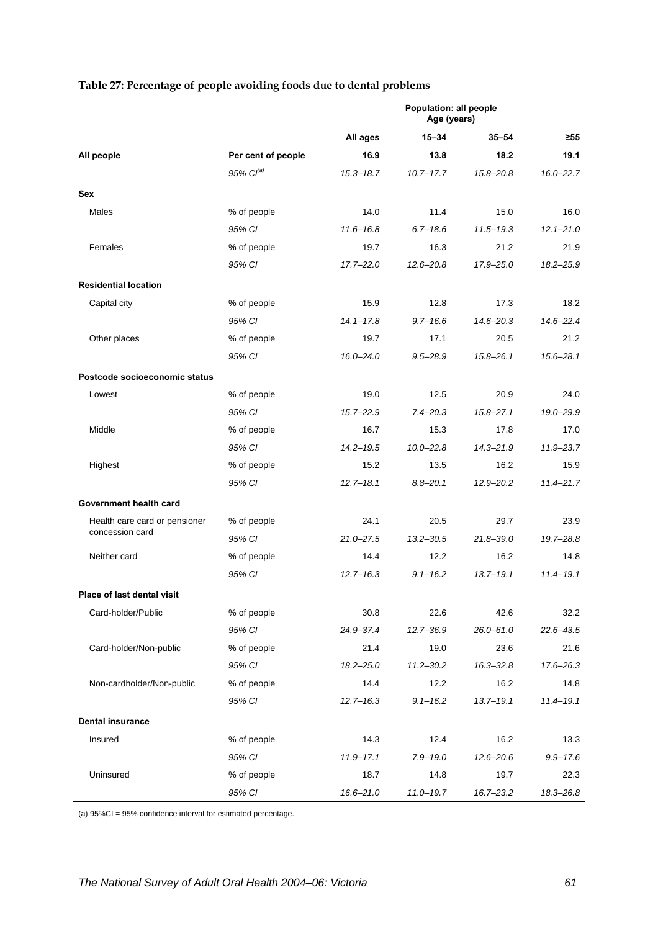|                               |                    | Population: all people<br>Age (years) |               |               |               |
|-------------------------------|--------------------|---------------------------------------|---------------|---------------|---------------|
|                               |                    | All ages                              | $15 - 34$     | $35 - 54$     | $\geq 55$     |
| All people                    | Per cent of people | 16.9                                  | 13.8          | 18.2          | 19.1          |
|                               | $95\%$ $Cl^{(a)}$  | $15.3 - 18.7$                         | $10.7 - 17.7$ | $15.8 - 20.8$ | $16.0 - 22.7$ |
| Sex                           |                    |                                       |               |               |               |
| Males                         | % of people        | 14.0                                  | 11.4          | 15.0          | 16.0          |
|                               | 95% CI             | $11.6 - 16.8$                         | $6.7 - 18.6$  | $11.5 - 19.3$ | $12.1 - 21.0$ |
| Females                       | % of people        | 19.7                                  | 16.3          | 21.2          | 21.9          |
|                               | 95% CI             | $17.7 - 22.0$                         | $12.6 - 20.8$ | 17.9-25.0     | $18.2 - 25.9$ |
| <b>Residential location</b>   |                    |                                       |               |               |               |
| Capital city                  | % of people        | 15.9                                  | 12.8          | 17.3          | 18.2          |
|                               | 95% CI             | $14.1 - 17.8$                         | $9.7 - 16.6$  | $14.6 - 20.3$ | $14.6 - 22.4$ |
| Other places                  | % of people        | 19.7                                  | 17.1          | 20.5          | 21.2          |
|                               | 95% CI             | $16.0 - 24.0$                         | $9.5 - 28.9$  | $15.8 - 26.1$ | $15.6 - 28.1$ |
| Postcode socioeconomic status |                    |                                       |               |               |               |
| Lowest                        | % of people        | 19.0                                  | 12.5          | 20.9          | 24.0          |
|                               | 95% CI             | $15.7 - 22.9$                         | $7.4 - 20.3$  | $15.8 - 27.1$ | 19.0-29.9     |
| Middle                        | % of people        | 16.7                                  | 15.3          | 17.8          | 17.0          |
|                               | 95% CI             | $14.2 - 19.5$                         | $10.0 - 22.8$ | $14.3 - 21.9$ | $11.9 - 23.7$ |
| Highest                       | % of people        | 15.2                                  | 13.5          | 16.2          | 15.9          |
|                               | 95% CI             | $12.7 - 18.1$                         | $8.8 - 20.1$  | $12.9 - 20.2$ | $11.4 - 21.7$ |
| Government health card        |                    |                                       |               |               |               |
| Health care card or pensioner | % of people        | 24.1                                  | 20.5          | 29.7          | 23.9          |
| concession card               | 95% CI             | $21.0 - 27.5$                         | $13.2 - 30.5$ | $21.8 - 39.0$ | 19.7-28.8     |
| Neither card                  | % of people        | 14.4                                  | 12.2          | 16.2          | 14.8          |
|                               | 95% CI             | $12.7 - 16.3$                         | $9.1 - 16.2$  | $13.7 - 19.1$ | $11.4 - 19.1$ |
| Place of last dental visit    |                    |                                       |               |               |               |
| Card-holder/Public            | % of people        | 30.8                                  | 22.6          | 42.6          | 32.2          |
|                               | 95% CI             | 24.9-37.4                             | $12.7 - 36.9$ | $26.0 - 61.0$ | $22.6 - 43.5$ |
| Card-holder/Non-public        | % of people        | 21.4                                  | 19.0          | 23.6          | 21.6          |
|                               | 95% CI             | $18.2 - 25.0$                         | $11.2 - 30.2$ | $16.3 - 32.8$ | 17.6-26.3     |
| Non-cardholder/Non-public     | % of people        | 14.4                                  | 12.2          | 16.2          | 14.8          |
|                               | 95% CI             | $12.7 - 16.3$                         | $9.1 - 16.2$  | $13.7 - 19.1$ | $11.4 - 19.1$ |
| <b>Dental insurance</b>       |                    |                                       |               |               |               |
| Insured                       | % of people        | 14.3                                  | 12.4          | 16.2          | 13.3          |
|                               | 95% CI             | $11.9 - 17.1$                         | $7.9 - 19.0$  | $12.6 - 20.6$ | $9.9 - 17.6$  |
| Uninsured                     | % of people        | 18.7                                  | 14.8          | 19.7          | 22.3          |
|                               | 95% CI             | $16.6 - 21.0$                         | $11.0 - 19.7$ | $16.7 - 23.2$ | 18.3-26.8     |

#### <span id="page-68-0"></span>**Table 27: Percentage of people avoiding foods due to dental problems**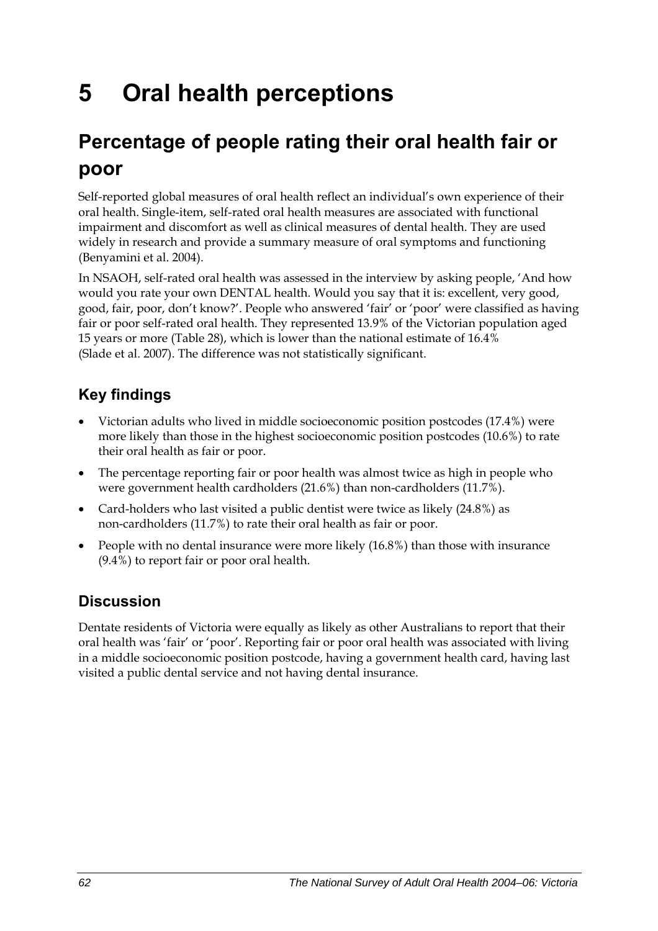# **5 Oral health perceptions**

## **Percentage of people rating their oral health fair or poor**

Self-reported global measures of oral health reflect an individual's own experience of their oral health. Single-item, self-rated oral health measures are associated with functional impairment and discomfort as well as clinical measures of dental health. They are used widely in research and provide a summary measure of oral symptoms and functioning (Benyamini et al. 2004).

In NSAOH, self-rated oral health was assessed in the interview by asking people, 'And how would you rate your own DENTAL health. Would you say that it is: excellent, very good, good, fair, poor, don't know?'. People who answered 'fair' or 'poor' were classified as having fair or poor self-rated oral health. They represented 13.9% of the Victorian population aged 15 years or more [\(Table 28\)](#page-70-0), which is lower than the national estimate of 16.4% (Slade et al. 2007). The difference was not statistically significant.

### **Key findings**

- Victorian adults who lived in middle socioeconomic position postcodes (17.4%) were more likely than those in the highest socioeconomic position postcodes (10.6%) to rate their oral health as fair or poor.
- The percentage reporting fair or poor health was almost twice as high in people who were government health cardholders (21.6%) than non-cardholders (11.7%).
- Card-holders who last visited a public dentist were twice as likely (24.8%) as non-cardholders (11.7%) to rate their oral health as fair or poor.
- People with no dental insurance were more likely (16.8%) than those with insurance (9.4%) to report fair or poor oral health.

### **Discussion**

Dentate residents of Victoria were equally as likely as other Australians to report that their oral health was 'fair' or 'poor'. Reporting fair or poor oral health was associated with living in a middle socioeconomic position postcode, having a government health card, having last visited a public dental service and not having dental insurance.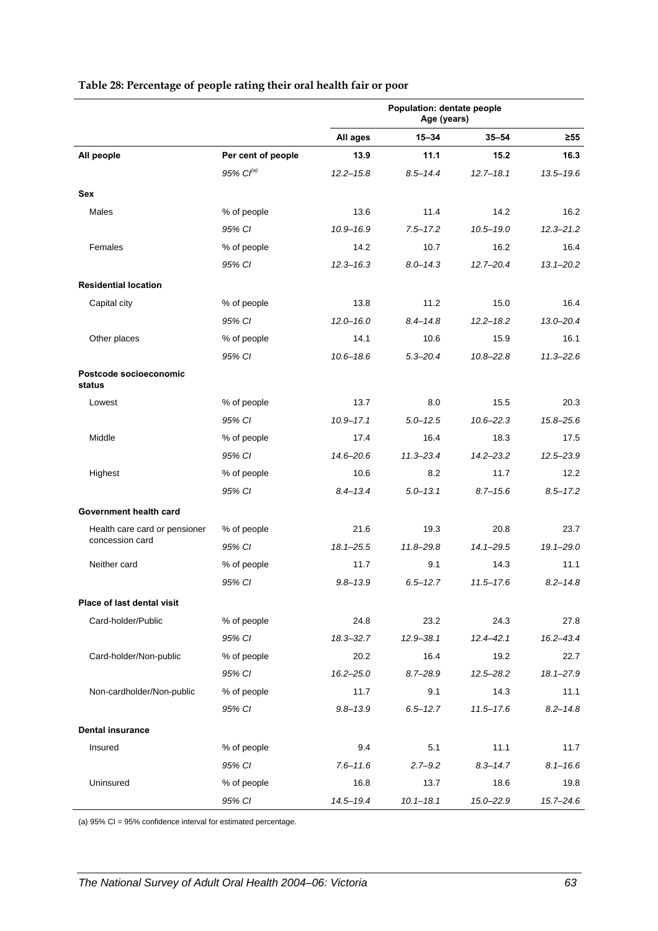<span id="page-70-0"></span>

|                                  |                    | Population: dentate people<br>Age (years) |               |               |               |
|----------------------------------|--------------------|-------------------------------------------|---------------|---------------|---------------|
|                                  |                    | All ages                                  | $15 - 34$     | $35 - 54$     | $\geq 55$     |
| All people                       | Per cent of people | 13.9                                      | 11.1          | 15.2          | 16.3          |
|                                  | $95\%$ $Cl^{(a)}$  | $12.2 - 15.8$                             | $8.5 - 14.4$  | $12.7 - 18.1$ | $13.5 - 19.6$ |
| <b>Sex</b>                       |                    |                                           |               |               |               |
| <b>Males</b>                     | % of people        | 13.6                                      | 11.4          | 14.2          | 16.2          |
|                                  | 95% CI             | $10.9 - 16.9$                             | $7.5 - 17.2$  | $10.5 - 19.0$ | $12.3 - 21.2$ |
| Females                          | % of people        | 14.2                                      | 10.7          | 16.2          | 16.4          |
|                                  | 95% CI             | $12.3 - 16.3$                             | $8.0 - 14.3$  | $12.7 - 20.4$ | $13.1 - 20.2$ |
| <b>Residential location</b>      |                    |                                           |               |               |               |
| Capital city                     | % of people        | 13.8                                      | 11.2          | 15.0          | 16.4          |
|                                  | 95% CI             | $12.0 - 16.0$                             | $8.4 - 14.8$  | $12.2 - 18.2$ | $13.0 - 20.4$ |
| Other places                     | % of people        | 14.1                                      | 10.6          | 15.9          | 16.1          |
|                                  | 95% CI             | $10.6 - 18.6$                             | $5.3 - 20.4$  | $10.8 - 22.8$ | $11.3 - 22.6$ |
| Postcode socioeconomic<br>status |                    |                                           |               |               |               |
| Lowest                           | % of people        | 13.7                                      | 8.0           | 15.5          | 20.3          |
|                                  | 95% CI             | $10.9 - 17.1$                             | $5.0 - 12.5$  | $10.6 - 22.3$ | $15.8 - 25.6$ |
| Middle                           | % of people        | 17.4                                      | 16.4          | 18.3          | 17.5          |
|                                  | 95% CI             | $14.6 - 20.6$                             | $11.3 - 23.4$ | $14.2 - 23.2$ | $12.5 - 23.9$ |
| Highest                          | % of people        | 10.6                                      | 8.2           | 11.7          | 12.2          |
|                                  | 95% CI             | $8.4 - 13.4$                              | $5.0 - 13.1$  | $8.7 - 15.6$  | $8.5 - 17.2$  |
| Government health card           |                    |                                           |               |               |               |
| Health care card or pensioner    | % of people        | 21.6                                      | 19.3          | 20.8          | 23.7          |
| concession card                  | 95% CI             | $18.1 - 25.5$                             | $11.8 - 29.8$ | $14.1 - 29.5$ | $19.1 - 29.0$ |
| Neither card                     | % of people        | 11.7                                      | 9.1           | 14.3          | 11.1          |
|                                  | 95% CI             | $9.8 - 13.9$                              | $6.5 - 12.7$  | $11.5 - 17.6$ | $8.2 - 14.8$  |
| Place of last dental visit       |                    |                                           |               |               |               |
| Card-holder/Public               | % of people        | 24.8                                      | 23.2          | 24.3          | 27.8          |
|                                  | 95% CI             | $18.3 - 32.7$                             | $12.9 - 38.1$ | $12.4 - 42.1$ | $16.2 - 43.4$ |
| Card-holder/Non-public           | % of people        | 20.2                                      | 16.4          | 19.2          | 22.7          |
|                                  | 95% CI             | $16.2 - 25.0$                             | $8.7 - 28.9$  | $12.5 - 28.2$ | $18.1 - 27.9$ |
| Non-cardholder/Non-public        | % of people        | 11.7                                      | 9.1           | 14.3          | 11.1          |
|                                  | 95% CI             | $9.8 - 13.9$                              | $6.5 - 12.7$  | $11.5 - 17.6$ | $8.2 - 14.8$  |
| <b>Dental insurance</b>          |                    |                                           |               |               |               |
| Insured                          | % of people        | 9.4                                       | 5.1           | 11.1          | 11.7          |
|                                  | 95% CI             | $7.6 - 11.6$                              | $2.7 - 9.2$   | $8.3 - 14.7$  | $8.1 - 16.6$  |
| Uninsured                        | % of people        | 16.8                                      | 13.7          | 18.6          | 19.8          |
|                                  | 95% CI             | 14.5-19.4                                 | $10.1 - 18.1$ | 15.0-22.9     | $15.7 - 24.6$ |

#### **Table 28: Percentage of people rating their oral health fair or poor**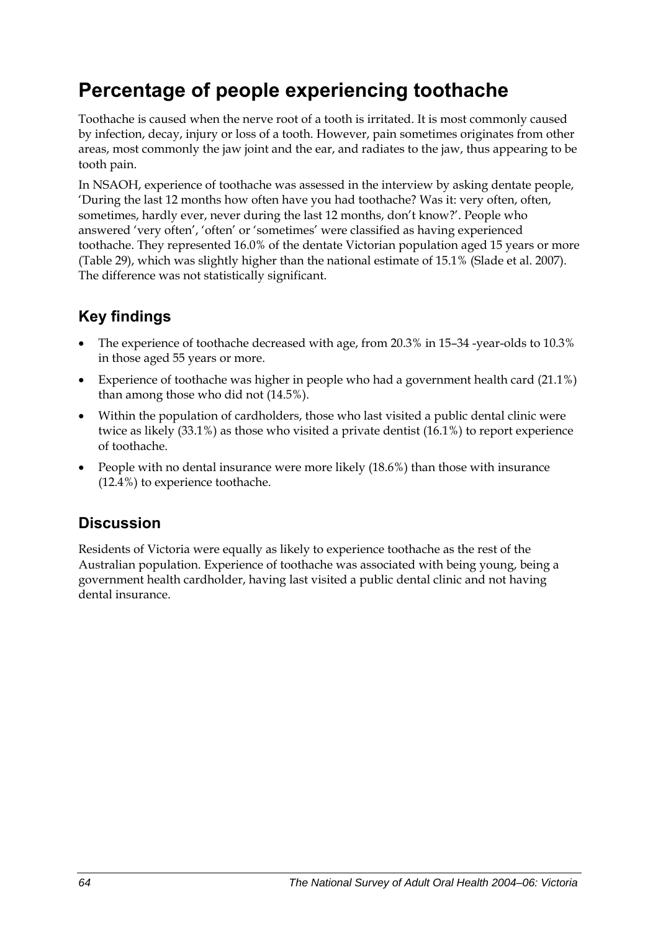## **Percentage of people experiencing toothache**

Toothache is caused when the nerve root of a tooth is irritated. It is most commonly caused by infection, decay, injury or loss of a tooth. However, pain sometimes originates from other areas, most commonly the jaw joint and the ear, and radiates to the jaw, thus appearing to be tooth pain.

In NSAOH, experience of toothache was assessed in the interview by asking dentate people, 'During the last 12 months how often have you had toothache? Was it: very often, often, sometimes, hardly ever, never during the last 12 months, don't know?'. People who answered 'very often', 'often' or 'sometimes' were classified as having experienced toothache. They represented 16.0% of the dentate Victorian population aged 15 years or more ([Table 29](#page-72-0)), which was slightly higher than the national estimate of 15.1% (Slade et al. 2007). The difference was not statistically significant.

### **Key findings**

- The experience of toothache decreased with age, from 20.3% in 15–34 -year-olds to 10.3% in those aged 55 years or more.
- Experience of toothache was higher in people who had a government health card (21.1%) than among those who did not (14.5%).
- Within the population of cardholders, those who last visited a public dental clinic were twice as likely (33.1%) as those who visited a private dentist (16.1%) to report experience of toothache.
- People with no dental insurance were more likely (18.6%) than those with insurance (12.4%) to experience toothache.

### **Discussion**

Residents of Victoria were equally as likely to experience toothache as the rest of the Australian population. Experience of toothache was associated with being young, being a government health cardholder, having last visited a public dental clinic and not having dental insurance.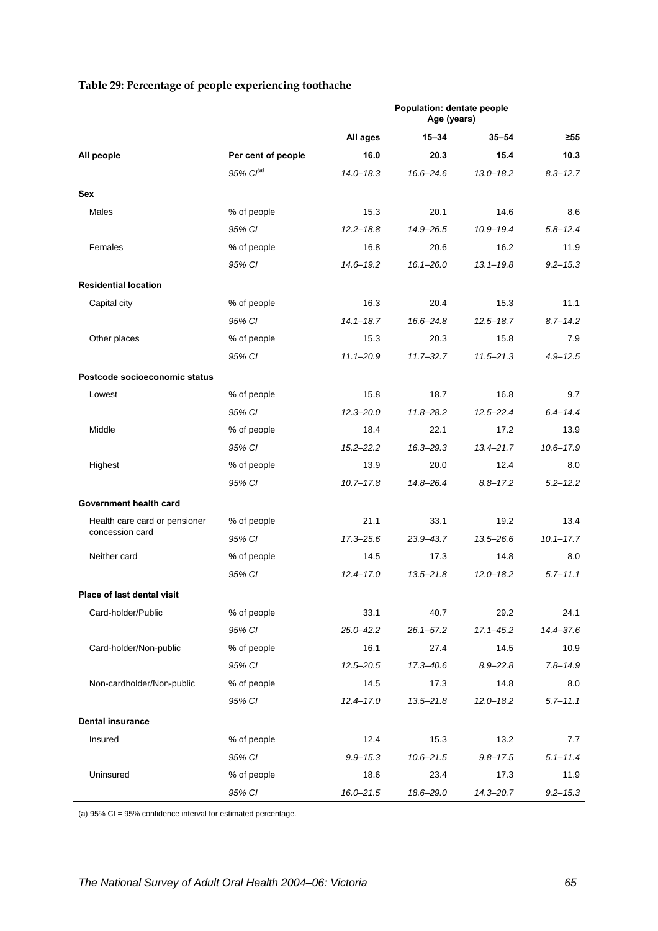|                               |                       | Population: dentate people<br>Age (years) |               |               |               |
|-------------------------------|-----------------------|-------------------------------------------|---------------|---------------|---------------|
|                               |                       | All ages                                  | $15 - 34$     | $35 - 54$     | ≥55           |
| All people                    | Per cent of people    | 16.0                                      | 20.3          | 15.4          | 10.3          |
|                               | 95% Cl <sup>(a)</sup> | $14.0 - 18.3$                             | $16.6 - 24.6$ | $13.0 - 18.2$ | $8.3 - 12.7$  |
| Sex                           |                       |                                           |               |               |               |
| Males                         | % of people           | 15.3                                      | 20.1          | 14.6          | 8.6           |
|                               | 95% CI                | $12.2 - 18.8$                             | $14.9 - 26.5$ | $10.9 - 19.4$ | $5.8 - 12.4$  |
| Females                       | % of people           | 16.8                                      | 20.6          | 16.2          | 11.9          |
|                               | 95% CI                | $14.6 - 19.2$                             | $16.1 - 26.0$ | $13.1 - 19.8$ | $9.2 - 15.3$  |
| <b>Residential location</b>   |                       |                                           |               |               |               |
| Capital city                  | % of people           | 16.3                                      | 20.4          | 15.3          | 11.1          |
|                               | 95% CI                | $14.1 - 18.7$                             | $16.6 - 24.8$ | $12.5 - 18.7$ | $8.7 - 14.2$  |
| Other places                  | % of people           | 15.3                                      | 20.3          | 15.8          | 7.9           |
|                               | 95% CI                | $11.1 - 20.9$                             | $11.7 - 32.7$ | $11.5 - 21.3$ | $4.9 - 12.5$  |
| Postcode socioeconomic status |                       |                                           |               |               |               |
| Lowest                        | % of people           | 15.8                                      | 18.7          | 16.8          | 9.7           |
|                               | 95% CI                | $12.3 - 20.0$                             | $11.8 - 28.2$ | $12.5 - 22.4$ | $6.4 - 14.4$  |
| Middle                        | % of people           | 18.4                                      | 22.1          | 17.2          | 13.9          |
|                               | 95% CI                | $15.2 - 22.2$                             | $16.3 - 29.3$ | $13.4 - 21.7$ | $10.6 - 17.9$ |
| Highest                       | % of people           | 13.9                                      | 20.0          | 12.4          | 8.0           |
|                               | 95% CI                | $10.7 - 17.8$                             | $14.8 - 26.4$ | $8.8 - 17.2$  | $5.2 - 12.2$  |
| Government health card        |                       |                                           |               |               |               |
| Health care card or pensioner | % of people           | 21.1                                      | 33.1          | 19.2          | 13.4          |
| concession card               | 95% CI                | $17.3 - 25.6$                             | $23.9 - 43.7$ | $13.5 - 26.6$ | $10.1 - 17.7$ |
| Neither card                  | % of people           | 14.5                                      | 17.3          | 14.8          | 8.0           |
|                               | 95% CI                | $12.4 - 17.0$                             | $13.5 - 21.8$ | $12.0 - 18.2$ | $5.7 - 11.1$  |
| Place of last dental visit    |                       |                                           |               |               |               |
| Card-holder/Public            | % of people           | 33.1                                      | 40.7          | 29.2          | 24.1          |
|                               | 95% CI                | $25.0 - 42.2$                             | $26.1 - 57.2$ | $17.1 - 45.2$ | $14.4 - 37.6$ |
| Card-holder/Non-public        | % of people           | 16.1                                      | 27.4          | 14.5          | 10.9          |
|                               | 95% CI                | $12.5 - 20.5$                             | $17.3 - 40.6$ | $8.9 - 22.8$  | $7.8 - 14.9$  |
| Non-cardholder/Non-public     | % of people           | 14.5                                      | 17.3          | 14.8          | 8.0           |
|                               | 95% CI                | $12.4 - 17.0$                             | $13.5 - 21.8$ | $12.0 - 18.2$ | $5.7 - 11.1$  |
| <b>Dental insurance</b>       |                       |                                           |               |               |               |
| Insured                       | % of people           | 12.4                                      | 15.3          | 13.2          | 7.7           |
|                               | 95% CI                | $9.9 - 15.3$                              | $10.6 - 21.5$ | $9.8 - 17.5$  | $5.1 - 11.4$  |
| Uninsured                     | % of people           | 18.6                                      | 23.4          | 17.3          | 11.9          |
|                               | 95% CI                | $16.0 - 21.5$                             | 18.6-29.0     | $14.3 - 20.7$ | $9.2 - 15.3$  |

#### <span id="page-72-0"></span>**Table 29: Percentage of people experiencing toothache**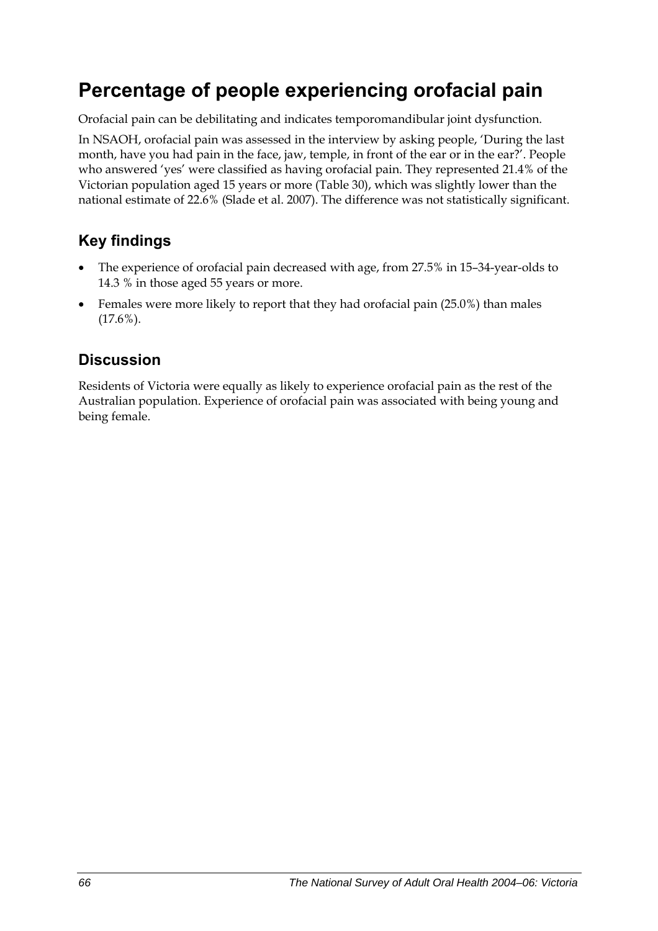## **Percentage of people experiencing orofacial pain**

Orofacial pain can be debilitating and indicates temporomandibular joint dysfunction.

In NSAOH, orofacial pain was assessed in the interview by asking people, 'During the last month, have you had pain in the face, jaw, temple, in front of the ear or in the ear?'. People who answered 'yes' were classified as having orofacial pain. They represented 21.4% of the Victorian population aged 15 years or more ([Table 30](#page-74-0)), which was slightly lower than the national estimate of 22.6% (Slade et al. 2007). The difference was not statistically significant.

### **Key findings**

- The experience of orofacial pain decreased with age, from 27.5% in 15–34-year-olds to 14.3 % in those aged 55 years or more.
- Females were more likely to report that they had orofacial pain (25.0%) than males (17.6%).

### **Discussion**

Residents of Victoria were equally as likely to experience orofacial pain as the rest of the Australian population. Experience of orofacial pain was associated with being young and being female.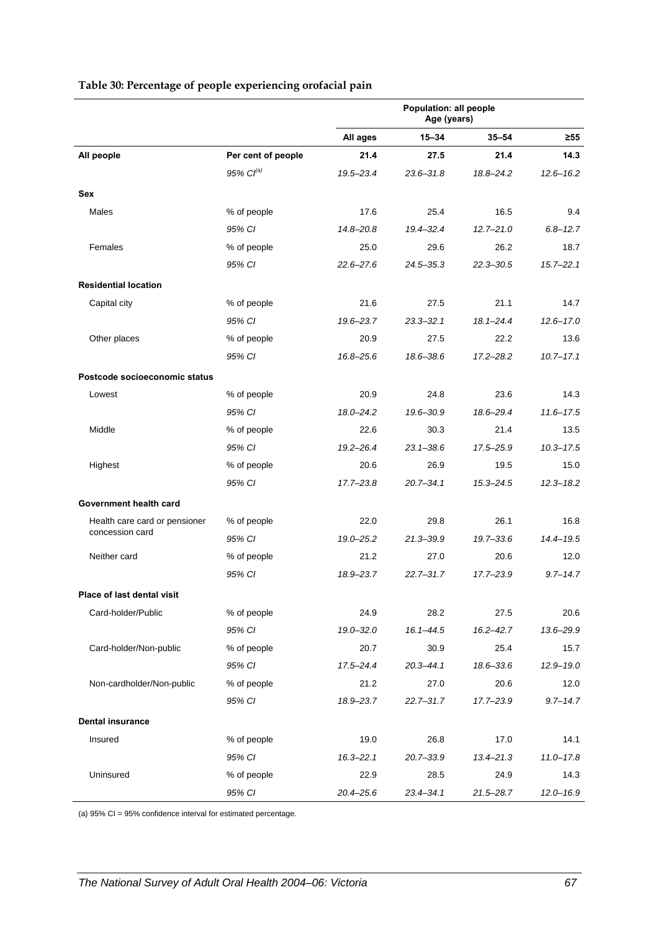<span id="page-74-0"></span>

|                               |                       |               | Population: all people<br>Age (years) |               |               |
|-------------------------------|-----------------------|---------------|---------------------------------------|---------------|---------------|
|                               |                       | All ages      | $15 - 34$                             | $35 - 54$     | ≥55           |
| All people                    | Per cent of people    | 21.4          | 27.5                                  | 21.4          | 14.3          |
|                               | 95% Cl <sup>(a)</sup> | 19.5-23.4     | $23.6 - 31.8$                         | 18.8-24.2     | $12.6 - 16.2$ |
| <b>Sex</b>                    |                       |               |                                       |               |               |
| Males                         | % of people           | 17.6          | 25.4                                  | 16.5          | 9.4           |
|                               | 95% CI                | $14.8 - 20.8$ | $19.4 - 32.4$                         | $12.7 - 21.0$ | $6.8 - 12.7$  |
| Females                       | % of people           | 25.0          | 29.6                                  | 26.2          | 18.7          |
|                               | 95% CI                | $22.6 - 27.6$ | $24.5 - 35.3$                         | $22.3 - 30.5$ | $15.7 - 22.1$ |
| <b>Residential location</b>   |                       |               |                                       |               |               |
| Capital city                  | % of people           | 21.6          | 27.5                                  | 21.1          | 14.7          |
|                               | 95% CI                | 19.6-23.7     | $23.3 - 32.1$                         | $18.1 - 24.4$ | $12.6 - 17.0$ |
| Other places                  | % of people           | 20.9          | 27.5                                  | 22.2          | 13.6          |
|                               | 95% CI                | 16.8-25.6     | 18.6-38.6                             | $17.2 - 28.2$ | $10.7 - 17.1$ |
| Postcode socioeconomic status |                       |               |                                       |               |               |
| Lowest                        | % of people           | 20.9          | 24.8                                  | 23.6          | 14.3          |
|                               | 95% CI                | $18.0 - 24.2$ | 19.6-30.9                             | 18.6-29.4     | $11.6 - 17.5$ |
| Middle                        | % of people           | 22.6          | 30.3                                  | 21.4          | 13.5          |
|                               | 95% CI                | $19.2 - 26.4$ | $23.1 - 38.6$                         | 17.5-25.9     | $10.3 - 17.5$ |
| Highest                       | % of people           | 20.6          | 26.9                                  | 19.5          | 15.0          |
|                               | 95% CI                | $17.7 - 23.8$ | $20.7 - 34.1$                         | $15.3 - 24.5$ | $12.3 - 18.2$ |
| Government health card        |                       |               |                                       |               |               |
| Health care card or pensioner | % of people           | 22.0          | 29.8                                  | 26.1          | 16.8          |
| concession card               | 95% CI                | $19.0 - 25.2$ | $21.3 - 39.9$                         | $19.7 - 33.6$ | $14.4 - 19.5$ |
| Neither card                  | % of people           | 21.2          | 27.0                                  | 20.6          | 12.0          |
|                               | 95% CI                | 18.9-23.7     | $22.7 - 31.7$                         | $17.7 - 23.9$ | $9.7 - 14.7$  |
| Place of last dental visit    |                       |               |                                       |               |               |
| Card-holder/Public            | % of people           | 24.9          | 28.2                                  | 27.5          | 20.6          |
|                               | 95% CI                | $19.0 - 32.0$ | $16.1 - 44.5$                         | $16.2 - 42.7$ | 13.6-29.9     |
| Card-holder/Non-public        | % of people           | 20.7          | 30.9                                  | 25.4          | 15.7          |
|                               | 95% CI                | $17.5 - 24.4$ | $20.3 - 44.1$                         | 18.6-33.6     | $12.9 - 19.0$ |
| Non-cardholder/Non-public     | % of people           | 21.2          | 27.0                                  | 20.6          | 12.0          |
|                               | 95% CI                | 18.9-23.7     | $22.7 - 31.7$                         | 17.7-23.9     | $9.7 - 14.7$  |
| <b>Dental insurance</b>       |                       |               |                                       |               |               |
| Insured                       | % of people           | 19.0          | 26.8                                  | 17.0          | 14.1          |
|                               | 95% CI                | $16.3 - 22.1$ | $20.7 - 33.9$                         | $13.4 - 21.3$ | $11.0 - 17.8$ |
| Uninsured                     | % of people           | 22.9          | 28.5                                  | 24.9          | 14.3          |
|                               | 95% CI                | $20.4 - 25.6$ | $23.4 - 34.1$                         | $21.5 - 28.7$ | $12.0 - 16.9$ |

#### <span id="page-74-1"></span>**Table 30: Percentage of people experiencing orofacial pain**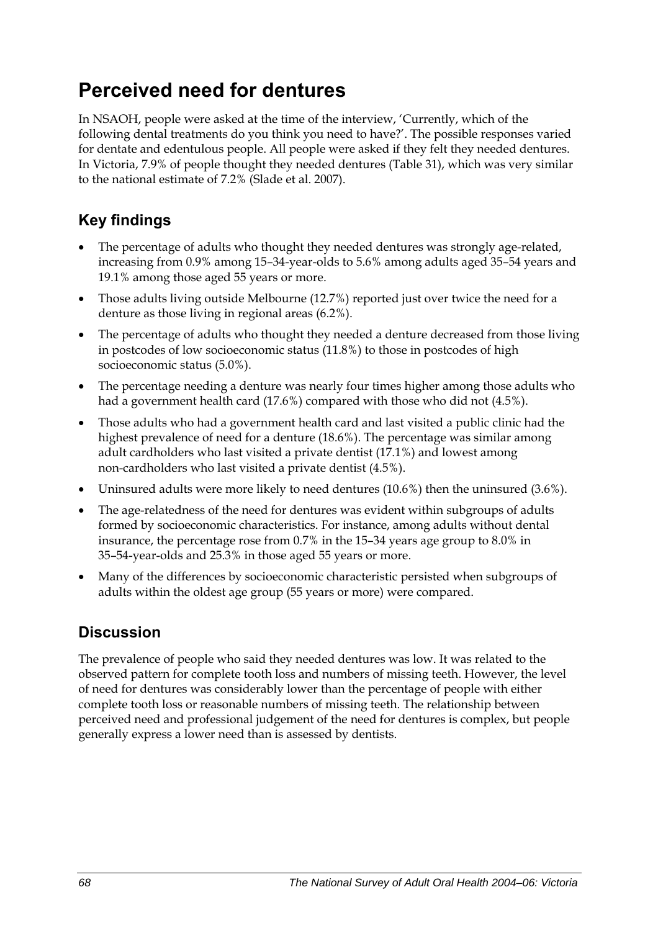## **Perceived need for dentures**

In NSAOH, people were asked at the time of the interview, 'Currently, which of the following dental treatments do you think you need to have?'. The possible responses varied for dentate and edentulous people. All people were asked if they felt they needed dentures. In Victoria, 7.9% of people thought they needed dentures [\(Table 31\)](#page-76-0), which was very similar to the national estimate of 7.2% (Slade et al. 2007).

## **Key findings**

- The percentage of adults who thought they needed dentures was strongly age-related, increasing from 0.9% among 15–34-year-olds to 5.6% among adults aged 35–54 years and 19.1% among those aged 55 years or more.
- Those adults living outside Melbourne (12.7%) reported just over twice the need for a denture as those living in regional areas (6.2%).
- The percentage of adults who thought they needed a denture decreased from those living in postcodes of low socioeconomic status (11.8%) to those in postcodes of high socioeconomic status (5.0%).
- The percentage needing a denture was nearly four times higher among those adults who had a government health card (17.6%) compared with those who did not (4.5%).
- Those adults who had a government health card and last visited a public clinic had the highest prevalence of need for a denture (18.6%). The percentage was similar among adult cardholders who last visited a private dentist (17.1%) and lowest among non-cardholders who last visited a private dentist (4.5%).
- Uninsured adults were more likely to need dentures (10.6%) then the uninsured (3.6%).
- The age-relatedness of the need for dentures was evident within subgroups of adults formed by socioeconomic characteristics. For instance, among adults without dental insurance, the percentage rose from 0.7% in the 15–34 years age group to 8.0% in 35–54-year-olds and 25.3% in those aged 55 years or more.
- Many of the differences by socioeconomic characteristic persisted when subgroups of adults within the oldest age group (55 years or more) were compared.

### **Discussion**

The prevalence of people who said they needed dentures was low. It was related to the observed pattern for complete tooth loss and numbers of missing teeth. However, the level of need for dentures was considerably lower than the percentage of people with either complete tooth loss or reasonable numbers of missing teeth. The relationship between perceived need and professional judgement of the need for dentures is complex, but people generally express a lower need than is assessed by dentists.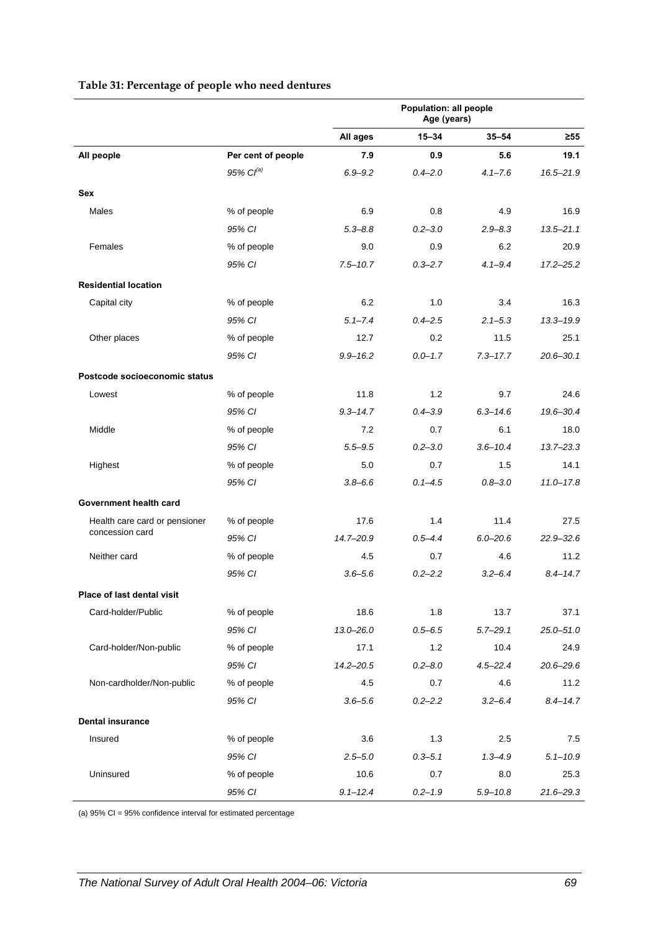<span id="page-76-0"></span>

|                               |                       |               | Population: all people<br>Age (years) |              |               |
|-------------------------------|-----------------------|---------------|---------------------------------------|--------------|---------------|
|                               |                       | All ages      | $15 - 34$                             | $35 - 54$    | $\geq 55$     |
| All people                    | Per cent of people    | 7.9           | 0.9                                   | 5.6          | 19.1          |
|                               | 95% Cl <sup>(a)</sup> | $6.9 - 9.2$   | $0.4 - 2.0$                           | $4.1 - 7.6$  | $16.5 - 21.9$ |
| <b>Sex</b>                    |                       |               |                                       |              |               |
| Males                         | % of people           | 6.9           | 0.8                                   | 4.9          | 16.9          |
|                               | 95% CI                | $5.3 - 8.8$   | $0.2 - 3.0$                           | $2.9 - 8.3$  | $13.5 - 21.1$ |
| Females                       | % of people           | 9.0           | 0.9                                   | 6.2          | 20.9          |
|                               | 95% CI                | $7.5 - 10.7$  | $0.3 - 2.7$                           | $4.1 - 9.4$  | $17.2 - 25.2$ |
| <b>Residential location</b>   |                       |               |                                       |              |               |
| Capital city                  | % of people           | 6.2           | 1.0                                   | 3.4          | 16.3          |
|                               | 95% CI                | $5.1 - 7.4$   | $0.4 - 2.5$                           | $2.1 - 5.3$  | $13.3 - 19.9$ |
| Other places                  | % of people           | 12.7          | 0.2                                   | 11.5         | 25.1          |
|                               | 95% CI                | $9.9 - 16.2$  | $0.0 - 1.7$                           | $7.3 - 17.7$ | $20.6 - 30.1$ |
| Postcode socioeconomic status |                       |               |                                       |              |               |
| Lowest                        | % of people           | 11.8          | 1.2                                   | 9.7          | 24.6          |
|                               | 95% CI                | $9.3 - 14.7$  | $0.4 - 3.9$                           | $6.3 - 14.6$ | 19.6-30.4     |
| Middle                        | % of people           | 7.2           | 0.7                                   | 6.1          | 18.0          |
|                               | 95% CI                | $5.5 - 9.5$   | $0.2 - 3.0$                           | $3.6 - 10.4$ | $13.7 - 23.3$ |
| Highest                       | % of people           | 5.0           | 0.7                                   | 1.5          | 14.1          |
|                               | 95% CI                | $3.8 - 6.6$   | $0.1 - 4.5$                           | $0.8 - 3.0$  | $11.0 - 17.8$ |
| Government health card        |                       |               |                                       |              |               |
| Health care card or pensioner | % of people           | 17.6          | 1.4                                   | 11.4         | 27.5          |
| concession card               | 95% CI                | 14.7-20.9     | $0.5 - 4.4$                           | $6.0 - 20.6$ | $22.9 - 32.6$ |
| Neither card                  | % of people           | 4.5           | 0.7                                   | 4.6          | 11.2          |
|                               | 95% CI                | $3.6 - 5.6$   | $0.2 - 2.2$                           | $3.2 - 6.4$  | $8.4 - 14.7$  |
| Place of last dental visit    |                       |               |                                       |              |               |
| Card-holder/Public            | % of people           | 18.6          | 1.8                                   | 13.7         | 37.1          |
|                               | 95% CI                | $13.0 - 26.0$ | $0.5 - 6.5$                           | $5.7 - 29.1$ | $25.0 - 51.0$ |
| Card-holder/Non-public        | % of people           | 17.1          | 1.2                                   | 10.4         | 24.9          |
|                               | 95% CI                | $14.2 - 20.5$ | $0.2 - 8.0$                           | $4.5 - 22.4$ | $20.6 - 29.6$ |
| Non-cardholder/Non-public     | % of people           | 4.5           | 0.7                                   | 4.6          | 11.2          |
|                               | 95% CI                | $3.6 - 5.6$   | $0.2 - 2.2$                           | $3.2 - 6.4$  | $8.4 - 14.7$  |
| <b>Dental insurance</b>       |                       |               |                                       |              |               |
| Insured                       | % of people           | 3.6           | 1.3                                   | 2.5          | 7.5           |
|                               | 95% CI                | $2.5 - 5.0$   | $0.3 - 5.1$                           | $1.3 - 4.9$  | $5.1 - 10.9$  |
| Uninsured                     | % of people           | 10.6          | 0.7                                   | 8.0          | 25.3          |
|                               | 95% CI                | $9.1 - 12.4$  | $0.2 - 1.9$                           | $5.9 - 10.8$ | $21.6 - 29.3$ |

#### <span id="page-76-1"></span>**Table 31: Percentage of people who need dentures**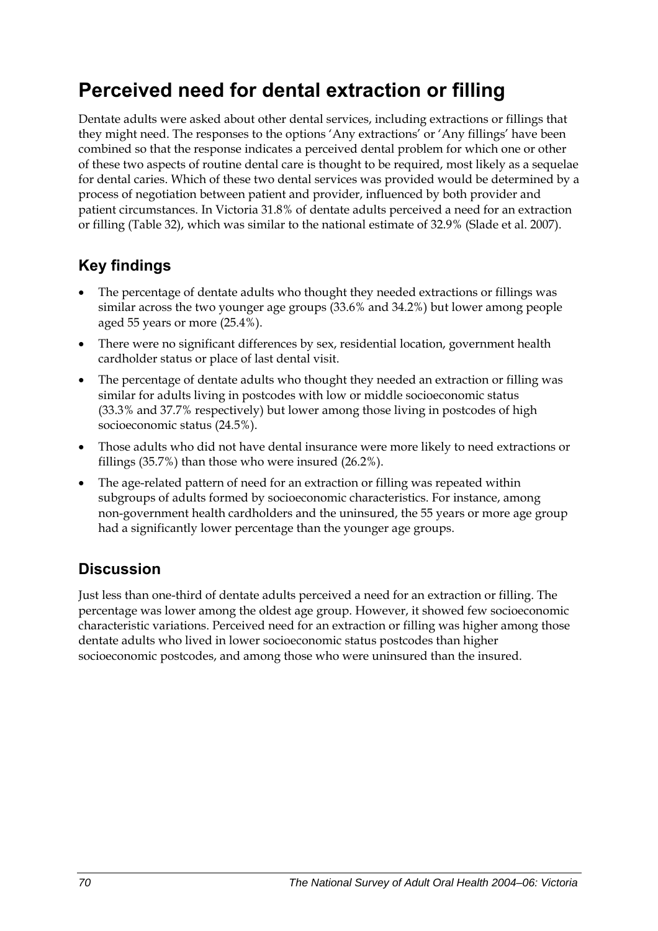## **Perceived need for dental extraction or filling**

Dentate adults were asked about other dental services, including extractions or fillings that they might need. The responses to the options 'Any extractions' or 'Any fillings' have been combined so that the response indicates a perceived dental problem for which one or other of these two aspects of routine dental care is thought to be required, most likely as a sequelae for dental caries. Which of these two dental services was provided would be determined by a process of negotiation between patient and provider, influenced by both provider and patient circumstances. In Victoria 31.8% of dentate adults perceived a need for an extraction or filling [\(Table 32\)](#page-78-0), which was similar to the national estimate of 32.9% (Slade et al. 2007).

## **Key findings**

- The percentage of dentate adults who thought they needed extractions or fillings was similar across the two younger age groups (33.6% and 34.2%) but lower among people aged 55 years or more (25.4%).
- There were no significant differences by sex, residential location, government health cardholder status or place of last dental visit.
- The percentage of dentate adults who thought they needed an extraction or filling was similar for adults living in postcodes with low or middle socioeconomic status (33.3% and 37.7% respectively) but lower among those living in postcodes of high socioeconomic status (24.5%).
- Those adults who did not have dental insurance were more likely to need extractions or fillings (35.7%) than those who were insured (26.2%).
- The age-related pattern of need for an extraction or filling was repeated within subgroups of adults formed by socioeconomic characteristics. For instance, among non-government health cardholders and the uninsured, the 55 years or more age group had a significantly lower percentage than the younger age groups.

### **Discussion**

Just less than one-third of dentate adults perceived a need for an extraction or filling. The percentage was lower among the oldest age group. However, it showed few socioeconomic characteristic variations. Perceived need for an extraction or filling was higher among those dentate adults who lived in lower socioeconomic status postcodes than higher socioeconomic postcodes, and among those who were uninsured than the insured.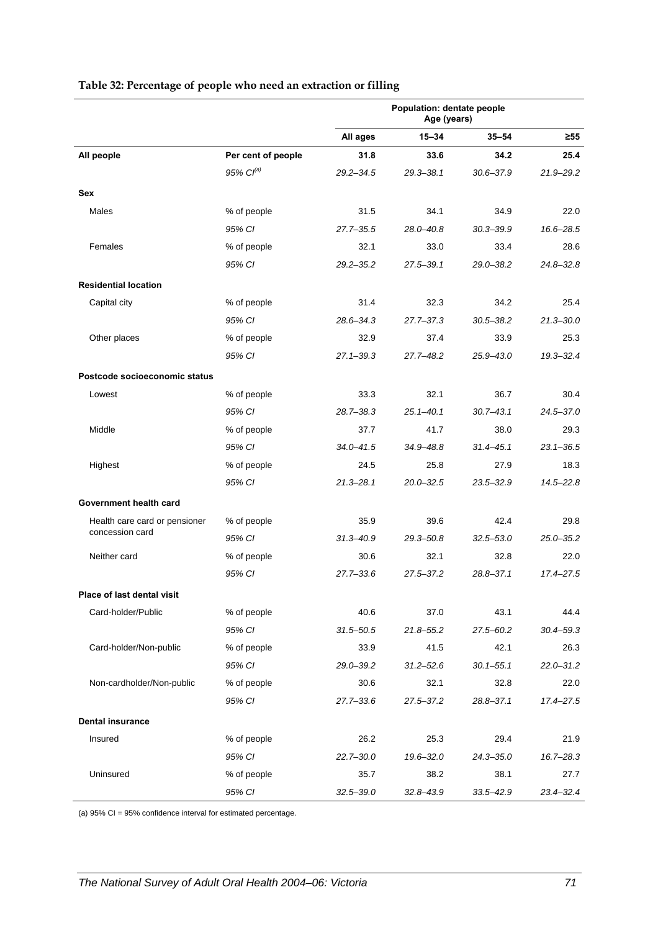<span id="page-78-0"></span>

|                               |                       |               | Population: dentate people<br>Age (years) |               |               |
|-------------------------------|-----------------------|---------------|-------------------------------------------|---------------|---------------|
|                               |                       | All ages      | $15 - 34$                                 | $35 - 54$     | $\geq 55$     |
| All people                    | Per cent of people    | 31.8          | 33.6                                      | 34.2          | 25.4          |
|                               | 95% Cl <sup>(a)</sup> | $29.2 - 34.5$ | 29.3-38.1                                 | $30.6 - 37.9$ | $21.9 - 29.2$ |
| <b>Sex</b>                    |                       |               |                                           |               |               |
| Males                         | % of people           | 31.5          | 34.1                                      | 34.9          | 22.0          |
|                               | 95% CI                | $27.7 - 35.5$ | 28.0-40.8                                 | $30.3 - 39.9$ | 16.6-28.5     |
| Females                       | % of people           | 32.1          | 33.0                                      | 33.4          | 28.6          |
|                               | 95% CI                | $29.2 - 35.2$ | $27.5 - 39.1$                             | $29.0 - 38.2$ | $24.8 - 32.8$ |
| <b>Residential location</b>   |                       |               |                                           |               |               |
| Capital city                  | % of people           | 31.4          | 32.3                                      | 34.2          | 25.4          |
|                               | 95% CI                | 28.6-34.3     | $27.7 - 37.3$                             | $30.5 - 38.2$ | $21.3 - 30.0$ |
| Other places                  | % of people           | 32.9          | 37.4                                      | 33.9          | 25.3          |
|                               | 95% CI                | $27.1 - 39.3$ | $27.7 - 48.2$                             | $25.9 - 43.0$ | $19.3 - 32.4$ |
| Postcode socioeconomic status |                       |               |                                           |               |               |
| Lowest                        | % of people           | 33.3          | 32.1                                      | 36.7          | 30.4          |
|                               | 95% CI                | 28.7-38.3     | $25.1 - 40.1$                             | $30.7 - 43.1$ | $24.5 - 37.0$ |
| Middle                        | % of people           | 37.7          | 41.7                                      | 38.0          | 29.3          |
|                               | 95% CI                | $34.0 - 41.5$ | $34.9 - 48.8$                             | $31.4 - 45.1$ | $23.1 - 36.5$ |
| Highest                       | % of people           | 24.5          | 25.8                                      | 27.9          | 18.3          |
|                               | 95% CI                | $21.3 - 28.1$ | $20.0 - 32.5$                             | $23.5 - 32.9$ | $14.5 - 22.8$ |
| Government health card        |                       |               |                                           |               |               |
| Health care card or pensioner | % of people           | 35.9          | 39.6                                      | 42.4          | 29.8          |
| concession card               | 95% CI                | $31.3 - 40.9$ | $29.3 - 50.8$                             | $32.5 - 53.0$ | $25.0 - 35.2$ |
| Neither card                  | % of people           | 30.6          | 32.1                                      | 32.8          | 22.0          |
|                               | 95% CI                | $27.7 - 33.6$ | $27.5 - 37.2$                             | $28.8 - 37.1$ | $17.4 - 27.5$ |
| Place of last dental visit    |                       |               |                                           |               |               |
| Card-holder/Public            | % of people           | 40.6          | 37.0                                      | 43.1          | 44.4          |
|                               | 95% CI                | $31.5 - 50.5$ | $21.8 - 55.2$                             | 27.5-60.2     | $30.4 - 59.3$ |
| Card-holder/Non-public        | % of people           | 33.9          | 41.5                                      | 42.1          | 26.3          |
|                               | 95% CI                | 29.0-39.2     | $31.2 - 52.6$                             | $30.1 - 55.1$ | $22.0 - 31.2$ |
| Non-cardholder/Non-public     | % of people           | 30.6          | 32.1                                      | 32.8          | 22.0          |
|                               | 95% CI                | 27.7–33.6     | $27.5 - 37.2$                             | $28.8 - 37.1$ | 17.4-27.5     |
| <b>Dental insurance</b>       |                       |               |                                           |               |               |
| Insured                       | % of people           | 26.2          | 25.3                                      | 29.4          | 21.9          |
|                               | 95% CI                | 22.7-30.0     | $19.6 - 32.0$                             | $24.3 - 35.0$ | $16.7 - 28.3$ |
| Uninsured                     | % of people           | 35.7          | 38.2                                      | 38.1          | 27.7          |
|                               | 95% CI                | $32.5 - 39.0$ | $32.8 - 43.9$                             | $33.5 - 42.9$ | $23.4 - 32.4$ |

#### <span id="page-78-1"></span>**Table 32: Percentage of people who need an extraction or filling**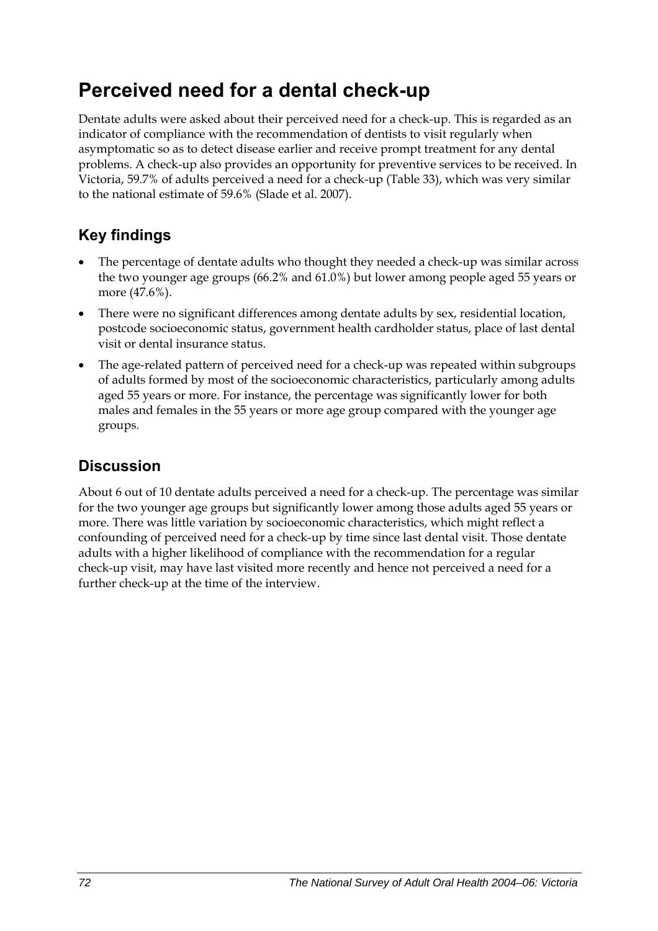## **Perceived need for a dental check-up**

Dentate adults were asked about their perceived need for a check-up. This is regarded as an indicator of compliance with the recommendation of dentists to visit regularly when asymptomatic so as to detect disease earlier and receive prompt treatment for any dental problems. A check-up also provides an opportunity for preventive services to be received. In Victoria, 59.7% of adults perceived a need for a check-up ([Table 33](#page-80-0)), which was very similar to the national estimate of 59.6% (Slade et al. 2007).

## **Key findings**

- The percentage of dentate adults who thought they needed a check-up was similar across the two younger age groups (66.2% and 61.0%) but lower among people aged 55 years or more (47.6%).
- There were no significant differences among dentate adults by sex, residential location, postcode socioeconomic status, government health cardholder status, place of last dental visit or dental insurance status.
- The age-related pattern of perceived need for a check-up was repeated within subgroups of adults formed by most of the socioeconomic characteristics, particularly among adults aged 55 years or more. For instance, the percentage was significantly lower for both males and females in the 55 years or more age group compared with the younger age groups.

### **Discussion**

About 6 out of 10 dentate adults perceived a need for a check-up. The percentage was similar for the two younger age groups but significantly lower among those adults aged 55 years or more. There was little variation by socioeconomic characteristics, which might reflect a confounding of perceived need for a check-up by time since last dental visit. Those dentate adults with a higher likelihood of compliance with the recommendation for a regular check-up visit, may have last visited more recently and hence not perceived a need for a further check-up at the time of the interview.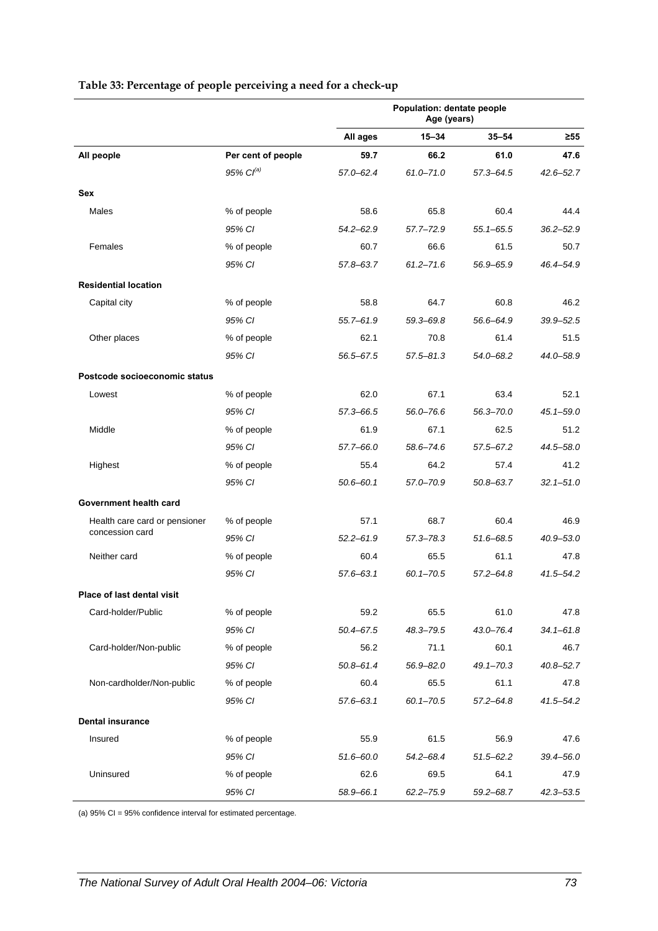<span id="page-80-0"></span>

|                               |                    | Population: dentate people<br>Age (years) |               |               |               |
|-------------------------------|--------------------|-------------------------------------------|---------------|---------------|---------------|
|                               |                    | All ages                                  | $15 - 34$     | $35 - 54$     | ≥55           |
| All people                    | Per cent of people | 59.7                                      | 66.2          | 61.0          | 47.6          |
|                               | $95\%$ $Cl^{(a)}$  | 57.0-62.4                                 | $61.0 - 71.0$ | $57.3 - 64.5$ | 42.6–52.7     |
| <b>Sex</b>                    |                    |                                           |               |               |               |
| Males                         | % of people        | 58.6                                      | 65.8          | 60.4          | 44.4          |
|                               | 95% CI             | $54.2 - 62.9$                             | $57.7 - 72.9$ | $55.1 - 65.5$ | $36.2 - 52.9$ |
| Females                       | % of people        | 60.7                                      | 66.6          | 61.5          | 50.7          |
|                               | 95% CI             | 57.8-63.7                                 | $61.2 - 71.6$ | 56.9-65.9     | 46.4–54.9     |
| <b>Residential location</b>   |                    |                                           |               |               |               |
| Capital city                  | % of people        | 58.8                                      | 64.7          | 60.8          | 46.2          |
|                               | 95% CI             | $55.7 - 61.9$                             | 59.3-69.8     | 56.6-64.9     | $39.9 - 52.5$ |
| Other places                  | % of people        | 62.1                                      | 70.8          | 61.4          | 51.5          |
|                               | 95% CI             | 56.5-67.5                                 | $57.5 - 81.3$ | 54.0-68.2     | 44.0–58.9     |
| Postcode socioeconomic status |                    |                                           |               |               |               |
| Lowest                        | % of people        | 62.0                                      | 67.1          | 63.4          | 52.1          |
|                               | 95% CI             | 57.3-66.5                                 | $56.0 - 76.6$ | 56.3-70.0     | $45.1 - 59.0$ |
| Middle                        | % of people        | 61.9                                      | 67.1          | 62.5          | 51.2          |
|                               | 95% CI             | 57.7-66.0                                 | 58.6-74.6     | 57.5-67.2     | 44.5-58.0     |
| Highest                       | % of people        | 55.4                                      | 64.2          | 57.4          | 41.2          |
|                               | 95% CI             | $50.6 - 60.1$                             | 57.0-70.9     | $50.8 - 63.7$ | $32.1 - 51.0$ |
| Government health card        |                    |                                           |               |               |               |
| Health care card or pensioner | % of people        | 57.1                                      | 68.7          | 60.4          | 46.9          |
| concession card               | 95% CI             | $52.2 - 61.9$                             | $57.3 - 78.3$ | 51.6-68.5     | $40.9 - 53.0$ |
| Neither card                  | % of people        | 60.4                                      | 65.5          | 61.1          | 47.8          |
|                               | 95% CI             | $57.6 - 63.1$                             | $60.1 - 70.5$ | $57.2 - 64.8$ | 41.5-54.2     |
| Place of last dental visit    |                    |                                           |               |               |               |
| Card-holder/Public            | % of people        | 59.2                                      | 65.5          | 61.0          | 47.8          |
|                               | 95% CI             | $50.4 - 67.5$                             | 48.3-79.5     | $43.0 - 76.4$ | $34.1 - 61.8$ |
| Card-holder/Non-public        | % of people        | 56.2                                      | 71.1          | 60.1          | 46.7          |
|                               | 95% CI             | $50.8 - 61.4$                             | $56.9 - 82.0$ | $49.1 - 70.3$ | $40.8 - 52.7$ |
| Non-cardholder/Non-public     | % of people        | 60.4                                      | 65.5          | 61.1          | 47.8          |
|                               | 95% CI             | $57.6 - 63.1$                             | $60.1 - 70.5$ | $57.2 - 64.8$ | $41.5 - 54.2$ |
| <b>Dental insurance</b>       |                    |                                           |               |               |               |
| Insured                       | % of people        | 55.9                                      | 61.5          | 56.9          | 47.6          |
|                               | 95% CI             | $51.6 - 60.0$                             | $54.2 - 68.4$ | $51.5 - 62.2$ | $39.4 - 56.0$ |
| Uninsured                     | % of people        | 62.6                                      | 69.5          | 64.1          | 47.9          |
|                               | 95% CI             | 58.9-66.1                                 | $62.2 - 75.9$ | $59.2 - 68.7$ | $42.3 - 53.5$ |

#### <span id="page-80-1"></span>**Table 33: Percentage of people perceiving a need for a check-up**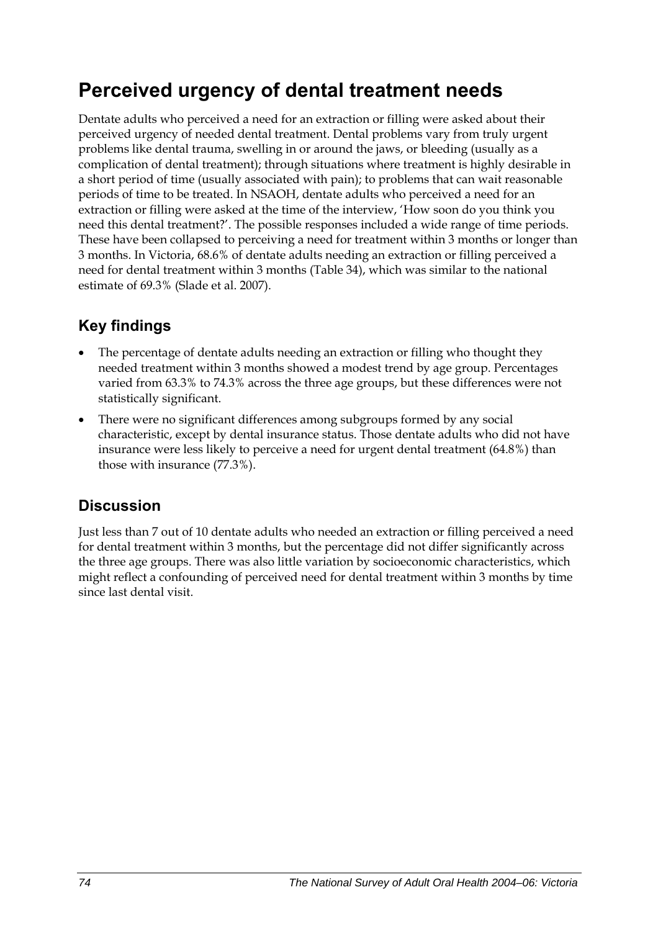## **Perceived urgency of dental treatment needs**

Dentate adults who perceived a need for an extraction or filling were asked about their perceived urgency of needed dental treatment. Dental problems vary from truly urgent problems like dental trauma, swelling in or around the jaws, or bleeding (usually as a complication of dental treatment); through situations where treatment is highly desirable in a short period of time (usually associated with pain); to problems that can wait reasonable periods of time to be treated. In NSAOH, dentate adults who perceived a need for an extraction or filling were asked at the time of the interview, 'How soon do you think you need this dental treatment?'. The possible responses included a wide range of time periods. These have been collapsed to perceiving a need for treatment within 3 months or longer than 3 months. In Victoria, 68.6% of dentate adults needing an extraction or filling perceived a need for dental treatment within 3 months ([Table 34](#page-82-0)), which was similar to the national estimate of 69.3% (Slade et al. 2007).

## **Key findings**

- The percentage of dentate adults needing an extraction or filling who thought they needed treatment within 3 months showed a modest trend by age group. Percentages varied from 63.3% to 74.3% across the three age groups, but these differences were not statistically significant.
- There were no significant differences among subgroups formed by any social characteristic, except by dental insurance status. Those dentate adults who did not have insurance were less likely to perceive a need for urgent dental treatment (64.8%) than those with insurance (77.3%).

### **Discussion**

Just less than 7 out of 10 dentate adults who needed an extraction or filling perceived a need for dental treatment within 3 months, but the percentage did not differ significantly across the three age groups. There was also little variation by socioeconomic characteristics, which might reflect a confounding of perceived need for dental treatment within 3 months by time since last dental visit.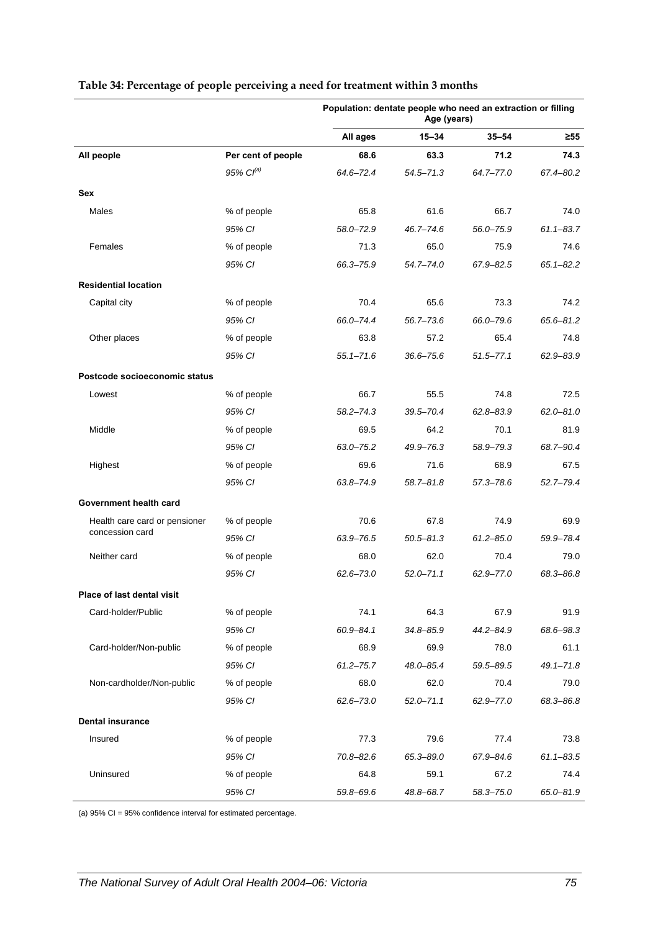|                               |                    | Population: dentate people who need an extraction or filling<br>Age (years) |               |               |               |
|-------------------------------|--------------------|-----------------------------------------------------------------------------|---------------|---------------|---------------|
|                               |                    | All ages                                                                    | $15 - 34$     | $35 - 54$     | ≥55           |
| All people                    | Per cent of people | 68.6                                                                        | 63.3          | 71.2          | 74.3          |
|                               | 95% $Cl^{(a)}$     | 64.6-72.4                                                                   | $54.5 - 71.3$ | $64.7 - 77.0$ | 67.4-80.2     |
| Sex                           |                    |                                                                             |               |               |               |
| Males                         | % of people        | 65.8                                                                        | 61.6          | 66.7          | 74.0          |
|                               | 95% CI             | 58.0-72.9                                                                   | $46.7 - 74.6$ | 56.0-75.9     | $61.1 - 83.7$ |
| Females                       | % of people        | 71.3                                                                        | 65.0          | 75.9          | 74.6          |
|                               | 95% CI             | 66.3-75.9                                                                   | $54.7 - 74.0$ | $67.9 - 82.5$ | $65.1 - 82.2$ |
| <b>Residential location</b>   |                    |                                                                             |               |               |               |
| Capital city                  | % of people        | 70.4                                                                        | 65.6          | 73.3          | 74.2          |
|                               | 95% CI             | 66.0-74.4                                                                   | $56.7 - 73.6$ | 66.0-79.6     | 65.6-81.2     |
| Other places                  | % of people        | 63.8                                                                        | 57.2          | 65.4          | 74.8          |
|                               | 95% CI             | $55.1 - 71.6$                                                               | $36.6 - 75.6$ | $51.5 - 77.1$ | 62.9-83.9     |
| Postcode socioeconomic status |                    |                                                                             |               |               |               |
| Lowest                        | % of people        | 66.7                                                                        | 55.5          | 74.8          | 72.5          |
|                               | 95% CI             | $58.2 - 74.3$                                                               | 39.5-70.4     | $62.8 - 83.9$ | $62.0 - 81.0$ |
| Middle                        | % of people        | 69.5                                                                        | 64.2          | 70.1          | 81.9          |
|                               | 95% CI             | $63.0 - 75.2$                                                               | 49.9-76.3     | 58.9-79.3     | 68.7-90.4     |
| Highest                       | % of people        | 69.6                                                                        | 71.6          | 68.9          | 67.5          |
|                               | 95% CI             | 63.8-74.9                                                                   | $58.7 - 81.8$ | $57.3 - 78.6$ | $52.7 - 79.4$ |
| Government health card        |                    |                                                                             |               |               |               |
| Health care card or pensioner | % of people        | 70.6                                                                        | 67.8          | 74.9          | 69.9          |
| concession card               | 95% CI             | 63.9-76.5                                                                   | $50.5 - 81.3$ | $61.2 - 85.0$ | 59.9-78.4     |
| Neither card                  | % of people        | 68.0                                                                        | 62.0          | 70.4          | 79.0          |
|                               | 95% CI             | $62.6 - 73.0$                                                               | $52.0 - 71.1$ | $62.9 - 77.0$ | 68.3-86.8     |
| Place of last dental visit    |                    |                                                                             |               |               |               |
| Card-holder/Public            | % of people        | 74.1                                                                        | 64.3          | 67.9          | 91.9          |
|                               | 95% CI             | $60.9 - 84.1$                                                               | $34.8 - 85.9$ | $44.2 - 84.9$ | 68.6-98.3     |
| Card-holder/Non-public        | % of people        | 68.9                                                                        | 69.9          | 78.0          | 61.1          |
|                               | 95% CI             | $61.2 - 75.7$                                                               | 48.0-85.4     | 59.5-89.5     | $49.1 - 71.8$ |
| Non-cardholder/Non-public     | % of people        | 68.0                                                                        | 62.0          | 70.4          | 79.0          |
|                               | 95% CI             | $62.6 - 73.0$                                                               | $52.0 - 71.1$ | 62.9-77.0     | 68.3-86.8     |
| <b>Dental insurance</b>       |                    |                                                                             |               |               |               |
| Insured                       | % of people        | 77.3                                                                        | 79.6          | 77.4          | 73.8          |
|                               | 95% CI             | $70.8 - 82.6$                                                               | 65.3-89.0     | 67.9-84.6     | $61.1 - 83.5$ |
| Uninsured                     | % of people        | 64.8                                                                        | 59.1          | 67.2          | 74.4          |
|                               | 95% CI             | 59.8-69.6                                                                   | 48.8-68.7     | 58.3-75.0     | 65.0-81.9     |

#### <span id="page-82-1"></span><span id="page-82-0"></span>**Table 34: Percentage of people perceiving a need for treatment within 3 months**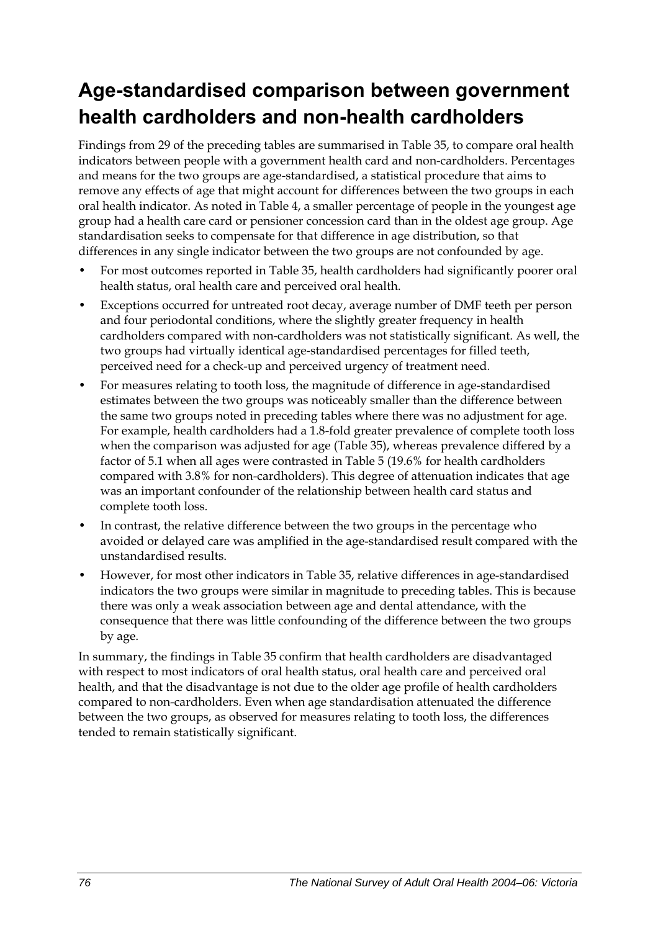## **Age-standardised comparison between government health cardholders and non-health cardholders**

Findings from 29 of the preceding tables are summarised in [Table 35,](#page-84-0) to compare oral health indicators between people with a government health card and non-cardholders. Percentages and means for the two groups are age-standardised, a statistical procedure that aims to remove any effects of age that might account for differences between the two groups in each oral health indicator. As noted in Table 4, a smaller percentage of people in the youngest age group had a health care card or pensioner concession card than in the oldest age group. Age standardisation seeks to compensate for that difference in age distribution, so that differences in any single indicator between the two groups are not confounded by age.

- For most outcomes reported in [Table 35](#page-84-0), health cardholders had significantly poorer oral health status, oral health care and perceived oral health.
- Exceptions occurred for untreated root decay, average number of DMF teeth per person and four periodontal conditions, where the slightly greater frequency in health cardholders compared with non-cardholders was not statistically significant. As well, the two groups had virtually identical age-standardised percentages for filled teeth, perceived need for a check-up and perceived urgency of treatment need.
- For measures relating to tooth loss, the magnitude of difference in age-standardised estimates between the two groups was noticeably smaller than the difference between the same two groups noted in preceding tables where there was no adjustment for age. For example, health cardholders had a 1.8-fold greater prevalence of complete tooth loss when the comparison was adjusted for age [\(Table 35\)](#page-84-0), whereas prevalence differed by a factor of 5.1 when all ages were contrasted in Table 5 (19.6% for health cardholders compared with 3.8% for non-cardholders). This degree of attenuation indicates that age was an important confounder of the relationship between health card status and complete tooth loss.
- In contrast, the relative difference between the two groups in the percentage who avoided or delayed care was amplified in the age-standardised result compared with the unstandardised results.
- However, for most other indicators in [Table 35,](#page-84-0) relative differences in age-standardised indicators the two groups were similar in magnitude to preceding tables. This is because there was only a weak association between age and dental attendance, with the consequence that there was little confounding of the difference between the two groups by age.

In summary, the findings in [Table 35](#page-84-0) confirm that health cardholders are disadvantaged with respect to most indicators of oral health status, oral health care and perceived oral health, and that the disadvantage is not due to the older age profile of health cardholders compared to non-cardholders. Even when age standardisation attenuated the difference between the two groups, as observed for measures relating to tooth loss, the differences tended to remain statistically significant.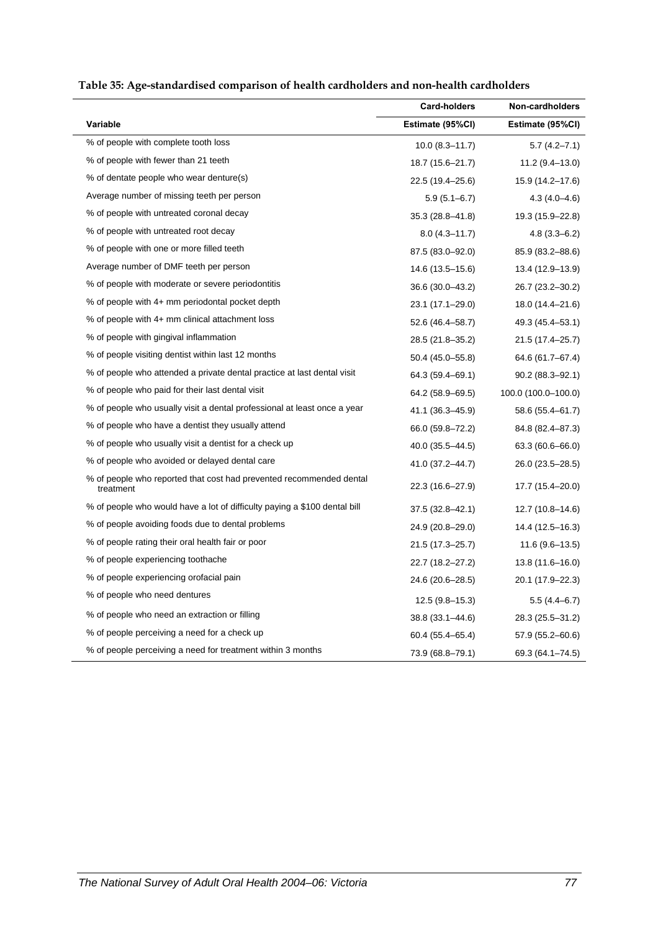<span id="page-84-1"></span>

| Table 35: Age-standardised comparison of health cardholders and non-health cardholders |  |  |
|----------------------------------------------------------------------------------------|--|--|
|                                                                                        |  |  |

<span id="page-84-0"></span>

|                                                                                  | <b>Card-holders</b> | Non-cardholders     |
|----------------------------------------------------------------------------------|---------------------|---------------------|
| Variable                                                                         | Estimate (95%CI)    | Estimate (95%CI)    |
| % of people with complete tooth loss                                             | $10.0 (8.3 - 11.7)$ | $5.7(4.2 - 7.1)$    |
| % of people with fewer than 21 teeth                                             | 18.7 (15.6-21.7)    | 11.2 (9.4-13.0)     |
| % of dentate people who wear denture(s)                                          | 22.5 (19.4–25.6)    | 15.9 (14.2–17.6)    |
| Average number of missing teeth per person                                       | $5.9(5.1 - 6.7)$    | $4.3(4.0 - 4.6)$    |
| % of people with untreated coronal decay                                         | $35.3(28.8 - 41.8)$ | 19.3 (15.9–22.8)    |
| % of people with untreated root decay                                            | $8.0(4.3 - 11.7)$   | $4.8(3.3 - 6.2)$    |
| % of people with one or more filled teeth                                        | 87.5 (83.0-92.0)    | 85.9 (83.2-88.6)    |
| Average number of DMF teeth per person                                           | 14.6 (13.5-15.6)    | 13.4 (12.9-13.9)    |
| % of people with moderate or severe periodontitis                                | 36.6 (30.0-43.2)    | 26.7 (23.2–30.2)    |
| % of people with 4+ mm periodontal pocket depth                                  | 23.1 (17.1-29.0)    | 18.0 (14.4–21.6)    |
| % of people with 4+ mm clinical attachment loss                                  | 52.6 (46.4-58.7)    | 49.3 (45.4–53.1)    |
| % of people with gingival inflammation                                           | 28.5 (21.8–35.2)    | 21.5 (17.4–25.7)    |
| % of people visiting dentist within last 12 months                               | 50.4 (45.0–55.8)    | 64.6 (61.7-67.4)    |
| % of people who attended a private dental practice at last dental visit          | 64.3 (59.4–69.1)    | $90.2(88.3 - 92.1)$ |
| % of people who paid for their last dental visit                                 | 64.2 (58.9-69.5)    | 100.0 (100.0-100.0) |
| % of people who usually visit a dental professional at least once a year         | 41.1 (36.3–45.9)    | 58.6 (55.4–61.7)    |
| % of people who have a dentist they usually attend                               | 66.0 (59.8-72.2)    | 84.8 (82.4–87.3)    |
| % of people who usually visit a dentist for a check up                           | $40.0(35.5 - 44.5)$ | 63.3 (60.6–66.0)    |
| % of people who avoided or delayed dental care                                   | 41.0 (37.2–44.7)    | 26.0 (23.5–28.5)    |
| % of people who reported that cost had prevented recommended dental<br>treatment | 22.3 (16.6-27.9)    | 17.7 (15.4-20.0)    |
| % of people who would have a lot of difficulty paying a \$100 dental bill        | 37.5 (32.8–42.1)    | $12.7(10.8-14.6)$   |
| % of people avoiding foods due to dental problems                                | 24.9 (20.8–29.0)    | 14.4 (12.5–16.3)    |
| % of people rating their oral health fair or poor                                | 21.5 (17.3-25.7)    | 11.6 (9.6–13.5)     |
| % of people experiencing toothache                                               | 22.7 (18.2–27.2)    | $13.8(11.6 - 16.0)$ |
| % of people experiencing orofacial pain                                          | 24.6 (20.6–28.5)    | 20.1 (17.9–22.3)    |
| % of people who need dentures                                                    | $12.5(9.8-15.3)$    | $5.5(4.4-6.7)$      |
| % of people who need an extraction or filling                                    | 38.8 (33.1–44.6)    | 28.3 (25.5–31.2)    |
| % of people perceiving a need for a check up                                     | 60.4 (55.4–65.4)    | 57.9 (55.2–60.6)    |
| % of people perceiving a need for treatment within 3 months                      | 73.9 (68.8-79.1)    | 69.3 (64.1-74.5)    |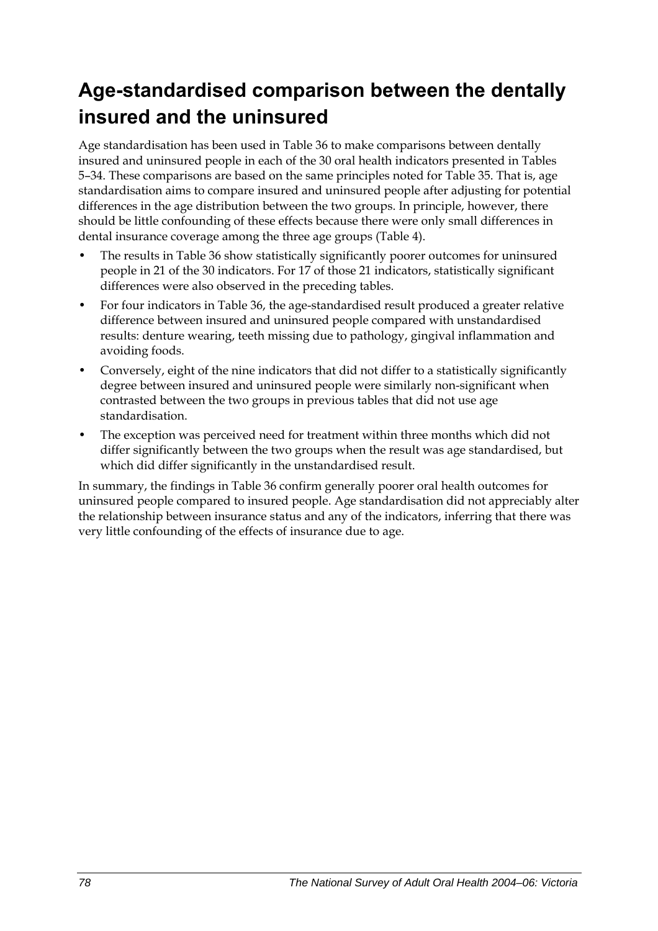## **Age-standardised comparison between the dentally insured and the uninsured**

Age standardisation has been used in [Table 36](#page-86-0) to make comparisons between dentally insured and uninsured people in each of the 30 oral health indicators presented in Tables 5–34. These comparisons are based on the same principles noted for [Table 35](#page-84-0). That is, age standardisation aims to compare insured and uninsured people after adjusting for potential differences in the age distribution between the two groups. In principle, however, there should be little confounding of these effects because there were only small differences in dental insurance coverage among the three age groups (Table 4).

- The results in [Table 36](#page-86-0) show statistically significantly poorer outcomes for uninsured people in 21 of the 30 indicators. For 17 of those 21 indicators, statistically significant differences were also observed in the preceding tables.
- For four indicators in [Table 36,](#page-86-0) the age-standardised result produced a greater relative difference between insured and uninsured people compared with unstandardised results: denture wearing, teeth missing due to pathology, gingival inflammation and avoiding foods.
- Conversely, eight of the nine indicators that did not differ to a statistically significantly degree between insured and uninsured people were similarly non-significant when contrasted between the two groups in previous tables that did not use age standardisation.
- The exception was perceived need for treatment within three months which did not differ significantly between the two groups when the result was age standardised, but which did differ significantly in the unstandardised result.

In summary, the findings in [Table 36](#page-86-0) confirm generally poorer oral health outcomes for uninsured people compared to insured people. Age standardisation did not appreciably alter the relationship between insurance status and any of the indicators, inferring that there was very little confounding of the effects of insurance due to age.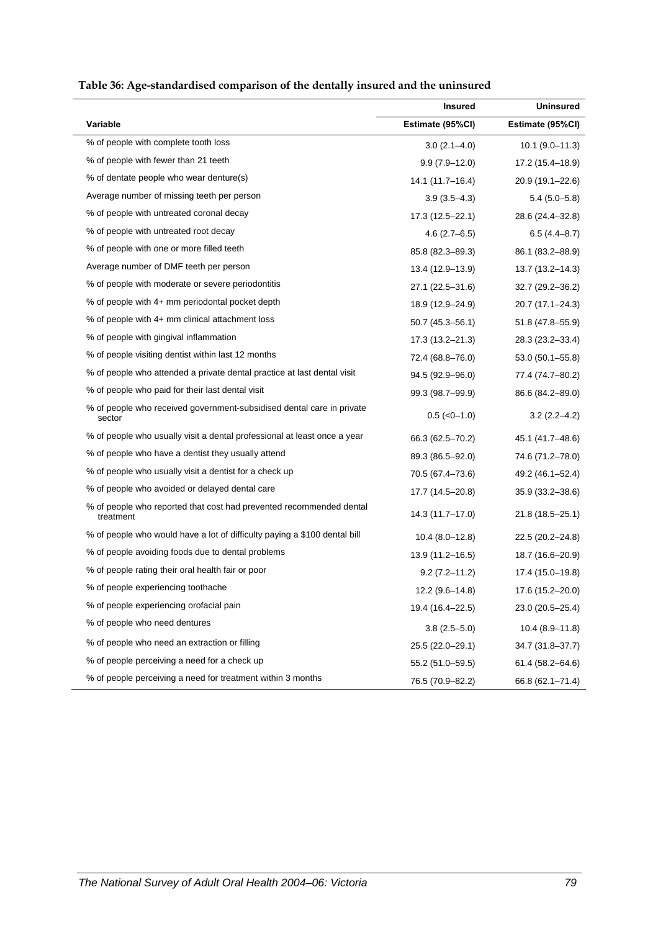<span id="page-86-1"></span>

| Table 36: Age-standardised comparison of the dentally insured and the uninsured |  |  |
|---------------------------------------------------------------------------------|--|--|
|                                                                                 |  |  |

<span id="page-86-0"></span>

|                                                                                  | <b>Insured</b>      | <b>Uninsured</b>    |
|----------------------------------------------------------------------------------|---------------------|---------------------|
| Variable                                                                         | Estimate (95%CI)    | Estimate (95%CI)    |
| % of people with complete tooth loss                                             | $3.0(2.1-4.0)$      | $10.1 (9.0 - 11.3)$ |
| % of people with fewer than 21 teeth                                             | $9.9(7.9 - 12.0)$   | 17.2 (15.4–18.9)    |
| % of dentate people who wear denture(s)                                          | 14.1 (11.7–16.4)    | 20.9 (19.1-22.6)    |
| Average number of missing teeth per person                                       | $3.9(3.5 - 4.3)$    | $5.4(5.0-5.8)$      |
| % of people with untreated coronal decay                                         | 17.3 (12.5–22.1)    | 28.6 (24.4-32.8)    |
| % of people with untreated root decay                                            | $4.6(2.7-6.5)$      | $6.5(4.4 - 8.7)$    |
| % of people with one or more filled teeth                                        | 85.8 (82.3-89.3)    | 86.1 (83.2-88.9)    |
| Average number of DMF teeth per person                                           | 13.4 (12.9-13.9)    | 13.7 (13.2-14.3)    |
| % of people with moderate or severe periodontitis                                | 27.1 (22.5-31.6)    | 32.7 (29.2-36.2)    |
| % of people with 4+ mm periodontal pocket depth                                  | 18.9 (12.9-24.9)    | 20.7 (17.1-24.3)    |
| % of people with 4+ mm clinical attachment loss                                  | $50.7(45.3 - 56.1)$ | 51.8 (47.8–55.9)    |
| % of people with gingival inflammation                                           | 17.3 (13.2–21.3)    | 28.3 (23.2–33.4)    |
| % of people visiting dentist within last 12 months                               | 72.4 (68.8-76.0)    | 53.0 (50.1–55.8)    |
| % of people who attended a private dental practice at last dental visit          | 94.5 (92.9-96.0)    | 77.4 (74.7–80.2)    |
| % of people who paid for their last dental visit                                 | 99.3 (98.7-99.9)    | 86.6 (84.2-89.0)    |
| % of people who received government-subsidised dental care in private<br>sector  | $0.5$ ( $<0-1.0$ )  | $3.2(2.2 - 4.2)$    |
| % of people who usually visit a dental professional at least once a year         | 66.3 (62.5-70.2)    | 45.1 (41.7–48.6)    |
| % of people who have a dentist they usually attend                               | 89.3 (86.5-92.0)    | 74.6 (71.2-78.0)    |
| % of people who usually visit a dentist for a check up                           | 70.5 (67.4–73.6)    | 49.2 (46.1-52.4)    |
| % of people who avoided or delayed dental care                                   | 17.7 (14.5-20.8)    | 35.9 (33.2-38.6)    |
| % of people who reported that cost had prevented recommended dental<br>treatment | 14.3 (11.7–17.0)    | 21.8 (18.5-25.1)    |
| % of people who would have a lot of difficulty paying a \$100 dental bill        | $10.4(8.0-12.8)$    | 22.5 (20.2-24.8)    |
| % of people avoiding foods due to dental problems                                | 13.9 (11.2-16.5)    | 18.7 (16.6-20.9)    |
| % of people rating their oral health fair or poor                                | $9.2(7.2 - 11.2)$   | 17.4 (15.0-19.8)    |
| % of people experiencing toothache                                               | 12.2 (9.6-14.8)     | 17.6 (15.2-20.0)    |
| % of people experiencing orofacial pain                                          | 19.4 (16.4-22.5)    | 23.0 (20.5-25.4)    |
| % of people who need dentures                                                    | $3.8(2.5 - 5.0)$    | $10.4(8.9-11.8)$    |
| % of people who need an extraction or filling                                    | 25.5 (22.0-29.1)    | 34.7 (31.8-37.7)    |
| % of people perceiving a need for a check up                                     | 55.2 (51.0-59.5)    | 61.4 (58.2-64.6)    |
| % of people perceiving a need for treatment within 3 months                      | 76.5 (70.9-82.2)    | 66.8 (62.1-71.4)    |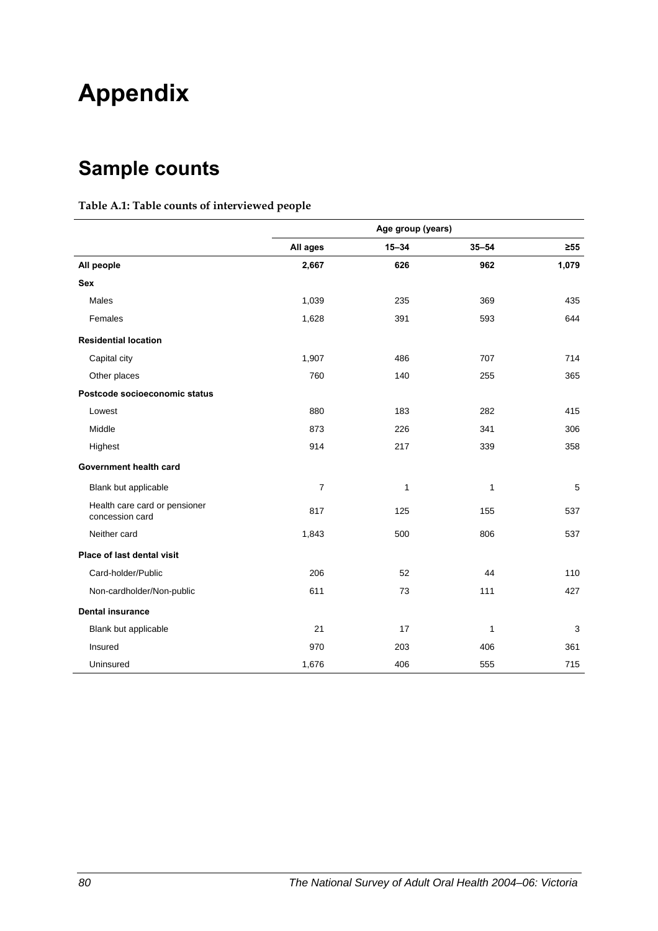# **Appendix**

## **Sample counts**

#### **Table A.1: Table counts of interviewed people**

|                                                  | Age group (years) |           |              |           |
|--------------------------------------------------|-------------------|-----------|--------------|-----------|
|                                                  | All ages          | $15 - 34$ | $35 - 54$    | $\geq 55$ |
| All people                                       | 2,667             | 626       | 962          | 1,079     |
| <b>Sex</b>                                       |                   |           |              |           |
| Males                                            | 1,039             | 235       | 369          | 435       |
| Females                                          | 1,628             | 391       | 593          | 644       |
| <b>Residential location</b>                      |                   |           |              |           |
| Capital city                                     | 1,907             | 486       | 707          | 714       |
| Other places                                     | 760               | 140       | 255          | 365       |
| Postcode socioeconomic status                    |                   |           |              |           |
| Lowest                                           | 880               | 183       | 282          | 415       |
| Middle                                           | 873               | 226       | 341          | 306       |
| Highest                                          | 914               | 217       | 339          | 358       |
| Government health card                           |                   |           |              |           |
| Blank but applicable                             | $\overline{7}$    | 1         | 1            | 5         |
| Health care card or pensioner<br>concession card | 817               | 125       | 155          | 537       |
| Neither card                                     | 1,843             | 500       | 806          | 537       |
| Place of last dental visit                       |                   |           |              |           |
| Card-holder/Public                               | 206               | 52        | 44           | 110       |
| Non-cardholder/Non-public                        | 611               | 73        | 111          | 427       |
| <b>Dental insurance</b>                          |                   |           |              |           |
| Blank but applicable                             | 21                | 17        | $\mathbf{1}$ | 3         |
| Insured                                          | 970               | 203       | 406          | 361       |
| Uninsured                                        | 1,676             | 406       | 555          | 715       |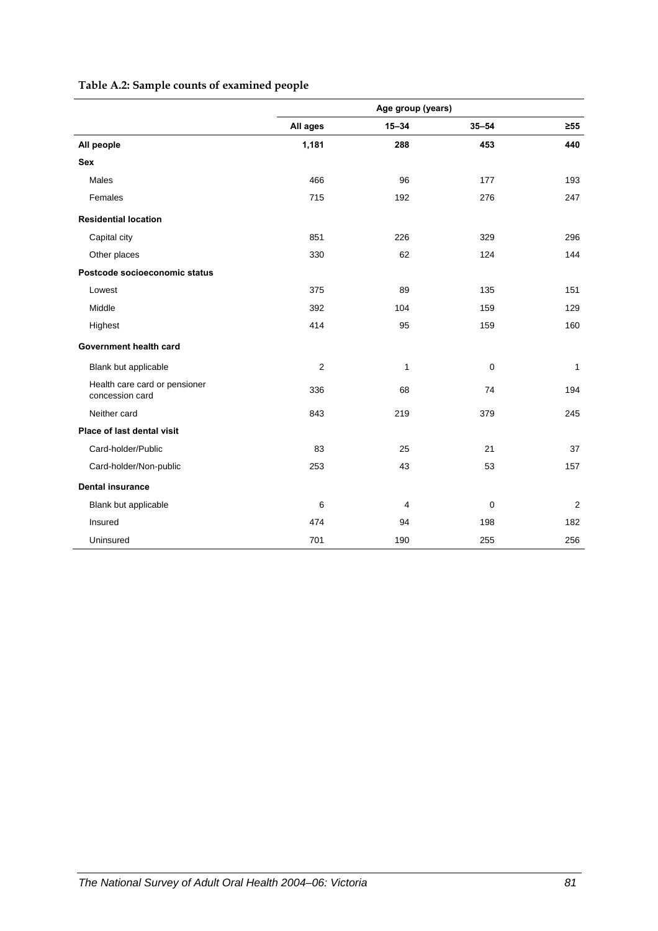### **Table A.2: Sample counts of examined people**

|                                                  | Age group (years) |           |             |           |
|--------------------------------------------------|-------------------|-----------|-------------|-----------|
|                                                  | All ages          | $15 - 34$ | $35 - 54$   | $\geq 55$ |
| All people                                       | 1,181             | 288       | 453         | 440       |
| <b>Sex</b>                                       |                   |           |             |           |
| Males                                            | 466               | 96        | 177         | 193       |
| Females                                          | 715               | 192       | 276         | 247       |
| <b>Residential location</b>                      |                   |           |             |           |
| Capital city                                     | 851               | 226       | 329         | 296       |
| Other places                                     | 330               | 62        | 124         | 144       |
| Postcode socioeconomic status                    |                   |           |             |           |
| Lowest                                           | 375               | 89        | 135         | 151       |
| Middle                                           | 392               | 104       | 159         | 129       |
| Highest                                          | 414               | 95        | 159         | 160       |
| Government health card                           |                   |           |             |           |
| Blank but applicable                             | $\overline{2}$    | 1         | $\pmb{0}$   | 1         |
| Health care card or pensioner<br>concession card | 336               | 68        | 74          | 194       |
| Neither card                                     | 843               | 219       | 379         | 245       |
| Place of last dental visit                       |                   |           |             |           |
| Card-holder/Public                               | 83                | 25        | 21          | 37        |
| Card-holder/Non-public                           | 253               | 43        | 53          | 157       |
| <b>Dental insurance</b>                          |                   |           |             |           |
| Blank but applicable                             | 6                 | 4         | $\mathbf 0$ | 2         |
| Insured                                          | 474               | 94        | 198         | 182       |
| Uninsured                                        | 701               | 190       | 255         | 256       |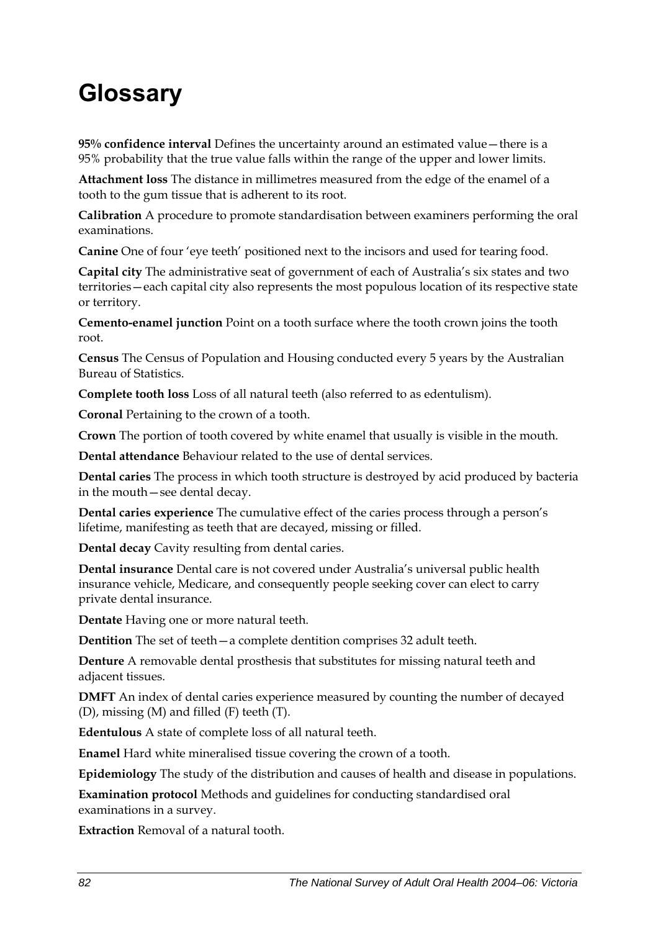# **Glossary**

**95% confidence interval** Defines the uncertainty around an estimated value—there is a 95% probability that the true value falls within the range of the upper and lower limits.

**Attachment loss** The distance in millimetres measured from the edge of the enamel of a tooth to the gum tissue that is adherent to its root.

**Calibration** A procedure to promote standardisation between examiners performing the oral examinations.

**Canine** One of four 'eye teeth' positioned next to the incisors and used for tearing food.

**Capital city** The administrative seat of government of each of Australia's six states and two territories—each capital city also represents the most populous location of its respective state or territory.

**Cemento-enamel junction** Point on a tooth surface where the tooth crown joins the tooth root.

**Census** The Census of Population and Housing conducted every 5 years by the Australian Bureau of Statistics.

**Complete tooth loss** Loss of all natural teeth (also referred to as edentulism).

**Coronal** Pertaining to the crown of a tooth.

**Crown** The portion of tooth covered by white enamel that usually is visible in the mouth.

**Dental attendance** Behaviour related to the use of dental services.

**Dental caries** The process in which tooth structure is destroyed by acid produced by bacteria in the mouth—see dental decay.

**Dental caries experience** The cumulative effect of the caries process through a person's lifetime, manifesting as teeth that are decayed, missing or filled.

**Dental decay** Cavity resulting from dental caries.

**Dental insurance** Dental care is not covered under Australia's universal public health insurance vehicle, Medicare, and consequently people seeking cover can elect to carry private dental insurance.

**Dentate** Having one or more natural teeth.

**Dentition** The set of teeth—a complete dentition comprises 32 adult teeth.

**Denture** A removable dental prosthesis that substitutes for missing natural teeth and adjacent tissues.

**DMFT** An index of dental caries experience measured by counting the number of decayed (D), missing (M) and filled (F) teeth (T).

**Edentulous** A state of complete loss of all natural teeth.

**Enamel** Hard white mineralised tissue covering the crown of a tooth.

**Epidemiology** The study of the distribution and causes of health and disease in populations.

**Examination protocol** Methods and guidelines for conducting standardised oral examinations in a survey.

**Extraction** Removal of a natural tooth.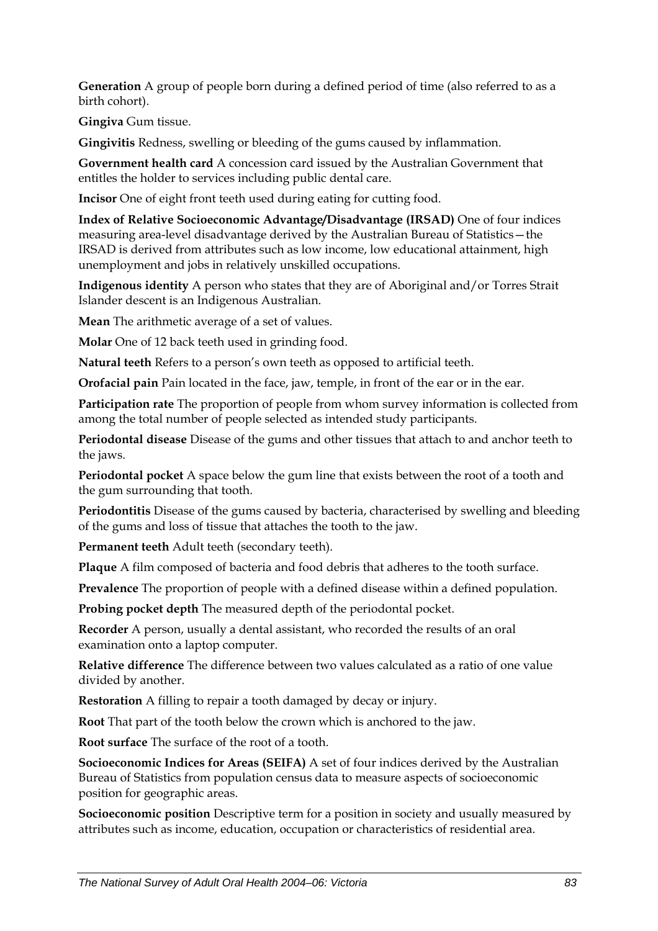**Generation** A group of people born during a defined period of time (also referred to as a birth cohort).

**Gingiva** Gum tissue.

**Gingivitis** Redness, swelling or bleeding of the gums caused by inflammation.

**Government health card** A concession card issued by the Australian Government that entitles the holder to services including public dental care.

**Incisor** One of eight front teeth used during eating for cutting food.

**Index of Relative Socioeconomic Advantage/Disadvantage (IRSAD)** One of four indices measuring area-level disadvantage derived by the Australian Bureau of Statistics—the IRSAD is derived from attributes such as low income, low educational attainment, high unemployment and jobs in relatively unskilled occupations.

**Indigenous identity** A person who states that they are of Aboriginal and/or Torres Strait Islander descent is an Indigenous Australian.

**Mean** The arithmetic average of a set of values.

**Molar** One of 12 back teeth used in grinding food.

**Natural teeth** Refers to a person's own teeth as opposed to artificial teeth.

**Orofacial pain** Pain located in the face, jaw, temple, in front of the ear or in the ear.

**Participation rate** The proportion of people from whom survey information is collected from among the total number of people selected as intended study participants.

**Periodontal disease** Disease of the gums and other tissues that attach to and anchor teeth to the jaws.

**Periodontal pocket** A space below the gum line that exists between the root of a tooth and the gum surrounding that tooth.

**Periodontitis** Disease of the gums caused by bacteria, characterised by swelling and bleeding of the gums and loss of tissue that attaches the tooth to the jaw.

**Permanent teeth** Adult teeth (secondary teeth).

**Plaque** A film composed of bacteria and food debris that adheres to the tooth surface.

**Prevalence** The proportion of people with a defined disease within a defined population.

**Probing pocket depth** The measured depth of the periodontal pocket.

**Recorder** A person, usually a dental assistant, who recorded the results of an oral examination onto a laptop computer.

**Relative difference** The difference between two values calculated as a ratio of one value divided by another.

**Restoration** A filling to repair a tooth damaged by decay or injury.

**Root** That part of the tooth below the crown which is anchored to the jaw.

**Root surface** The surface of the root of a tooth.

**Socioeconomic Indices for Areas (SEIFA)** A set of four indices derived by the Australian Bureau of Statistics from population census data to measure aspects of socioeconomic position for geographic areas.

**Socioeconomic position** Descriptive term for a position in society and usually measured by attributes such as income, education, occupation or characteristics of residential area.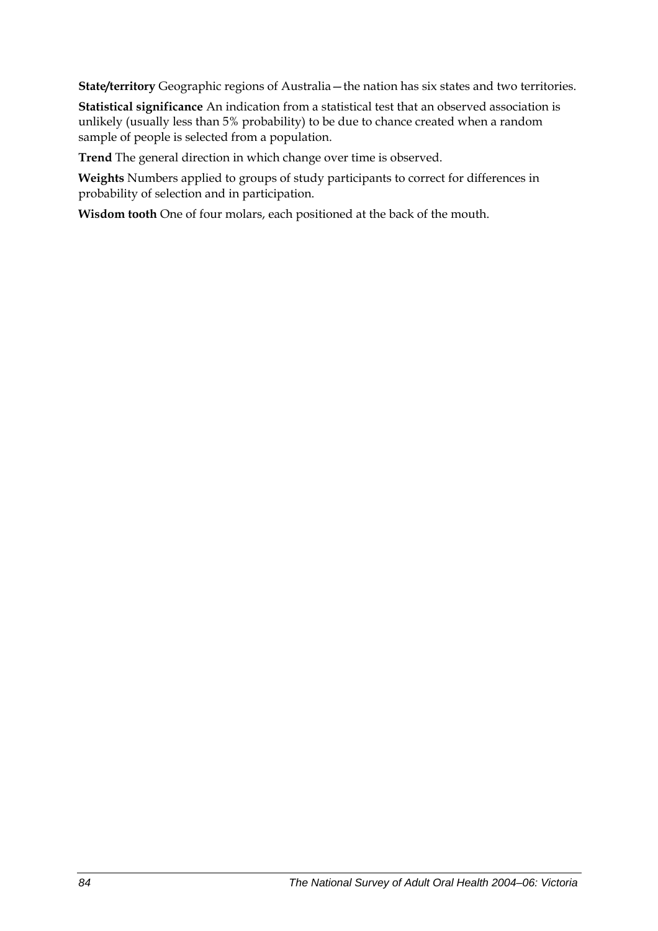**State/territory** Geographic regions of Australia—the nation has six states and two territories.

**Statistical significance** An indication from a statistical test that an observed association is unlikely (usually less than 5% probability) to be due to chance created when a random sample of people is selected from a population.

**Trend** The general direction in which change over time is observed.

**Weights** Numbers applied to groups of study participants to correct for differences in probability of selection and in participation.

**Wisdom tooth** One of four molars, each positioned at the back of the mouth.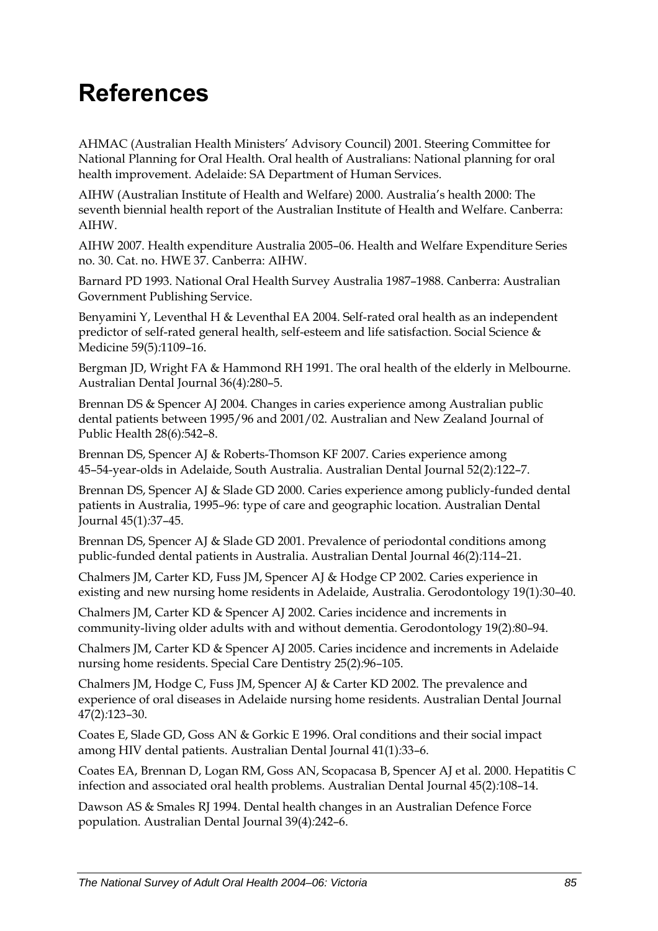# **References**

AHMAC (Australian Health Ministers' Advisory Council) 2001. Steering Committee for National Planning for Oral Health. Oral health of Australians: National planning for oral health improvement. Adelaide: SA Department of Human Services.

AIHW (Australian Institute of Health and Welfare) 2000. Australia's health 2000: The seventh biennial health report of the Australian Institute of Health and Welfare. Canberra: AIHW.

AIHW 2007. Health expenditure Australia 2005–06. Health and Welfare Expenditure Series no. 30. Cat. no. HWE 37. Canberra: AIHW.

Barnard PD 1993. National Oral Health Survey Australia 1987–1988. Canberra: Australian Government Publishing Service.

Benyamini Y, Leventhal H & Leventhal EA 2004. Self-rated oral health as an independent predictor of self-rated general health, self-esteem and life satisfaction. Social Science & Medicine 59(5)*:*1109–16.

Bergman JD, Wright FA & Hammond RH 1991. The oral health of the elderly in Melbourne. Australian Dental Journal 36(4)*:*280–5.

Brennan DS & Spencer AJ 2004. Changes in caries experience among Australian public dental patients between 1995/96 and 2001/02. Australian and New Zealand Journal of Public Health 28(6)*:*542–8.

Brennan DS, Spencer AJ & Roberts-Thomson KF 2007. Caries experience among 45–54-year-olds in Adelaide, South Australia. Australian Dental Journal 52(2)*:*122–7.

Brennan DS, Spencer AJ & Slade GD 2000. Caries experience among publicly-funded dental patients in Australia, 1995–96: type of care and geographic location. Australian Dental Journal 45(1)*:*37–45.

Brennan DS, Spencer AJ & Slade GD 2001. Prevalence of periodontal conditions among public-funded dental patients in Australia. Australian Dental Journal 46(2)*:*114–21.

Chalmers JM, Carter KD, Fuss JM, Spencer AJ & Hodge CP 2002. Caries experience in existing and new nursing home residents in Adelaide, Australia. Gerodontology 19(1)*:*30–40.

Chalmers JM, Carter KD & Spencer AJ 2002. Caries incidence and increments in community-living older adults with and without dementia. Gerodontology 19(2)*:*80–94.

Chalmers JM, Carter KD & Spencer AJ 2005. Caries incidence and increments in Adelaide nursing home residents. Special Care Dentistry 25(2)*:*96–105.

Chalmers JM, Hodge C, Fuss JM, Spencer AJ & Carter KD 2002. The prevalence and experience of oral diseases in Adelaide nursing home residents. Australian Dental Journal 47(2)*:*123–30.

Coates E, Slade GD, Goss AN & Gorkic E 1996. Oral conditions and their social impact among HIV dental patients. Australian Dental Journal 41(1)*:*33–6.

Coates EA, Brennan D, Logan RM, Goss AN, Scopacasa B, Spencer AJ et al. 2000. Hepatitis C infection and associated oral health problems. Australian Dental Journal 45(2)*:*108–14.

Dawson AS & Smales RJ 1994. Dental health changes in an Australian Defence Force population. Australian Dental Journal 39(4)*:*242–6.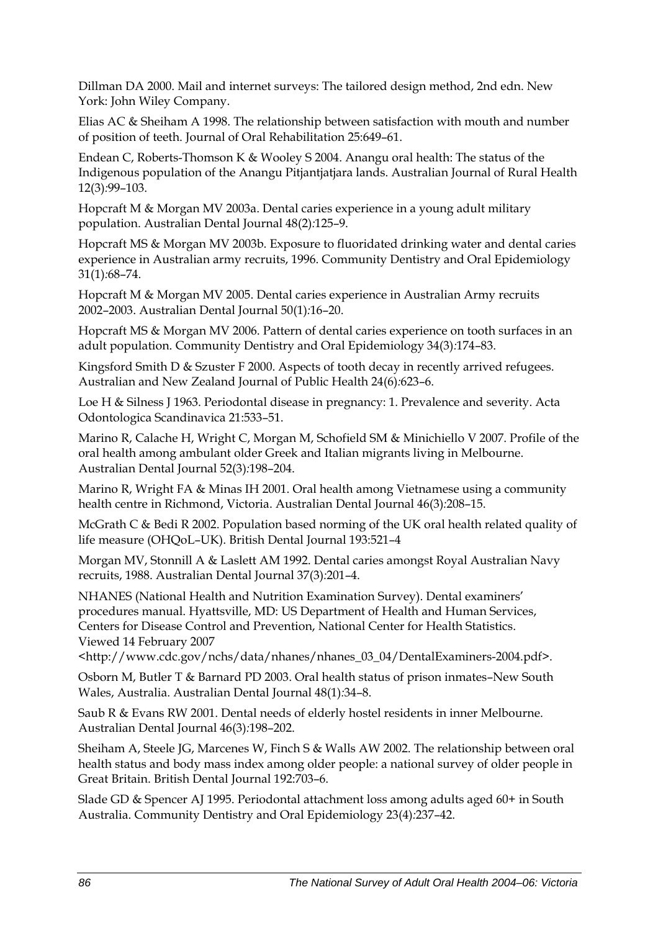Dillman DA 2000. Mail and internet surveys: The tailored design method, 2nd edn. New York: John Wiley Company.

Elias AC & Sheiham A 1998. The relationship between satisfaction with mouth and number of position of teeth. Journal of Oral Rehabilitation 25:649–61.

Endean C, Roberts-Thomson K & Wooley S 2004. Anangu oral health: The status of the Indigenous population of the Anangu Pitjantjatjara lands. Australian Journal of Rural Health 12(3)*:*99–103.

Hopcraft M & Morgan MV 2003a. Dental caries experience in a young adult military population. Australian Dental Journal 48(2)*:*125–9.

Hopcraft MS & Morgan MV 2003b. Exposure to fluoridated drinking water and dental caries experience in Australian army recruits, 1996. Community Dentistry and Oral Epidemiology 31(1)*:*68–74.

Hopcraft M & Morgan MV 2005. Dental caries experience in Australian Army recruits 2002–2003. Australian Dental Journal 50(1)*:*16–20.

Hopcraft MS & Morgan MV 2006. Pattern of dental caries experience on tooth surfaces in an adult population. Community Dentistry and Oral Epidemiology 34(3)*:*174–83.

Kingsford Smith D & Szuster F 2000. Aspects of tooth decay in recently arrived refugees. Australian and New Zealand Journal of Public Health 24(6)*:*623–6.

Loe H & Silness J 1963. Periodontal disease in pregnancy: 1. Prevalence and severity. Acta Odontologica Scandinavica 21:533–51.

Marino R, Calache H, Wright C, Morgan M, Schofield SM & Minichiello V 2007. Profile of the oral health among ambulant older Greek and Italian migrants living in Melbourne. Australian Dental Journal 52(3)*:*198–204.

Marino R, Wright FA & Minas IH 2001. Oral health among Vietnamese using a community health centre in Richmond, Victoria. Australian Dental Journal 46(3)*:*208–15.

McGrath C & Bedi R 2002. Population based norming of the UK oral health related quality of life measure (OHQoL–UK). British Dental Journal 193:521–4

Morgan MV, Stonnill A & Laslett AM 1992. Dental caries amongst Royal Australian Navy recruits, 1988. Australian Dental Journal 37(3)*:*201–4.

NHANES (National Health and Nutrition Examination Survey). Dental examiners' procedures manual. Hyattsville, MD: US Department of Health and Human Services, Centers for Disease Control and Prevention, National Center for Health Statistics. Viewed 14 February 2007

<http://www.cdc.gov/nchs/data/nhanes/nhanes\_03\_04/DentalExaminers-2004.pdf>.

Osborn M, Butler T & Barnard PD 2003. Oral health status of prison inmates–New South Wales, Australia. Australian Dental Journal 48(1)*:*34–8.

Saub R & Evans RW 2001. Dental needs of elderly hostel residents in inner Melbourne. Australian Dental Journal 46(3)*:*198–202.

Sheiham A, Steele JG, Marcenes W, Finch S & Walls AW 2002. The relationship between oral health status and body mass index among older people: a national survey of older people in Great Britain. British Dental Journal 192:703–6.

Slade GD & Spencer AJ 1995. Periodontal attachment loss among adults aged 60+ in South Australia. Community Dentistry and Oral Epidemiology 23(4)*:*237–42.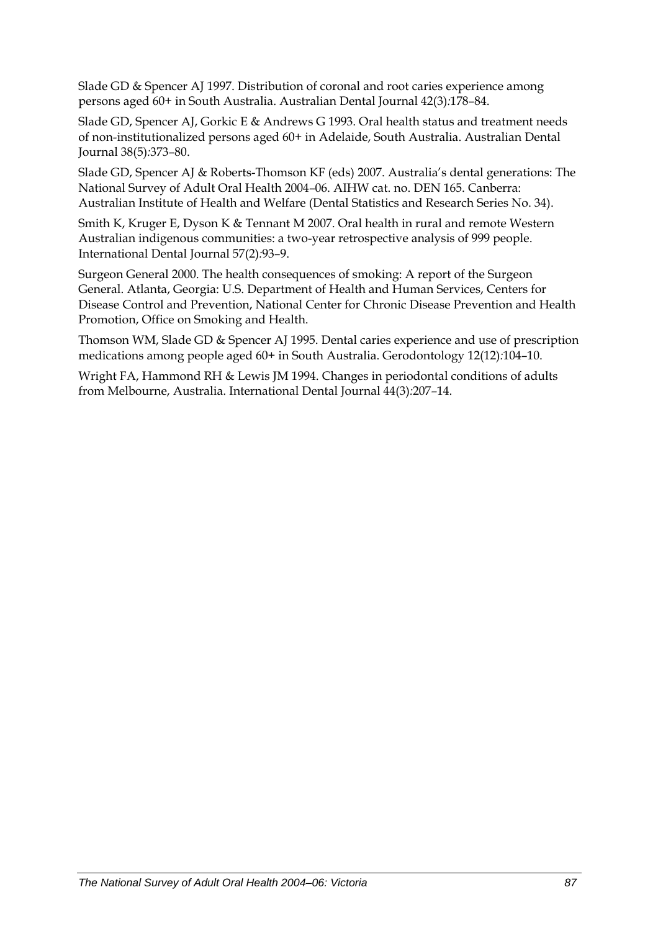Slade GD & Spencer AJ 1997. Distribution of coronal and root caries experience among persons aged 60+ in South Australia. Australian Dental Journal 42(3)*:*178–84.

Slade GD, Spencer AJ, Gorkic E & Andrews G 1993. Oral health status and treatment needs of non-institutionalized persons aged 60+ in Adelaide, South Australia. Australian Dental Journal 38(5)*:*373–80.

Slade GD, Spencer AJ & Roberts-Thomson KF (eds) 2007. Australia's dental generations: The National Survey of Adult Oral Health 2004–06. AIHW cat. no. DEN 165. Canberra: Australian Institute of Health and Welfare (Dental Statistics and Research Series No. 34).

Smith K, Kruger E, Dyson K & Tennant M 2007. Oral health in rural and remote Western Australian indigenous communities: a two-year retrospective analysis of 999 people. International Dental Journal 57(2)*:*93–9.

Surgeon General 2000. The health consequences of smoking: A report of the Surgeon General. Atlanta, Georgia: U.S. Department of Health and Human Services, Centers for Disease Control and Prevention, National Center for Chronic Disease Prevention and Health Promotion, Office on Smoking and Health.

Thomson WM, Slade GD & Spencer AJ 1995. Dental caries experience and use of prescription medications among people aged 60+ in South Australia. Gerodontology 12(12)*:*104–10.

Wright FA, Hammond RH & Lewis JM 1994. Changes in periodontal conditions of adults from Melbourne, Australia. International Dental Journal 44(3)*:*207–14.